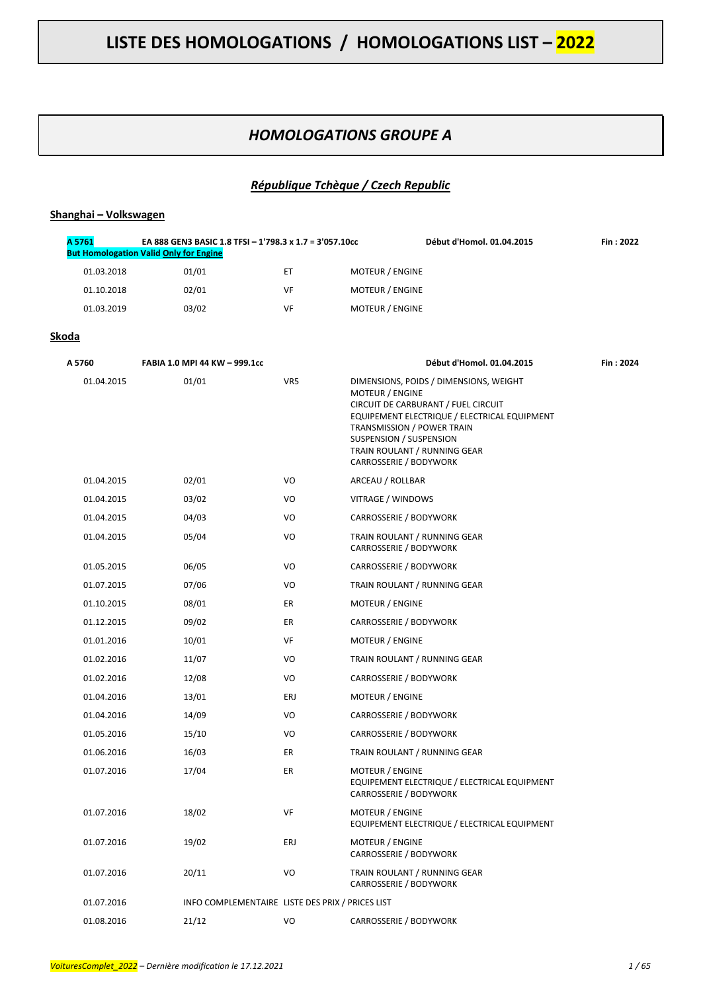### *HOMOLOGATIONS GROUPE A*

#### *République Tchèque / Czech Republic*

#### **Shanghai – Volkswagen**

| A 5761     | EA 888 GEN3 BASIC 1.8 TFSI - 1'798.3 x 1.7 = 3'057.10cc<br><b>But Homologation Valid Only for Engine</b> |    |                        | Début d'Homol. 01.04.2015 | Fin: 2022 |
|------------|----------------------------------------------------------------------------------------------------------|----|------------------------|---------------------------|-----------|
| 01.03.2018 | 01/01                                                                                                    | EТ | <b>MOTEUR / ENGINE</b> |                           |           |
| 01.10.2018 | 02/01                                                                                                    | VF | <b>MOTEUR / ENGINE</b> |                           |           |
| 01.03.2019 | 03/02                                                                                                    | VF | <b>MOTEUR / ENGINE</b> |                           |           |

#### **Skoda**

| A 5760     | FABIA 1.0 MPI 44 KW - 999.1cc                    |     | Début d'Homol. 01.04.2015                                                                                                                                                                                                                                           | Fin: 2024 |
|------------|--------------------------------------------------|-----|---------------------------------------------------------------------------------------------------------------------------------------------------------------------------------------------------------------------------------------------------------------------|-----------|
| 01.04.2015 | 01/01                                            | VR5 | DIMENSIONS, POIDS / DIMENSIONS, WEIGHT<br>MOTEUR / ENGINE<br>CIRCUIT DE CARBURANT / FUEL CIRCUIT<br>EQUIPEMENT ELECTRIQUE / ELECTRICAL EQUIPMENT<br>TRANSMISSION / POWER TRAIN<br>SUSPENSION / SUSPENSION<br>TRAIN ROULANT / RUNNING GEAR<br>CARROSSERIE / BODYWORK |           |
| 01.04.2015 | 02/01                                            | VO  | ARCEAU / ROLLBAR                                                                                                                                                                                                                                                    |           |
| 01.04.2015 | 03/02                                            | VO  | VITRAGE / WINDOWS                                                                                                                                                                                                                                                   |           |
| 01.04.2015 | 04/03                                            | VO  | CARROSSERIE / BODYWORK                                                                                                                                                                                                                                              |           |
| 01.04.2015 | 05/04                                            | VO  | TRAIN ROULANT / RUNNING GEAR<br>CARROSSERIE / BODYWORK                                                                                                                                                                                                              |           |
| 01.05.2015 | 06/05                                            | VO  | CARROSSERIE / BODYWORK                                                                                                                                                                                                                                              |           |
| 01.07.2015 | 07/06                                            | VO  | TRAIN ROULANT / RUNNING GEAR                                                                                                                                                                                                                                        |           |
| 01.10.2015 | 08/01                                            | ER  | <b>MOTEUR / ENGINE</b>                                                                                                                                                                                                                                              |           |
| 01.12.2015 | 09/02                                            | ER  | CARROSSERIE / BODYWORK                                                                                                                                                                                                                                              |           |
| 01.01.2016 | 10/01                                            | VF  | MOTEUR / ENGINE                                                                                                                                                                                                                                                     |           |
| 01.02.2016 | 11/07                                            | VO  | TRAIN ROULANT / RUNNING GEAR                                                                                                                                                                                                                                        |           |
| 01.02.2016 | 12/08                                            | VO  | CARROSSERIE / BODYWORK                                                                                                                                                                                                                                              |           |
| 01.04.2016 | 13/01                                            | ERJ | <b>MOTEUR / ENGINE</b>                                                                                                                                                                                                                                              |           |
| 01.04.2016 | 14/09                                            | VO  | CARROSSERIE / BODYWORK                                                                                                                                                                                                                                              |           |
| 01.05.2016 | 15/10                                            | VO  | CARROSSERIE / BODYWORK                                                                                                                                                                                                                                              |           |
| 01.06.2016 | 16/03                                            | ER  | TRAIN ROULANT / RUNNING GEAR                                                                                                                                                                                                                                        |           |
| 01.07.2016 | 17/04                                            | ER  | MOTEUR / ENGINE<br>EQUIPEMENT ELECTRIQUE / ELECTRICAL EQUIPMENT<br>CARROSSERIE / BODYWORK                                                                                                                                                                           |           |
| 01.07.2016 | 18/02                                            | VF  | MOTEUR / ENGINE<br>EQUIPEMENT ELECTRIQUE / ELECTRICAL EQUIPMENT                                                                                                                                                                                                     |           |
| 01.07.2016 | 19/02                                            | ERJ | MOTEUR / ENGINE<br>CARROSSERIE / BODYWORK                                                                                                                                                                                                                           |           |
| 01.07.2016 | 20/11                                            | VO  | TRAIN ROULANT / RUNNING GEAR<br>CARROSSERIE / BODYWORK                                                                                                                                                                                                              |           |
| 01.07.2016 | INFO COMPLEMENTAIRE LISTE DES PRIX / PRICES LIST |     |                                                                                                                                                                                                                                                                     |           |
| 01.08.2016 | 21/12                                            | VO  | CARROSSERIE / BODYWORK                                                                                                                                                                                                                                              |           |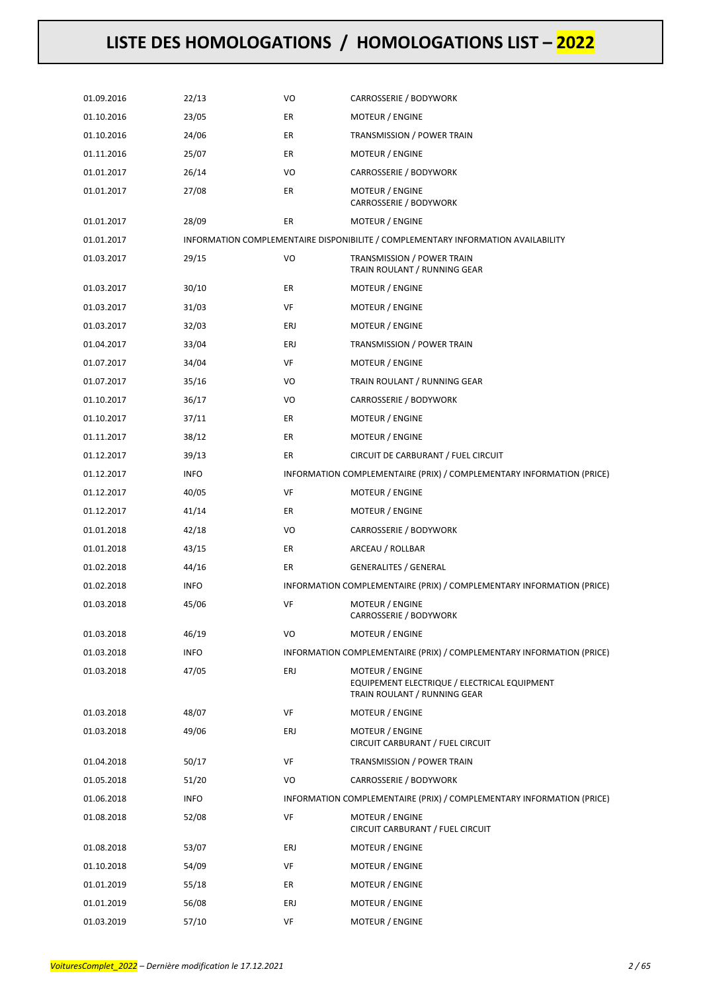| 01.09.2016 | 22/13       | VO  | CARROSSERIE / BODYWORK                                                                          |
|------------|-------------|-----|-------------------------------------------------------------------------------------------------|
| 01.10.2016 | 23/05       | ER  | MOTEUR / ENGINE                                                                                 |
| 01.10.2016 | 24/06       | ER  | TRANSMISSION / POWER TRAIN                                                                      |
| 01.11.2016 | 25/07       | ER  | MOTEUR / ENGINE                                                                                 |
| 01.01.2017 | 26/14       | VO  | CARROSSERIE / BODYWORK                                                                          |
| 01.01.2017 | 27/08       | ER  | MOTEUR / ENGINE<br>CARROSSERIE / BODYWORK                                                       |
| 01.01.2017 | 28/09       | ER  | MOTEUR / ENGINE                                                                                 |
| 01.01.2017 |             |     | INFORMATION COMPLEMENTAIRE DISPONIBILITE / COMPLEMENTARY INFORMATION AVAILABILITY               |
| 01.03.2017 | 29/15       | VO  | TRANSMISSION / POWER TRAIN<br>TRAIN ROULANT / RUNNING GEAR                                      |
| 01.03.2017 | 30/10       | ER  | MOTEUR / ENGINE                                                                                 |
| 01.03.2017 | 31/03       | VF  | MOTEUR / ENGINE                                                                                 |
| 01.03.2017 | 32/03       | ERJ | MOTEUR / ENGINE                                                                                 |
| 01.04.2017 | 33/04       | ERJ | TRANSMISSION / POWER TRAIN                                                                      |
| 01.07.2017 | 34/04       | VF  | MOTEUR / ENGINE                                                                                 |
| 01.07.2017 | 35/16       | VO  | TRAIN ROULANT / RUNNING GEAR                                                                    |
| 01.10.2017 | 36/17       | VO  | CARROSSERIE / BODYWORK                                                                          |
| 01.10.2017 | 37/11       | ER  | MOTEUR / ENGINE                                                                                 |
| 01.11.2017 | 38/12       | ER  | MOTEUR / ENGINE                                                                                 |
| 01.12.2017 | 39/13       | ER  | CIRCUIT DE CARBURANT / FUEL CIRCUIT                                                             |
| 01.12.2017 | <b>INFO</b> |     | INFORMATION COMPLEMENTAIRE (PRIX) / COMPLEMENTARY INFORMATION (PRICE)                           |
| 01.12.2017 | 40/05       | VF  | MOTEUR / ENGINE                                                                                 |
| 01.12.2017 | 41/14       | ER  | MOTEUR / ENGINE                                                                                 |
| 01.01.2018 | 42/18       | VO  | CARROSSERIE / BODYWORK                                                                          |
| 01.01.2018 | 43/15       | ER  | ARCEAU / ROLLBAR                                                                                |
| 01.02.2018 | 44/16       | ER  | <b>GENERALITES / GENERAL</b>                                                                    |
| 01.02.2018 | <b>INFO</b> |     | INFORMATION COMPLEMENTAIRE (PRIX) / COMPLEMENTARY INFORMATION (PRICE)                           |
| 01.03.2018 | 45/06       | VF  | MOTEUR / ENGINE<br>CARROSSERIE / BODYWORK                                                       |
| 01.03.2018 | 46/19       | VO  | <b>MOTEUR / ENGINE</b>                                                                          |
| 01.03.2018 | <b>INFO</b> |     | INFORMATION COMPLEMENTAIRE (PRIX) / COMPLEMENTARY INFORMATION (PRICE)                           |
| 01.03.2018 | 47/05       | ERJ | MOTEUR / ENGINE<br>EQUIPEMENT ELECTRIQUE / ELECTRICAL EQUIPMENT<br>TRAIN ROULANT / RUNNING GEAR |
| 01.03.2018 | 48/07       | VF  | MOTEUR / ENGINE                                                                                 |
| 01.03.2018 | 49/06       | ERJ | MOTEUR / ENGINE<br>CIRCUIT CARBURANT / FUEL CIRCUIT                                             |
| 01.04.2018 | 50/17       | VF  | TRANSMISSION / POWER TRAIN                                                                      |
| 01.05.2018 | 51/20       | VO  | CARROSSERIE / BODYWORK                                                                          |
| 01.06.2018 | <b>INFO</b> |     | INFORMATION COMPLEMENTAIRE (PRIX) / COMPLEMENTARY INFORMATION (PRICE)                           |
| 01.08.2018 | 52/08       | VF  | MOTEUR / ENGINE<br>CIRCUIT CARBURANT / FUEL CIRCUIT                                             |
| 01.08.2018 | 53/07       | ERJ | MOTEUR / ENGINE                                                                                 |
| 01.10.2018 | 54/09       | VF  | MOTEUR / ENGINE                                                                                 |
| 01.01.2019 | 55/18       | ER  | <b>MOTEUR / ENGINE</b>                                                                          |
| 01.01.2019 | 56/08       | ERJ | MOTEUR / ENGINE                                                                                 |
| 01.03.2019 | 57/10       | VF  | MOTEUR / ENGINE                                                                                 |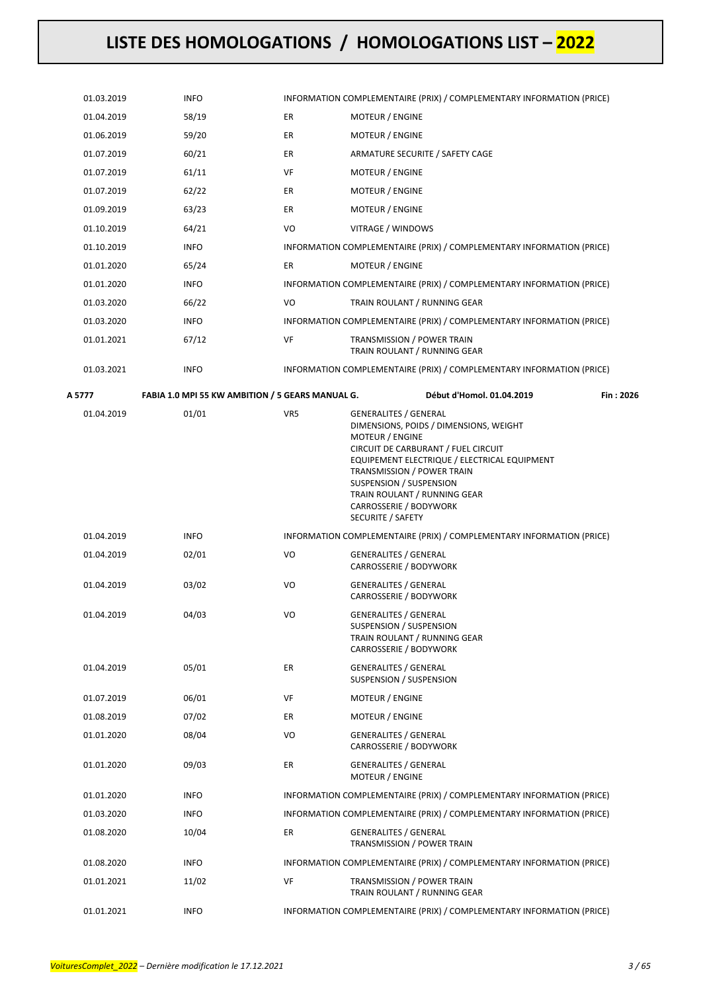| 01.03.2019 | <b>INFO</b>                                      |     | INFORMATION COMPLEMENTAIRE (PRIX) / COMPLEMENTARY INFORMATION (PRICE)                                                                                                                                                                                                                                                    |           |
|------------|--------------------------------------------------|-----|--------------------------------------------------------------------------------------------------------------------------------------------------------------------------------------------------------------------------------------------------------------------------------------------------------------------------|-----------|
| 01.04.2019 | 58/19                                            | ER  | <b>MOTEUR / ENGINE</b>                                                                                                                                                                                                                                                                                                   |           |
| 01.06.2019 | 59/20                                            | ER  | MOTEUR / ENGINE                                                                                                                                                                                                                                                                                                          |           |
| 01.07.2019 | 60/21                                            | ER  | ARMATURE SECURITE / SAFETY CAGE                                                                                                                                                                                                                                                                                          |           |
| 01.07.2019 | 61/11                                            | VF  | MOTEUR / ENGINE                                                                                                                                                                                                                                                                                                          |           |
| 01.07.2019 | 62/22                                            | ER  | <b>MOTEUR / ENGINE</b>                                                                                                                                                                                                                                                                                                   |           |
| 01.09.2019 | 63/23                                            | ER  | <b>MOTEUR / ENGINE</b>                                                                                                                                                                                                                                                                                                   |           |
| 01.10.2019 | 64/21                                            | VO  | VITRAGE / WINDOWS                                                                                                                                                                                                                                                                                                        |           |
| 01.10.2019 | <b>INFO</b>                                      |     | INFORMATION COMPLEMENTAIRE (PRIX) / COMPLEMENTARY INFORMATION (PRICE)                                                                                                                                                                                                                                                    |           |
| 01.01.2020 | 65/24                                            | ER  | <b>MOTEUR / ENGINE</b>                                                                                                                                                                                                                                                                                                   |           |
| 01.01.2020 | <b>INFO</b>                                      |     | INFORMATION COMPLEMENTAIRE (PRIX) / COMPLEMENTARY INFORMATION (PRICE)                                                                                                                                                                                                                                                    |           |
| 01.03.2020 | 66/22                                            | VO  | TRAIN ROULANT / RUNNING GEAR                                                                                                                                                                                                                                                                                             |           |
| 01.03.2020 | <b>INFO</b>                                      |     | INFORMATION COMPLEMENTAIRE (PRIX) / COMPLEMENTARY INFORMATION (PRICE)                                                                                                                                                                                                                                                    |           |
| 01.01.2021 | 67/12                                            | VF  | TRANSMISSION / POWER TRAIN<br>TRAIN ROULANT / RUNNING GEAR                                                                                                                                                                                                                                                               |           |
| 01.03.2021 | <b>INFO</b>                                      |     | INFORMATION COMPLEMENTAIRE (PRIX) / COMPLEMENTARY INFORMATION (PRICE)                                                                                                                                                                                                                                                    |           |
| A 5777     | FABIA 1.0 MPI 55 KW AMBITION / 5 GEARS MANUAL G. |     | Début d'Homol. 01.04.2019                                                                                                                                                                                                                                                                                                | Fin: 2026 |
| 01.04.2019 | 01/01                                            | VR5 | GENERALITES / GENERAL<br>DIMENSIONS, POIDS / DIMENSIONS, WEIGHT<br><b>MOTEUR / ENGINE</b><br>CIRCUIT DE CARBURANT / FUEL CIRCUIT<br>EQUIPEMENT ELECTRIQUE / ELECTRICAL EQUIPMENT<br>TRANSMISSION / POWER TRAIN<br>SUSPENSION / SUSPENSION<br>TRAIN ROULANT / RUNNING GEAR<br>CARROSSERIE / BODYWORK<br>SECURITE / SAFETY |           |
| 01.04.2019 | <b>INFO</b>                                      |     | INFORMATION COMPLEMENTAIRE (PRIX) / COMPLEMENTARY INFORMATION (PRICE)                                                                                                                                                                                                                                                    |           |
| 01.04.2019 | 02/01                                            | VO  | GENERALITES / GENERAL<br>CARROSSERIE / BODYWORK                                                                                                                                                                                                                                                                          |           |
| 01.04.2019 | 03/02                                            | VO  | <b>GENERALITES / GENERAL</b><br>CARROSSERIE / BODYWORK                                                                                                                                                                                                                                                                   |           |
| 01.04.2019 | 04/03                                            | VO  | <b>GENERALITES / GENERAL</b><br>SUSPENSION / SUSPENSION<br>TRAIN ROULANT / RUNNING GEAR<br>CARROSSERIE / BODYWORK                                                                                                                                                                                                        |           |
| 01.04.2019 | 05/01                                            | ER  | <b>GENERALITES / GENERAL</b><br>SUSPENSION / SUSPENSION                                                                                                                                                                                                                                                                  |           |
| 01.07.2019 | 06/01                                            | VF  | <b>MOTEUR / ENGINE</b>                                                                                                                                                                                                                                                                                                   |           |
| 01.08.2019 | 07/02                                            | ER  | MOTEUR / ENGINE                                                                                                                                                                                                                                                                                                          |           |
| 01.01.2020 | 08/04                                            | VO  | <b>GENERALITES / GENERAL</b><br>CARROSSERIE / BODYWORK                                                                                                                                                                                                                                                                   |           |
| 01.01.2020 | 09/03                                            | ER  | <b>GENERALITES / GENERAL</b><br><b>MOTEUR / ENGINE</b>                                                                                                                                                                                                                                                                   |           |
| 01.01.2020 | <b>INFO</b>                                      |     | INFORMATION COMPLEMENTAIRE (PRIX) / COMPLEMENTARY INFORMATION (PRICE)                                                                                                                                                                                                                                                    |           |
| 01.03.2020 | <b>INFO</b>                                      |     | INFORMATION COMPLEMENTAIRE (PRIX) / COMPLEMENTARY INFORMATION (PRICE)                                                                                                                                                                                                                                                    |           |
| 01.08.2020 | 10/04                                            | ER  | <b>GENERALITES / GENERAL</b><br>TRANSMISSION / POWER TRAIN                                                                                                                                                                                                                                                               |           |
| 01.08.2020 | <b>INFO</b>                                      |     | INFORMATION COMPLEMENTAIRE (PRIX) / COMPLEMENTARY INFORMATION (PRICE)                                                                                                                                                                                                                                                    |           |
| 01.01.2021 | 11/02                                            | VF  | TRANSMISSION / POWER TRAIN<br>TRAIN ROULANT / RUNNING GEAR                                                                                                                                                                                                                                                               |           |
| 01.01.2021 | <b>INFO</b>                                      |     | INFORMATION COMPLEMENTAIRE (PRIX) / COMPLEMENTARY INFORMATION (PRICE)                                                                                                                                                                                                                                                    |           |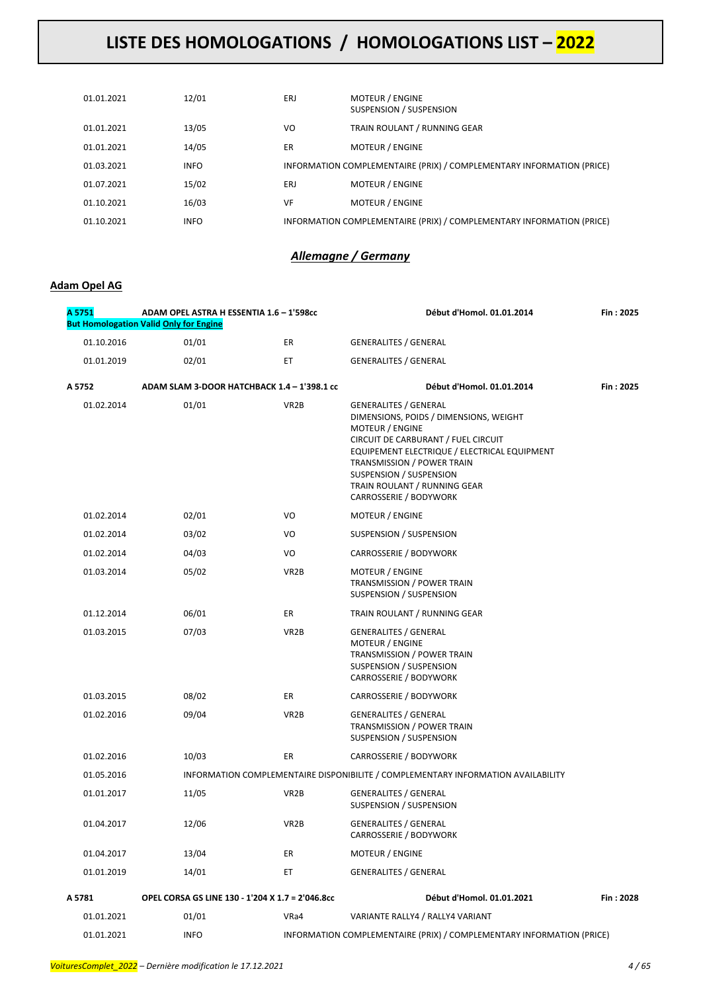| 01.01.2021 | 12/01       | ERJ | <b>MOTEUR / ENGINE</b><br>SUSPENSION / SUSPENSION                     |
|------------|-------------|-----|-----------------------------------------------------------------------|
| 01.01.2021 | 13/05       | VO  | TRAIN ROULANT / RUNNING GEAR                                          |
| 01.01.2021 | 14/05       | ER  | <b>MOTEUR / ENGINE</b>                                                |
| 01.03.2021 | <b>INFO</b> |     | INFORMATION COMPLEMENTAIRE (PRIX) / COMPLEMENTARY INFORMATION (PRICE) |
| 01.07.2021 | 15/02       | ERJ | <b>MOTEUR / ENGINE</b>                                                |
| 01.10.2021 | 16/03       | VF  | <b>MOTEUR / ENGINE</b>                                                |
| 01.10.2021 | <b>INFO</b> |     | INFORMATION COMPLEMENTAIRE (PRIX) / COMPLEMENTARY INFORMATION (PRICE) |

### *Allemagne / Germany*

### **Adam Opel AG**

| A 5751     | ADAM OPEL ASTRA H ESSENTIA 1.6 - 1'598cc<br><b>But Homologation Valid Only for Engine</b> |                   | Début d'Homol. 01.01.2014<br>Fin: 2025                                                                                                                                                                                                                                                                     |           |
|------------|-------------------------------------------------------------------------------------------|-------------------|------------------------------------------------------------------------------------------------------------------------------------------------------------------------------------------------------------------------------------------------------------------------------------------------------------|-----------|
| 01.10.2016 | 01/01                                                                                     | ER                | <b>GENERALITES / GENERAL</b>                                                                                                                                                                                                                                                                               |           |
| 01.01.2019 | 02/01                                                                                     | ET                | <b>GENERALITES / GENERAL</b>                                                                                                                                                                                                                                                                               |           |
| A 5752     | ADAM SLAM 3-DOOR HATCHBACK 1.4 - 1'398.1 cc                                               |                   | Début d'Homol. 01.01.2014                                                                                                                                                                                                                                                                                  | Fin: 2025 |
| 01.02.2014 | 01/01                                                                                     | VR <sub>2</sub> B | <b>GENERALITES / GENERAL</b><br>DIMENSIONS, POIDS / DIMENSIONS, WEIGHT<br><b>MOTEUR / ENGINE</b><br>CIRCUIT DE CARBURANT / FUEL CIRCUIT<br>EQUIPEMENT ELECTRIQUE / ELECTRICAL EQUIPMENT<br>TRANSMISSION / POWER TRAIN<br>SUSPENSION / SUSPENSION<br>TRAIN ROULANT / RUNNING GEAR<br>CARROSSERIE / BODYWORK |           |
| 01.02.2014 | 02/01                                                                                     | VO                | MOTEUR / ENGINE                                                                                                                                                                                                                                                                                            |           |
| 01.02.2014 | 03/02                                                                                     | VO                | SUSPENSION / SUSPENSION                                                                                                                                                                                                                                                                                    |           |
| 01.02.2014 | 04/03                                                                                     | VO                | CARROSSERIE / BODYWORK                                                                                                                                                                                                                                                                                     |           |
| 01.03.2014 | 05/02                                                                                     | VR <sub>2</sub> B | MOTEUR / ENGINE<br>TRANSMISSION / POWER TRAIN<br>SUSPENSION / SUSPENSION                                                                                                                                                                                                                                   |           |
| 01.12.2014 | 06/01                                                                                     | ER                | TRAIN ROULANT / RUNNING GEAR                                                                                                                                                                                                                                                                               |           |
| 01.03.2015 | 07/03                                                                                     | VR <sub>2</sub> B | <b>GENERALITES / GENERAL</b><br>MOTEUR / ENGINE<br>TRANSMISSION / POWER TRAIN<br>SUSPENSION / SUSPENSION<br>CARROSSERIE / BODYWORK                                                                                                                                                                         |           |
| 01.03.2015 | 08/02                                                                                     | ER                | CARROSSERIE / BODYWORK                                                                                                                                                                                                                                                                                     |           |
| 01.02.2016 | 09/04                                                                                     | VR <sub>2</sub> B | <b>GENERALITES / GENERAL</b><br>TRANSMISSION / POWER TRAIN<br>SUSPENSION / SUSPENSION                                                                                                                                                                                                                      |           |
| 01.02.2016 | 10/03                                                                                     | ER                | CARROSSERIE / BODYWORK                                                                                                                                                                                                                                                                                     |           |
| 01.05.2016 |                                                                                           |                   | INFORMATION COMPLEMENTAIRE DISPONIBILITE / COMPLEMENTARY INFORMATION AVAILABILITY                                                                                                                                                                                                                          |           |
| 01.01.2017 | 11/05                                                                                     | VR <sub>2</sub> B | <b>GENERALITES / GENERAL</b><br>SUSPENSION / SUSPENSION                                                                                                                                                                                                                                                    |           |
| 01.04.2017 | 12/06                                                                                     | VR <sub>2</sub> B | <b>GENERALITES / GENERAL</b><br>CARROSSERIE / BODYWORK                                                                                                                                                                                                                                                     |           |
| 01.04.2017 | 13/04                                                                                     | ER                | MOTEUR / ENGINE                                                                                                                                                                                                                                                                                            |           |
| 01.01.2019 | 14/01                                                                                     | ET.               | <b>GENERALITES / GENERAL</b>                                                                                                                                                                                                                                                                               |           |
| A 5781     | OPEL CORSA GS LINE 130 - 1'204 X 1.7 = 2'046.8cc                                          |                   | Début d'Homol. 01.01.2021                                                                                                                                                                                                                                                                                  | Fin: 2028 |
| 01.01.2021 | 01/01                                                                                     | VRa4              | VARIANTE RALLY4 / RALLY4 VARIANT                                                                                                                                                                                                                                                                           |           |
| 01.01.2021 | <b>INFO</b>                                                                               |                   | INFORMATION COMPLEMENTAIRE (PRIX) / COMPLEMENTARY INFORMATION (PRICE)                                                                                                                                                                                                                                      |           |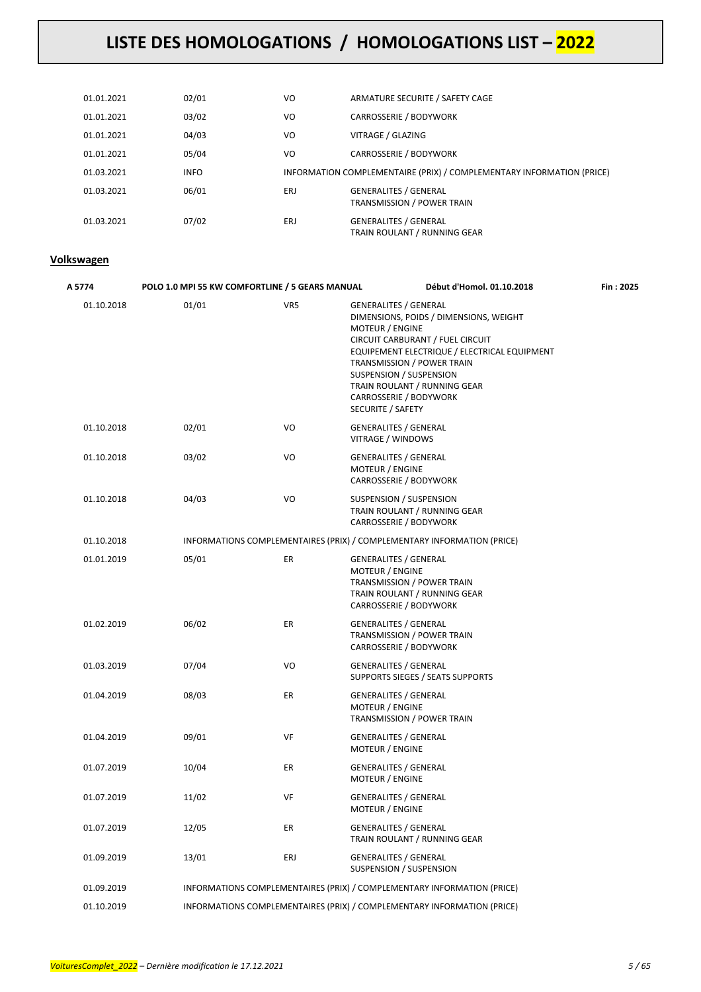| 01.01.2021 | 02/01       | VO  | ARMATURE SECURITE / SAFETY CAGE                                       |
|------------|-------------|-----|-----------------------------------------------------------------------|
| 01.01.2021 | 03/02       | VO  | <b>CARROSSERIE / BODYWORK</b>                                         |
| 01.01.2021 | 04/03       | VO  | VITRAGE / GLAZING                                                     |
| 01.01.2021 | 05/04       | VO  | <b>CARROSSERIE / BODYWORK</b>                                         |
| 01.03.2021 | <b>INFO</b> |     | INFORMATION COMPLEMENTAIRE (PRIX) / COMPLEMENTARY INFORMATION (PRICE) |
| 01.03.2021 | 06/01       | ERJ | <b>GENERALITES / GENERAL</b><br><b>TRANSMISSION / POWER TRAIN</b>     |
| 01.03.2021 | 07/02       | ERJ | <b>GENERALITES / GENERAL</b><br>TRAIN ROULANT / RUNNING GEAR          |

#### **Volkswagen**

| A 5774     | POLO 1.0 MPI 55 KW COMFORTLINE / 5 GEARS MANUAL |     | Début d'Homol. 01.10.2018                                                                                                                                                                                                                                                                                             | Fin: 2025 |
|------------|-------------------------------------------------|-----|-----------------------------------------------------------------------------------------------------------------------------------------------------------------------------------------------------------------------------------------------------------------------------------------------------------------------|-----------|
| 01.10.2018 | 01/01                                           | VR5 | <b>GENERALITES / GENERAL</b><br>DIMENSIONS, POIDS / DIMENSIONS, WEIGHT<br>MOTEUR / ENGINE<br>CIRCUIT CARBURANT / FUEL CIRCUIT<br>EQUIPEMENT ELECTRIQUE / ELECTRICAL EQUIPMENT<br>TRANSMISSION / POWER TRAIN<br>SUSPENSION / SUSPENSION<br>TRAIN ROULANT / RUNNING GEAR<br>CARROSSERIE / BODYWORK<br>SECURITE / SAFETY |           |
| 01.10.2018 | 02/01                                           | VO  | <b>GENERALITES / GENERAL</b><br>VITRAGE / WINDOWS                                                                                                                                                                                                                                                                     |           |
| 01.10.2018 | 03/02                                           | VO  | <b>GENERALITES / GENERAL</b><br>MOTEUR / ENGINE<br>CARROSSERIE / BODYWORK                                                                                                                                                                                                                                             |           |
| 01.10.2018 | 04/03                                           | VO  | SUSPENSION / SUSPENSION<br>TRAIN ROULANT / RUNNING GEAR<br>CARROSSERIE / BODYWORK                                                                                                                                                                                                                                     |           |
| 01.10.2018 |                                                 |     | INFORMATIONS COMPLEMENTAIRES (PRIX) / COMPLEMENTARY INFORMATION (PRICE)                                                                                                                                                                                                                                               |           |
| 01.01.2019 | 05/01                                           | ER  | <b>GENERALITES / GENERAL</b><br>MOTEUR / ENGINE<br>TRANSMISSION / POWER TRAIN<br>TRAIN ROULANT / RUNNING GEAR<br>CARROSSERIE / BODYWORK                                                                                                                                                                               |           |
| 01.02.2019 | 06/02                                           | ER  | <b>GENERALITES / GENERAL</b><br>TRANSMISSION / POWER TRAIN<br>CARROSSERIE / BODYWORK                                                                                                                                                                                                                                  |           |
| 01.03.2019 | 07/04                                           | VO  | <b>GENERALITES / GENERAL</b><br>SUPPORTS SIEGES / SEATS SUPPORTS                                                                                                                                                                                                                                                      |           |
| 01.04.2019 | 08/03                                           | ER  | <b>GENERALITES / GENERAL</b><br>MOTEUR / ENGINE<br>TRANSMISSION / POWER TRAIN                                                                                                                                                                                                                                         |           |
| 01.04.2019 | 09/01                                           | VF  | <b>GENERALITES / GENERAL</b><br><b>MOTEUR / ENGINE</b>                                                                                                                                                                                                                                                                |           |
| 01.07.2019 | 10/04                                           | ER  | <b>GENERALITES / GENERAL</b><br>MOTEUR / ENGINE                                                                                                                                                                                                                                                                       |           |
| 01.07.2019 | 11/02                                           | VF  | <b>GENERALITES / GENERAL</b><br>MOTEUR / ENGINE                                                                                                                                                                                                                                                                       |           |
| 01.07.2019 | 12/05                                           | ER  | <b>GENERALITES / GENERAL</b><br>TRAIN ROULANT / RUNNING GEAR                                                                                                                                                                                                                                                          |           |
| 01.09.2019 | 13/01                                           | ERJ | <b>GENERALITES / GENERAL</b><br>SUSPENSION / SUSPENSION                                                                                                                                                                                                                                                               |           |
| 01.09.2019 |                                                 |     | INFORMATIONS COMPLEMENTAIRES (PRIX) / COMPLEMENTARY INFORMATION (PRICE)                                                                                                                                                                                                                                               |           |
| 01.10.2019 |                                                 |     | INFORMATIONS COMPLEMENTAIRES (PRIX) / COMPLEMENTARY INFORMATION (PRICE)                                                                                                                                                                                                                                               |           |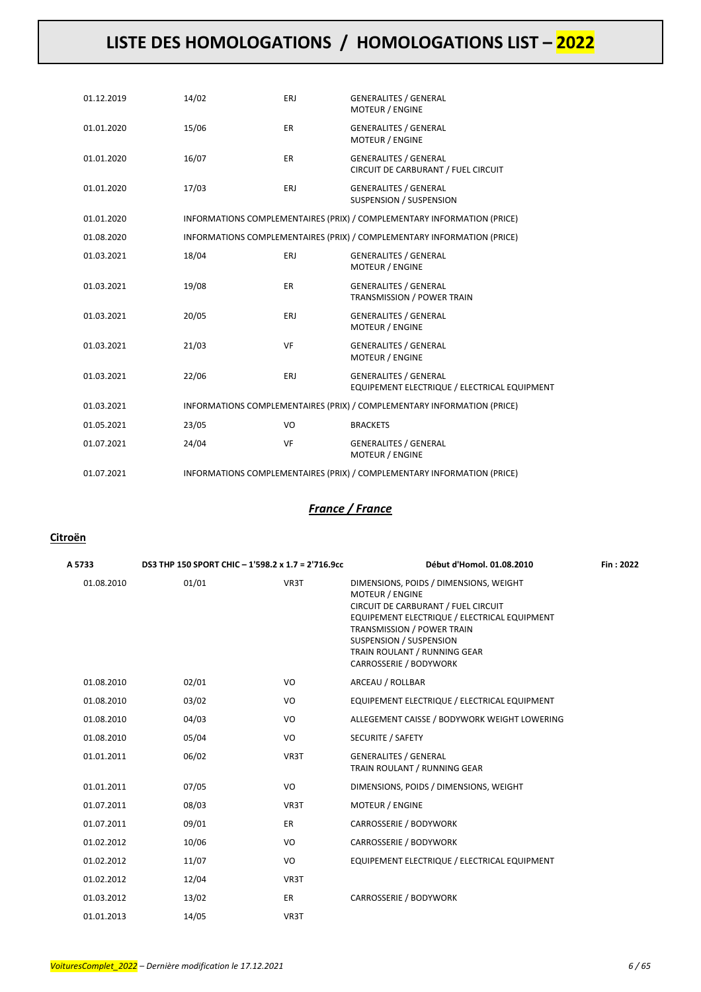| 01.12.2019 | 14/02 | ERJ       | <b>GENERALITES / GENERAL</b><br><b>MOTEUR / ENGINE</b>                       |
|------------|-------|-----------|------------------------------------------------------------------------------|
| 01.01.2020 | 15/06 | ER        | <b>GENERALITES / GENERAL</b><br><b>MOTEUR / ENGINE</b>                       |
| 01.01.2020 | 16/07 | <b>ER</b> | <b>GENERALITES / GENERAL</b><br>CIRCUIT DE CARBURANT / FUEL CIRCUIT          |
| 01.01.2020 | 17/03 | ERJ       | <b>GENERALITES / GENERAL</b><br>SUSPENSION / SUSPENSION                      |
| 01.01.2020 |       |           | INFORMATIONS COMPLEMENTAIRES (PRIX) / COMPLEMENTARY INFORMATION (PRICE)      |
| 01.08.2020 |       |           | INFORMATIONS COMPLEMENTAIRES (PRIX) / COMPLEMENTARY INFORMATION (PRICE)      |
| 01.03.2021 | 18/04 | ERJ       | <b>GENERALITES / GENERAL</b><br><b>MOTEUR / ENGINE</b>                       |
| 01.03.2021 | 19/08 | ER        | <b>GENERALITES / GENERAL</b><br>TRANSMISSION / POWER TRAIN                   |
| 01.03.2021 | 20/05 | ERJ       | <b>GENERALITES / GENERAL</b><br><b>MOTEUR / ENGINE</b>                       |
| 01.03.2021 | 21/03 | VF        | <b>GENERALITES / GENERAL</b><br><b>MOTEUR / ENGINE</b>                       |
| 01.03.2021 | 22/06 | ERJ       | <b>GENERALITES / GENERAL</b><br>EQUIPEMENT ELECTRIQUE / ELECTRICAL EQUIPMENT |
| 01.03.2021 |       |           | INFORMATIONS COMPLEMENTAIRES (PRIX) / COMPLEMENTARY INFORMATION (PRICE)      |
| 01.05.2021 | 23/05 | VO        | <b>BRACKETS</b>                                                              |
| 01.07.2021 | 24/04 | VF        | <b>GENERALITES / GENERAL</b><br><b>MOTEUR / ENGINE</b>                       |
| 01.07.2021 |       |           | INFORMATIONS COMPLEMENTAIRES (PRIX) / COMPLEMENTARY INFORMATION (PRICE)      |

### *France / France*

#### **Citroën**

| A 5733     | DS3 THP 150 SPORT CHIC - 1'598.2 x 1.7 = 2'716.9cc |           | Début d'Homol. 01.08.2010                                                                                                                                                                                                                                                         | Fin: 2022 |
|------------|----------------------------------------------------|-----------|-----------------------------------------------------------------------------------------------------------------------------------------------------------------------------------------------------------------------------------------------------------------------------------|-----------|
| 01.08.2010 | 01/01                                              | VR3T      | DIMENSIONS, POIDS / DIMENSIONS, WEIGHT<br><b>MOTEUR / ENGINE</b><br>CIRCUIT DE CARBURANT / FUEL CIRCUIT<br>EQUIPEMENT ELECTRIQUE / ELECTRICAL EQUIPMENT<br>TRANSMISSION / POWER TRAIN<br><b>SUSPENSION / SUSPENSION</b><br>TRAIN ROULANT / RUNNING GEAR<br>CARROSSERIE / BODYWORK |           |
| 01.08.2010 | 02/01                                              | VO        | ARCEAU / ROLLBAR                                                                                                                                                                                                                                                                  |           |
| 01.08.2010 | 03/02                                              | VO        | EQUIPEMENT ELECTRIQUE / ELECTRICAL EQUIPMENT                                                                                                                                                                                                                                      |           |
| 01.08.2010 | 04/03                                              | VO        | ALLEGEMENT CAISSE / BODYWORK WEIGHT LOWERING                                                                                                                                                                                                                                      |           |
| 01.08.2010 | 05/04                                              | VO        | <b>SECURITE / SAFETY</b>                                                                                                                                                                                                                                                          |           |
| 01.01.2011 | 06/02                                              | VR3T      | <b>GENERALITES / GENERAL</b><br>TRAIN ROULANT / RUNNING GEAR                                                                                                                                                                                                                      |           |
| 01.01.2011 | 07/05                                              | VO        | DIMENSIONS, POIDS / DIMENSIONS, WEIGHT                                                                                                                                                                                                                                            |           |
| 01.07.2011 | 08/03                                              | VR3T      | <b>MOTEUR / ENGINE</b>                                                                                                                                                                                                                                                            |           |
| 01.07.2011 | 09/01                                              | <b>ER</b> | CARROSSERIE / BODYWORK                                                                                                                                                                                                                                                            |           |
| 01.02.2012 | 10/06                                              | VO        | CARROSSERIE / BODYWORK                                                                                                                                                                                                                                                            |           |
| 01.02.2012 | 11/07                                              | VO        | EQUIPEMENT ELECTRIQUE / ELECTRICAL EQUIPMENT                                                                                                                                                                                                                                      |           |
| 01.02.2012 | 12/04                                              | VR3T      |                                                                                                                                                                                                                                                                                   |           |
| 01.03.2012 | 13/02                                              | ER        | CARROSSERIE / BODYWORK                                                                                                                                                                                                                                                            |           |
| 01.01.2013 | 14/05                                              | VR3T      |                                                                                                                                                                                                                                                                                   |           |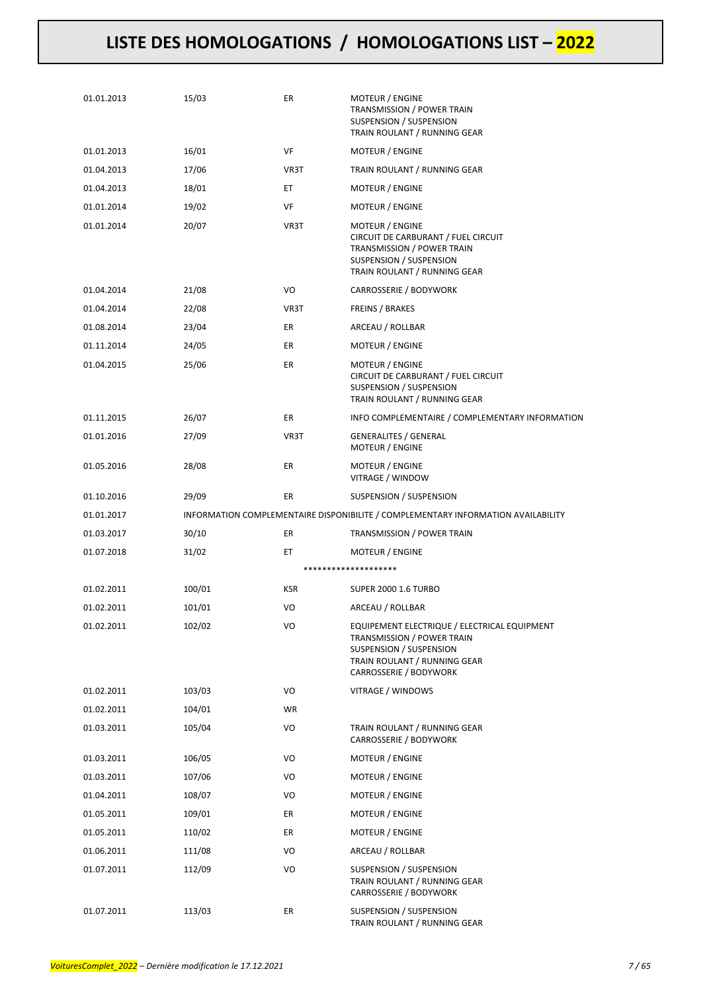| 01.01.2013 | 15/03  | ER         | MOTEUR / ENGINE<br>TRANSMISSION / POWER TRAIN<br>SUSPENSION / SUSPENSION<br>TRAIN ROULANT / RUNNING GEAR                                                        |
|------------|--------|------------|-----------------------------------------------------------------------------------------------------------------------------------------------------------------|
| 01.01.2013 | 16/01  | VF         | <b>MOTEUR / ENGINE</b>                                                                                                                                          |
| 01.04.2013 | 17/06  | VR3T       | TRAIN ROULANT / RUNNING GEAR                                                                                                                                    |
| 01.04.2013 | 18/01  | ET.        | MOTEUR / ENGINE                                                                                                                                                 |
| 01.01.2014 | 19/02  | VF         | MOTEUR / ENGINE                                                                                                                                                 |
| 01.01.2014 | 20/07  | VR3T       | MOTEUR / ENGINE<br>CIRCUIT DE CARBURANT / FUEL CIRCUIT<br>TRANSMISSION / POWER TRAIN<br>SUSPENSION / SUSPENSION<br>TRAIN ROULANT / RUNNING GEAR                 |
| 01.04.2014 | 21/08  | VO         | CARROSSERIE / BODYWORK                                                                                                                                          |
| 01.04.2014 | 22/08  | VR3T       | <b>FREINS / BRAKES</b>                                                                                                                                          |
| 01.08.2014 | 23/04  | ER         | ARCEAU / ROLLBAR                                                                                                                                                |
| 01.11.2014 | 24/05  | ER         | <b>MOTEUR / ENGINE</b>                                                                                                                                          |
| 01.04.2015 | 25/06  | ER         | MOTEUR / ENGINE<br>CIRCUIT DE CARBURANT / FUEL CIRCUIT<br>SUSPENSION / SUSPENSION<br>TRAIN ROULANT / RUNNING GEAR                                               |
| 01.11.2015 | 26/07  | ER         | INFO COMPLEMENTAIRE / COMPLEMENTARY INFORMATION                                                                                                                 |
| 01.01.2016 | 27/09  | VR3T       | <b>GENERALITES / GENERAL</b><br>MOTEUR / ENGINE                                                                                                                 |
| 01.05.2016 | 28/08  | ER         | MOTEUR / ENGINE<br>VITRAGE / WINDOW                                                                                                                             |
| 01.10.2016 | 29/09  | ER         | SUSPENSION / SUSPENSION                                                                                                                                         |
| 01.01.2017 |        |            | INFORMATION COMPLEMENTAIRE DISPONIBILITE / COMPLEMENTARY INFORMATION AVAILABILITY                                                                               |
| 01.03.2017 | 30/10  | ER         | TRANSMISSION / POWER TRAIN                                                                                                                                      |
| 01.07.2018 | 31/02  | ЕT         | MOTEUR / ENGINE                                                                                                                                                 |
|            |        |            | ********************                                                                                                                                            |
| 01.02.2011 | 100/01 | <b>KSR</b> | <b>SUPER 2000 1.6 TURBO</b>                                                                                                                                     |
| 01.02.2011 | 101/01 | VO         | ARCEAU / ROLLBAR                                                                                                                                                |
| 01.02.2011 | 102/02 | VO         | EQUIPEMENT ELECTRIQUE / ELECTRICAL EQUIPMENT<br>TRANSMISSION / POWER TRAIN<br>SUSPENSION / SUSPENSION<br>TRAIN ROULANT / RUNNING GEAR<br>CARROSSERIE / BODYWORK |
| 01.02.2011 | 103/03 | VO         | VITRAGE / WINDOWS                                                                                                                                               |
| 01.02.2011 | 104/01 | WR         |                                                                                                                                                                 |
| 01.03.2011 | 105/04 | VO         | TRAIN ROULANT / RUNNING GEAR<br>CARROSSERIE / BODYWORK                                                                                                          |
| 01.03.2011 | 106/05 | VO         | MOTEUR / ENGINE                                                                                                                                                 |
| 01.03.2011 | 107/06 | VO         | MOTEUR / ENGINE                                                                                                                                                 |
| 01.04.2011 | 108/07 | VO         | MOTEUR / ENGINE                                                                                                                                                 |
| 01.05.2011 | 109/01 | ER         | MOTEUR / ENGINE                                                                                                                                                 |
| 01.05.2011 | 110/02 | ER         | MOTEUR / ENGINE                                                                                                                                                 |
| 01.06.2011 | 111/08 | VO         | ARCEAU / ROLLBAR                                                                                                                                                |
| 01.07.2011 | 112/09 | VO         | SUSPENSION / SUSPENSION<br>TRAIN ROULANT / RUNNING GEAR<br>CARROSSERIE / BODYWORK                                                                               |
|            |        |            |                                                                                                                                                                 |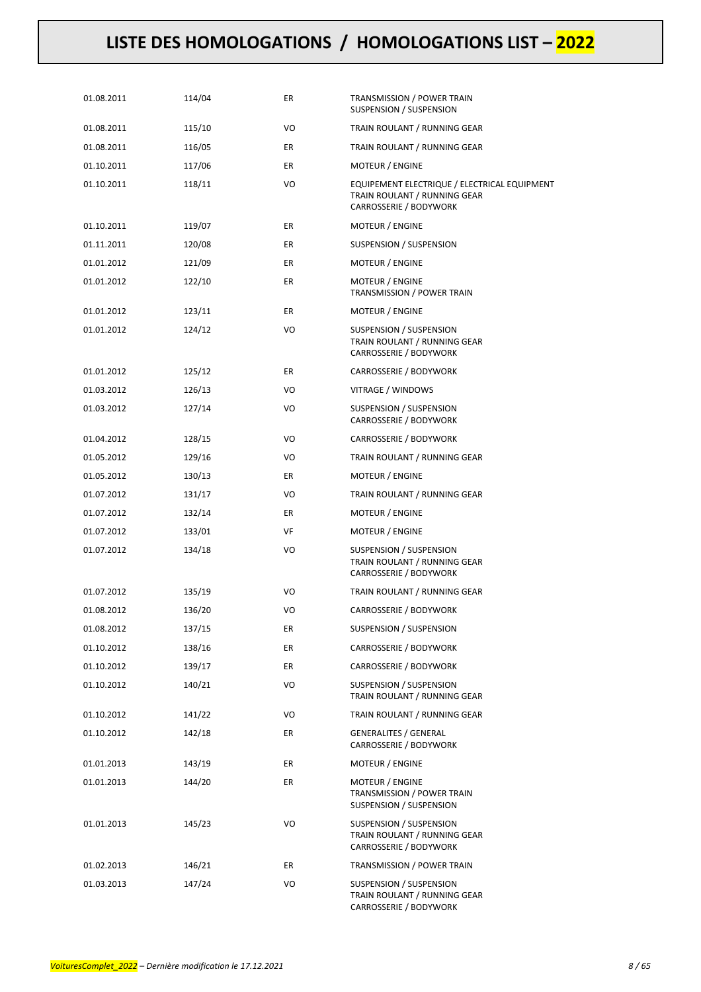| 01.08.2011 | 114/04 | ER | TRANSMISSION / POWER TRAIN<br>SUSPENSION / SUSPENSION                                                  |
|------------|--------|----|--------------------------------------------------------------------------------------------------------|
| 01.08.2011 | 115/10 | VO | TRAIN ROULANT / RUNNING GEAR                                                                           |
| 01.08.2011 | 116/05 | ER | TRAIN ROULANT / RUNNING GEAR                                                                           |
| 01.10.2011 | 117/06 | ER | MOTEUR / ENGINE                                                                                        |
| 01.10.2011 | 118/11 | VO | EQUIPEMENT ELECTRIQUE / ELECTRICAL EQUIPMENT<br>TRAIN ROULANT / RUNNING GEAR<br>CARROSSERIE / BODYWORK |
| 01.10.2011 | 119/07 | ER | MOTEUR / ENGINE                                                                                        |
| 01.11.2011 | 120/08 | ER | SUSPENSION / SUSPENSION                                                                                |
| 01.01.2012 | 121/09 | ER | MOTEUR / ENGINE                                                                                        |
| 01.01.2012 | 122/10 | ER | MOTEUR / ENGINE<br>TRANSMISSION / POWER TRAIN                                                          |
| 01.01.2012 | 123/11 | ER | MOTEUR / ENGINE                                                                                        |
| 01.01.2012 | 124/12 | VO | SUSPENSION / SUSPENSION<br>TRAIN ROULANT / RUNNING GEAR<br>CARROSSERIE / BODYWORK                      |
| 01.01.2012 | 125/12 | ER | CARROSSERIE / BODYWORK                                                                                 |
| 01.03.2012 | 126/13 | VO | VITRAGE / WINDOWS                                                                                      |
| 01.03.2012 | 127/14 | VO | SUSPENSION / SUSPENSION<br>CARROSSERIE / BODYWORK                                                      |
| 01.04.2012 | 128/15 | VO | CARROSSERIE / BODYWORK                                                                                 |
| 01.05.2012 | 129/16 | VO | TRAIN ROULANT / RUNNING GEAR                                                                           |
| 01.05.2012 | 130/13 | ER | MOTEUR / ENGINE                                                                                        |
| 01.07.2012 | 131/17 | VO | TRAIN ROULANT / RUNNING GEAR                                                                           |
| 01.07.2012 | 132/14 | ER | MOTEUR / ENGINE                                                                                        |
| 01.07.2012 | 133/01 | VF | MOTEUR / ENGINE                                                                                        |
| 01.07.2012 | 134/18 | VO | SUSPENSION / SUSPENSION<br>TRAIN ROULANT / RUNNING GEAR<br>CARROSSERIE / BODYWORK                      |
| 01.07.2012 | 135/19 | VO | TRAIN ROULANT / RUNNING GEAR                                                                           |
| 01.08.2012 | 136/20 | VO | CARROSSERIE / BODYWORK                                                                                 |
| 01.08.2012 | 137/15 | ER | SUSPENSION / SUSPENSION                                                                                |
| 01.10.2012 | 138/16 | ER | CARROSSERIE / BODYWORK                                                                                 |
| 01.10.2012 | 139/17 | ER | CARROSSERIE / BODYWORK                                                                                 |
| 01.10.2012 | 140/21 | VO | SUSPENSION / SUSPENSION<br>TRAIN ROULANT / RUNNING GEAR                                                |
| 01.10.2012 | 141/22 | VO | TRAIN ROULANT / RUNNING GEAR                                                                           |
| 01.10.2012 | 142/18 | ER | <b>GENERALITES / GENERAL</b><br>CARROSSERIE / BODYWORK                                                 |
| 01.01.2013 | 143/19 | ER | MOTEUR / ENGINE                                                                                        |
| 01.01.2013 | 144/20 | ER | MOTEUR / ENGINE<br>TRANSMISSION / POWER TRAIN<br>SUSPENSION / SUSPENSION                               |
| 01.01.2013 | 145/23 | VO | SUSPENSION / SUSPENSION<br>TRAIN ROULANT / RUNNING GEAR<br>CARROSSERIE / BODYWORK                      |
| 01.02.2013 | 146/21 | ER | TRANSMISSION / POWER TRAIN                                                                             |
| 01.03.2013 | 147/24 | VO | SUSPENSION / SUSPENSION<br>TRAIN ROULANT / RUNNING GEAR<br>CARROSSERIE / BODYWORK                      |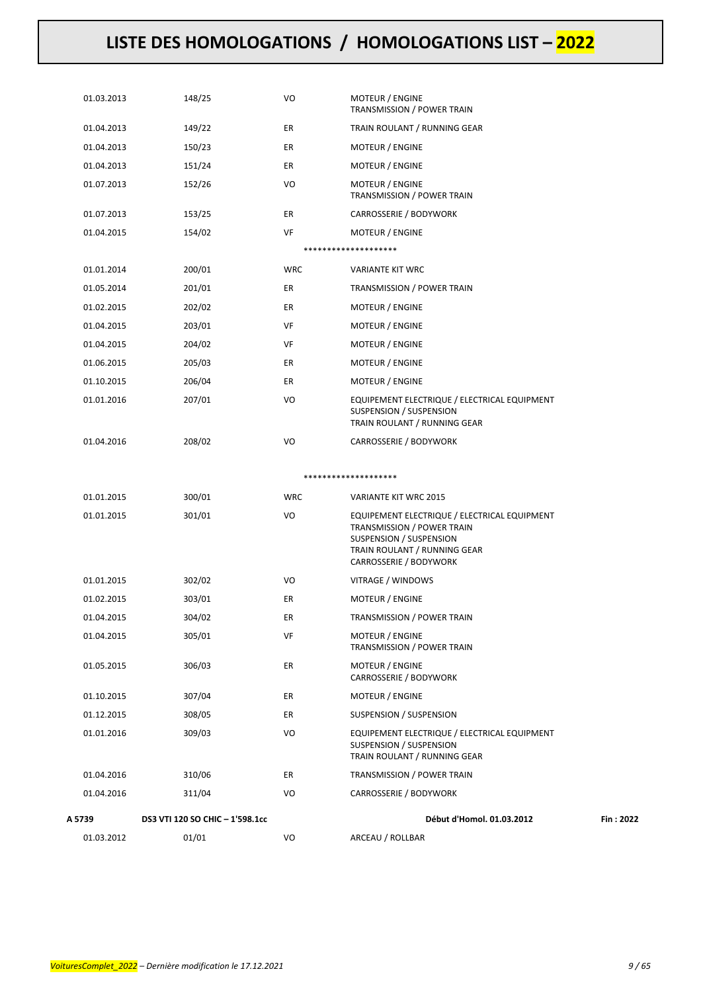| 01.03.2012 | 01/01                           | VO         | ARCEAU / ROLLBAR                                                                                                                                                |           |
|------------|---------------------------------|------------|-----------------------------------------------------------------------------------------------------------------------------------------------------------------|-----------|
| A 5739     | DS3 VTI 120 SO CHIC - 1'598.1cc |            | Début d'Homol. 01.03.2012                                                                                                                                       | Fin: 2022 |
| 01.04.2016 | 311/04                          | VO         | CARROSSERIE / BODYWORK                                                                                                                                          |           |
| 01.04.2016 | 310/06                          | ER         | TRANSMISSION / POWER TRAIN                                                                                                                                      |           |
|            |                                 |            | <b>SUSPENSION / SUSPENSION</b><br>TRAIN ROULANT / RUNNING GEAR                                                                                                  |           |
| 01.01.2016 | 309/03                          | VO         | EQUIPEMENT ELECTRIQUE / ELECTRICAL EQUIPMENT                                                                                                                    |           |
| 01.12.2015 | 308/05                          | ER         | SUSPENSION / SUSPENSION                                                                                                                                         |           |
| 01.10.2015 | 307/04                          | ER         | CARROSSERIE / BODYWORK<br>MOTEUR / ENGINE                                                                                                                       |           |
| 01.05.2015 | 306/03                          | ER         | <b>MOTEUR / ENGINE</b>                                                                                                                                          |           |
| 01.04.2015 | 305/01                          | VF         | MOTEUR / ENGINE<br>TRANSMISSION / POWER TRAIN                                                                                                                   |           |
| 01.04.2015 | 304/02                          | ER         | TRANSMISSION / POWER TRAIN                                                                                                                                      |           |
| 01.02.2015 | 303/01                          | ER         | MOTEUR / ENGINE                                                                                                                                                 |           |
| 01.01.2015 | 302/02                          | VO         | VITRAGE / WINDOWS                                                                                                                                               |           |
| 01.01.2015 | 301/01                          | VO         | EQUIPEMENT ELECTRIQUE / ELECTRICAL EQUIPMENT<br>TRANSMISSION / POWER TRAIN<br>SUSPENSION / SUSPENSION<br>TRAIN ROULANT / RUNNING GEAR<br>CARROSSERIE / BODYWORK |           |
| 01.01.2015 | 300/01                          | <b>WRC</b> | VARIANTE KIT WRC 2015                                                                                                                                           |           |
|            |                                 |            | ********************                                                                                                                                            |           |
| 01.04.2016 | 208/02                          | VO         | CARROSSERIE / BODYWORK                                                                                                                                          |           |
| 01.01.2016 | 207/01                          | VO         | EQUIPEMENT ELECTRIQUE / ELECTRICAL EQUIPMENT<br><b>SUSPENSION / SUSPENSION</b><br>TRAIN ROULANT / RUNNING GEAR                                                  |           |
| 01.10.2015 | 206/04                          | ER         | MOTEUR / ENGINE                                                                                                                                                 |           |
| 01.06.2015 | 205/03                          | ER         | <b>MOTEUR / ENGINE</b>                                                                                                                                          |           |
| 01.04.2015 | 204/02                          | VF         | MOTEUR / ENGINE                                                                                                                                                 |           |
| 01.04.2015 | 203/01                          | VF         | <b>MOTEUR / ENGINE</b>                                                                                                                                          |           |
| 01.02.2015 | 202/02                          | ER         | MOTEUR / ENGINE                                                                                                                                                 |           |
| 01.05.2014 | 201/01                          | ER         | TRANSMISSION / POWER TRAIN                                                                                                                                      |           |
| 01.01.2014 | 200/01                          | <b>WRC</b> | <b>VARIANTE KIT WRC</b>                                                                                                                                         |           |
|            |                                 |            | ********************                                                                                                                                            |           |
| 01.04.2015 | 154/02                          | VF         | <b>MOTEUR / ENGINE</b>                                                                                                                                          |           |
| 01.07.2013 | 153/25                          | ER         | CARROSSERIE / BODYWORK                                                                                                                                          |           |
| 01.07.2013 | 152/26                          | VO         | <b>MOTEUR / ENGINE</b><br>TRANSMISSION / POWER TRAIN                                                                                                            |           |
| 01.04.2013 | 151/24                          | ER         | MOTEUR / ENGINE                                                                                                                                                 |           |
| 01.04.2013 | 150/23                          | ER         | <b>MOTEUR / ENGINE</b>                                                                                                                                          |           |
| 01.04.2013 | 149/22                          | ER         | TRAIN ROULANT / RUNNING GEAR                                                                                                                                    |           |
| 01.03.2013 | 148/25                          | VO         | <b>MOTEUR / ENGINE</b><br>TRANSMISSION / POWER TRAIN                                                                                                            |           |
|            |                                 |            |                                                                                                                                                                 |           |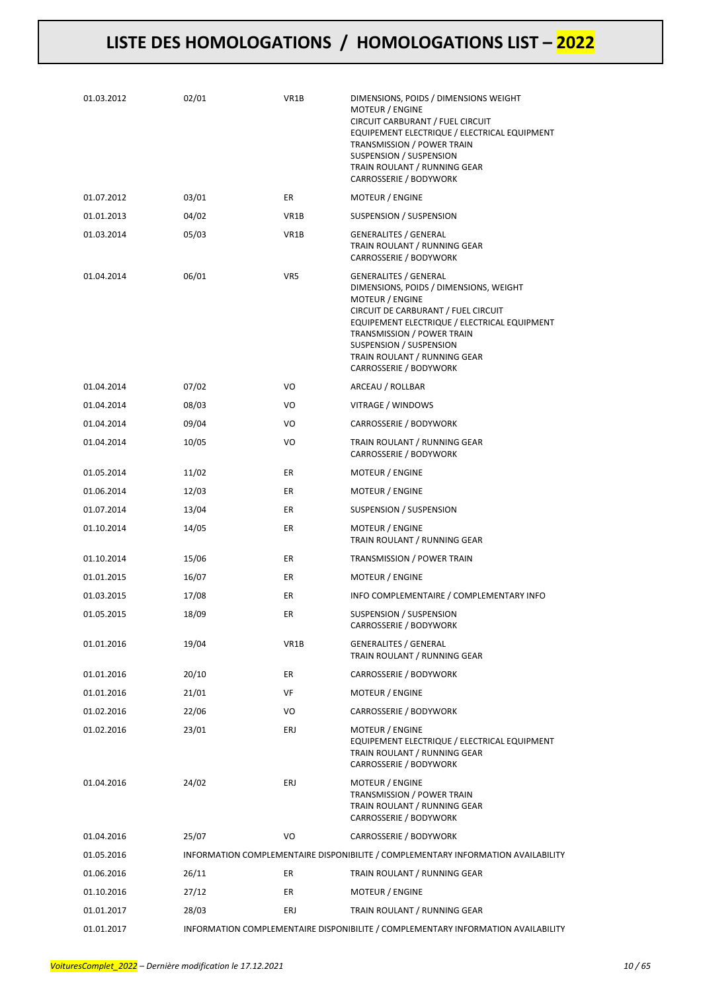| 01.03.2012 | 02/01 | VR1B | DIMENSIONS, POIDS / DIMENSIONS WEIGHT<br>MOTEUR / ENGINE<br>CIRCUIT CARBURANT / FUEL CIRCUIT<br>EQUIPEMENT ELECTRIQUE / ELECTRICAL EQUIPMENT<br>TRANSMISSION / POWER TRAIN<br>SUSPENSION / SUSPENSION<br>TRAIN ROULANT / RUNNING GEAR<br>CARROSSERIE / BODYWORK                                     |
|------------|-------|------|-----------------------------------------------------------------------------------------------------------------------------------------------------------------------------------------------------------------------------------------------------------------------------------------------------|
| 01.07.2012 | 03/01 | ER   | MOTEUR / ENGINE                                                                                                                                                                                                                                                                                     |
| 01.01.2013 | 04/02 | VR1B | SUSPENSION / SUSPENSION                                                                                                                                                                                                                                                                             |
| 01.03.2014 | 05/03 | VR1B | <b>GENERALITES / GENERAL</b><br>TRAIN ROULANT / RUNNING GEAR<br>CARROSSERIE / BODYWORK                                                                                                                                                                                                              |
| 01.04.2014 | 06/01 | VR5  | <b>GENERALITES / GENERAL</b><br>DIMENSIONS, POIDS / DIMENSIONS, WEIGHT<br>MOTEUR / ENGINE<br>CIRCUIT DE CARBURANT / FUEL CIRCUIT<br>EQUIPEMENT ELECTRIQUE / ELECTRICAL EQUIPMENT<br>TRANSMISSION / POWER TRAIN<br>SUSPENSION / SUSPENSION<br>TRAIN ROULANT / RUNNING GEAR<br>CARROSSERIE / BODYWORK |
| 01.04.2014 | 07/02 | VO   | ARCEAU / ROLLBAR                                                                                                                                                                                                                                                                                    |
| 01.04.2014 | 08/03 | VO   | VITRAGE / WINDOWS                                                                                                                                                                                                                                                                                   |
| 01.04.2014 | 09/04 | VO   | CARROSSERIE / BODYWORK                                                                                                                                                                                                                                                                              |
| 01.04.2014 | 10/05 | VO   | TRAIN ROULANT / RUNNING GEAR<br>CARROSSERIE / BODYWORK                                                                                                                                                                                                                                              |
| 01.05.2014 | 11/02 | ER   | MOTEUR / ENGINE                                                                                                                                                                                                                                                                                     |
| 01.06.2014 | 12/03 | ER   | MOTEUR / ENGINE                                                                                                                                                                                                                                                                                     |
| 01.07.2014 | 13/04 | ER   | SUSPENSION / SUSPENSION                                                                                                                                                                                                                                                                             |
| 01.10.2014 | 14/05 | ER   | MOTEUR / ENGINE<br>TRAIN ROULANT / RUNNING GEAR                                                                                                                                                                                                                                                     |
| 01.10.2014 | 15/06 | ER   | TRANSMISSION / POWER TRAIN                                                                                                                                                                                                                                                                          |
| 01.01.2015 | 16/07 | ER   | <b>MOTEUR / ENGINE</b>                                                                                                                                                                                                                                                                              |
| 01.03.2015 | 17/08 | ER   | INFO COMPLEMENTAIRE / COMPLEMENTARY INFO                                                                                                                                                                                                                                                            |
| 01.05.2015 | 18/09 | ER   | SUSPENSION / SUSPENSION<br>CARROSSERIE / BODYWORK                                                                                                                                                                                                                                                   |
| 01.01.2016 | 19/04 | VR1B | <b>GENERALITES / GENERAL</b><br>TRAIN ROULANT / RUNNING GEAR                                                                                                                                                                                                                                        |
| 01.01.2016 | 20/10 | ER   | CARROSSERIE / BODYWORK                                                                                                                                                                                                                                                                              |
| 01.01.2016 | 21/01 | VF   | MOTEUR / ENGINE                                                                                                                                                                                                                                                                                     |
| 01.02.2016 | 22/06 | VO   | CARROSSERIE / BODYWORK                                                                                                                                                                                                                                                                              |
| 01.02.2016 | 23/01 | ERJ  | MOTEUR / ENGINE<br>EQUIPEMENT ELECTRIQUE / ELECTRICAL EQUIPMENT<br>TRAIN ROULANT / RUNNING GEAR<br>CARROSSERIE / BODYWORK                                                                                                                                                                           |
| 01.04.2016 | 24/02 | ERJ  | <b>MOTEUR / ENGINE</b><br>TRANSMISSION / POWER TRAIN<br>TRAIN ROULANT / RUNNING GEAR<br>CARROSSERIE / BODYWORK                                                                                                                                                                                      |
| 01.04.2016 | 25/07 | VO   | CARROSSERIE / BODYWORK                                                                                                                                                                                                                                                                              |
| 01.05.2016 |       |      | INFORMATION COMPLEMENTAIRE DISPONIBILITE / COMPLEMENTARY INFORMATION AVAILABILITY                                                                                                                                                                                                                   |
| 01.06.2016 | 26/11 | ER   | TRAIN ROULANT / RUNNING GEAR                                                                                                                                                                                                                                                                        |
| 01.10.2016 | 27/12 | ER   | MOTEUR / ENGINE                                                                                                                                                                                                                                                                                     |
| 01.01.2017 | 28/03 | ERJ  | TRAIN ROULANT / RUNNING GEAR                                                                                                                                                                                                                                                                        |
| 01.01.2017 |       |      | INFORMATION COMPLEMENTAIRE DISPONIBILITE / COMPLEMENTARY INFORMATION AVAILABILITY                                                                                                                                                                                                                   |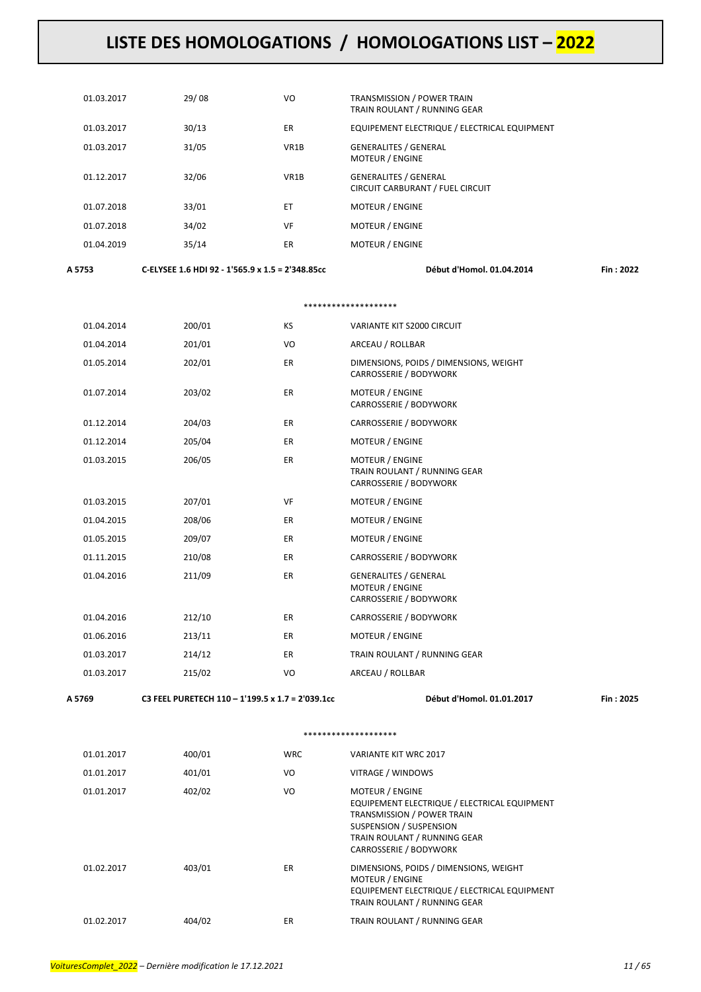| 01.03.2017 | 29/08 | VO                | <b>TRANSMISSION / POWER TRAIN</b><br>TRAIN ROULANT / RUNNING GEAR |
|------------|-------|-------------------|-------------------------------------------------------------------|
| 01.03.2017 | 30/13 | ER                | EQUIPEMENT ELECTRIQUE / ELECTRICAL EQUIPMENT                      |
| 01.03.2017 | 31/05 | VR <sub>1</sub> B | <b>GENERALITES / GENERAL</b><br><b>MOTEUR / ENGINE</b>            |
| 01.12.2017 | 32/06 | VR <sub>1</sub> B | <b>GENERALITES / GENERAL</b><br>CIRCUIT CARBURANT / FUEL CIRCUIT  |
| 01.07.2018 | 33/01 | ET                | <b>MOTEUR / ENGINE</b>                                            |
| 01.07.2018 | 34/02 | VF                | <b>MOTEUR / ENGINE</b>                                            |
| 01.04.2019 | 35/14 | ER                | <b>MOTEUR / ENGINE</b>                                            |
|            |       |                   |                                                                   |

**A 5753 C-ELYSEE 1.6 HDI 92 - 1'565.9 x 1.5 = 2'348.85cc Début d'Homol. 01.04.2014 Fin : 2022**

#### \*\*\*\*\*\*\*\*\*\*\*\*\*\*\*\*\*\*\*\*

| 01.04.2014 | 200/01 | KS        | VARIANTE KIT S2000 CIRCUIT                                                       |
|------------|--------|-----------|----------------------------------------------------------------------------------|
| 01.04.2014 | 201/01 | VO        | ARCEAU / ROLLBAR                                                                 |
| 01.05.2014 | 202/01 | ER        | DIMENSIONS, POIDS / DIMENSIONS, WEIGHT<br>CARROSSERIE / BODYWORK                 |
| 01.07.2014 | 203/02 | ER        | MOTEUR / ENGINE<br>CARROSSERIE / BODYWORK                                        |
| 01.12.2014 | 204/03 | ER        | CARROSSERIE / BODYWORK                                                           |
| 01.12.2014 | 205/04 | <b>ER</b> | MOTEUR / ENGINE                                                                  |
| 01.03.2015 | 206/05 | <b>ER</b> | MOTEUR / ENGINE<br>TRAIN ROULANT / RUNNING GEAR<br>CARROSSERIE / BODYWORK        |
| 01.03.2015 | 207/01 | VF        | <b>MOTEUR / ENGINE</b>                                                           |
| 01.04.2015 | 208/06 | <b>ER</b> | <b>MOTEUR / ENGINE</b>                                                           |
| 01.05.2015 | 209/07 | ER        | <b>MOTEUR / ENGINE</b>                                                           |
| 01.11.2015 | 210/08 | ER        | CARROSSERIE / BODYWORK                                                           |
| 01.04.2016 | 211/09 | <b>ER</b> | <b>GENERALITES / GENERAL</b><br><b>MOTEUR / ENGINE</b><br>CARROSSERIE / BODYWORK |
| 01.04.2016 | 212/10 | ER        | CARROSSERIE / BODYWORK                                                           |
| 01.06.2016 | 213/11 | <b>ER</b> | MOTEUR / ENGINE                                                                  |
| 01.03.2017 | 214/12 | ER        | TRAIN ROULANT / RUNNING GEAR                                                     |
| 01.03.2017 | 215/02 | VO        | ARCEAU / ROLLBAR                                                                 |
|            |        |           |                                                                                  |

**A 5769 C3 FEEL PURETECH 110 – 1'199.5 x 1.7 = 2'039.1cc Début d'Homol. 01.01.2017 Fin : 2025**

#### \*\*\*\*\*\*\*\*\*\*\*\*\*\*\*\*\*\*\*\*

| 01.01.2017 | 400/01 | <b>WRC</b> | <b>VARIANTE KIT WRC 2017</b>                                                                                                                                                              |
|------------|--------|------------|-------------------------------------------------------------------------------------------------------------------------------------------------------------------------------------------|
| 01.01.2017 | 401/01 | VO         | VITRAGE / WINDOWS                                                                                                                                                                         |
| 01.01.2017 | 402/02 | VO         | <b>MOTEUR / ENGINE</b><br>EQUIPEMENT ELECTRIQUE / ELECTRICAL EQUIPMENT<br>TRANSMISSION / POWER TRAIN<br>SUSPENSION / SUSPENSION<br>TRAIN ROULANT / RUNNING GEAR<br>CARROSSERIE / BODYWORK |
| 01.02.2017 | 403/01 | ER.        | DIMENSIONS, POIDS / DIMENSIONS, WEIGHT<br><b>MOTEUR / ENGINE</b><br>EQUIPEMENT ELECTRIQUE / ELECTRICAL EQUIPMENT<br>TRAIN ROULANT / RUNNING GEAR                                          |
| 01.02.2017 | 404/02 | ER         | TRAIN ROULANT / RUNNING GEAR                                                                                                                                                              |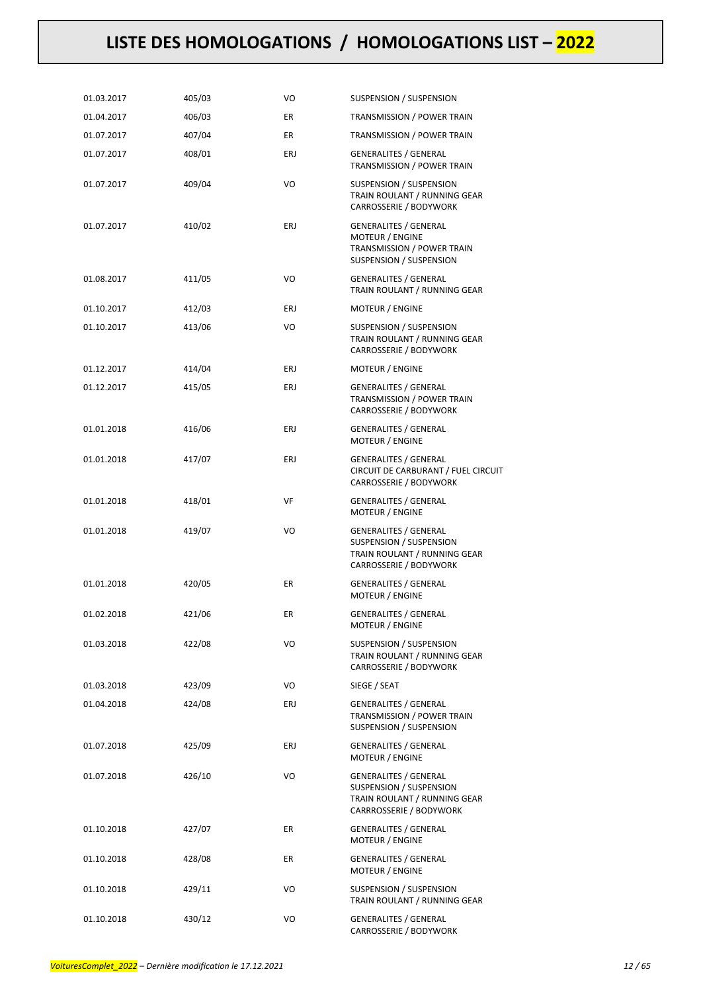| 01.03.2017 | 405/03 | VO         | SUSPENSION / SUSPENSION                                                                                            |
|------------|--------|------------|--------------------------------------------------------------------------------------------------------------------|
| 01.04.2017 | 406/03 | ER         | TRANSMISSION / POWER TRAIN                                                                                         |
| 01.07.2017 | 407/04 | ER         | TRANSMISSION / POWER TRAIN                                                                                         |
| 01.07.2017 | 408/01 | ERJ        | <b>GENERALITES / GENERAL</b><br>TRANSMISSION / POWER TRAIN                                                         |
| 01.07.2017 | 409/04 | VO         | SUSPENSION / SUSPENSION<br>TRAIN ROULANT / RUNNING GEAR<br>CARROSSERIE / BODYWORK                                  |
| 01.07.2017 | 410/02 | <b>ERJ</b> | <b>GENERALITES / GENERAL</b><br><b>MOTEUR / ENGINE</b><br>TRANSMISSION / POWER TRAIN<br>SUSPENSION / SUSPENSION    |
| 01.08.2017 | 411/05 | VO         | <b>GENERALITES / GENERAL</b><br>TRAIN ROULANT / RUNNING GEAR                                                       |
| 01.10.2017 | 412/03 | ERJ        | MOTEUR / ENGINE                                                                                                    |
| 01.10.2017 | 413/06 | VO         | SUSPENSION / SUSPENSION<br>TRAIN ROULANT / RUNNING GEAR<br>CARROSSERIE / BODYWORK                                  |
| 01.12.2017 | 414/04 | ERJ        | MOTEUR / ENGINE                                                                                                    |
| 01.12.2017 | 415/05 | ERJ        | <b>GENERALITES / GENERAL</b><br>TRANSMISSION / POWER TRAIN<br>CARROSSERIE / BODYWORK                               |
| 01.01.2018 | 416/06 | ERJ        | <b>GENERALITES / GENERAL</b><br>MOTEUR / ENGINE                                                                    |
| 01.01.2018 | 417/07 | ERJ        | <b>GENERALITES / GENERAL</b><br>CIRCUIT DE CARBURANT / FUEL CIRCUIT<br>CARROSSERIE / BODYWORK                      |
| 01.01.2018 | 418/01 | VF         | <b>GENERALITES / GENERAL</b><br><b>MOTEUR / ENGINE</b>                                                             |
| 01.01.2018 | 419/07 | VO         | <b>GENERALITES / GENERAL</b><br>SUSPENSION / SUSPENSION<br>TRAIN ROULANT / RUNNING GEAR<br>CARROSSERIE / BODYWORK  |
| 01.01.2018 | 420/05 | ER         | <b>GENERALITES / GENERAL</b><br><b>MOTEUR / ENGINE</b>                                                             |
| 01.02.2018 | 421/06 | ER         | <b>GENERALITES / GENERAL</b><br>MOTEUR / ENGINE                                                                    |
| 01.03.2018 | 422/08 | VO         | SUSPENSION / SUSPENSION<br>TRAIN ROULANT / RUNNING GEAR<br>CARROSSERIE / BODYWORK                                  |
| 01.03.2018 | 423/09 | VO         | SIEGE / SEAT                                                                                                       |
| 01.04.2018 | 424/08 | ERJ        | <b>GENERALITES / GENERAL</b><br>TRANSMISSION / POWER TRAIN<br>SUSPENSION / SUSPENSION                              |
| 01.07.2018 | 425/09 | ERJ        | <b>GENERALITES / GENERAL</b><br><b>MOTEUR / ENGINE</b>                                                             |
| 01.07.2018 | 426/10 | VO         | <b>GENERALITES / GENERAL</b><br>SUSPENSION / SUSPENSION<br>TRAIN ROULANT / RUNNING GEAR<br>CARRROSSERIE / BODYWORK |
| 01.10.2018 | 427/07 | ER         | <b>GENERALITES / GENERAL</b><br><b>MOTEUR / ENGINE</b>                                                             |
| 01.10.2018 | 428/08 | ER         | <b>GENERALITES / GENERAL</b><br><b>MOTEUR / ENGINE</b>                                                             |
| 01.10.2018 | 429/11 | VO         | SUSPENSION / SUSPENSION<br>TRAIN ROULANT / RUNNING GEAR                                                            |
| 01.10.2018 | 430/12 | VO         | <b>GENERALITES / GENERAL</b><br>CARROSSERIE / BODYWORK                                                             |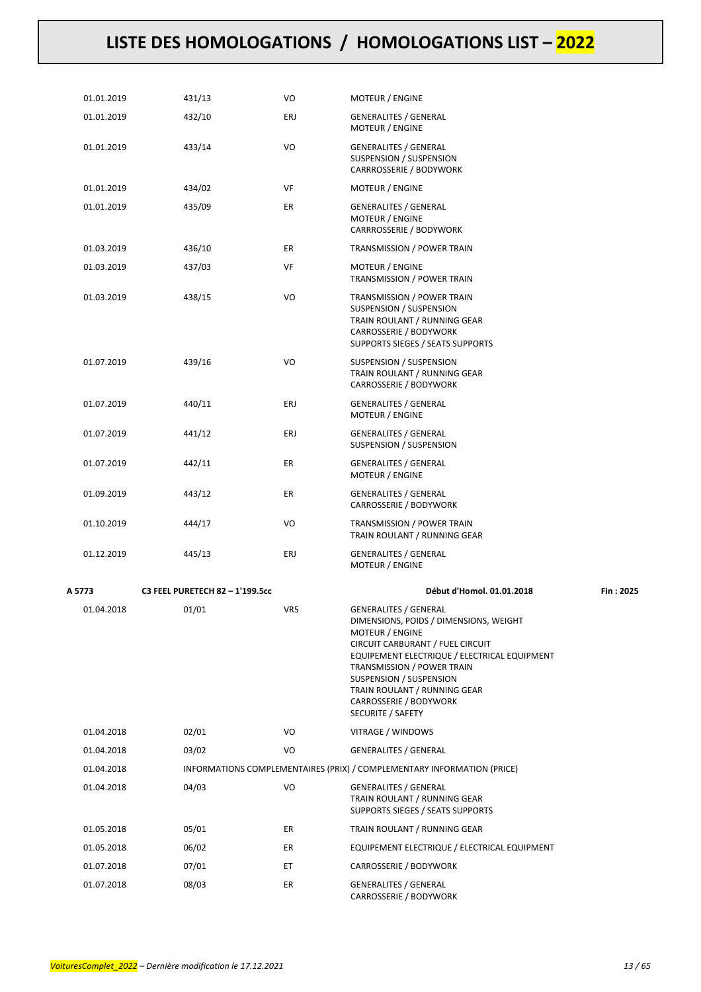| 01.01.2019 | 431/13                          | VO  | MOTEUR / ENGINE                                                                                                                                                                                                                                                                                                       |           |
|------------|---------------------------------|-----|-----------------------------------------------------------------------------------------------------------------------------------------------------------------------------------------------------------------------------------------------------------------------------------------------------------------------|-----------|
| 01.01.2019 | 432/10                          | ERJ | <b>GENERALITES / GENERAL</b><br>MOTEUR / ENGINE                                                                                                                                                                                                                                                                       |           |
| 01.01.2019 | 433/14                          | VO  | <b>GENERALITES / GENERAL</b><br>SUSPENSION / SUSPENSION<br>CARRROSSERIE / BODYWORK                                                                                                                                                                                                                                    |           |
| 01.01.2019 | 434/02                          | VF  | MOTEUR / ENGINE                                                                                                                                                                                                                                                                                                       |           |
| 01.01.2019 | 435/09                          | ER  | <b>GENERALITES / GENERAL</b><br>MOTEUR / ENGINE<br>CARRROSSERIE / BODYWORK                                                                                                                                                                                                                                            |           |
| 01.03.2019 | 436/10                          | ER  | TRANSMISSION / POWER TRAIN                                                                                                                                                                                                                                                                                            |           |
| 01.03.2019 | 437/03                          | VF  | MOTEUR / ENGINE<br>TRANSMISSION / POWER TRAIN                                                                                                                                                                                                                                                                         |           |
| 01.03.2019 | 438/15                          | VO  | TRANSMISSION / POWER TRAIN<br>SUSPENSION / SUSPENSION<br>TRAIN ROULANT / RUNNING GEAR<br>CARROSSERIE / BODYWORK<br>SUPPORTS SIEGES / SEATS SUPPORTS                                                                                                                                                                   |           |
| 01.07.2019 | 439/16                          | VO  | SUSPENSION / SUSPENSION<br>TRAIN ROULANT / RUNNING GEAR<br>CARROSSERIE / BODYWORK                                                                                                                                                                                                                                     |           |
| 01.07.2019 | 440/11                          | ERJ | <b>GENERALITES / GENERAL</b><br>MOTEUR / ENGINE                                                                                                                                                                                                                                                                       |           |
| 01.07.2019 | 441/12                          | ERJ | <b>GENERALITES / GENERAL</b><br>SUSPENSION / SUSPENSION                                                                                                                                                                                                                                                               |           |
| 01.07.2019 | 442/11                          | ER  | <b>GENERALITES / GENERAL</b><br>MOTEUR / ENGINE                                                                                                                                                                                                                                                                       |           |
| 01.09.2019 | 443/12                          | ER  | <b>GENERALITES / GENERAL</b><br>CARROSSERIE / BODYWORK                                                                                                                                                                                                                                                                |           |
| 01.10.2019 | 444/17                          | VO  | TRANSMISSION / POWER TRAIN<br>TRAIN ROULANT / RUNNING GEAR                                                                                                                                                                                                                                                            |           |
| 01.12.2019 | 445/13                          | ERJ | <b>GENERALITES / GENERAL</b><br>MOTEUR / ENGINE                                                                                                                                                                                                                                                                       |           |
| A 5773     | C3 FEEL PURETECH 82 - 1'199.5cc |     | Début d'Homol. 01.01.2018                                                                                                                                                                                                                                                                                             | Fin: 2025 |
| 01.04.2018 | 01/01                           | VR5 | <b>GENERALITES / GENERAL</b><br>DIMENSIONS, POIDS / DIMENSIONS, WEIGHT<br>MOTEUR / ENGINE<br>CIRCUIT CARBURANT / FUEL CIRCUIT<br>EQUIPEMENT ELECTRIQUE / ELECTRICAL EQUIPMENT<br>TRANSMISSION / POWER TRAIN<br>SUSPENSION / SUSPENSION<br>TRAIN ROULANT / RUNNING GEAR<br>CARROSSERIE / BODYWORK<br>SECURITE / SAFETY |           |
| 01.04.2018 | 02/01                           | VO  | VITRAGE / WINDOWS                                                                                                                                                                                                                                                                                                     |           |
| 01.04.2018 | 03/02                           | VO  | <b>GENERALITES / GENERAL</b>                                                                                                                                                                                                                                                                                          |           |
| 01.04.2018 |                                 |     | INFORMATIONS COMPLEMENTAIRES (PRIX) / COMPLEMENTARY INFORMATION (PRICE)                                                                                                                                                                                                                                               |           |
| 01.04.2018 | 04/03                           | VO  | <b>GENERALITES / GENERAL</b><br>TRAIN ROULANT / RUNNING GEAR<br>SUPPORTS SIEGES / SEATS SUPPORTS                                                                                                                                                                                                                      |           |
| 01.05.2018 | 05/01                           | ER  | TRAIN ROULANT / RUNNING GEAR                                                                                                                                                                                                                                                                                          |           |
| 01.05.2018 | 06/02                           | ER  | EQUIPEMENT ELECTRIQUE / ELECTRICAL EQUIPMENT                                                                                                                                                                                                                                                                          |           |
| 01.07.2018 | 07/01                           | ET  | CARROSSERIE / BODYWORK                                                                                                                                                                                                                                                                                                |           |
| 01.07.2018 | 08/03                           | ER  | GENERALITES / GENERAL<br>CARROSSERIE / BODYWORK                                                                                                                                                                                                                                                                       |           |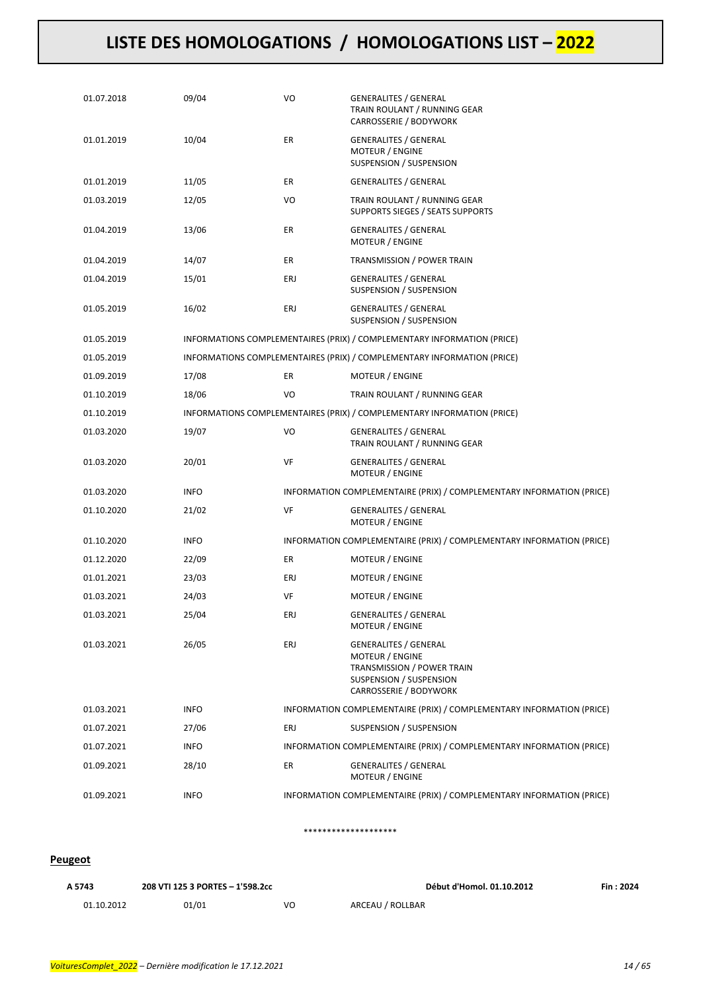| 01.07.2018 | 09/04       | VO  | GENERALITES / GENERAL<br>TRAIN ROULANT / RUNNING GEAR<br>CARROSSERIE / BODYWORK                                                    |
|------------|-------------|-----|------------------------------------------------------------------------------------------------------------------------------------|
| 01.01.2019 | 10/04       | ER  | <b>GENERALITES / GENERAL</b><br>MOTEUR / ENGINE<br>SUSPENSION / SUSPENSION                                                         |
| 01.01.2019 | 11/05       | ER  | <b>GENERALITES / GENERAL</b>                                                                                                       |
| 01.03.2019 | 12/05       | VO  | TRAIN ROULANT / RUNNING GEAR<br>SUPPORTS SIEGES / SEATS SUPPORTS                                                                   |
| 01.04.2019 | 13/06       | ER  | <b>GENERALITES / GENERAL</b><br><b>MOTEUR / ENGINE</b>                                                                             |
| 01.04.2019 | 14/07       | ER  | TRANSMISSION / POWER TRAIN                                                                                                         |
| 01.04.2019 | 15/01       | ERJ | GENERALITES / GENERAL<br>SUSPENSION / SUSPENSION                                                                                   |
| 01.05.2019 | 16/02       | ERJ | GENERALITES / GENERAL<br>SUSPENSION / SUSPENSION                                                                                   |
| 01.05.2019 |             |     | INFORMATIONS COMPLEMENTAIRES (PRIX) / COMPLEMENTARY INFORMATION (PRICE)                                                            |
| 01.05.2019 |             |     | INFORMATIONS COMPLEMENTAIRES (PRIX) / COMPLEMENTARY INFORMATION (PRICE)                                                            |
| 01.09.2019 | 17/08       | ER  | <b>MOTEUR / ENGINE</b>                                                                                                             |
| 01.10.2019 | 18/06       | VO  | TRAIN ROULANT / RUNNING GEAR                                                                                                       |
| 01.10.2019 |             |     | INFORMATIONS COMPLEMENTAIRES (PRIX) / COMPLEMENTARY INFORMATION (PRICE)                                                            |
| 01.03.2020 | 19/07       | VO  | <b>GENERALITES / GENERAL</b><br>TRAIN ROULANT / RUNNING GEAR                                                                       |
| 01.03.2020 | 20/01       | VF  | GENERALITES / GENERAL<br><b>MOTEUR / ENGINE</b>                                                                                    |
| 01.03.2020 | <b>INFO</b> |     | INFORMATION COMPLEMENTAIRE (PRIX) / COMPLEMENTARY INFORMATION (PRICE)                                                              |
| 01.10.2020 | 21/02       | VF  | <b>GENERALITES / GENERAL</b><br>MOTEUR / ENGINE                                                                                    |
| 01.10.2020 | <b>INFO</b> |     | INFORMATION COMPLEMENTAIRE (PRIX) / COMPLEMENTARY INFORMATION (PRICE)                                                              |
| 01.12.2020 | 22/09       | ER  | MOTEUR / ENGINE                                                                                                                    |
| 01.01.2021 | 23/03       | ERJ | <b>MOTEUR / ENGINE</b>                                                                                                             |
| 01.03.2021 | 24/03       | VF  | MOTEUR / ENGINE                                                                                                                    |
| 01.03.2021 | 25/04       | ERJ | <b>GENERALITES / GENERAL</b><br>MOTEUR / ENGINE                                                                                    |
| 01.03.2021 | 26/05       | ERJ | <b>GENERALITES / GENERAL</b><br>MOTEUR / ENGINE<br>TRANSMISSION / POWER TRAIN<br>SUSPENSION / SUSPENSION<br>CARROSSERIE / BODYWORK |
| 01.03.2021 | <b>INFO</b> |     | INFORMATION COMPLEMENTAIRE (PRIX) / COMPLEMENTARY INFORMATION (PRICE)                                                              |
| 01.07.2021 | 27/06       | ERJ | <b>SUSPENSION / SUSPENSION</b>                                                                                                     |
| 01.07.2021 | <b>INFO</b> |     | INFORMATION COMPLEMENTAIRE (PRIX) / COMPLEMENTARY INFORMATION (PRICE)                                                              |
| 01.09.2021 | 28/10       | ER  | <b>GENERALITES / GENERAL</b><br><b>MOTEUR / ENGINE</b>                                                                             |
| 01.09.2021 | <b>INFO</b> |     | INFORMATION COMPLEMENTAIRE (PRIX) / COMPLEMENTARY INFORMATION (PRICE)                                                              |

#### \*\*\*\*\*\*\*\*\*\*\*\*\*\*\*\*\*\*\*\*

#### **Peugeot**

| 208 VTI 125 3 PORTES - 1'598.2cc<br>A 5743 |       |    | Début d'Homol. 01.10.2012 | Fin: 2024 |
|--------------------------------------------|-------|----|---------------------------|-----------|
| 01.10.2012                                 | 01/01 | VO | ARCEAU / ROLLBAR          |           |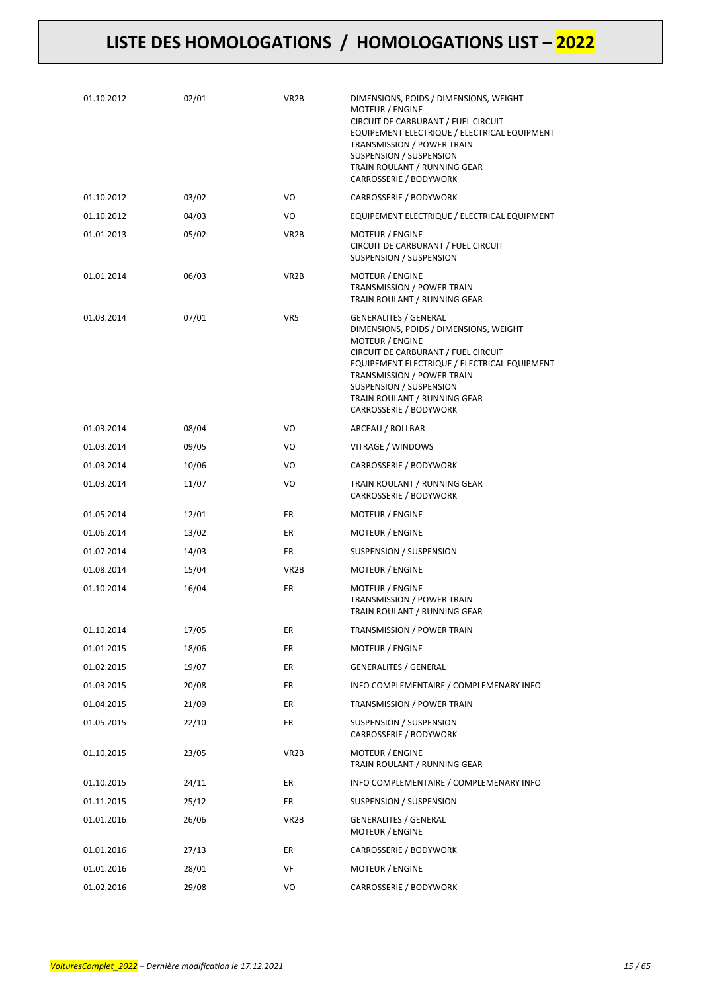| 01.10.2012 | 02/01 | VR <sub>2</sub> B | DIMENSIONS, POIDS / DIMENSIONS, WEIGHT<br>MOTEUR / ENGINE<br>CIRCUIT DE CARBURANT / FUEL CIRCUIT<br>EQUIPEMENT ELECTRIQUE / ELECTRICAL EQUIPMENT<br>TRANSMISSION / POWER TRAIN<br>SUSPENSION / SUSPENSION<br>TRAIN ROULANT / RUNNING GEAR<br>CARROSSERIE / BODYWORK                                        |
|------------|-------|-------------------|------------------------------------------------------------------------------------------------------------------------------------------------------------------------------------------------------------------------------------------------------------------------------------------------------------|
| 01.10.2012 | 03/02 | VO                | CARROSSERIE / BODYWORK                                                                                                                                                                                                                                                                                     |
| 01.10.2012 | 04/03 | VO                | EQUIPEMENT ELECTRIQUE / ELECTRICAL EQUIPMENT                                                                                                                                                                                                                                                               |
| 01.01.2013 | 05/02 | VR <sub>2</sub> B | <b>MOTEUR / ENGINE</b><br>CIRCUIT DE CARBURANT / FUEL CIRCUIT<br>SUSPENSION / SUSPENSION                                                                                                                                                                                                                   |
| 01.01.2014 | 06/03 | VR <sub>2</sub> B | MOTEUR / ENGINE<br>TRANSMISSION / POWER TRAIN<br>TRAIN ROULANT / RUNNING GEAR                                                                                                                                                                                                                              |
| 01.03.2014 | 07/01 | VR5               | <b>GENERALITES / GENERAL</b><br>DIMENSIONS, POIDS / DIMENSIONS, WEIGHT<br><b>MOTEUR / ENGINE</b><br>CIRCUIT DE CARBURANT / FUEL CIRCUIT<br>EQUIPEMENT ELECTRIQUE / ELECTRICAL EQUIPMENT<br>TRANSMISSION / POWER TRAIN<br>SUSPENSION / SUSPENSION<br>TRAIN ROULANT / RUNNING GEAR<br>CARROSSERIE / BODYWORK |
| 01.03.2014 | 08/04 | VO                | ARCEAU / ROLLBAR                                                                                                                                                                                                                                                                                           |
| 01.03.2014 | 09/05 | VO                | VITRAGE / WINDOWS                                                                                                                                                                                                                                                                                          |
| 01.03.2014 | 10/06 | VO                | CARROSSERIE / BODYWORK                                                                                                                                                                                                                                                                                     |
| 01.03.2014 | 11/07 | VO                | TRAIN ROULANT / RUNNING GEAR<br>CARROSSERIE / BODYWORK                                                                                                                                                                                                                                                     |
| 01.05.2014 | 12/01 | ER                | MOTEUR / ENGINE                                                                                                                                                                                                                                                                                            |
| 01.06.2014 | 13/02 | ER                | MOTEUR / ENGINE                                                                                                                                                                                                                                                                                            |
| 01.07.2014 | 14/03 | ER                | SUSPENSION / SUSPENSION                                                                                                                                                                                                                                                                                    |
| 01.08.2014 | 15/04 | VR2B              | MOTEUR / ENGINE                                                                                                                                                                                                                                                                                            |
| 01.10.2014 | 16/04 | ER                | MOTEUR / ENGINE<br>TRANSMISSION / POWER TRAIN<br>TRAIN ROULANT / RUNNING GEAR                                                                                                                                                                                                                              |
| 01.10.2014 | 17/05 | ER                | TRANSMISSION / POWER TRAIN                                                                                                                                                                                                                                                                                 |
| 01.01.2015 | 18/06 | ER                | MOTEUR / ENGINE                                                                                                                                                                                                                                                                                            |
| 01.02.2015 | 19/07 | ER                | <b>GENERALITES / GENERAL</b>                                                                                                                                                                                                                                                                               |
| 01.03.2015 | 20/08 | ER                | INFO COMPLEMENTAIRE / COMPLEMENARY INFO                                                                                                                                                                                                                                                                    |
| 01.04.2015 | 21/09 | ER                | TRANSMISSION / POWER TRAIN                                                                                                                                                                                                                                                                                 |
| 01.05.2015 | 22/10 | ER                | <b>SUSPENSION / SUSPENSION</b><br>CARROSSERIE / BODYWORK                                                                                                                                                                                                                                                   |
| 01.10.2015 | 23/05 | VR <sub>2</sub> B | MOTEUR / ENGINE<br>TRAIN ROULANT / RUNNING GEAR                                                                                                                                                                                                                                                            |
| 01.10.2015 | 24/11 | ER                | INFO COMPLEMENTAIRE / COMPLEMENARY INFO                                                                                                                                                                                                                                                                    |
| 01.11.2015 | 25/12 | ER                | SUSPENSION / SUSPENSION                                                                                                                                                                                                                                                                                    |
| 01.01.2016 | 26/06 | VR <sub>2</sub> B | <b>GENERALITES / GENERAL</b><br>MOTEUR / ENGINE                                                                                                                                                                                                                                                            |
| 01.01.2016 | 27/13 | ER                | CARROSSERIE / BODYWORK                                                                                                                                                                                                                                                                                     |
| 01.01.2016 | 28/01 | VF                | MOTEUR / ENGINE                                                                                                                                                                                                                                                                                            |
| 01.02.2016 | 29/08 | VO                | CARROSSERIE / BODYWORK                                                                                                                                                                                                                                                                                     |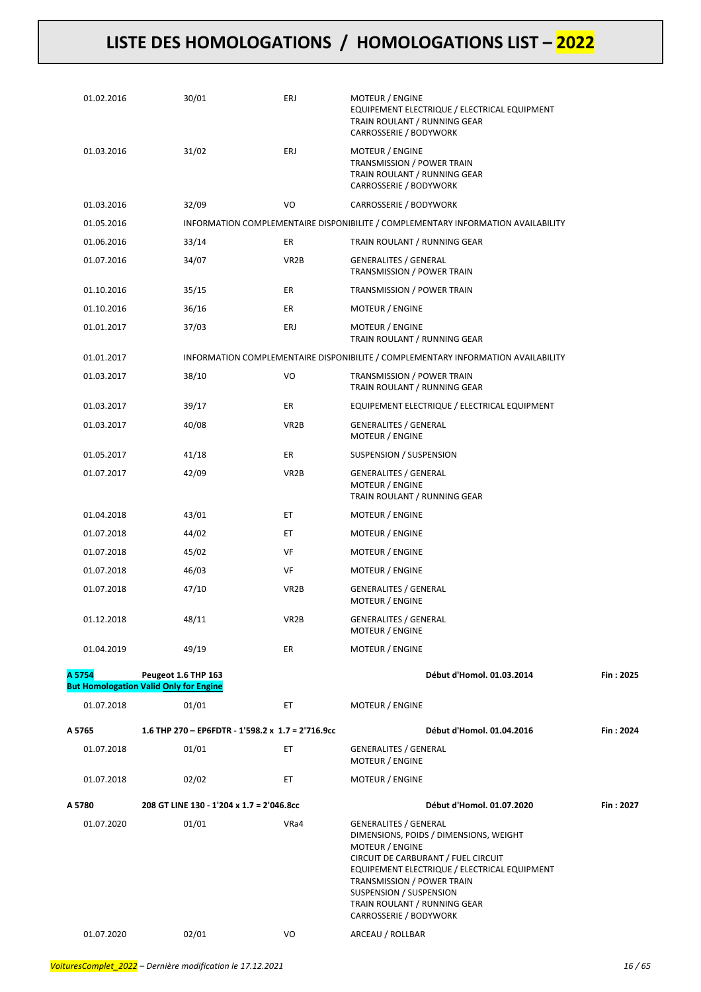| 01.02.2016 | 30/01                                                                | ERJ               | MOTEUR / ENGINE<br>EQUIPEMENT ELECTRIQUE / ELECTRICAL EQUIPMENT<br>TRAIN ROULANT / RUNNING GEAR<br>CARROSSERIE / BODYWORK                                                                                                                                                                                  |           |
|------------|----------------------------------------------------------------------|-------------------|------------------------------------------------------------------------------------------------------------------------------------------------------------------------------------------------------------------------------------------------------------------------------------------------------------|-----------|
| 01.03.2016 | 31/02                                                                | ERJ               | MOTEUR / ENGINE<br>TRANSMISSION / POWER TRAIN<br>TRAIN ROULANT / RUNNING GEAR<br>CARROSSERIE / BODYWORK                                                                                                                                                                                                    |           |
| 01.03.2016 | 32/09                                                                | VO                | CARROSSERIE / BODYWORK                                                                                                                                                                                                                                                                                     |           |
| 01.05.2016 |                                                                      |                   | INFORMATION COMPLEMENTAIRE DISPONIBILITE / COMPLEMENTARY INFORMATION AVAILABILITY                                                                                                                                                                                                                          |           |
| 01.06.2016 | 33/14                                                                | ER                | TRAIN ROULANT / RUNNING GEAR                                                                                                                                                                                                                                                                               |           |
| 01.07.2016 | 34/07                                                                | VR <sub>2</sub> B | <b>GENERALITES / GENERAL</b><br>TRANSMISSION / POWER TRAIN                                                                                                                                                                                                                                                 |           |
| 01.10.2016 | 35/15                                                                | ER                | TRANSMISSION / POWER TRAIN                                                                                                                                                                                                                                                                                 |           |
| 01.10.2016 | 36/16                                                                | ER                | MOTEUR / ENGINE                                                                                                                                                                                                                                                                                            |           |
| 01.01.2017 | 37/03                                                                | ERJ               | <b>MOTEUR / ENGINE</b><br>TRAIN ROULANT / RUNNING GEAR                                                                                                                                                                                                                                                     |           |
| 01.01.2017 |                                                                      |                   | INFORMATION COMPLEMENTAIRE DISPONIBILITE / COMPLEMENTARY INFORMATION AVAILABILITY                                                                                                                                                                                                                          |           |
| 01.03.2017 | 38/10                                                                | VO                | <b>TRANSMISSION / POWER TRAIN</b><br>TRAIN ROULANT / RUNNING GEAR                                                                                                                                                                                                                                          |           |
| 01.03.2017 | 39/17                                                                | ER                | EQUIPEMENT ELECTRIQUE / ELECTRICAL EQUIPMENT                                                                                                                                                                                                                                                               |           |
| 01.03.2017 | 40/08                                                                | VR <sub>2</sub> B | <b>GENERALITES / GENERAL</b><br>MOTEUR / ENGINE                                                                                                                                                                                                                                                            |           |
| 01.05.2017 | 41/18                                                                | ER                | SUSPENSION / SUSPENSION                                                                                                                                                                                                                                                                                    |           |
| 01.07.2017 | 42/09                                                                | VR <sub>2</sub> B | <b>GENERALITES / GENERAL</b><br>MOTEUR / ENGINE<br>TRAIN ROULANT / RUNNING GEAR                                                                                                                                                                                                                            |           |
| 01.04.2018 | 43/01                                                                | ET                | MOTEUR / ENGINE                                                                                                                                                                                                                                                                                            |           |
| 01.07.2018 | 44/02                                                                | ЕT                | MOTEUR / ENGINE                                                                                                                                                                                                                                                                                            |           |
| 01.07.2018 | 45/02                                                                | VF                | MOTEUR / ENGINE                                                                                                                                                                                                                                                                                            |           |
| 01.07.2018 | 46/03                                                                | VF                | MOTEUR / ENGINE                                                                                                                                                                                                                                                                                            |           |
| 01.07.2018 | 47/10                                                                | VR <sub>2</sub> B | <b>GENERALITES / GENERAL</b><br>MOTEUR / ENGINE                                                                                                                                                                                                                                                            |           |
| 01.12.2018 | 48/11                                                                | VR <sub>2</sub> B | <b>GENERALITES / GENERAL</b><br>MOTEUR / ENGINE                                                                                                                                                                                                                                                            |           |
| 01.04.2019 | 49/19                                                                | ER                | MOTEUR / ENGINE                                                                                                                                                                                                                                                                                            |           |
| A 5754     | Peugeot 1.6 THP 163<br><b>But Homologation Valid Only for Engine</b> |                   | Début d'Homol. 01.03.2014                                                                                                                                                                                                                                                                                  | Fin: 2025 |
| 01.07.2018 | 01/01                                                                | ЕT                | MOTEUR / ENGINE                                                                                                                                                                                                                                                                                            |           |
| A 5765     | 1.6 THP 270 - EP6FDTR - 1'598.2 x 1.7 = 2'716.9cc                    |                   | Début d'Homol. 01.04.2016                                                                                                                                                                                                                                                                                  | Fin: 2024 |
| 01.07.2018 | 01/01                                                                | ET                | <b>GENERALITES / GENERAL</b><br><b>MOTEUR / ENGINE</b>                                                                                                                                                                                                                                                     |           |
| 01.07.2018 | 02/02                                                                | ЕT                | MOTEUR / ENGINE                                                                                                                                                                                                                                                                                            |           |
| A 5780     | 208 GT LINE 130 - 1'204 x 1.7 = 2'046.8cc                            |                   | Début d'Homol. 01.07.2020                                                                                                                                                                                                                                                                                  | Fin: 2027 |
| 01.07.2020 | 01/01                                                                | VRa4              | <b>GENERALITES / GENERAL</b><br>DIMENSIONS, POIDS / DIMENSIONS, WEIGHT<br><b>MOTEUR / ENGINE</b><br>CIRCUIT DE CARBURANT / FUEL CIRCUIT<br>EQUIPEMENT ELECTRIQUE / ELECTRICAL EQUIPMENT<br>TRANSMISSION / POWER TRAIN<br>SUSPENSION / SUSPENSION<br>TRAIN ROULANT / RUNNING GEAR<br>CARROSSERIE / BODYWORK |           |
| 01.07.2020 | 02/01                                                                | VO                | ARCEAU / ROLLBAR                                                                                                                                                                                                                                                                                           |           |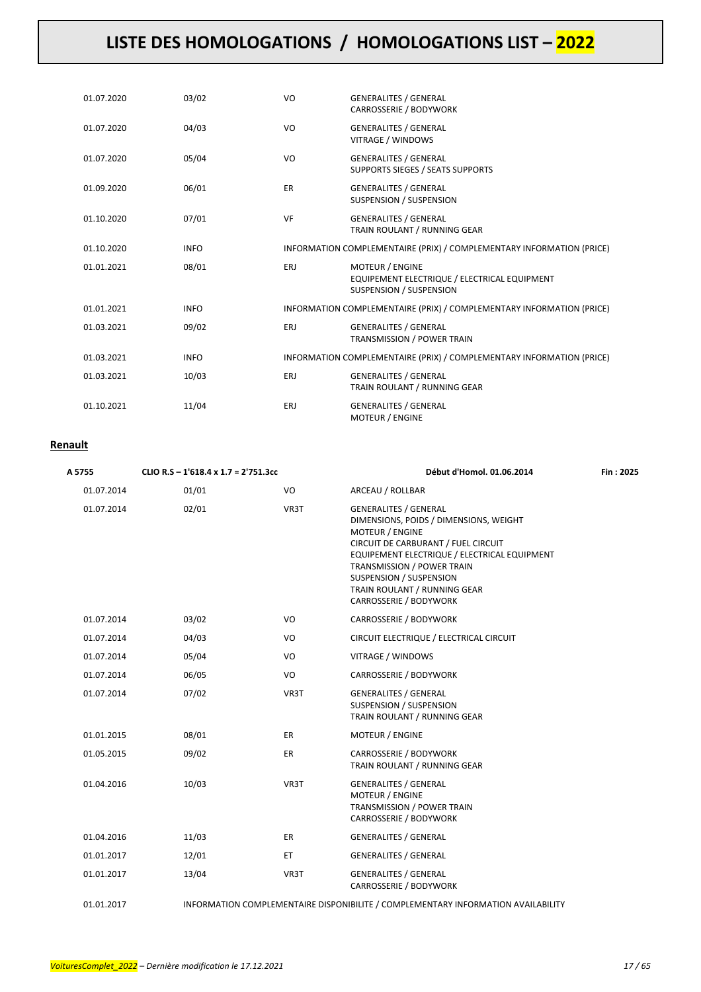| 01.07.2020 | 03/02       | VO        | <b>GENERALITES / GENERAL</b><br><b>CARROSSERIE / BODYWORK</b>                                            |
|------------|-------------|-----------|----------------------------------------------------------------------------------------------------------|
| 01.07.2020 | 04/03       | VO        | <b>GENERALITES / GENERAL</b><br>VITRAGE / WINDOWS                                                        |
| 01.07.2020 | 05/04       | VO        | <b>GENERALITES / GENERAL</b><br><b>SUPPORTS SIEGES / SEATS SUPPORTS</b>                                  |
| 01.09.2020 | 06/01       | <b>ER</b> | <b>GENERALITES / GENERAL</b><br><b>SUSPENSION / SUSPENSION</b>                                           |
| 01.10.2020 | 07/01       | <b>VF</b> | <b>GENERALITES / GENERAL</b><br>TRAIN ROULANT / RUNNING GEAR                                             |
| 01.10.2020 | <b>INFO</b> |           | INFORMATION COMPLEMENTAIRE (PRIX) / COMPLEMENTARY INFORMATION (PRICE)                                    |
| 01.01.2021 | 08/01       | ERJ       | <b>MOTEUR / ENGINE</b><br>EQUIPEMENT ELECTRIQUE / ELECTRICAL EQUIPMENT<br><b>SUSPENSION / SUSPENSION</b> |
| 01.01.2021 | <b>INFO</b> |           | INFORMATION COMPLEMENTAIRE (PRIX) / COMPLEMENTARY INFORMATION (PRICE)                                    |
| 01.03.2021 | 09/02       | ERJ       | <b>GENERALITES / GENERAL</b><br>TRANSMISSION / POWER TRAIN                                               |
| 01.03.2021 | <b>INFO</b> |           | INFORMATION COMPLEMENTAIRE (PRIX) / COMPLEMENTARY INFORMATION (PRICE)                                    |
| 01.03.2021 | 10/03       | ERJ       | <b>GENERALITES / GENERAL</b><br>TRAIN ROULANT / RUNNING GEAR                                             |
| 01.10.2021 | 11/04       | ERJ       | <b>GENERALITES / GENERAL</b><br><b>MOTEUR / ENGINE</b>                                                   |

### **Renault**

| A 5755     | CLIO R.S - 1'618.4 x 1.7 = 2'751.3cc |      | Début d'Homol. 01.06.2014                                                                                                                                                                                                                                                                                  | Fin: 2025 |
|------------|--------------------------------------|------|------------------------------------------------------------------------------------------------------------------------------------------------------------------------------------------------------------------------------------------------------------------------------------------------------------|-----------|
| 01.07.2014 | 01/01                                | VO   | ARCEAU / ROLLBAR                                                                                                                                                                                                                                                                                           |           |
| 01.07.2014 | 02/01                                | VR3T | <b>GENERALITES / GENERAL</b><br>DIMENSIONS, POIDS / DIMENSIONS, WEIGHT<br><b>MOTEUR / ENGINE</b><br>CIRCUIT DE CARBURANT / FUEL CIRCUIT<br>EQUIPEMENT ELECTRIQUE / ELECTRICAL EQUIPMENT<br>TRANSMISSION / POWER TRAIN<br>SUSPENSION / SUSPENSION<br>TRAIN ROULANT / RUNNING GEAR<br>CARROSSERIE / BODYWORK |           |
| 01.07.2014 | 03/02                                | VO   | CARROSSERIE / BODYWORK                                                                                                                                                                                                                                                                                     |           |
| 01.07.2014 | 04/03                                | VO   | CIRCUIT ELECTRIQUE / ELECTRICAL CIRCUIT                                                                                                                                                                                                                                                                    |           |
| 01.07.2014 | 05/04                                | VO   | VITRAGE / WINDOWS                                                                                                                                                                                                                                                                                          |           |
| 01.07.2014 | 06/05                                | VO   | CARROSSERIE / BODYWORK                                                                                                                                                                                                                                                                                     |           |
| 01.07.2014 | 07/02                                | VR3T | <b>GENERALITES / GENERAL</b><br>SUSPENSION / SUSPENSION<br>TRAIN ROULANT / RUNNING GEAR                                                                                                                                                                                                                    |           |
| 01.01.2015 | 08/01                                | ER   | <b>MOTEUR / ENGINE</b>                                                                                                                                                                                                                                                                                     |           |
| 01.05.2015 | 09/02                                | ER.  | CARROSSERIE / BODYWORK<br>TRAIN ROULANT / RUNNING GEAR                                                                                                                                                                                                                                                     |           |
| 01.04.2016 | 10/03                                | VR3T | <b>GENERALITES / GENERAL</b><br>MOTEUR / ENGINE<br>TRANSMISSION / POWER TRAIN<br>CARROSSERIE / BODYWORK                                                                                                                                                                                                    |           |
| 01.04.2016 | 11/03                                | ER   | <b>GENERALITES / GENERAL</b>                                                                                                                                                                                                                                                                               |           |
| 01.01.2017 | 12/01                                | ET.  | <b>GENERALITES / GENERAL</b>                                                                                                                                                                                                                                                                               |           |
| 01.01.2017 | 13/04                                | VR3T | <b>GENERALITES / GENERAL</b><br>CARROSSERIE / BODYWORK                                                                                                                                                                                                                                                     |           |
| 01.01.2017 |                                      |      | INFORMATION COMPLEMENTAIRE DISPONIBILITE / COMPLEMENTARY INFORMATION AVAILABILITY                                                                                                                                                                                                                          |           |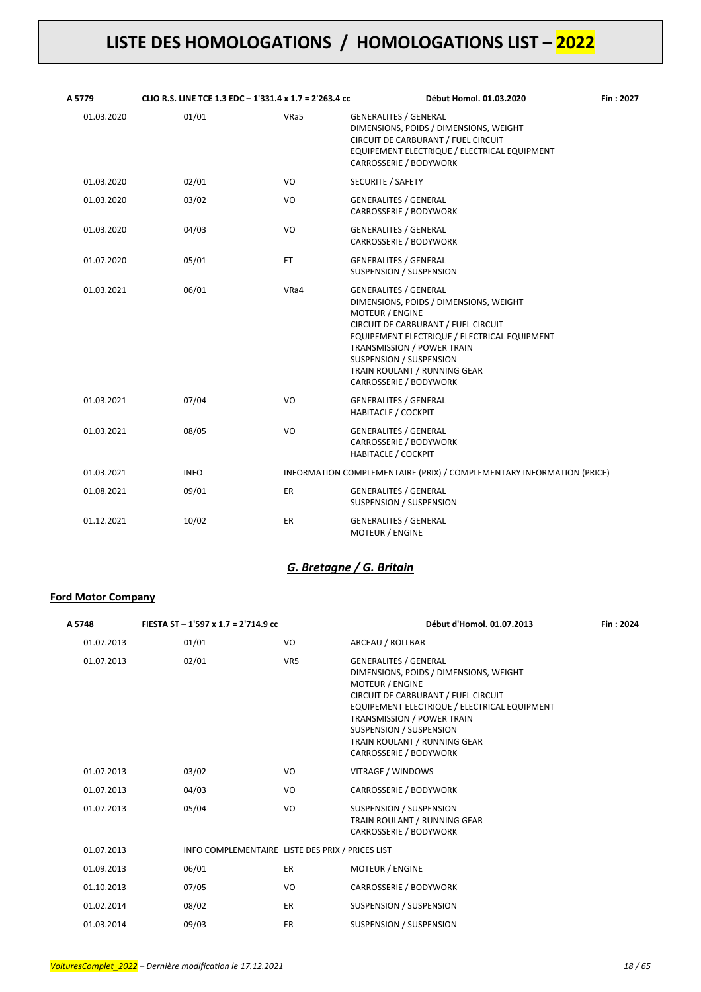| A 5779     | CLIO R.S. LINE TCE 1.3 EDC - 1'331.4 x 1.7 = 2'263.4 cc |      | Début Homol. 01.03.2020                                                                                                                                                                                                                                                                                    | Fin: 2027 |
|------------|---------------------------------------------------------|------|------------------------------------------------------------------------------------------------------------------------------------------------------------------------------------------------------------------------------------------------------------------------------------------------------------|-----------|
| 01.03.2020 | 01/01                                                   | VRa5 | <b>GENERALITES / GENERAL</b><br>DIMENSIONS, POIDS / DIMENSIONS, WEIGHT<br>CIRCUIT DE CARBURANT / FUEL CIRCUIT<br>EQUIPEMENT ELECTRIQUE / ELECTRICAL EQUIPMENT<br>CARROSSERIE / BODYWORK                                                                                                                    |           |
| 01.03.2020 | 02/01                                                   | VO   | SECURITE / SAFETY                                                                                                                                                                                                                                                                                          |           |
| 01.03.2020 | 03/02                                                   | VO   | <b>GENERALITES / GENERAL</b><br>CARROSSERIE / BODYWORK                                                                                                                                                                                                                                                     |           |
| 01.03.2020 | 04/03                                                   | VO   | <b>GENERALITES / GENERAL</b><br>CARROSSERIE / BODYWORK                                                                                                                                                                                                                                                     |           |
| 01.07.2020 | 05/01                                                   | ET.  | <b>GENERALITES / GENERAL</b><br>SUSPENSION / SUSPENSION                                                                                                                                                                                                                                                    |           |
| 01.03.2021 | 06/01                                                   | VRa4 | <b>GENERALITES / GENERAL</b><br>DIMENSIONS, POIDS / DIMENSIONS, WEIGHT<br><b>MOTEUR / ENGINE</b><br>CIRCUIT DE CARBURANT / FUEL CIRCUIT<br>EQUIPEMENT ELECTRIQUE / ELECTRICAL EQUIPMENT<br>TRANSMISSION / POWER TRAIN<br>SUSPENSION / SUSPENSION<br>TRAIN ROULANT / RUNNING GEAR<br>CARROSSERIE / BODYWORK |           |
| 01.03.2021 | 07/04                                                   | VO   | <b>GENERALITES / GENERAL</b><br><b>HABITACLE / COCKPIT</b>                                                                                                                                                                                                                                                 |           |
| 01.03.2021 | 08/05                                                   | VO   | <b>GENERALITES / GENERAL</b><br>CARROSSERIE / BODYWORK<br><b>HABITACLE / COCKPIT</b>                                                                                                                                                                                                                       |           |
| 01.03.2021 | <b>INFO</b>                                             |      | INFORMATION COMPLEMENTAIRE (PRIX) / COMPLEMENTARY INFORMATION (PRICE)                                                                                                                                                                                                                                      |           |
| 01.08.2021 | 09/01                                                   | ER   | <b>GENERALITES / GENERAL</b><br>SUSPENSION / SUSPENSION                                                                                                                                                                                                                                                    |           |
| 01.12.2021 | 10/02                                                   | ER   | <b>GENERALITES / GENERAL</b><br><b>MOTEUR / ENGINE</b>                                                                                                                                                                                                                                                     |           |

### *G. Bretagne / G. Britain*

### **Ford Motor Company**

| A 5748     | FIESTA ST - 1'597 x 1.7 = 2'714.9 cc             |                 | Début d'Homol. 01.07.2013                                                                                                                                                                                                                                                                                  | Fin: 2024 |
|------------|--------------------------------------------------|-----------------|------------------------------------------------------------------------------------------------------------------------------------------------------------------------------------------------------------------------------------------------------------------------------------------------------------|-----------|
| 01.07.2013 | 01/01                                            | VO              | ARCEAU / ROLLBAR                                                                                                                                                                                                                                                                                           |           |
| 01.07.2013 | 02/01                                            | VR <sub>5</sub> | <b>GENERALITES / GENERAL</b><br>DIMENSIONS, POIDS / DIMENSIONS, WEIGHT<br><b>MOTEUR / ENGINE</b><br>CIRCUIT DE CARBURANT / FUEL CIRCUIT<br>EQUIPEMENT ELECTRIQUE / ELECTRICAL EQUIPMENT<br>TRANSMISSION / POWER TRAIN<br>SUSPENSION / SUSPENSION<br>TRAIN ROULANT / RUNNING GEAR<br>CARROSSERIE / BODYWORK |           |
| 01.07.2013 | 03/02                                            | VO              | VITRAGE / WINDOWS                                                                                                                                                                                                                                                                                          |           |
| 01.07.2013 | 04/03                                            | VO              | CARROSSERIE / BODYWORK                                                                                                                                                                                                                                                                                     |           |
| 01.07.2013 | 05/04                                            | VO              | SUSPENSION / SUSPENSION<br>TRAIN ROULANT / RUNNING GEAR<br>CARROSSERIE / BODYWORK                                                                                                                                                                                                                          |           |
| 01.07.2013 | INFO COMPLEMENTAIRE LISTE DES PRIX / PRICES LIST |                 |                                                                                                                                                                                                                                                                                                            |           |
| 01.09.2013 | 06/01                                            | <b>ER</b>       | <b>MOTEUR / ENGINE</b>                                                                                                                                                                                                                                                                                     |           |
| 01.10.2013 | 07/05                                            | VO              | CARROSSERIE / BODYWORK                                                                                                                                                                                                                                                                                     |           |
| 01.02.2014 | 08/02                                            | <b>ER</b>       | SUSPENSION / SUSPENSION                                                                                                                                                                                                                                                                                    |           |
| 01.03.2014 | 09/03                                            | <b>ER</b>       | SUSPENSION / SUSPENSION                                                                                                                                                                                                                                                                                    |           |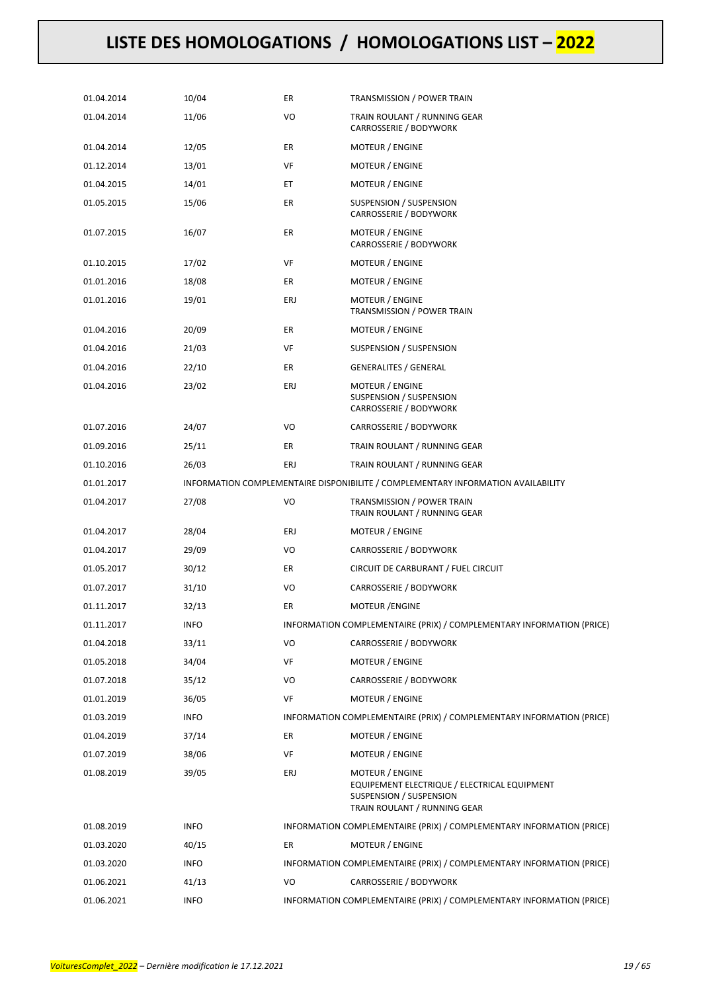| 01.04.2014 | 10/04       | ER  | TRANSMISSION / POWER TRAIN                                                                                                 |
|------------|-------------|-----|----------------------------------------------------------------------------------------------------------------------------|
| 01.04.2014 | 11/06       | VO  | TRAIN ROULANT / RUNNING GEAR<br>CARROSSERIE / BODYWORK                                                                     |
| 01.04.2014 | 12/05       | ER  | MOTEUR / ENGINE                                                                                                            |
| 01.12.2014 | 13/01       | VF  | MOTEUR / ENGINE                                                                                                            |
| 01.04.2015 | 14/01       | ЕT  | MOTEUR / ENGINE                                                                                                            |
| 01.05.2015 | 15/06       | ER  | SUSPENSION / SUSPENSION<br>CARROSSERIE / BODYWORK                                                                          |
| 01.07.2015 | 16/07       | ER  | MOTEUR / ENGINE<br>CARROSSERIE / BODYWORK                                                                                  |
| 01.10.2015 | 17/02       | VF  | MOTEUR / ENGINE                                                                                                            |
| 01.01.2016 | 18/08       | ER  | MOTEUR / ENGINE                                                                                                            |
| 01.01.2016 | 19/01       | ERJ | MOTEUR / ENGINE<br>TRANSMISSION / POWER TRAIN                                                                              |
| 01.04.2016 | 20/09       | ER  | <b>MOTEUR / ENGINE</b>                                                                                                     |
| 01.04.2016 | 21/03       | VF  | SUSPENSION / SUSPENSION                                                                                                    |
| 01.04.2016 | 22/10       | ER  | <b>GENERALITES / GENERAL</b>                                                                                               |
| 01.04.2016 | 23/02       | ERJ | MOTEUR / ENGINE<br>SUSPENSION / SUSPENSION<br>CARROSSERIE / BODYWORK                                                       |
| 01.07.2016 | 24/07       | VO  | CARROSSERIE / BODYWORK                                                                                                     |
| 01.09.2016 | 25/11       | ER  | TRAIN ROULANT / RUNNING GEAR                                                                                               |
| 01.10.2016 | 26/03       | ERJ | TRAIN ROULANT / RUNNING GEAR                                                                                               |
| 01.01.2017 |             |     | INFORMATION COMPLEMENTAIRE DISPONIBILITE / COMPLEMENTARY INFORMATION AVAILABILITY                                          |
| 01.04.2017 | 27/08       | VO  | TRANSMISSION / POWER TRAIN<br>TRAIN ROULANT / RUNNING GEAR                                                                 |
| 01.04.2017 | 28/04       | ERJ | MOTEUR / ENGINE                                                                                                            |
| 01.04.2017 | 29/09       | VO  | CARROSSERIE / BODYWORK                                                                                                     |
| 01.05.2017 | 30/12       | ER  | CIRCUIT DE CARBURANT / FUEL CIRCUIT                                                                                        |
| 01.07.2017 | 31/10       | VO  | CARROSSERIE / BODYWORK                                                                                                     |
| 01.11.2017 | 32/13       | ER  | <b>MOTEUR /ENGINE</b>                                                                                                      |
| 01.11.2017 | <b>INFO</b> |     | INFORMATION COMPLEMENTAIRE (PRIX) / COMPLEMENTARY INFORMATION (PRICE)                                                      |
| 01.04.2018 | 33/11       | VO  | CARROSSERIE / BODYWORK                                                                                                     |
| 01.05.2018 | 34/04       | VF  | MOTEUR / ENGINE                                                                                                            |
| 01.07.2018 | 35/12       | VO  | CARROSSERIE / BODYWORK                                                                                                     |
| 01.01.2019 | 36/05       | VF  | <b>MOTEUR / ENGINE</b>                                                                                                     |
| 01.03.2019 | <b>INFO</b> |     | INFORMATION COMPLEMENTAIRE (PRIX) / COMPLEMENTARY INFORMATION (PRICE)                                                      |
| 01.04.2019 | 37/14       | ER  | MOTEUR / ENGINE                                                                                                            |
| 01.07.2019 | 38/06       | VF  | MOTEUR / ENGINE                                                                                                            |
| 01.08.2019 | 39/05       | ERJ | MOTEUR / ENGINE<br>EQUIPEMENT ELECTRIQUE / ELECTRICAL EQUIPMENT<br>SUSPENSION / SUSPENSION<br>TRAIN ROULANT / RUNNING GEAR |
| 01.08.2019 | <b>INFO</b> |     | INFORMATION COMPLEMENTAIRE (PRIX) / COMPLEMENTARY INFORMATION (PRICE)                                                      |
| 01.03.2020 | 40/15       | ER  | MOTEUR / ENGINE                                                                                                            |
| 01.03.2020 | <b>INFO</b> |     | INFORMATION COMPLEMENTAIRE (PRIX) / COMPLEMENTARY INFORMATION (PRICE)                                                      |
| 01.06.2021 | 41/13       | VO  | CARROSSERIE / BODYWORK                                                                                                     |
| 01.06.2021 | <b>INFO</b> |     | INFORMATION COMPLEMENTAIRE (PRIX) / COMPLEMENTARY INFORMATION (PRICE)                                                      |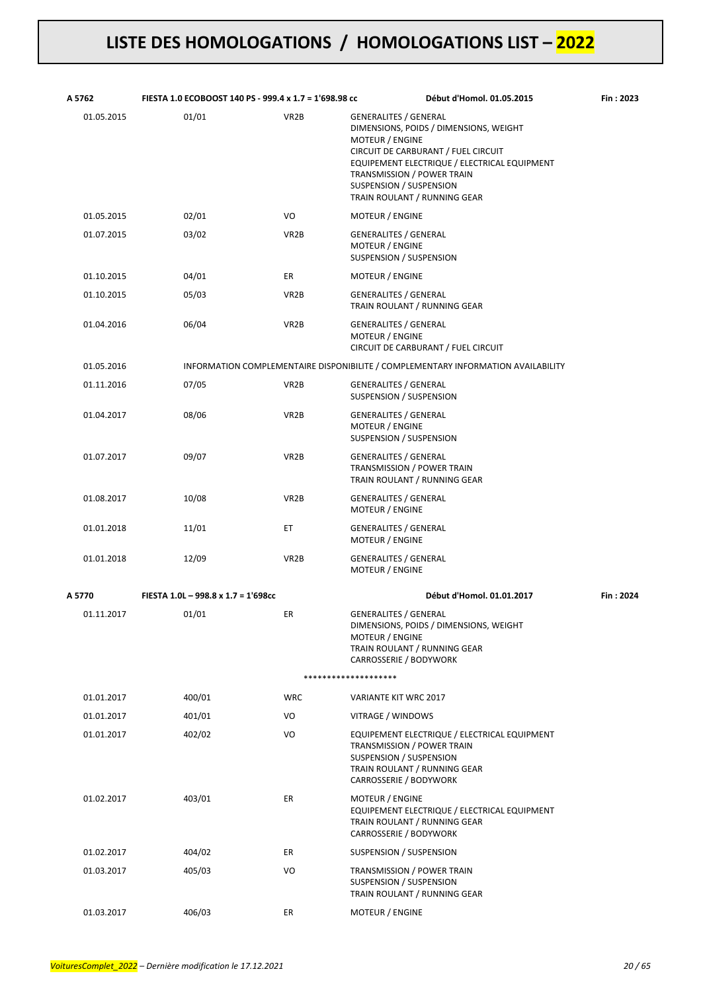| A 5762     | FIESTA 1.0 ECOBOOST 140 PS - 999.4 x 1.7 = 1'698.98 cc |                   | Début d'Homol. 01.05.2015                                                                                                                                                                                                                                                 | Fin: 2023 |
|------------|--------------------------------------------------------|-------------------|---------------------------------------------------------------------------------------------------------------------------------------------------------------------------------------------------------------------------------------------------------------------------|-----------|
| 01.05.2015 | 01/01                                                  | VR <sub>2</sub> B | <b>GENERALITES / GENERAL</b><br>DIMENSIONS, POIDS / DIMENSIONS, WEIGHT<br>MOTEUR / ENGINE<br>CIRCUIT DE CARBURANT / FUEL CIRCUIT<br>EQUIPEMENT ELECTRIQUE / ELECTRICAL EQUIPMENT<br>TRANSMISSION / POWER TRAIN<br>SUSPENSION / SUSPENSION<br>TRAIN ROULANT / RUNNING GEAR |           |
| 01.05.2015 | 02/01                                                  | VO                | MOTEUR / ENGINE                                                                                                                                                                                                                                                           |           |
| 01.07.2015 | 03/02                                                  | VR <sub>2</sub> B | <b>GENERALITES / GENERAL</b><br><b>MOTEUR / ENGINE</b><br>SUSPENSION / SUSPENSION                                                                                                                                                                                         |           |
| 01.10.2015 | 04/01                                                  | ER                | MOTEUR / ENGINE                                                                                                                                                                                                                                                           |           |
| 01.10.2015 | 05/03                                                  | VR <sub>2</sub> B | <b>GENERALITES / GENERAL</b><br>TRAIN ROULANT / RUNNING GEAR                                                                                                                                                                                                              |           |
| 01.04.2016 | 06/04                                                  | VR <sub>2</sub> B | <b>GENERALITES / GENERAL</b><br>MOTEUR / ENGINE<br>CIRCUIT DE CARBURANT / FUEL CIRCUIT                                                                                                                                                                                    |           |
| 01.05.2016 |                                                        |                   | INFORMATION COMPLEMENTAIRE DISPONIBILITE / COMPLEMENTARY INFORMATION AVAILABILITY                                                                                                                                                                                         |           |
| 01.11.2016 | 07/05                                                  | VR <sub>2</sub> B | <b>GENERALITES / GENERAL</b><br>SUSPENSION / SUSPENSION                                                                                                                                                                                                                   |           |
| 01.04.2017 | 08/06                                                  | VR <sub>2</sub> B | <b>GENERALITES / GENERAL</b><br>MOTEUR / ENGINE<br>SUSPENSION / SUSPENSION                                                                                                                                                                                                |           |
| 01.07.2017 | 09/07                                                  | VR <sub>2</sub> B | <b>GENERALITES / GENERAL</b><br>TRANSMISSION / POWER TRAIN<br>TRAIN ROULANT / RUNNING GEAR                                                                                                                                                                                |           |
| 01.08.2017 | 10/08                                                  | VR <sub>2</sub> B | <b>GENERALITES / GENERAL</b><br>MOTEUR / ENGINE                                                                                                                                                                                                                           |           |
| 01.01.2018 | 11/01                                                  | ET                | <b>GENERALITES / GENERAL</b><br>MOTEUR / ENGINE                                                                                                                                                                                                                           |           |
| 01.01.2018 | 12/09                                                  | VR <sub>2</sub> B | <b>GENERALITES / GENERAL</b><br><b>MOTEUR / ENGINE</b>                                                                                                                                                                                                                    |           |
| A 5770     | FIESTA 1.0L - 998.8 x 1.7 = 1'698cc                    |                   | Début d'Homol. 01.01.2017                                                                                                                                                                                                                                                 | Fin: 2024 |
| 01.11.2017 | 01/01                                                  | ER                | <b>GENERALITES / GENERAL</b><br>DIMENSIONS, POIDS / DIMENSIONS, WEIGHT<br>MOTEUR / ENGINE<br>TRAIN ROULANT / RUNNING GEAR<br>CARROSSERIE / BODYWORK                                                                                                                       |           |
|            |                                                        |                   | ********************                                                                                                                                                                                                                                                      |           |
| 01.01.2017 | 400/01                                                 | <b>WRC</b>        | VARIANTE KIT WRC 2017                                                                                                                                                                                                                                                     |           |
| 01.01.2017 | 401/01                                                 | VO                | VITRAGE / WINDOWS                                                                                                                                                                                                                                                         |           |
| 01.01.2017 | 402/02                                                 | VO                | EQUIPEMENT ELECTRIQUE / ELECTRICAL EQUIPMENT<br>TRANSMISSION / POWER TRAIN<br>SUSPENSION / SUSPENSION<br>TRAIN ROULANT / RUNNING GEAR<br>CARROSSERIE / BODYWORK                                                                                                           |           |
| 01.02.2017 | 403/01                                                 | ER                | MOTEUR / ENGINE<br>EQUIPEMENT ELECTRIQUE / ELECTRICAL EQUIPMENT<br>TRAIN ROULANT / RUNNING GEAR<br>CARROSSERIE / BODYWORK                                                                                                                                                 |           |
| 01.02.2017 | 404/02                                                 | ER                | SUSPENSION / SUSPENSION                                                                                                                                                                                                                                                   |           |
| 01.03.2017 | 405/03                                                 | VO                | TRANSMISSION / POWER TRAIN<br>SUSPENSION / SUSPENSION<br>TRAIN ROULANT / RUNNING GEAR                                                                                                                                                                                     |           |
| 01.03.2017 | 406/03                                                 | ER                | MOTEUR / ENGINE                                                                                                                                                                                                                                                           |           |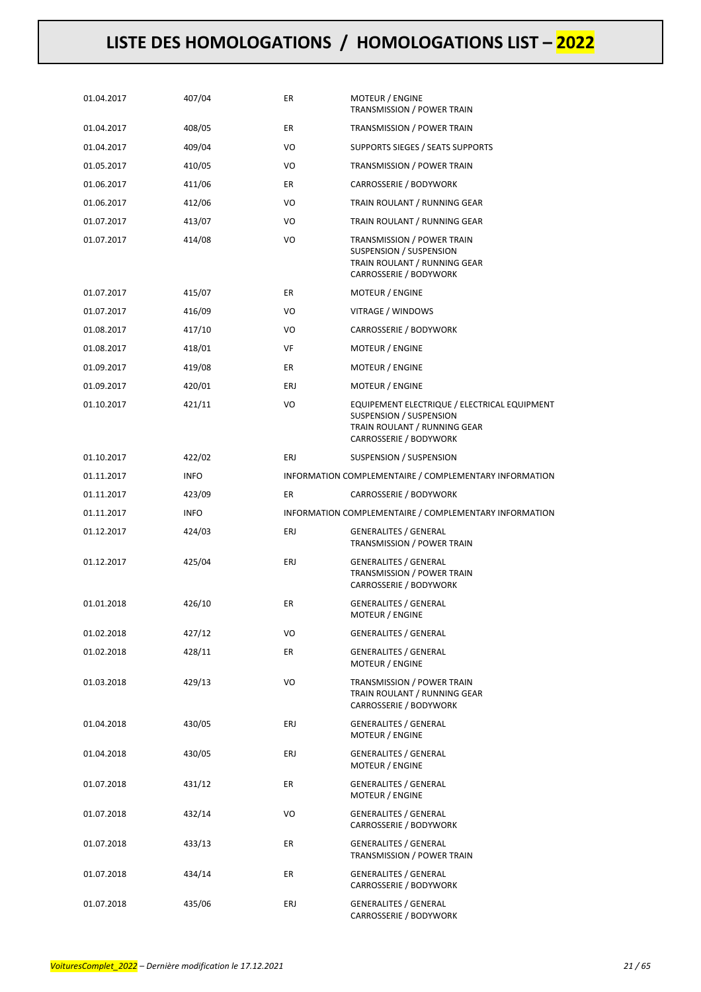| 01.04.2017 | 407/04      | ER  | MOTEUR / ENGINE<br>TRANSMISSION / POWER TRAIN                                                                                     |
|------------|-------------|-----|-----------------------------------------------------------------------------------------------------------------------------------|
| 01.04.2017 | 408/05      | ER  | TRANSMISSION / POWER TRAIN                                                                                                        |
| 01.04.2017 | 409/04      | VO  | SUPPORTS SIEGES / SEATS SUPPORTS                                                                                                  |
| 01.05.2017 | 410/05      | VO  | TRANSMISSION / POWER TRAIN                                                                                                        |
| 01.06.2017 | 411/06      | ER  | CARROSSERIE / BODYWORK                                                                                                            |
| 01.06.2017 | 412/06      | VO  | TRAIN ROULANT / RUNNING GEAR                                                                                                      |
| 01.07.2017 | 413/07      | VO  | TRAIN ROULANT / RUNNING GEAR                                                                                                      |
| 01.07.2017 | 414/08      | VO  | TRANSMISSION / POWER TRAIN<br>SUSPENSION / SUSPENSION<br>TRAIN ROULANT / RUNNING GEAR<br>CARROSSERIE / BODYWORK                   |
| 01.07.2017 | 415/07      | ER  | MOTEUR / ENGINE                                                                                                                   |
| 01.07.2017 | 416/09      | VO  | VITRAGE / WINDOWS                                                                                                                 |
| 01.08.2017 | 417/10      | VO  | CARROSSERIE / BODYWORK                                                                                                            |
| 01.08.2017 | 418/01      | VF  | MOTEUR / ENGINE                                                                                                                   |
| 01.09.2017 | 419/08      | ER  | MOTEUR / ENGINE                                                                                                                   |
| 01.09.2017 | 420/01      | ERJ | <b>MOTEUR / ENGINE</b>                                                                                                            |
| 01.10.2017 | 421/11      | VO  | EQUIPEMENT ELECTRIQUE / ELECTRICAL EQUIPMENT<br>SUSPENSION / SUSPENSION<br>TRAIN ROULANT / RUNNING GEAR<br>CARROSSERIE / BODYWORK |
| 01.10.2017 | 422/02      | ERJ | SUSPENSION / SUSPENSION                                                                                                           |
| 01.11.2017 | <b>INFO</b> |     | INFORMATION COMPLEMENTAIRE / COMPLEMENTARY INFORMATION                                                                            |
| 01.11.2017 | 423/09      | ER  | CARROSSERIE / BODYWORK                                                                                                            |
|            |             |     |                                                                                                                                   |
| 01.11.2017 | <b>INFO</b> |     | INFORMATION COMPLEMENTAIRE / COMPLEMENTARY INFORMATION                                                                            |
| 01.12.2017 | 424/03      | ERJ | <b>GENERALITES / GENERAL</b><br>TRANSMISSION / POWER TRAIN                                                                        |
| 01.12.2017 | 425/04      | ERJ | <b>GENERALITES / GENERAL</b><br>TRANSMISSION / POWER TRAIN<br>CARROSSERIE / BODYWORK                                              |
| 01.01.2018 | 426/10      | ER  | <b>GENERALITES / GENERAL</b><br>MOTEUR / ENGINE                                                                                   |
| 01.02.2018 | 427/12      | VO  | <b>GENERALITES / GENERAL</b>                                                                                                      |
| 01.02.2018 | 428/11      | ER  | <b>GENERALITES / GENERAL</b><br><b>MOTEUR / ENGINE</b>                                                                            |
| 01.03.2018 | 429/13      | VO  | TRANSMISSION / POWER TRAIN<br>TRAIN ROULANT / RUNNING GEAR<br>CARROSSERIE / BODYWORK                                              |
| 01.04.2018 | 430/05      | ERJ | <b>GENERALITES / GENERAL</b><br>MOTEUR / ENGINE                                                                                   |
| 01.04.2018 | 430/05      | ERJ | <b>GENERALITES / GENERAL</b><br>MOTEUR / ENGINE                                                                                   |
| 01.07.2018 | 431/12      | ER  | <b>GENERALITES / GENERAL</b><br>MOTEUR / ENGINE                                                                                   |
| 01.07.2018 | 432/14      | VO  | <b>GENERALITES / GENERAL</b><br>CARROSSERIE / BODYWORK                                                                            |
| 01.07.2018 | 433/13      | ER  | <b>GENERALITES / GENERAL</b><br>TRANSMISSION / POWER TRAIN                                                                        |
| 01.07.2018 | 434/14      | ER  | <b>GENERALITES / GENERAL</b><br>CARROSSERIE / BODYWORK                                                                            |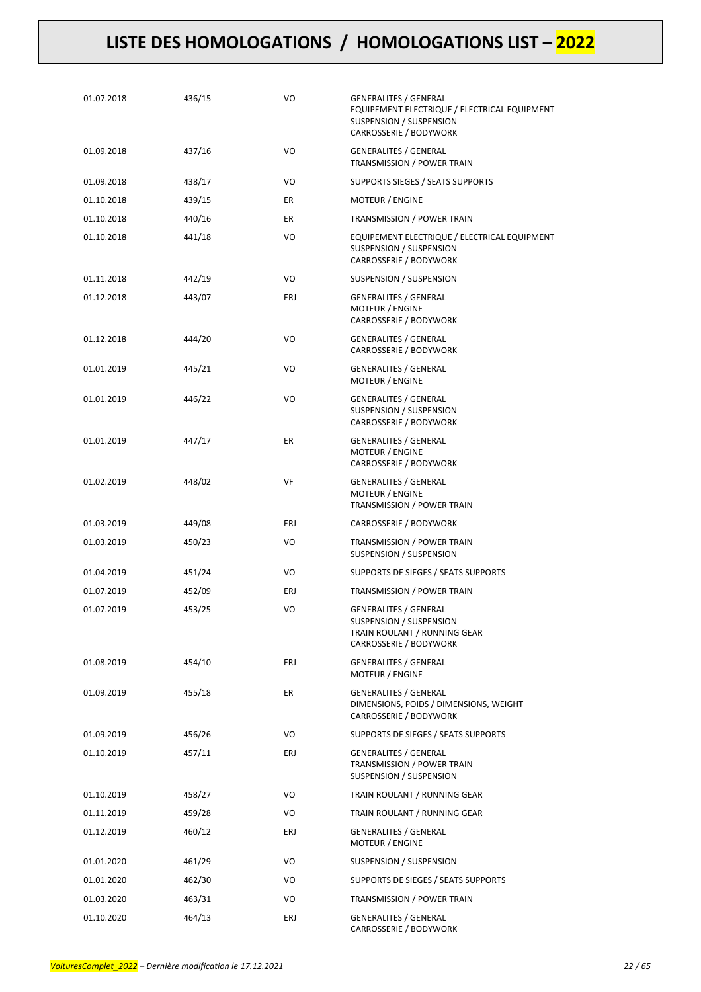| 01.07.2018 | 436/15 | VO  | <b>GENERALITES / GENERAL</b><br>EQUIPEMENT ELECTRIQUE / ELECTRICAL EQUIPMENT<br>SUSPENSION / SUSPENSION<br>CARROSSERIE / BODYWORK |
|------------|--------|-----|-----------------------------------------------------------------------------------------------------------------------------------|
| 01.09.2018 | 437/16 | VO  | <b>GENERALITES / GENERAL</b><br>TRANSMISSION / POWER TRAIN                                                                        |
| 01.09.2018 | 438/17 | VO  | SUPPORTS SIEGES / SEATS SUPPORTS                                                                                                  |
| 01.10.2018 | 439/15 | ER  | MOTEUR / ENGINE                                                                                                                   |
| 01.10.2018 | 440/16 | ER  | TRANSMISSION / POWER TRAIN                                                                                                        |
| 01.10.2018 | 441/18 | VO  | EQUIPEMENT ELECTRIQUE / ELECTRICAL EQUIPMENT<br>SUSPENSION / SUSPENSION<br>CARROSSERIE / BODYWORK                                 |
| 01.11.2018 | 442/19 | VO  | SUSPENSION / SUSPENSION                                                                                                           |
| 01.12.2018 | 443/07 | ERJ | <b>GENERALITES / GENERAL</b><br><b>MOTEUR / ENGINE</b><br>CARROSSERIE / BODYWORK                                                  |
| 01.12.2018 | 444/20 | VO  | <b>GENERALITES / GENERAL</b><br>CARROSSERIE / BODYWORK                                                                            |
| 01.01.2019 | 445/21 | VO  | <b>GENERALITES / GENERAL</b><br>MOTEUR / ENGINE                                                                                   |
| 01.01.2019 | 446/22 | VO  | <b>GENERALITES / GENERAL</b><br>SUSPENSION / SUSPENSION<br>CARROSSERIE / BODYWORK                                                 |
| 01.01.2019 | 447/17 | ER  | <b>GENERALITES / GENERAL</b><br><b>MOTEUR / ENGINE</b><br>CARROSSERIE / BODYWORK                                                  |
| 01.02.2019 | 448/02 | VF  | <b>GENERALITES / GENERAL</b><br>MOTEUR / ENGINE<br>TRANSMISSION / POWER TRAIN                                                     |
| 01.03.2019 | 449/08 | ERJ | CARROSSERIE / BODYWORK                                                                                                            |
| 01.03.2019 | 450/23 | VO  | TRANSMISSION / POWER TRAIN<br>SUSPENSION / SUSPENSION                                                                             |
| 01.04.2019 | 451/24 | VO  | SUPPORTS DE SIEGES / SEATS SUPPORTS                                                                                               |
| 01.07.2019 | 452/09 | ERJ | TRANSMISSION / POWER TRAIN                                                                                                        |
| 01.07.2019 | 453/25 | VO  | <b>GENERALITES / GENERAL</b><br>SUSPENSION / SUSPENSION<br>TRAIN ROULANT / RUNNING GEAR<br>CARROSSERIE / BODYWORK                 |
| 01.08.2019 | 454/10 | ERJ | <b>GENERALITES / GENERAL</b><br>MOTEUR / ENGINE                                                                                   |
| 01.09.2019 | 455/18 | ER  | <b>GENERALITES / GENERAL</b><br>DIMENSIONS, POIDS / DIMENSIONS, WEIGHT<br>CARROSSERIE / BODYWORK                                  |
| 01.09.2019 | 456/26 | VO  | SUPPORTS DE SIEGES / SEATS SUPPORTS                                                                                               |
| 01.10.2019 | 457/11 | ERJ | <b>GENERALITES / GENERAL</b><br>TRANSMISSION / POWER TRAIN<br>SUSPENSION / SUSPENSION                                             |
| 01.10.2019 | 458/27 | VO  | TRAIN ROULANT / RUNNING GEAR                                                                                                      |
| 01.11.2019 | 459/28 | VO  | TRAIN ROULANT / RUNNING GEAR                                                                                                      |
| 01.12.2019 | 460/12 | ERJ | <b>GENERALITES / GENERAL</b><br>MOTEUR / ENGINE                                                                                   |
| 01.01.2020 | 461/29 | VO  | SUSPENSION / SUSPENSION                                                                                                           |
| 01.01.2020 | 462/30 | VO  | SUPPORTS DE SIEGES / SEATS SUPPORTS                                                                                               |
| 01.03.2020 | 463/31 | VO  | TRANSMISSION / POWER TRAIN                                                                                                        |
| 01.10.2020 | 464/13 | ERJ | <b>GENERALITES / GENERAL</b><br>CARROSSERIE / BODYWORK                                                                            |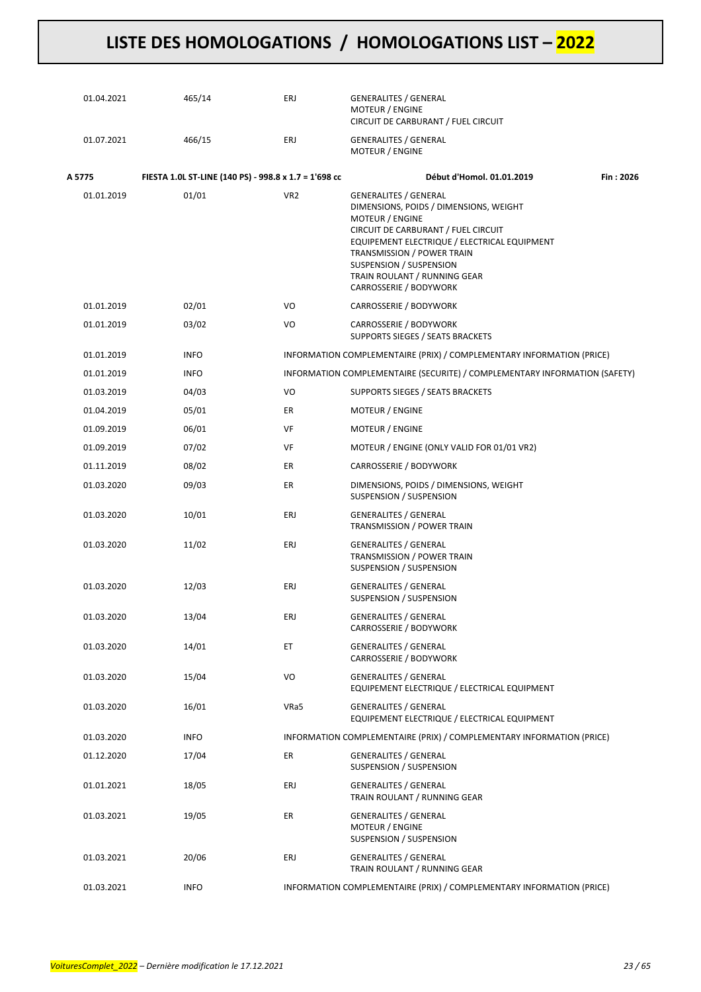| 01.04.2021 | 465/14                                                | ERJ             | <b>GENERALITES / GENERAL</b><br>MOTEUR / ENGINE<br>CIRCUIT DE CARBURANT / FUEL CIRCUIT                                                                                                                                                                                                                     |           |
|------------|-------------------------------------------------------|-----------------|------------------------------------------------------------------------------------------------------------------------------------------------------------------------------------------------------------------------------------------------------------------------------------------------------------|-----------|
| 01.07.2021 | 466/15                                                | ERJ             | <b>GENERALITES / GENERAL</b><br><b>MOTEUR / ENGINE</b>                                                                                                                                                                                                                                                     |           |
| A 5775     | FIESTA 1.0L ST-LINE (140 PS) - 998.8 x 1.7 = 1'698 cc |                 | Début d'Homol. 01.01.2019                                                                                                                                                                                                                                                                                  | Fin: 2026 |
| 01.01.2019 | 01/01                                                 | VR <sub>2</sub> | <b>GENERALITES / GENERAL</b><br>DIMENSIONS, POIDS / DIMENSIONS, WEIGHT<br>MOTEUR / ENGINE<br>CIRCUIT DE CARBURANT / FUEL CIRCUIT<br>EQUIPEMENT ELECTRIQUE / ELECTRICAL EQUIPMENT<br><b>TRANSMISSION / POWER TRAIN</b><br>SUSPENSION / SUSPENSION<br>TRAIN ROULANT / RUNNING GEAR<br>CARROSSERIE / BODYWORK |           |
| 01.01.2019 | 02/01                                                 | VO              | CARROSSERIE / BODYWORK                                                                                                                                                                                                                                                                                     |           |
| 01.01.2019 | 03/02                                                 | VO              | CARROSSERIE / BODYWORK<br>SUPPORTS SIEGES / SEATS BRACKETS                                                                                                                                                                                                                                                 |           |
| 01.01.2019 | <b>INFO</b>                                           |                 | INFORMATION COMPLEMENTAIRE (PRIX) / COMPLEMENTARY INFORMATION (PRICE)                                                                                                                                                                                                                                      |           |
| 01.01.2019 | <b>INFO</b>                                           |                 | INFORMATION COMPLEMENTAIRE (SECURITE) / COMPLEMENTARY INFORMATION (SAFETY)                                                                                                                                                                                                                                 |           |
| 01.03.2019 | 04/03                                                 | VO              | SUPPORTS SIEGES / SEATS BRACKETS                                                                                                                                                                                                                                                                           |           |
| 01.04.2019 | 05/01                                                 | ER              | MOTEUR / ENGINE                                                                                                                                                                                                                                                                                            |           |
| 01.09.2019 | 06/01                                                 | VF              | MOTEUR / ENGINE                                                                                                                                                                                                                                                                                            |           |
| 01.09.2019 | 07/02                                                 | VF              | MOTEUR / ENGINE (ONLY VALID FOR 01/01 VR2)                                                                                                                                                                                                                                                                 |           |
| 01.11.2019 | 08/02                                                 | ER              | CARROSSERIE / BODYWORK                                                                                                                                                                                                                                                                                     |           |
| 01.03.2020 | 09/03                                                 | ER              | DIMENSIONS, POIDS / DIMENSIONS, WEIGHT<br>SUSPENSION / SUSPENSION                                                                                                                                                                                                                                          |           |
| 01.03.2020 | 10/01                                                 | ERJ             | <b>GENERALITES / GENERAL</b><br>TRANSMISSION / POWER TRAIN                                                                                                                                                                                                                                                 |           |
| 01.03.2020 | 11/02                                                 | ERJ             | <b>GENERALITES / GENERAL</b><br>TRANSMISSION / POWER TRAIN<br>SUSPENSION / SUSPENSION                                                                                                                                                                                                                      |           |
| 01.03.2020 | 12/03                                                 | ERJ             | <b>GENERALITES / GENERAL</b><br>SUSPENSION / SUSPENSION                                                                                                                                                                                                                                                    |           |
| 01.03.2020 | 13/04                                                 | ERJ             | GENERALITES / GENERAL<br>CARROSSERIE / BODYWORK                                                                                                                                                                                                                                                            |           |
| 01.03.2020 | 14/01                                                 | ET              | <b>GENERALITES / GENERAL</b><br>CARROSSERIE / BODYWORK                                                                                                                                                                                                                                                     |           |
| 01.03.2020 | 15/04                                                 | VO              | <b>GENERALITES / GENERAL</b><br>EQUIPEMENT ELECTRIQUE / ELECTRICAL EQUIPMENT                                                                                                                                                                                                                               |           |
| 01.03.2020 | 16/01                                                 | VRa5            | <b>GENERALITES / GENERAL</b><br>EQUIPEMENT ELECTRIQUE / ELECTRICAL EQUIPMENT                                                                                                                                                                                                                               |           |
| 01.03.2020 | <b>INFO</b>                                           |                 | INFORMATION COMPLEMENTAIRE (PRIX) / COMPLEMENTARY INFORMATION (PRICE)                                                                                                                                                                                                                                      |           |
| 01.12.2020 | 17/04                                                 | ER              | <b>GENERALITES / GENERAL</b><br>SUSPENSION / SUSPENSION                                                                                                                                                                                                                                                    |           |
| 01.01.2021 | 18/05                                                 | ERJ             | <b>GENERALITES / GENERAL</b><br>TRAIN ROULANT / RUNNING GEAR                                                                                                                                                                                                                                               |           |
| 01.03.2021 | 19/05                                                 | ER              | <b>GENERALITES / GENERAL</b><br><b>MOTEUR / ENGINE</b><br>SUSPENSION / SUSPENSION                                                                                                                                                                                                                          |           |
| 01.03.2021 | 20/06                                                 | ERJ             | <b>GENERALITES / GENERAL</b><br>TRAIN ROULANT / RUNNING GEAR                                                                                                                                                                                                                                               |           |
| 01.03.2021 | <b>INFO</b>                                           |                 | INFORMATION COMPLEMENTAIRE (PRIX) / COMPLEMENTARY INFORMATION (PRICE)                                                                                                                                                                                                                                      |           |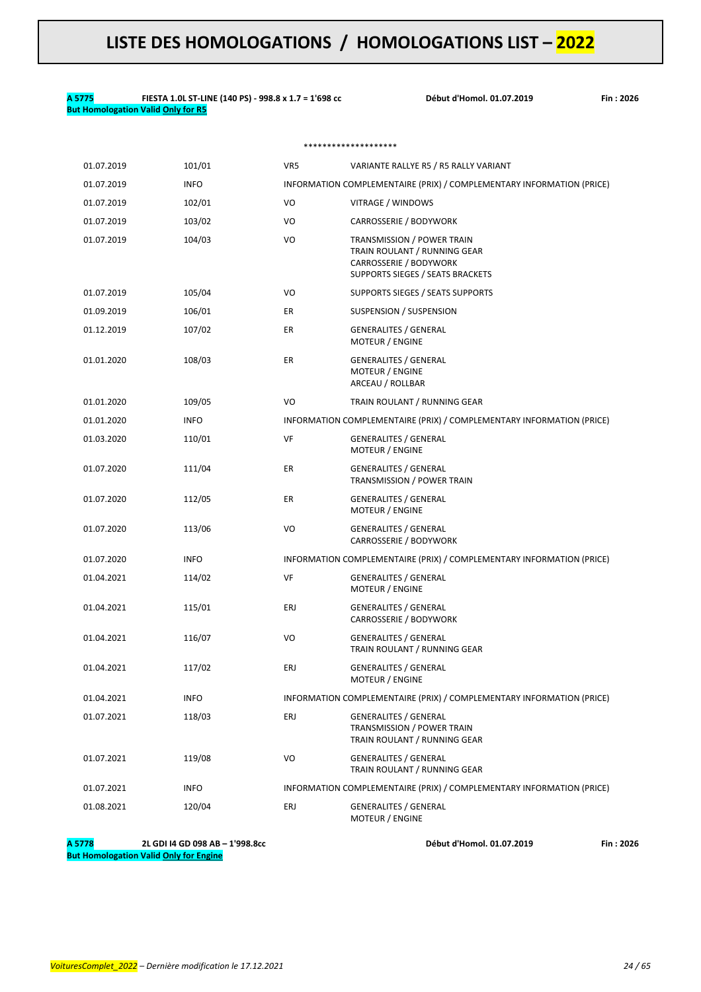#### **A 5775 FIESTA 1.0L ST-LINE (140 PS) - 998.8 x 1.7 = 1'698 cc Début d'Homol. 01.07.2019 Fin : 2026 But Homologation Valid Only for R5**

#### \*\*\*\*\*\*\*\*\*\*\*\*\*\*\*\*\*\*\*\*

| 01.07.2019 | 101/01      | VR5 | VARIANTE RALLYE R5 / R5 RALLY VARIANT                                                                                           |
|------------|-------------|-----|---------------------------------------------------------------------------------------------------------------------------------|
| 01.07.2019 | <b>INFO</b> |     | INFORMATION COMPLEMENTAIRE (PRIX) / COMPLEMENTARY INFORMATION (PRICE)                                                           |
| 01.07.2019 | 102/01      | VO  | VITRAGE / WINDOWS                                                                                                               |
| 01.07.2019 | 103/02      | VO  | CARROSSERIE / BODYWORK                                                                                                          |
| 01.07.2019 | 104/03      | VO  | <b>TRANSMISSION / POWER TRAIN</b><br>TRAIN ROULANT / RUNNING GEAR<br>CARROSSERIE / BODYWORK<br>SUPPORTS SIEGES / SEATS BRACKETS |
| 01.07.2019 | 105/04      | VO  | SUPPORTS SIEGES / SEATS SUPPORTS                                                                                                |
| 01.09.2019 | 106/01      | ER  | SUSPENSION / SUSPENSION                                                                                                         |
| 01.12.2019 | 107/02      | ER  | <b>GENERALITES / GENERAL</b><br>MOTEUR / ENGINE                                                                                 |
| 01.01.2020 | 108/03      | ER  | <b>GENERALITES / GENERAL</b><br>MOTEUR / ENGINE<br>ARCEAU / ROLLBAR                                                             |
| 01.01.2020 | 109/05      | VO  | TRAIN ROULANT / RUNNING GEAR                                                                                                    |
| 01.01.2020 | <b>INFO</b> |     | INFORMATION COMPLEMENTAIRE (PRIX) / COMPLEMENTARY INFORMATION (PRICE)                                                           |
| 01.03.2020 | 110/01      | VF  | <b>GENERALITES / GENERAL</b><br><b>MOTEUR / ENGINE</b>                                                                          |
| 01.07.2020 | 111/04      | ER  | <b>GENERALITES / GENERAL</b><br>TRANSMISSION / POWER TRAIN                                                                      |
| 01.07.2020 | 112/05      | ER  | <b>GENERALITES / GENERAL</b><br><b>MOTEUR / ENGINE</b>                                                                          |
| 01.07.2020 | 113/06      | VO  | <b>GENERALITES / GENERAL</b><br>CARROSSERIE / BODYWORK                                                                          |
| 01.07.2020 | <b>INFO</b> |     | INFORMATION COMPLEMENTAIRE (PRIX) / COMPLEMENTARY INFORMATION (PRICE)                                                           |
| 01.04.2021 | 114/02      | VF  | <b>GENERALITES / GENERAL</b><br>MOTEUR / ENGINE                                                                                 |
| 01.04.2021 | 115/01      | ERJ | <b>GENERALITES / GENERAL</b><br>CARROSSERIE / BODYWORK                                                                          |
| 01.04.2021 | 116/07      | VO  | <b>GENERALITES / GENERAL</b><br>TRAIN ROULANT / RUNNING GEAR                                                                    |
| 01.04.2021 | 117/02      | ERJ | GENERALITES / GENERAL<br><b>MOTEUR / ENGINE</b>                                                                                 |
| 01.04.2021 | <b>INFO</b> |     | INFORMATION COMPLEMENTAIRE (PRIX) / COMPLEMENTARY INFORMATION (PRICE)                                                           |
| 01.07.2021 | 118/03      | ERJ | <b>GENERALITES / GENERAL</b><br>TRANSMISSION / POWER TRAIN<br>TRAIN ROULANT / RUNNING GEAR                                      |
| 01.07.2021 | 119/08      | VO  | <b>GENERALITES / GENERAL</b><br>TRAIN ROULANT / RUNNING GEAR                                                                    |
| 01.07.2021 | <b>INFO</b> |     | INFORMATION COMPLEMENTAIRE (PRIX) / COMPLEMENTARY INFORMATION (PRICE)                                                           |
| 01.08.2021 | 120/04      | ERJ | <b>GENERALITES / GENERAL</b><br><b>MOTEUR / ENGINE</b>                                                                          |

**A 5778 2L GDI I4 GD 098 AB – 1'998.8cc Début d'Homol. 01.07.2019 Fin : 2026 But Homologation Valid Only for Engine**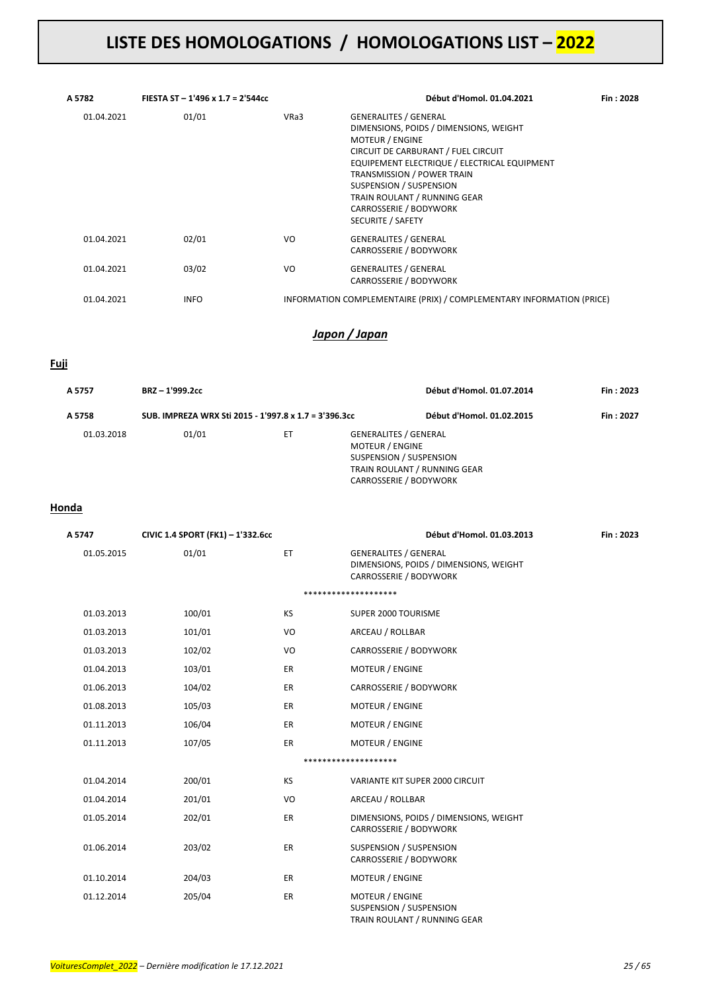| A 5782     | FIESTA ST - 1'496 x 1.7 = 2'544cc |      | Début d'Homol. 01.04.2021                                                                                                                                                                                                                                                                                                                     | Fin: 2028 |
|------------|-----------------------------------|------|-----------------------------------------------------------------------------------------------------------------------------------------------------------------------------------------------------------------------------------------------------------------------------------------------------------------------------------------------|-----------|
| 01.04.2021 | 01/01                             | VRa3 | <b>GENERALITES / GENERAL</b><br>DIMENSIONS, POIDS / DIMENSIONS, WEIGHT<br><b>MOTEUR / ENGINE</b><br>CIRCUIT DE CARBURANT / FUEL CIRCUIT<br>EQUIPEMENT ELECTRIQUE / ELECTRICAL EQUIPMENT<br><b>TRANSMISSION / POWER TRAIN</b><br>SUSPENSION / SUSPENSION<br>TRAIN ROULANT / RUNNING GEAR<br>CARROSSERIE / BODYWORK<br><b>SECURITE / SAFETY</b> |           |
| 01.04.2021 | 02/01                             | VO.  | <b>GENERALITES / GENERAL</b><br>CARROSSERIE / BODYWORK                                                                                                                                                                                                                                                                                        |           |
| 01.04.2021 | 03/02                             | VO   | <b>GENERALITES / GENERAL</b><br>CARROSSERIE / BODYWORK                                                                                                                                                                                                                                                                                        |           |
| 01.04.2021 | <b>INFO</b>                       |      | INFORMATION COMPLEMENTAIRE (PRIX) / COMPLEMENTARY INFORMATION (PRICE)                                                                                                                                                                                                                                                                         |           |

### *Japon / Japan*

#### **Fuji**

| A 5757     | BRZ-1'999.2cc                                         |    |                        | Début d'Homol. 01.07.2014                                                                                         | Fin: 2023 |
|------------|-------------------------------------------------------|----|------------------------|-------------------------------------------------------------------------------------------------------------------|-----------|
| A 5758     | SUB. IMPREZA WRX Sti 2015 - 1'997.8 x 1.7 = 3'396.3cc |    |                        | Début d'Homol. 01.02.2015                                                                                         | Fin: 2027 |
| 01.03.2018 | 01/01                                                 | ET | <b>MOTEUR / ENGINE</b> | <b>GENERALITES / GENERAL</b><br>SUSPENSION / SUSPENSION<br>TRAIN ROULANT / RUNNING GEAR<br>CARROSSERIE / BODYWORK |           |

#### **Honda**

| A 5747     | CIVIC 1.4 SPORT (FK1) - 1'332.6cc |           | Début d'Homol. 01.03.2013                                                                        | Fin: 2023 |
|------------|-----------------------------------|-----------|--------------------------------------------------------------------------------------------------|-----------|
| 01.05.2015 | 01/01                             | ET        | <b>GENERALITES / GENERAL</b><br>DIMENSIONS, POIDS / DIMENSIONS, WEIGHT<br>CARROSSERIE / BODYWORK |           |
|            |                                   |           | ********************                                                                             |           |
| 01.03.2013 | 100/01                            | KS        | SUPER 2000 TOURISME                                                                              |           |
| 01.03.2013 | 101/01                            | VO        | ARCEAU / ROLLBAR                                                                                 |           |
| 01.03.2013 | 102/02                            | VO        | CARROSSERIE / BODYWORK                                                                           |           |
| 01.04.2013 | 103/01                            | ER        | <b>MOTEUR / ENGINE</b>                                                                           |           |
| 01.06.2013 | 104/02                            | <b>ER</b> | CARROSSERIE / BODYWORK                                                                           |           |
| 01.08.2013 | 105/03                            | <b>ER</b> | <b>MOTEUR / ENGINE</b>                                                                           |           |
| 01.11.2013 | 106/04                            | <b>ER</b> | <b>MOTEUR / ENGINE</b>                                                                           |           |
| 01.11.2013 | 107/05                            | <b>ER</b> | <b>MOTEUR / ENGINE</b>                                                                           |           |
|            |                                   |           | ********************                                                                             |           |
| 01.04.2014 | 200/01                            | KS        | VARIANTE KIT SUPER 2000 CIRCUIT                                                                  |           |
| 01.04.2014 | 201/01                            | VO        | ARCEAU / ROLLBAR                                                                                 |           |
| 01.05.2014 | 202/01                            | <b>ER</b> | DIMENSIONS, POIDS / DIMENSIONS, WEIGHT<br>CARROSSERIE / BODYWORK                                 |           |
| 01.06.2014 | 203/02                            | ER        | SUSPENSION / SUSPENSION<br>CARROSSERIE / BODYWORK                                                |           |
| 01.10.2014 | 204/03                            | ER.       | <b>MOTEUR / ENGINE</b>                                                                           |           |
| 01.12.2014 | 205/04                            | <b>ER</b> | <b>MOTEUR / ENGINE</b><br>SUSPENSION / SUSPENSION<br>TRAIN ROULANT / RUNNING GEAR                |           |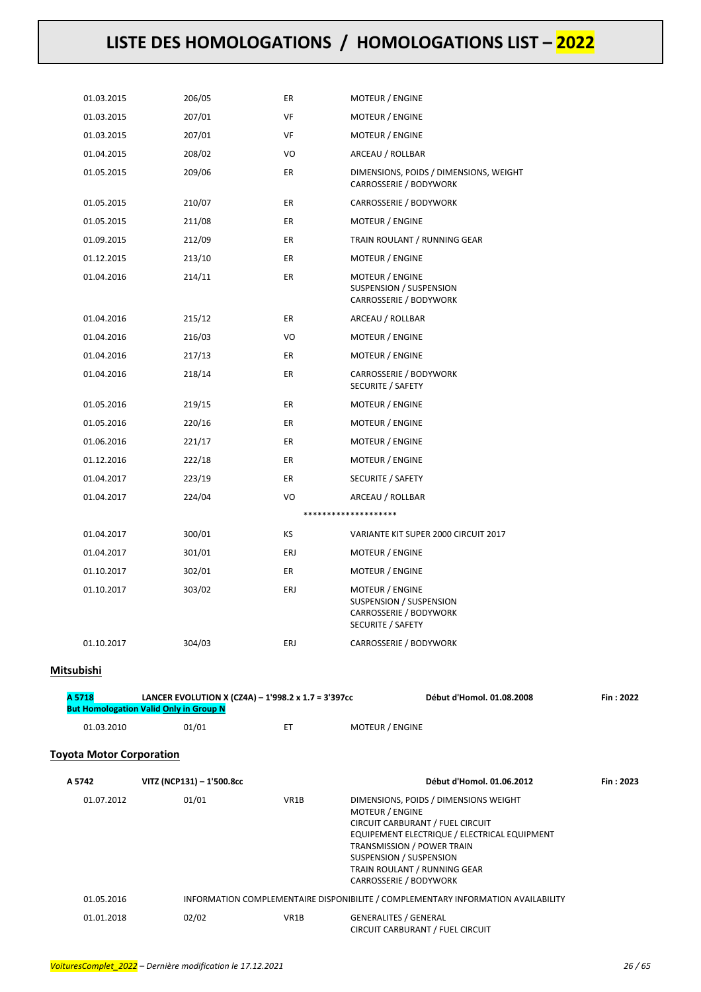| 01.03.2015                      | 206/05                                                                                               | ER   | <b>MOTEUR / ENGINE</b>                                                                                                                                                                                                                |           |
|---------------------------------|------------------------------------------------------------------------------------------------------|------|---------------------------------------------------------------------------------------------------------------------------------------------------------------------------------------------------------------------------------------|-----------|
| 01.03.2015                      | 207/01                                                                                               | VF   | <b>MOTEUR / ENGINE</b>                                                                                                                                                                                                                |           |
| 01.03.2015                      | 207/01                                                                                               | VF   | <b>MOTEUR / ENGINE</b>                                                                                                                                                                                                                |           |
| 01.04.2015                      | 208/02                                                                                               | VO   | ARCEAU / ROLLBAR                                                                                                                                                                                                                      |           |
| 01.05.2015                      | 209/06                                                                                               | ER   | DIMENSIONS, POIDS / DIMENSIONS, WEIGHT<br>CARROSSERIE / BODYWORK                                                                                                                                                                      |           |
| 01.05.2015                      | 210/07                                                                                               | ER   | CARROSSERIE / BODYWORK                                                                                                                                                                                                                |           |
| 01.05.2015                      | 211/08                                                                                               | ER   | <b>MOTEUR / ENGINE</b>                                                                                                                                                                                                                |           |
| 01.09.2015                      | 212/09                                                                                               | ER   | TRAIN ROULANT / RUNNING GEAR                                                                                                                                                                                                          |           |
| 01.12.2015                      | 213/10                                                                                               | ER   | <b>MOTEUR / ENGINE</b>                                                                                                                                                                                                                |           |
| 01.04.2016                      | 214/11                                                                                               | ER   | MOTEUR / ENGINE<br>SUSPENSION / SUSPENSION<br>CARROSSERIE / BODYWORK                                                                                                                                                                  |           |
| 01.04.2016                      | 215/12                                                                                               | ER   | ARCEAU / ROLLBAR                                                                                                                                                                                                                      |           |
| 01.04.2016                      | 216/03                                                                                               | VO   | MOTEUR / ENGINE                                                                                                                                                                                                                       |           |
| 01.04.2016                      | 217/13                                                                                               | ER   | MOTEUR / ENGINE                                                                                                                                                                                                                       |           |
| 01.04.2016                      | 218/14                                                                                               | ER   | CARROSSERIE / BODYWORK<br>SECURITE / SAFETY                                                                                                                                                                                           |           |
| 01.05.2016                      | 219/15                                                                                               | ER   | <b>MOTEUR / ENGINE</b>                                                                                                                                                                                                                |           |
| 01.05.2016                      | 220/16                                                                                               | ER   | MOTEUR / ENGINE                                                                                                                                                                                                                       |           |
| 01.06.2016                      | 221/17                                                                                               | ER   | MOTEUR / ENGINE                                                                                                                                                                                                                       |           |
| 01.12.2016                      | 222/18                                                                                               | ER   | MOTEUR / ENGINE                                                                                                                                                                                                                       |           |
| 01.04.2017                      | 223/19                                                                                               | ER   | SECURITE / SAFETY                                                                                                                                                                                                                     |           |
| 01.04.2017                      | 224/04                                                                                               | VO   | ARCEAU / ROLLBAR                                                                                                                                                                                                                      |           |
|                                 |                                                                                                      |      | ********************                                                                                                                                                                                                                  |           |
| 01.04.2017                      | 300/01                                                                                               | ΚS   | VARIANTE KIT SUPER 2000 CIRCUIT 2017                                                                                                                                                                                                  |           |
| 01.04.2017                      | 301/01                                                                                               | ERJ  | MOTEUR / ENGINE                                                                                                                                                                                                                       |           |
| 01.10.2017                      | 302/01                                                                                               | ER   | MOTEUR / ENGINE                                                                                                                                                                                                                       |           |
| 01.10.2017                      | 303/02                                                                                               | ERJ  | MOTEUR / ENGINE<br>SUSPENSION / SUSPENSION<br>CARROSSERIE / BODYWORK<br>SECURITE / SAFETY                                                                                                                                             |           |
| 01.10.2017                      | 304/03                                                                                               | ERJ  | CARROSSERIE / BODYWORK                                                                                                                                                                                                                |           |
| Mitsubishi                      |                                                                                                      |      |                                                                                                                                                                                                                                       |           |
| A 5718                          | LANCER EVOLUTION X (CZ4A) - 1'998.2 x 1.7 = 3'397cc<br><b>But Homologation Valid Only in Group N</b> |      | Début d'Homol. 01.08.2008                                                                                                                                                                                                             | Fin: 2022 |
| 01.03.2010                      | 01/01                                                                                                | ET   | MOTEUR / ENGINE                                                                                                                                                                                                                       |           |
| <b>Toyota Motor Corporation</b> |                                                                                                      |      |                                                                                                                                                                                                                                       |           |
| A 5742                          | VITZ (NCP131) - 1'500.8cc                                                                            |      | Début d'Homol. 01.06.2012                                                                                                                                                                                                             | Fin: 2023 |
| 01.07.2012                      | 01/01                                                                                                | VR1B | DIMENSIONS, POIDS / DIMENSIONS WEIGHT<br>MOTEUR / ENGINE<br>CIRCUIT CARBURANT / FUEL CIRCUIT<br>EQUIPEMENT ELECTRIQUE / ELECTRICAL EQUIPMENT<br>TRANSMISSION / POWER TRAIN<br>SUSPENSION / SUSPENSION<br>TRAIN ROULANT / RUNNING GEAR |           |

| 01.05.2016 |       |      | INFORMATION COMPLEMENTAIRE DISPONIBILITE / COMPLEMENTARY INFORMATION AVAILABILITY |
|------------|-------|------|-----------------------------------------------------------------------------------|
| 01.01.2018 | 02/02 | VR1B | GENERALITES / GENERAL<br>CIRCUIT CARBURANT / FUEL CIRCUIT                         |

CARROSSERIE / BODYWORK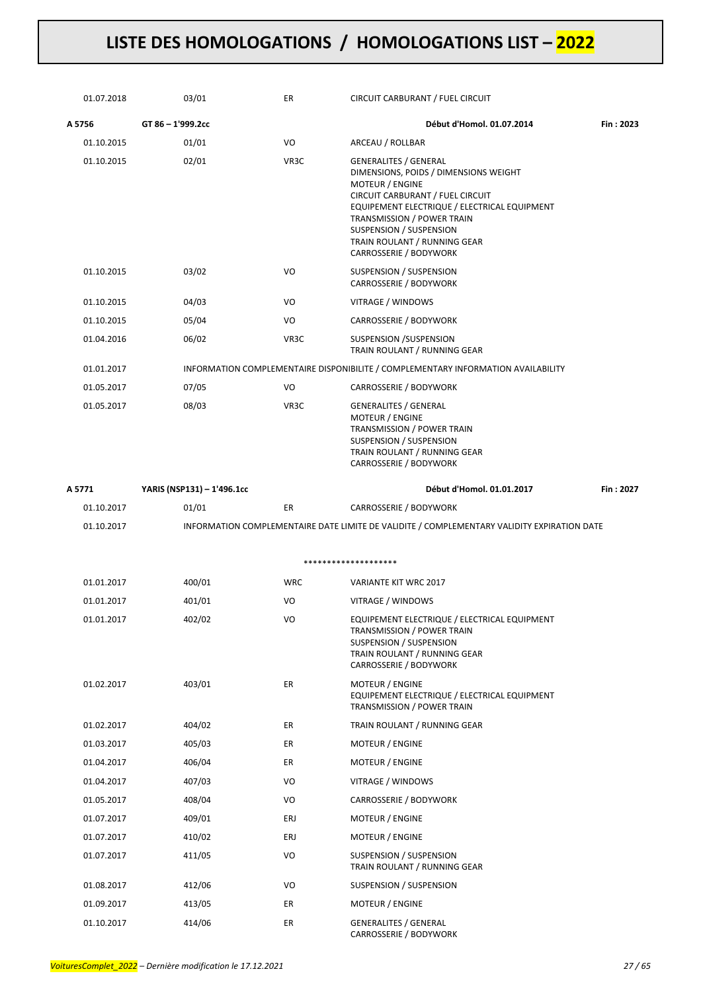| 01.07.2018 | 03/01                      | ER         | CIRCUIT CARBURANT / FUEL CIRCUIT                                                                                                                                                                                                                                                                       |           |
|------------|----------------------------|------------|--------------------------------------------------------------------------------------------------------------------------------------------------------------------------------------------------------------------------------------------------------------------------------------------------------|-----------|
| A 5756     | GT 86 - 1'999.2cc          |            | Début d'Homol. 01.07.2014                                                                                                                                                                                                                                                                              | Fin: 2023 |
| 01.10.2015 | 01/01                      | VO         | ARCEAU / ROLLBAR                                                                                                                                                                                                                                                                                       |           |
| 01.10.2015 | 02/01                      | VR3C       | <b>GENERALITES / GENERAL</b><br>DIMENSIONS, POIDS / DIMENSIONS WEIGHT<br><b>MOTEUR / ENGINE</b><br>CIRCUIT CARBURANT / FUEL CIRCUIT<br>EQUIPEMENT ELECTRIQUE / ELECTRICAL EQUIPMENT<br>TRANSMISSION / POWER TRAIN<br>SUSPENSION / SUSPENSION<br>TRAIN ROULANT / RUNNING GEAR<br>CARROSSERIE / BODYWORK |           |
| 01.10.2015 | 03/02                      | VO         | SUSPENSION / SUSPENSION<br>CARROSSERIE / BODYWORK                                                                                                                                                                                                                                                      |           |
| 01.10.2015 | 04/03                      | VO         | VITRAGE / WINDOWS                                                                                                                                                                                                                                                                                      |           |
| 01.10.2015 | 05/04                      | VO         | CARROSSERIE / BODYWORK                                                                                                                                                                                                                                                                                 |           |
| 01.04.2016 | 06/02                      | VR3C       | SUSPENSION /SUSPENSION<br>TRAIN ROULANT / RUNNING GEAR                                                                                                                                                                                                                                                 |           |
| 01.01.2017 |                            |            | INFORMATION COMPLEMENTAIRE DISPONIBILITE / COMPLEMENTARY INFORMATION AVAILABILITY                                                                                                                                                                                                                      |           |
| 01.05.2017 | 07/05                      | VO         | CARROSSERIE / BODYWORK                                                                                                                                                                                                                                                                                 |           |
| 01.05.2017 | 08/03                      | VR3C       | <b>GENERALITES / GENERAL</b><br>MOTEUR / ENGINE<br>TRANSMISSION / POWER TRAIN<br>SUSPENSION / SUSPENSION<br>TRAIN ROULANT / RUNNING GEAR<br>CARROSSERIE / BODYWORK                                                                                                                                     |           |
| A 5771     | YARIS (NSP131) - 1'496.1cc |            | Début d'Homol. 01.01.2017                                                                                                                                                                                                                                                                              | Fin: 2027 |
| 01.10.2017 | 01/01                      | ER.        | CARROSSERIE / BODYWORK                                                                                                                                                                                                                                                                                 |           |
| 01.10.2017 |                            |            | INFORMATION COMPLEMENTAIRE DATE LIMITE DE VALIDITE / COMPLEMENTARY VALIDITY EXPIRATION DATE                                                                                                                                                                                                            |           |
|            |                            |            |                                                                                                                                                                                                                                                                                                        |           |
|            |                            |            | ********************                                                                                                                                                                                                                                                                                   |           |
| 01.01.2017 | 400/01                     | <b>WRC</b> | <b>VARIANTE KIT WRC 2017</b>                                                                                                                                                                                                                                                                           |           |
| 01.01.2017 | 401/01                     | VO         | VITRAGE / WINDOWS                                                                                                                                                                                                                                                                                      |           |
| 01.01.2017 | 402/02                     | VO         | EQUIPEMENT ELECTRIQUE / ELECTRICAL EQUIPMENT<br>TRANSMISSION / POWER TRAIN<br>SUSPENSION / SUSPENSION<br>TRAIN ROULANT / RUNNING GEAR<br>CARROSSERIE / BODYWORK                                                                                                                                        |           |
| 01.02.2017 | 403/01                     | ER         | MOTEUR / ENGINE<br>EQUIPEMENT ELECTRIQUE / ELECTRICAL EQUIPMENT<br>TRANSMISSION / POWER TRAIN                                                                                                                                                                                                          |           |
| 01.02.2017 | 404/02                     | ER         | TRAIN ROULANT / RUNNING GEAR                                                                                                                                                                                                                                                                           |           |
| 01.03.2017 | 405/03                     | ER         | MOTEUR / ENGINE                                                                                                                                                                                                                                                                                        |           |
| 01.04.2017 | 406/04                     | ER         | MOTEUR / ENGINE                                                                                                                                                                                                                                                                                        |           |
| 01.04.2017 | 407/03                     | VO         | VITRAGE / WINDOWS                                                                                                                                                                                                                                                                                      |           |
| 01.05.2017 | 408/04                     | VO         | CARROSSERIE / BODYWORK                                                                                                                                                                                                                                                                                 |           |
| 01.07.2017 | 409/01                     | ERJ        | MOTEUR / ENGINE                                                                                                                                                                                                                                                                                        |           |
| 01.07.2017 | 410/02                     | ERJ        | MOTEUR / ENGINE                                                                                                                                                                                                                                                                                        |           |
| 01.07.2017 | 411/05                     | VO         | SUSPENSION / SUSPENSION<br>TRAIN ROULANT / RUNNING GEAR                                                                                                                                                                                                                                                |           |
| 01.08.2017 | 412/06                     | VO         | SUSPENSION / SUSPENSION                                                                                                                                                                                                                                                                                |           |
| 01.09.2017 | 413/05                     | ER         | MOTEUR / ENGINE                                                                                                                                                                                                                                                                                        |           |
| 01.10.2017 | 414/06                     | ER         | <b>GENERALITES / GENERAL</b>                                                                                                                                                                                                                                                                           |           |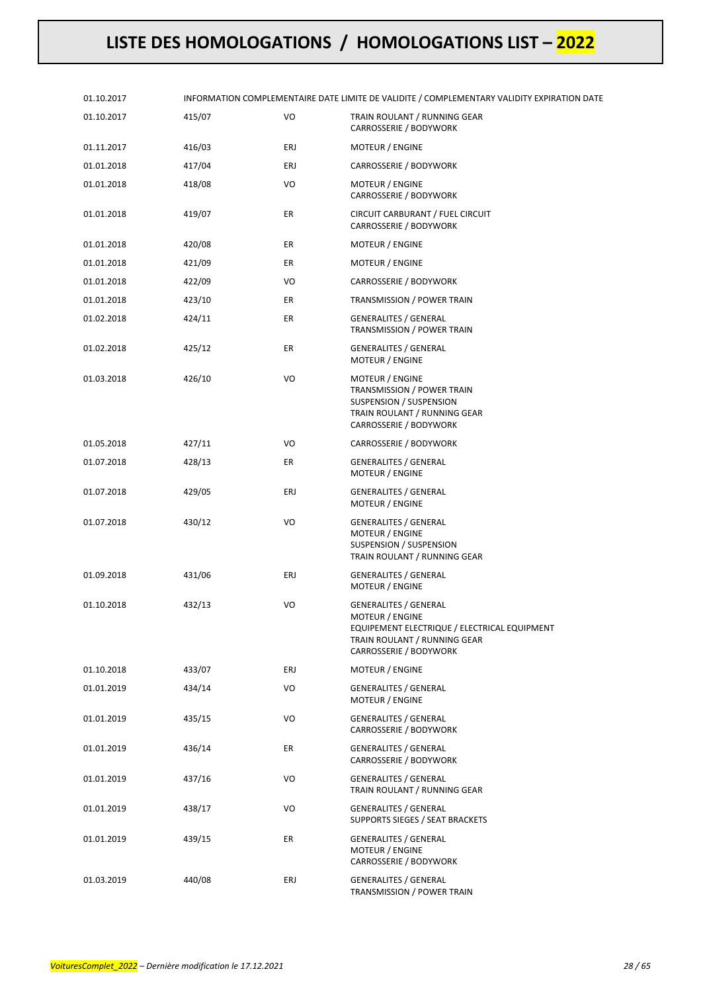| 01.10.2017 |        |     | INFORMATION COMPLEMENTAIRE DATE LIMITE DE VALIDITE / COMPLEMENTARY VALIDITY EXPIRATION DATE                                                               |
|------------|--------|-----|-----------------------------------------------------------------------------------------------------------------------------------------------------------|
| 01.10.2017 | 415/07 | VO  | TRAIN ROULANT / RUNNING GEAR<br>CARROSSERIE / BODYWORK                                                                                                    |
| 01.11.2017 | 416/03 | ERJ | MOTEUR / ENGINE                                                                                                                                           |
| 01.01.2018 | 417/04 | ERJ | CARROSSERIE / BODYWORK                                                                                                                                    |
| 01.01.2018 | 418/08 | VO  | MOTEUR / ENGINE<br>CARROSSERIE / BODYWORK                                                                                                                 |
| 01.01.2018 | 419/07 | ER  | CIRCUIT CARBURANT / FUEL CIRCUIT<br>CARROSSERIE / BODYWORK                                                                                                |
| 01.01.2018 | 420/08 | ER  | <b>MOTEUR / ENGINE</b>                                                                                                                                    |
| 01.01.2018 | 421/09 | ER  | MOTEUR / ENGINE                                                                                                                                           |
| 01.01.2018 | 422/09 | VO  | CARROSSERIE / BODYWORK                                                                                                                                    |
| 01.01.2018 | 423/10 | ER  | TRANSMISSION / POWER TRAIN                                                                                                                                |
| 01.02.2018 | 424/11 | ER  | <b>GENERALITES / GENERAL</b><br>TRANSMISSION / POWER TRAIN                                                                                                |
| 01.02.2018 | 425/12 | ER  | <b>GENERALITES / GENERAL</b><br>MOTEUR / ENGINE                                                                                                           |
| 01.03.2018 | 426/10 | VO  | MOTEUR / ENGINE<br>TRANSMISSION / POWER TRAIN<br>SUSPENSION / SUSPENSION<br>TRAIN ROULANT / RUNNING GEAR<br>CARROSSERIE / BODYWORK                        |
| 01.05.2018 | 427/11 | VO  | CARROSSERIE / BODYWORK                                                                                                                                    |
| 01.07.2018 | 428/13 | ER  | <b>GENERALITES / GENERAL</b><br>MOTEUR / ENGINE                                                                                                           |
| 01.07.2018 | 429/05 | ERJ | <b>GENERALITES / GENERAL</b><br>MOTEUR / ENGINE                                                                                                           |
| 01.07.2018 | 430/12 | VO  | <b>GENERALITES / GENERAL</b><br><b>MOTEUR / ENGINE</b><br><b>SUSPENSION / SUSPENSION</b><br>TRAIN ROULANT / RUNNING GEAR                                  |
| 01.09.2018 | 431/06 | ERJ | <b>GENERALITES / GENERAL</b><br>MOTEUR / ENGINE                                                                                                           |
| 01.10.2018 | 432/13 | VO  | <b>GENERALITES / GENERAL</b><br>MOTEUR / ENGINE<br>EQUIPEMENT ELECTRIQUE / ELECTRICAL EQUIPMENT<br>TRAIN ROULANT / RUNNING GEAR<br>CARROSSERIE / BODYWORK |
| 01.10.2018 | 433/07 | ERJ | MOTEUR / ENGINE                                                                                                                                           |
| 01.01.2019 | 434/14 | VO  | <b>GENERALITES / GENERAL</b><br><b>MOTEUR / ENGINE</b>                                                                                                    |
| 01.01.2019 | 435/15 | VO  | <b>GENERALITES / GENERAL</b><br>CARROSSERIE / BODYWORK                                                                                                    |
| 01.01.2019 | 436/14 | ER  | <b>GENERALITES / GENERAL</b><br>CARROSSERIE / BODYWORK                                                                                                    |
| 01.01.2019 | 437/16 | VO  | <b>GENERALITES / GENERAL</b><br>TRAIN ROULANT / RUNNING GEAR                                                                                              |
| 01.01.2019 | 438/17 | VO  | <b>GENERALITES / GENERAL</b><br>SUPPORTS SIEGES / SEAT BRACKETS                                                                                           |
| 01.01.2019 | 439/15 | ER  | <b>GENERALITES / GENERAL</b><br>MOTEUR / ENGINE<br>CARROSSERIE / BODYWORK                                                                                 |
| 01.03.2019 | 440/08 | ERJ | <b>GENERALITES / GENERAL</b><br>TRANSMISSION / POWER TRAIN                                                                                                |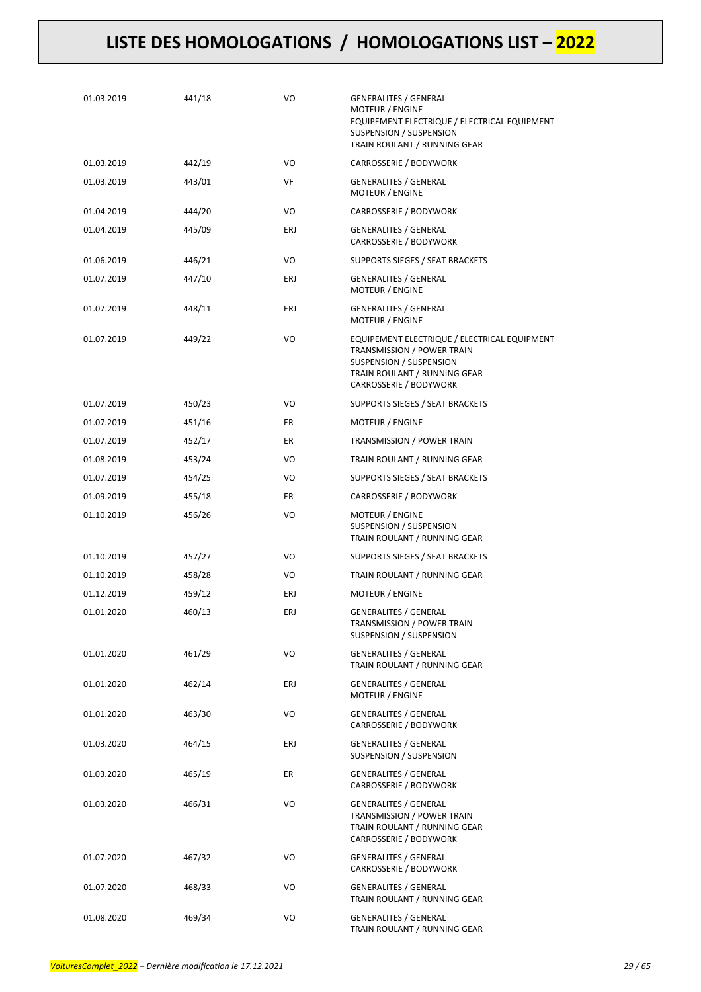| 01.03.2019 | 441/18 | VO  | <b>GENERALITES / GENERAL</b><br><b>MOTEUR / ENGINE</b><br>EQUIPEMENT ELECTRIQUE / ELECTRICAL EQUIPMENT<br>SUSPENSION / SUSPENSION<br>TRAIN ROULANT / RUNNING GEAR |
|------------|--------|-----|-------------------------------------------------------------------------------------------------------------------------------------------------------------------|
| 01.03.2019 | 442/19 | VO  | CARROSSERIE / BODYWORK                                                                                                                                            |
| 01.03.2019 | 443/01 | VF  | <b>GENERALITES / GENERAL</b><br><b>MOTEUR / ENGINE</b>                                                                                                            |
| 01.04.2019 | 444/20 | VO  | CARROSSERIE / BODYWORK                                                                                                                                            |
| 01.04.2019 | 445/09 | ERJ | <b>GENERALITES / GENERAL</b><br>CARROSSERIE / BODYWORK                                                                                                            |
| 01.06.2019 | 446/21 | VO  | SUPPORTS SIEGES / SEAT BRACKETS                                                                                                                                   |
| 01.07.2019 | 447/10 | ERJ | <b>GENERALITES / GENERAL</b><br><b>MOTEUR / ENGINE</b>                                                                                                            |
| 01.07.2019 | 448/11 | ERJ | <b>GENERALITES / GENERAL</b><br>MOTEUR / ENGINE                                                                                                                   |
| 01.07.2019 | 449/22 | VO  | EQUIPEMENT ELECTRIQUE / ELECTRICAL EQUIPMENT<br>TRANSMISSION / POWER TRAIN<br>SUSPENSION / SUSPENSION<br>TRAIN ROULANT / RUNNING GEAR<br>CARROSSERIE / BODYWORK   |
| 01.07.2019 | 450/23 | VO  | SUPPORTS SIEGES / SEAT BRACKETS                                                                                                                                   |
| 01.07.2019 | 451/16 | ER  | MOTEUR / ENGINE                                                                                                                                                   |
| 01.07.2019 | 452/17 | ER  | TRANSMISSION / POWER TRAIN                                                                                                                                        |
| 01.08.2019 | 453/24 | VO  | TRAIN ROULANT / RUNNING GEAR                                                                                                                                      |
| 01.07.2019 | 454/25 | VO  | SUPPORTS SIEGES / SEAT BRACKETS                                                                                                                                   |
| 01.09.2019 | 455/18 | ER  | CARROSSERIE / BODYWORK                                                                                                                                            |
| 01.10.2019 | 456/26 | VO  | MOTEUR / ENGINE<br>SUSPENSION / SUSPENSION<br>TRAIN ROULANT / RUNNING GEAR                                                                                        |
| 01.10.2019 | 457/27 | VO  | SUPPORTS SIEGES / SEAT BRACKETS                                                                                                                                   |
| 01.10.2019 | 458/28 | VO  | TRAIN ROULANT / RUNNING GEAR                                                                                                                                      |
| 01.12.2019 | 459/12 | ERJ | MOTEUR / ENGINE                                                                                                                                                   |
| 01.01.2020 | 460/13 | ERJ | <b>GENERALITES / GENERAL</b><br>TRANSMISSION / POWER TRAIN<br>SUSPENSION / SUSPENSION                                                                             |
| 01.01.2020 | 461/29 | VO  | <b>GENERALITES / GENERAL</b><br>TRAIN ROULANT / RUNNING GEAR                                                                                                      |
| 01.01.2020 | 462/14 | ERJ | <b>GENERALITES / GENERAL</b><br>MOTEUR / ENGINE                                                                                                                   |
| 01.01.2020 | 463/30 | VO  | <b>GENERALITES / GENERAL</b><br>CARROSSERIE / BODYWORK                                                                                                            |
| 01.03.2020 | 464/15 | ERJ | <b>GENERALITES / GENERAL</b><br>SUSPENSION / SUSPENSION                                                                                                           |
| 01.03.2020 | 465/19 | ER  | <b>GENERALITES / GENERAL</b><br>CARROSSERIE / BODYWORK                                                                                                            |
| 01.03.2020 | 466/31 | VO  | <b>GENERALITES / GENERAL</b><br>TRANSMISSION / POWER TRAIN<br>TRAIN ROULANT / RUNNING GEAR<br>CARROSSERIE / BODYWORK                                              |
| 01.07.2020 | 467/32 | VO  | <b>GENERALITES / GENERAL</b><br>CARROSSERIE / BODYWORK                                                                                                            |
| 01.07.2020 | 468/33 | VO  | <b>GENERALITES / GENERAL</b><br>TRAIN ROULANT / RUNNING GEAR                                                                                                      |
| 01.08.2020 | 469/34 | VO  | <b>GENERALITES / GENERAL</b><br>TRAIN ROULANT / RUNNING GEAR                                                                                                      |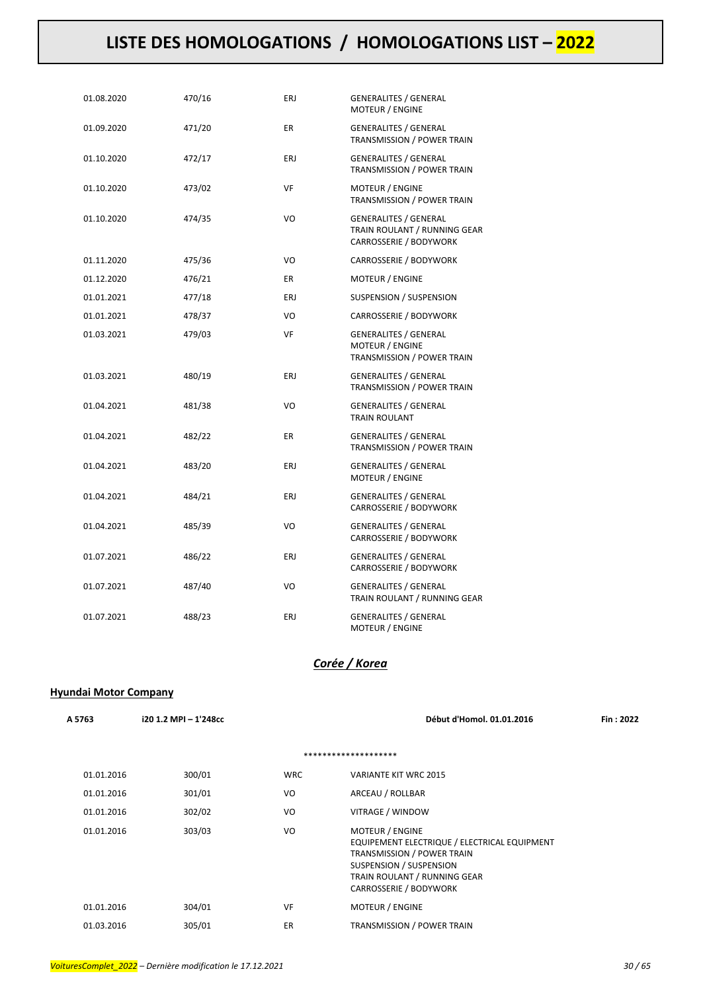| 01.08.2020 | 470/16 | ERJ       | <b>GENERALITES / GENERAL</b><br>MOTEUR / ENGINE                                        |
|------------|--------|-----------|----------------------------------------------------------------------------------------|
| 01.09.2020 | 471/20 | ER        | <b>GENERALITES / GENERAL</b><br>TRANSMISSION / POWER TRAIN                             |
| 01.10.2020 | 472/17 | ERJ       | <b>GENERALITES / GENERAL</b><br>TRANSMISSION / POWER TRAIN                             |
| 01.10.2020 | 473/02 | <b>VF</b> | <b>MOTEUR / ENGINE</b><br>TRANSMISSION / POWER TRAIN                                   |
| 01.10.2020 | 474/35 | VO        | <b>GENERALITES / GENERAL</b><br>TRAIN ROULANT / RUNNING GEAR<br>CARROSSERIE / BODYWORK |
| 01.11.2020 | 475/36 | VO        | CARROSSERIE / BODYWORK                                                                 |
| 01.12.2020 | 476/21 | ER        | <b>MOTEUR / ENGINE</b>                                                                 |
| 01.01.2021 | 477/18 | ERJ       | SUSPENSION / SUSPENSION                                                                |
| 01.01.2021 | 478/37 | VO        | CARROSSERIE / BODYWORK                                                                 |
| 01.03.2021 | 479/03 | VF        | <b>GENERALITES / GENERAL</b><br><b>MOTEUR / ENGINE</b><br>TRANSMISSION / POWER TRAIN   |
| 01.03.2021 | 480/19 | ERJ       | <b>GENERALITES / GENERAL</b><br>TRANSMISSION / POWER TRAIN                             |
| 01.04.2021 | 481/38 | VO        | <b>GENERALITES / GENERAL</b><br><b>TRAIN ROULANT</b>                                   |
| 01.04.2021 | 482/22 | <b>ER</b> | <b>GENERALITES / GENERAL</b><br>TRANSMISSION / POWER TRAIN                             |
| 01.04.2021 | 483/20 | ERJ       | <b>GENERALITES / GENERAL</b><br><b>MOTEUR / ENGINE</b>                                 |
| 01.04.2021 | 484/21 | ERJ       | <b>GENERALITES / GENERAL</b><br>CARROSSERIE / BODYWORK                                 |
| 01.04.2021 | 485/39 | VO        | <b>GENERALITES / GENERAL</b><br>CARROSSERIE / BODYWORK                                 |
| 01.07.2021 | 486/22 | ERJ       | <b>GENERALITES / GENERAL</b><br>CARROSSERIE / BODYWORK                                 |
| 01.07.2021 | 487/40 | VO        | <b>GENERALITES / GENERAL</b><br>TRAIN ROULANT / RUNNING GEAR                           |
| 01.07.2021 | 488/23 | ERJ       | <b>GENERALITES / GENERAL</b><br>MOTEUR / ENGINE                                        |

### *Corée / Korea*

### **Hyundai Motor Company**

| A 5763     | i20 1.2 MPI - 1'248cc |            | Début d'Homol. 01.01.2016                                                                                                                                                                 | Fin: 2022 |
|------------|-----------------------|------------|-------------------------------------------------------------------------------------------------------------------------------------------------------------------------------------------|-----------|
|            |                       |            | ********************                                                                                                                                                                      |           |
| 01.01.2016 | 300/01                | <b>WRC</b> | <b>VARIANTE KIT WRC 2015</b>                                                                                                                                                              |           |
| 01.01.2016 | 301/01                | VO         | ARCEAU / ROLLBAR                                                                                                                                                                          |           |
| 01.01.2016 | 302/02                | VO         | VITRAGE / WINDOW                                                                                                                                                                          |           |
| 01.01.2016 | 303/03                | VO         | <b>MOTEUR / ENGINE</b><br>EQUIPEMENT ELECTRIQUE / ELECTRICAL EQUIPMENT<br>TRANSMISSION / POWER TRAIN<br>SUSPENSION / SUSPENSION<br>TRAIN ROULANT / RUNNING GEAR<br>CARROSSERIE / BODYWORK |           |
| 01.01.2016 | 304/01                | VF         | <b>MOTEUR / ENGINE</b>                                                                                                                                                                    |           |
| 01.03.2016 | 305/01                | ER         | <b>TRANSMISSION / POWER TRAIN</b>                                                                                                                                                         |           |
|            |                       |            |                                                                                                                                                                                           |           |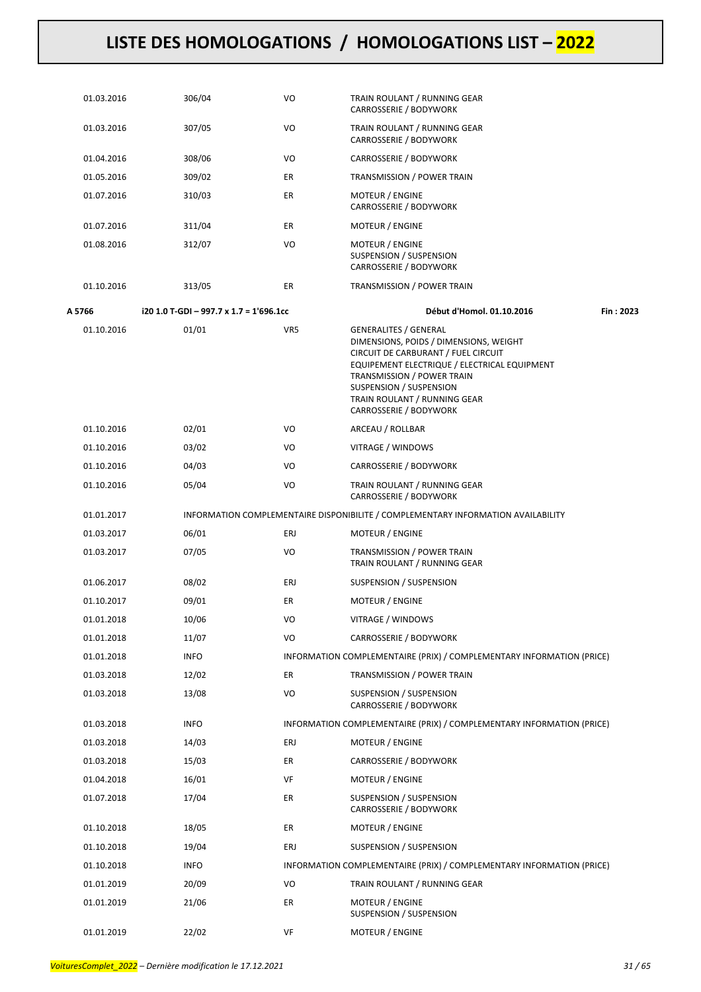| 01.03.2016 | 306/04                                  | VO        | TRAIN ROULANT / RUNNING GEAR<br>CARROSSERIE / BODYWORK                                                                                                                                                                                                                           |
|------------|-----------------------------------------|-----------|----------------------------------------------------------------------------------------------------------------------------------------------------------------------------------------------------------------------------------------------------------------------------------|
| 01.03.2016 | 307/05                                  | VO        | TRAIN ROULANT / RUNNING GEAR<br>CARROSSERIE / BODYWORK                                                                                                                                                                                                                           |
| 01.04.2016 | 308/06                                  | VO        | CARROSSERIE / BODYWORK                                                                                                                                                                                                                                                           |
| 01.05.2016 | 309/02                                  | ER        | TRANSMISSION / POWER TRAIN                                                                                                                                                                                                                                                       |
| 01.07.2016 | 310/03                                  | ER        | MOTEUR / ENGINE<br>CARROSSERIE / BODYWORK                                                                                                                                                                                                                                        |
| 01.07.2016 | 311/04                                  | ER        | <b>MOTEUR / ENGINE</b>                                                                                                                                                                                                                                                           |
| 01.08.2016 | 312/07                                  | VO        | MOTEUR / ENGINE<br>SUSPENSION / SUSPENSION<br>CARROSSERIE / BODYWORK                                                                                                                                                                                                             |
| 01.10.2016 | 313/05                                  | <b>ER</b> | TRANSMISSION / POWER TRAIN                                                                                                                                                                                                                                                       |
| A 5766     | i20 1.0 T-GDI - 997.7 x 1.7 = 1'696.1cc |           | Début d'Homol. 01.10.2016<br>Fin: 2023                                                                                                                                                                                                                                           |
| 01.10.2016 | 01/01                                   | VR5       | <b>GENERALITES / GENERAL</b><br>DIMENSIONS, POIDS / DIMENSIONS, WEIGHT<br>CIRCUIT DE CARBURANT / FUEL CIRCUIT<br>EQUIPEMENT ELECTRIQUE / ELECTRICAL EQUIPMENT<br>TRANSMISSION / POWER TRAIN<br>SUSPENSION / SUSPENSION<br>TRAIN ROULANT / RUNNING GEAR<br>CARROSSERIE / BODYWORK |
| 01.10.2016 | 02/01                                   | VO        | ARCEAU / ROLLBAR                                                                                                                                                                                                                                                                 |
| 01.10.2016 | 03/02                                   | VO        | VITRAGE / WINDOWS                                                                                                                                                                                                                                                                |
| 01.10.2016 | 04/03                                   | VO        | CARROSSERIE / BODYWORK                                                                                                                                                                                                                                                           |
| 01.10.2016 | 05/04                                   | VO        | TRAIN ROULANT / RUNNING GEAR<br>CARROSSERIE / BODYWORK                                                                                                                                                                                                                           |
| 01.01.2017 |                                         |           | INFORMATION COMPLEMENTAIRE DISPONIBILITE / COMPLEMENTARY INFORMATION AVAILABILITY                                                                                                                                                                                                |
| 01.03.2017 | 06/01                                   | ERJ       | MOTEUR / ENGINE                                                                                                                                                                                                                                                                  |
| 01.03.2017 | 07/05                                   | VO        | TRANSMISSION / POWER TRAIN<br>TRAIN ROULANT / RUNNING GEAR                                                                                                                                                                                                                       |
| 01.06.2017 | 08/02                                   | ERJ       | SUSPENSION / SUSPENSION                                                                                                                                                                                                                                                          |
| 01.10.2017 | 09/01                                   | ER        | MOTEUR / ENGINE                                                                                                                                                                                                                                                                  |
| 01.01.2018 | 10/06                                   | VO        | VITRAGE / WINDOWS                                                                                                                                                                                                                                                                |
| 01.01.2018 | 11/07                                   | VO        | CARROSSERIE / BODYWORK                                                                                                                                                                                                                                                           |
| 01.01.2018 | <b>INFO</b>                             |           | INFORMATION COMPLEMENTAIRE (PRIX) / COMPLEMENTARY INFORMATION (PRICE)                                                                                                                                                                                                            |
| 01.03.2018 | 12/02                                   | ER        | <b>TRANSMISSION / POWER TRAIN</b>                                                                                                                                                                                                                                                |
| 01.03.2018 | 13/08                                   | VO        | SUSPENSION / SUSPENSION<br>CARROSSERIE / BODYWORK                                                                                                                                                                                                                                |
| 01.03.2018 | <b>INFO</b>                             |           | INFORMATION COMPLEMENTAIRE (PRIX) / COMPLEMENTARY INFORMATION (PRICE)                                                                                                                                                                                                            |
| 01.03.2018 | 14/03                                   | ERJ       | <b>MOTEUR / ENGINE</b>                                                                                                                                                                                                                                                           |
| 01.03.2018 | 15/03                                   | ER        | CARROSSERIE / BODYWORK                                                                                                                                                                                                                                                           |
| 01.04.2018 | 16/01                                   | VF        | MOTEUR / ENGINE                                                                                                                                                                                                                                                                  |
| 01.07.2018 | 17/04                                   | ER        | SUSPENSION / SUSPENSION<br>CARROSSERIE / BODYWORK                                                                                                                                                                                                                                |
| 01.10.2018 | 18/05                                   | ER        | <b>MOTEUR / ENGINE</b>                                                                                                                                                                                                                                                           |
| 01.10.2018 | 19/04                                   | ERJ       | SUSPENSION / SUSPENSION                                                                                                                                                                                                                                                          |
| 01.10.2018 | <b>INFO</b>                             |           | INFORMATION COMPLEMENTAIRE (PRIX) / COMPLEMENTARY INFORMATION (PRICE)                                                                                                                                                                                                            |
| 01.01.2019 | 20/09                                   | VO        | TRAIN ROULANT / RUNNING GEAR                                                                                                                                                                                                                                                     |
| 01.01.2019 | 21/06                                   | ER        | MOTEUR / ENGINE<br>SUSPENSION / SUSPENSION                                                                                                                                                                                                                                       |
| 01.01.2019 | 22/02                                   | VF        | MOTEUR / ENGINE                                                                                                                                                                                                                                                                  |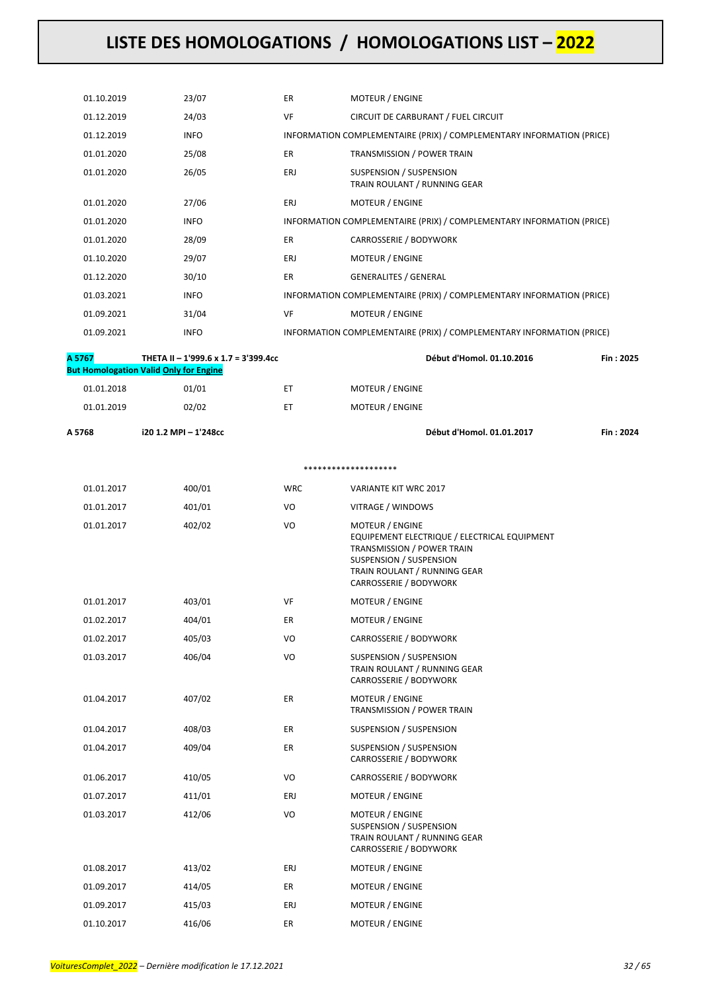| 01.10.2019 | 23/07                                         | ER         | MOTEUR / ENGINE                                                                                                                                                                    |           |
|------------|-----------------------------------------------|------------|------------------------------------------------------------------------------------------------------------------------------------------------------------------------------------|-----------|
| 01.12.2019 | 24/03                                         | VF         | CIRCUIT DE CARBURANT / FUEL CIRCUIT                                                                                                                                                |           |
| 01.12.2019 | <b>INFO</b>                                   |            | INFORMATION COMPLEMENTAIRE (PRIX) / COMPLEMENTARY INFORMATION (PRICE)                                                                                                              |           |
| 01.01.2020 | 25/08                                         | ER         | TRANSMISSION / POWER TRAIN                                                                                                                                                         |           |
| 01.01.2020 | 26/05                                         | ERJ        | SUSPENSION / SUSPENSION<br>TRAIN ROULANT / RUNNING GEAR                                                                                                                            |           |
| 01.01.2020 | 27/06                                         | ERJ        | <b>MOTEUR / ENGINE</b>                                                                                                                                                             |           |
| 01.01.2020 | <b>INFO</b>                                   |            | INFORMATION COMPLEMENTAIRE (PRIX) / COMPLEMENTARY INFORMATION (PRICE)                                                                                                              |           |
| 01.01.2020 | 28/09                                         | ER.        | CARROSSERIE / BODYWORK                                                                                                                                                             |           |
| 01.10.2020 | 29/07                                         | ERJ        | MOTEUR / ENGINE                                                                                                                                                                    |           |
| 01.12.2020 | 30/10                                         | ER.        | <b>GENERALITES / GENERAL</b>                                                                                                                                                       |           |
| 01.03.2021 | <b>INFO</b>                                   |            | INFORMATION COMPLEMENTAIRE (PRIX) / COMPLEMENTARY INFORMATION (PRICE)                                                                                                              |           |
| 01.09.2021 | 31/04                                         | VF         | <b>MOTEUR / ENGINE</b>                                                                                                                                                             |           |
| 01.09.2021 | <b>INFO</b>                                   |            | INFORMATION COMPLEMENTAIRE (PRIX) / COMPLEMENTARY INFORMATION (PRICE)                                                                                                              |           |
| A 5767     | THETA II - 1'999.6 x 1.7 = 3'399.4cc          |            | Début d'Homol. 01.10.2016                                                                                                                                                          | Fin: 2025 |
|            | <b>But Homologation Valid Only for Engine</b> |            |                                                                                                                                                                                    |           |
| 01.01.2018 | 01/01                                         | ET.        | <b>MOTEUR / ENGINE</b>                                                                                                                                                             |           |
| 01.01.2019 | 02/02                                         | ЕT         | <b>MOTEUR / ENGINE</b>                                                                                                                                                             |           |
| A 5768     | i20 1.2 MPI - 1'248cc                         |            | Début d'Homol. 01.01.2017                                                                                                                                                          | Fin: 2024 |
|            |                                               |            | ********************                                                                                                                                                               |           |
| 01.01.2017 | 400/01                                        | <b>WRC</b> | VARIANTE KIT WRC 2017                                                                                                                                                              |           |
| 01.01.2017 | 401/01                                        | VO         | VITRAGE / WINDOWS                                                                                                                                                                  |           |
| 01.01.2017 | 402/02                                        | VO         | MOTEUR / ENGINE<br>EQUIPEMENT ELECTRIQUE / ELECTRICAL EQUIPMENT<br>TRANSMISSION / POWER TRAIN<br>SUSPENSION / SUSPENSION<br>TRAIN ROULANT / RUNNING GEAR<br>CARROSSERIE / BODYWORK |           |
| 01.01.2017 | 403/01                                        | <b>VF</b>  | MOTEUR / ENGINE                                                                                                                                                                    |           |
| 01.02.2017 | 404/01                                        | ER         | MOTEUR / ENGINE                                                                                                                                                                    |           |
| 01.02.2017 | 405/03                                        | VO         | CARROSSERIE / BODYWORK                                                                                                                                                             |           |
| 01.03.2017 | 406/04                                        | VO         | SUSPENSION / SUSPENSION<br>TRAIN ROULANT / RUNNING GEAR<br>CARROSSERIE / BODYWORK                                                                                                  |           |
| 01.04.2017 | 407/02                                        | ER         | MOTEUR / ENGINE<br>TRANSMISSION / POWER TRAIN                                                                                                                                      |           |
| 01.04.2017 | 408/03                                        | ER         | SUSPENSION / SUSPENSION                                                                                                                                                            |           |
| 01.04.2017 | 409/04                                        | ER         | SUSPENSION / SUSPENSION<br>CARROSSERIE / BODYWORK                                                                                                                                  |           |
| 01.06.2017 | 410/05                                        | VO         | CARROSSERIE / BODYWORK                                                                                                                                                             |           |
| 01.07.2017 | 411/01                                        | ERJ        | MOTEUR / ENGINE                                                                                                                                                                    |           |
| 01.03.2017 | 412/06                                        | VO         | MOTEUR / ENGINE<br>SUSPENSION / SUSPENSION<br>TRAIN ROULANT / RUNNING GEAR<br>CARROSSERIE / BODYWORK                                                                               |           |
| 01.08.2017 | 413/02                                        | ERJ        | MOTEUR / ENGINE                                                                                                                                                                    |           |
| 01.09.2017 | 414/05                                        | ER         | MOTEUR / ENGINE                                                                                                                                                                    |           |
| 01.09.2017 | 415/03                                        | ERJ        | MOTEUR / ENGINE                                                                                                                                                                    |           |
| 01.10.2017 | 416/06                                        | ER         | MOTEUR / ENGINE                                                                                                                                                                    |           |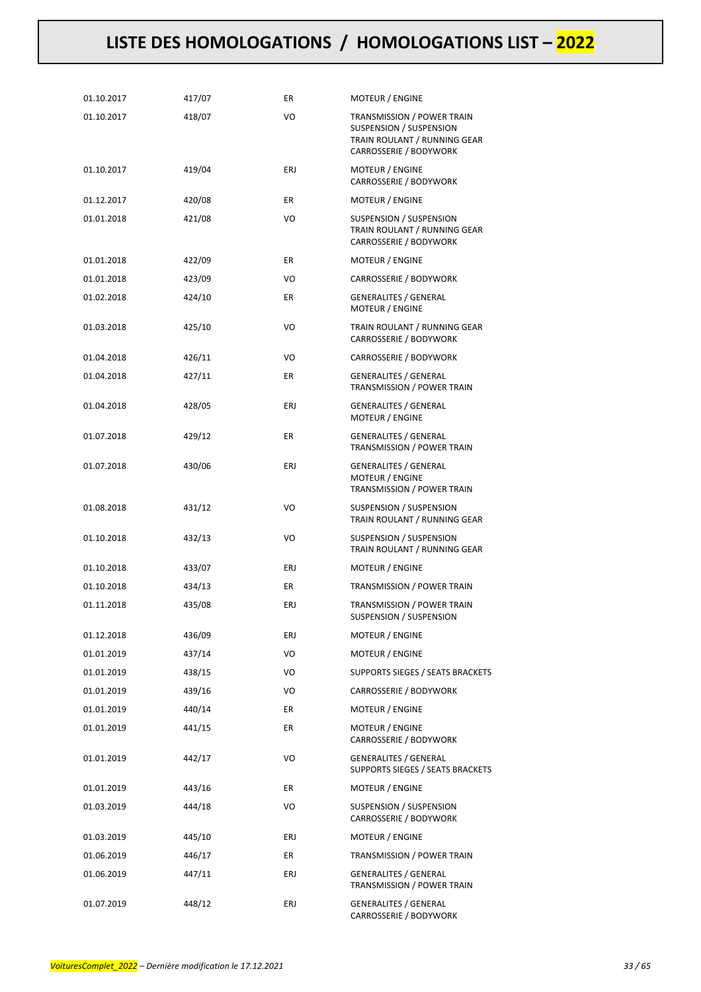| 01.10.2017 | 417/07 | ER. | <b>MOTEUR / ENGINE</b>                                                                                                 |
|------------|--------|-----|------------------------------------------------------------------------------------------------------------------------|
| 01.10.2017 | 418/07 | VO  | <b>TRANSMISSION / POWER TRAIN</b><br>SUSPENSION / SUSPENSION<br>TRAIN ROULANT / RUNNING GEAR<br>CARROSSERIE / BODYWORK |
| 01.10.2017 | 419/04 | ERJ | <b>MOTEUR / ENGINE</b><br>CARROSSERIE / BODYWORK                                                                       |
| 01.12.2017 | 420/08 | ER  | <b>MOTEUR / ENGINE</b>                                                                                                 |
| 01.01.2018 | 421/08 | VO  | SUSPENSION / SUSPENSION<br>TRAIN ROULANT / RUNNING GEAR<br>CARROSSERIE / BODYWORK                                      |
| 01.01.2018 | 422/09 | ER  | MOTEUR / ENGINE                                                                                                        |
| 01.01.2018 | 423/09 | VO  | CARROSSERIE / BODYWORK                                                                                                 |
| 01.02.2018 | 424/10 | ER  | <b>GENERALITES / GENERAL</b><br>MOTEUR / ENGINE                                                                        |
| 01.03.2018 | 425/10 | VO  | TRAIN ROULANT / RUNNING GEAR<br>CARROSSERIE / BODYWORK                                                                 |
| 01.04.2018 | 426/11 | VO  | CARROSSERIE / BODYWORK                                                                                                 |
| 01.04.2018 | 427/11 | ER. | <b>GENERALITES / GENERAL</b><br>TRANSMISSION / POWER TRAIN                                                             |
| 01.04.2018 | 428/05 | ERJ | <b>GENERALITES / GENERAL</b><br><b>MOTEUR / ENGINE</b>                                                                 |
| 01.07.2018 | 429/12 | ER. | <b>GENERALITES / GENERAL</b><br>TRANSMISSION / POWER TRAIN                                                             |
| 01.07.2018 | 430/06 | ERJ | <b>GENERALITES / GENERAL</b><br>MOTEUR / ENGINE<br>TRANSMISSION / POWER TRAIN                                          |
| 01.08.2018 | 431/12 | VO  | SUSPENSION / SUSPENSION<br>TRAIN ROULANT / RUNNING GEAR                                                                |
| 01.10.2018 | 432/13 | VO  | SUSPENSION / SUSPENSION<br>TRAIN ROULANT / RUNNING GEAR                                                                |
| 01.10.2018 | 433/07 | ERJ | <b>MOTEUR / ENGINE</b>                                                                                                 |
| 01.10.2018 | 434/13 | ER. | TRANSMISSION / POWER TRAIN                                                                                             |
| 01.11.2018 | 435/08 | ERJ | TRANSMISSION / POWER TRAIN<br>SUSPENSION / SUSPENSION                                                                  |
| 01.12.2018 | 436/09 | ERJ | <b>MOTEUR / ENGINE</b>                                                                                                 |
| 01.01.2019 | 437/14 | VO  | <b>MOTEUR / ENGINE</b>                                                                                                 |
| 01.01.2019 | 438/15 | VO  | SUPPORTS SIEGES / SEATS BRACKETS                                                                                       |
| 01.01.2019 | 439/16 | VO  | CARROSSERIE / BODYWORK                                                                                                 |
| 01.01.2019 | 440/14 | ER  | MOTEUR / ENGINE                                                                                                        |
| 01.01.2019 | 441/15 | ER  | MOTEUR / ENGINE<br>CARROSSERIE / BODYWORK                                                                              |
| 01.01.2019 | 442/17 | VO  | <b>GENERALITES / GENERAL</b><br>SUPPORTS SIEGES / SEATS BRACKETS                                                       |
| 01.01.2019 | 443/16 | ER  | MOTEUR / ENGINE                                                                                                        |
| 01.03.2019 | 444/18 | VO  | SUSPENSION / SUSPENSION<br>CARROSSERIE / BODYWORK                                                                      |
| 01.03.2019 | 445/10 | ERJ | MOTEUR / ENGINE                                                                                                        |
| 01.06.2019 | 446/17 | ER  | TRANSMISSION / POWER TRAIN                                                                                             |
| 01.06.2019 | 447/11 | ERJ | <b>GENERALITES / GENERAL</b><br>TRANSMISSION / POWER TRAIN                                                             |
| 01.07.2019 | 448/12 | ERJ | <b>GENERALITES / GENERAL</b><br>CARROSSERIE / BODYWORK                                                                 |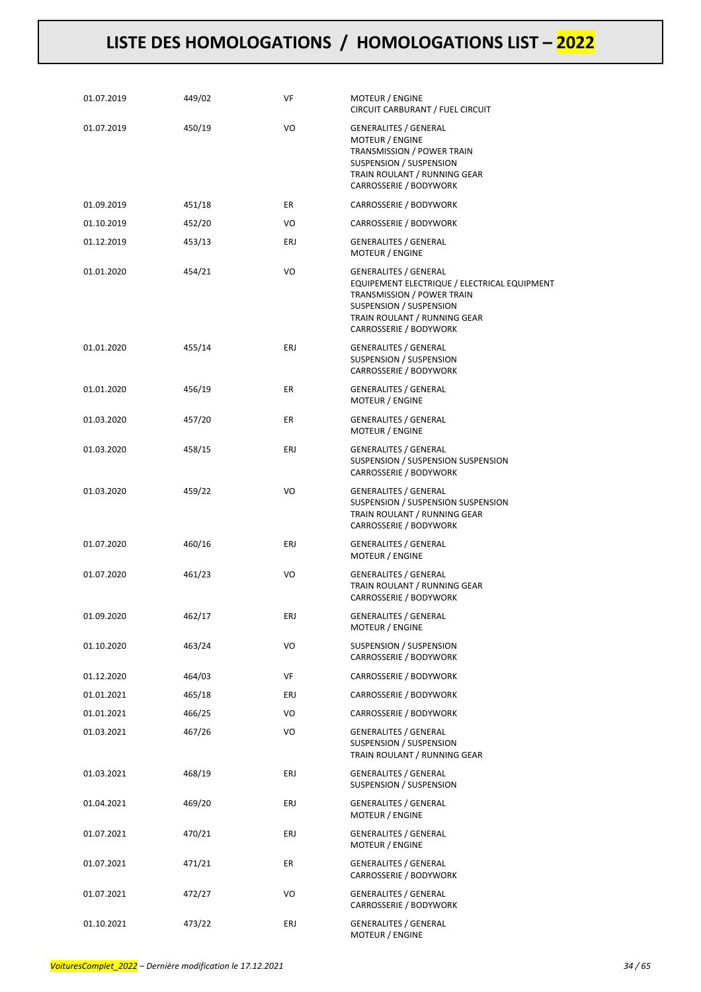| 01.07.2019 | 449/02 | VF  | MOTEUR / ENGINE<br>CIRCUIT CARBURANT / FUEL CIRCUIT                                                                                                                                             |
|------------|--------|-----|-------------------------------------------------------------------------------------------------------------------------------------------------------------------------------------------------|
| 01.07.2019 | 450/19 | VO  | <b>GENERALITES / GENERAL</b><br>MOTEUR / ENGINE<br>TRANSMISSION / POWER TRAIN<br>SUSPENSION / SUSPENSION<br>TRAIN ROULANT / RUNNING GEAR<br>CARROSSERIE / BODYWORK                              |
| 01.09.2019 | 451/18 | ER  | CARROSSERIE / BODYWORK                                                                                                                                                                          |
| 01.10.2019 | 452/20 | VO  | CARROSSERIE / BODYWORK                                                                                                                                                                          |
| 01.12.2019 | 453/13 | ERJ | <b>GENERALITES / GENERAL</b><br>MOTEUR / ENGINE                                                                                                                                                 |
| 01.01.2020 | 454/21 | VO  | <b>GENERALITES / GENERAL</b><br>EQUIPEMENT ELECTRIQUE / ELECTRICAL EQUIPMENT<br>TRANSMISSION / POWER TRAIN<br>SUSPENSION / SUSPENSION<br>TRAIN ROULANT / RUNNING GEAR<br>CARROSSERIE / BODYWORK |
| 01.01.2020 | 455/14 | ERJ | <b>GENERALITES / GENERAL</b><br>SUSPENSION / SUSPENSION<br>CARROSSERIE / BODYWORK                                                                                                               |
| 01.01.2020 | 456/19 | ER  | <b>GENERALITES / GENERAL</b><br>MOTEUR / ENGINE                                                                                                                                                 |
| 01.03.2020 | 457/20 | ER  | <b>GENERALITES / GENERAL</b><br><b>MOTEUR / ENGINE</b>                                                                                                                                          |
| 01.03.2020 | 458/15 | ERJ | <b>GENERALITES / GENERAL</b><br>SUSPENSION / SUSPENSION SUSPENSION<br>CARROSSERIE / BODYWORK                                                                                                    |
| 01.03.2020 | 459/22 | VO  | <b>GENERALITES / GENERAL</b><br>SUSPENSION / SUSPENSION SUSPENSION<br>TRAIN ROULANT / RUNNING GEAR<br>CARROSSERIE / BODYWORK                                                                    |
| 01.07.2020 | 460/16 | ERJ | <b>GENERALITES / GENERAL</b><br>MOTEUR / ENGINE                                                                                                                                                 |
| 01.07.2020 | 461/23 | VO  | <b>GENERALITES / GENERAL</b><br>TRAIN ROULANT / RUNNING GEAR<br>CARROSSERIE / BODYWORK                                                                                                          |
| 01.09.2020 | 462/17 | ERJ | <b>GENERALITES / GENERAL</b><br>MOTEUR / ENGINE                                                                                                                                                 |
| 01.10.2020 | 463/24 | VO  | <b>SUSPENSION / SUSPENSION</b><br>CARROSSERIE / BODYWORK                                                                                                                                        |
| 01.12.2020 | 464/03 | VF  | CARROSSERIE / BODYWORK                                                                                                                                                                          |
| 01.01.2021 | 465/18 | ERJ | CARROSSERIE / BODYWORK                                                                                                                                                                          |
| 01.01.2021 | 466/25 | VO  | CARROSSERIE / BODYWORK                                                                                                                                                                          |
| 01.03.2021 | 467/26 | VO  | <b>GENERALITES / GENERAL</b><br>SUSPENSION / SUSPENSION<br>TRAIN ROULANT / RUNNING GEAR                                                                                                         |
| 01.03.2021 | 468/19 | ERJ | <b>GENERALITES / GENERAL</b><br>SUSPENSION / SUSPENSION                                                                                                                                         |
| 01.04.2021 | 469/20 | ERJ | <b>GENERALITES / GENERAL</b><br>MOTEUR / ENGINE                                                                                                                                                 |
| 01.07.2021 | 470/21 | ERJ | <b>GENERALITES / GENERAL</b><br>MOTEUR / ENGINE                                                                                                                                                 |
| 01.07.2021 | 471/21 | ER  | GENERALITES / GENERAL<br>CARROSSERIE / BODYWORK                                                                                                                                                 |
| 01.07.2021 | 472/27 | VO  | <b>GENERALITES / GENERAL</b><br>CARROSSERIE / BODYWORK                                                                                                                                          |
| 01.10.2021 | 473/22 | ERJ | <b>GENERALITES / GENERAL</b><br>MOTEUR / ENGINE                                                                                                                                                 |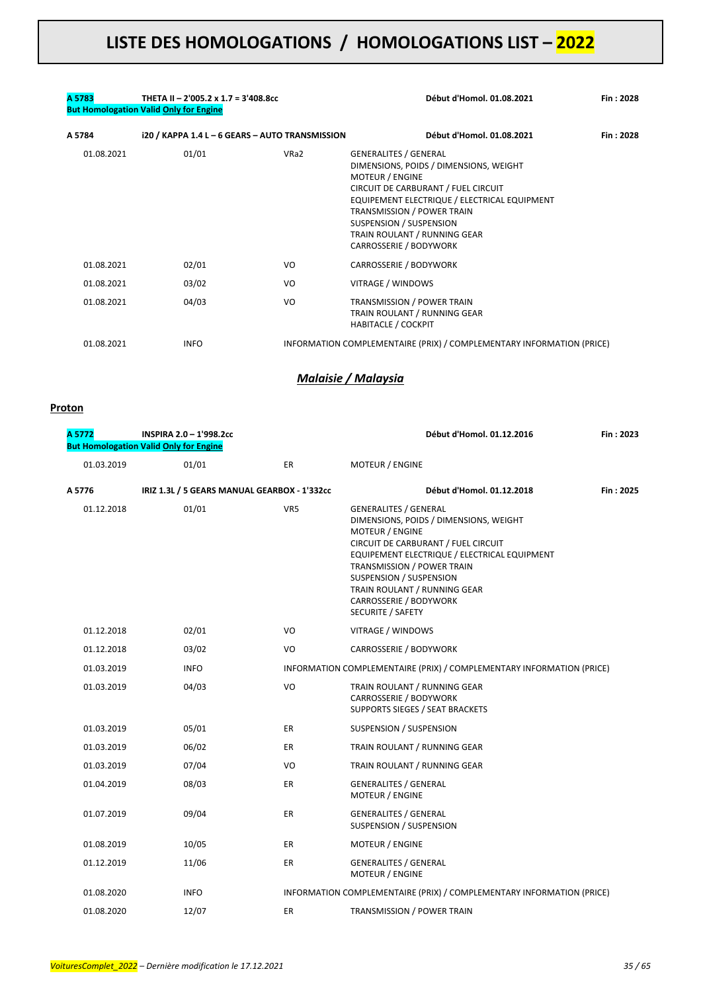#### **A 5783 THETA II – 2'005.2 x 1.7 = 3'408.8cc Début d'Homol. 01.08.2021 Fin : 2028 But Homologation Valid Only for Engine**

| A 5784     | i20 / KAPPA 1.4 L - 6 GEARS - AUTO TRANSMISSION |      | Début d'Homol. 01.08.2021                                                                                                                                                                                                                                                                                                | Fin: 2028 |
|------------|-------------------------------------------------|------|--------------------------------------------------------------------------------------------------------------------------------------------------------------------------------------------------------------------------------------------------------------------------------------------------------------------------|-----------|
| 01.08.2021 | 01/01                                           | VRa2 | <b>GENERALITES / GENERAL</b><br>DIMENSIONS, POIDS / DIMENSIONS, WEIGHT<br><b>MOTEUR / ENGINE</b><br>CIRCUIT DE CARBURANT / FUEL CIRCUIT<br>EQUIPEMENT ELECTRIQUE / ELECTRICAL EQUIPMENT<br><b>TRANSMISSION / POWER TRAIN</b><br><b>SUSPENSION / SUSPENSION</b><br>TRAIN ROULANT / RUNNING GEAR<br>CARROSSERIE / BODYWORK |           |
| 01.08.2021 | 02/01                                           | VO   | CARROSSERIE / BODYWORK                                                                                                                                                                                                                                                                                                   |           |
| 01.08.2021 | 03/02                                           | VO   | VITRAGE / WINDOWS                                                                                                                                                                                                                                                                                                        |           |
| 01.08.2021 | 04/03                                           | VO   | TRANSMISSION / POWER TRAIN<br>TRAIN ROULANT / RUNNING GEAR<br><b>HABITACLE / COCKPIT</b>                                                                                                                                                                                                                                 |           |
| 01.08.2021 | <b>INFO</b>                                     |      | INFORMATION COMPLEMENTAIRE (PRIX) / COMPLEMENTARY INFORMATION (PRICE)                                                                                                                                                                                                                                                    |           |

### *Malaisie / Malaysia*

#### **Proton**

| A 5772     | INSPIRA 2.0 - 1'998.2cc<br><b>But Homologation Valid Only for Engine</b> |           | Début d'Homol. 01.12.2016                                                                                                                                                                                                                                                                                                       | Fin: 2023 |
|------------|--------------------------------------------------------------------------|-----------|---------------------------------------------------------------------------------------------------------------------------------------------------------------------------------------------------------------------------------------------------------------------------------------------------------------------------------|-----------|
| 01.03.2019 | 01/01                                                                    | ER        | MOTEUR / ENGINE                                                                                                                                                                                                                                                                                                                 |           |
| A 5776     | IRIZ 1.3L / 5 GEARS MANUAL GEARBOX - 1'332cc                             |           | Début d'Homol. 01.12.2018                                                                                                                                                                                                                                                                                                       | Fin: 2025 |
| 01.12.2018 | 01/01                                                                    | VR5       | <b>GENERALITES / GENERAL</b><br>DIMENSIONS, POIDS / DIMENSIONS, WEIGHT<br><b>MOTEUR / ENGINE</b><br>CIRCUIT DE CARBURANT / FUEL CIRCUIT<br>EQUIPEMENT ELECTRIQUE / ELECTRICAL EQUIPMENT<br>TRANSMISSION / POWER TRAIN<br>SUSPENSION / SUSPENSION<br>TRAIN ROULANT / RUNNING GEAR<br>CARROSSERIE / BODYWORK<br>SECURITE / SAFETY |           |
| 01.12.2018 | 02/01                                                                    | VO        | VITRAGE / WINDOWS                                                                                                                                                                                                                                                                                                               |           |
| 01.12.2018 | 03/02                                                                    | VO        | CARROSSERIE / BODYWORK                                                                                                                                                                                                                                                                                                          |           |
| 01.03.2019 | <b>INFO</b>                                                              |           | INFORMATION COMPLEMENTAIRE (PRIX) / COMPLEMENTARY INFORMATION (PRICE)                                                                                                                                                                                                                                                           |           |
| 01.03.2019 | 04/03                                                                    | VO        | TRAIN ROULANT / RUNNING GEAR<br>CARROSSERIE / BODYWORK<br>SUPPORTS SIEGES / SEAT BRACKETS                                                                                                                                                                                                                                       |           |
| 01.03.2019 | 05/01                                                                    | ER.       | SUSPENSION / SUSPENSION                                                                                                                                                                                                                                                                                                         |           |
| 01.03.2019 | 06/02                                                                    | ER        | TRAIN ROULANT / RUNNING GEAR                                                                                                                                                                                                                                                                                                    |           |
| 01.03.2019 | 07/04                                                                    | VO        | TRAIN ROULANT / RUNNING GEAR                                                                                                                                                                                                                                                                                                    |           |
| 01.04.2019 | 08/03                                                                    | ER.       | <b>GENERALITES / GENERAL</b><br>MOTEUR / ENGINE                                                                                                                                                                                                                                                                                 |           |
| 01.07.2019 | 09/04                                                                    | ER        | <b>GENERALITES / GENERAL</b><br>SUSPENSION / SUSPENSION                                                                                                                                                                                                                                                                         |           |
| 01.08.2019 | 10/05                                                                    | ER        | <b>MOTEUR / ENGINE</b>                                                                                                                                                                                                                                                                                                          |           |
| 01.12.2019 | 11/06                                                                    | ER.       | <b>GENERALITES / GENERAL</b><br>MOTEUR / ENGINE                                                                                                                                                                                                                                                                                 |           |
| 01.08.2020 | <b>INFO</b>                                                              |           | INFORMATION COMPLEMENTAIRE (PRIX) / COMPLEMENTARY INFORMATION (PRICE)                                                                                                                                                                                                                                                           |           |
| 01.08.2020 | 12/07                                                                    | <b>ER</b> | TRANSMISSION / POWER TRAIN                                                                                                                                                                                                                                                                                                      |           |
|            |                                                                          |           |                                                                                                                                                                                                                                                                                                                                 |           |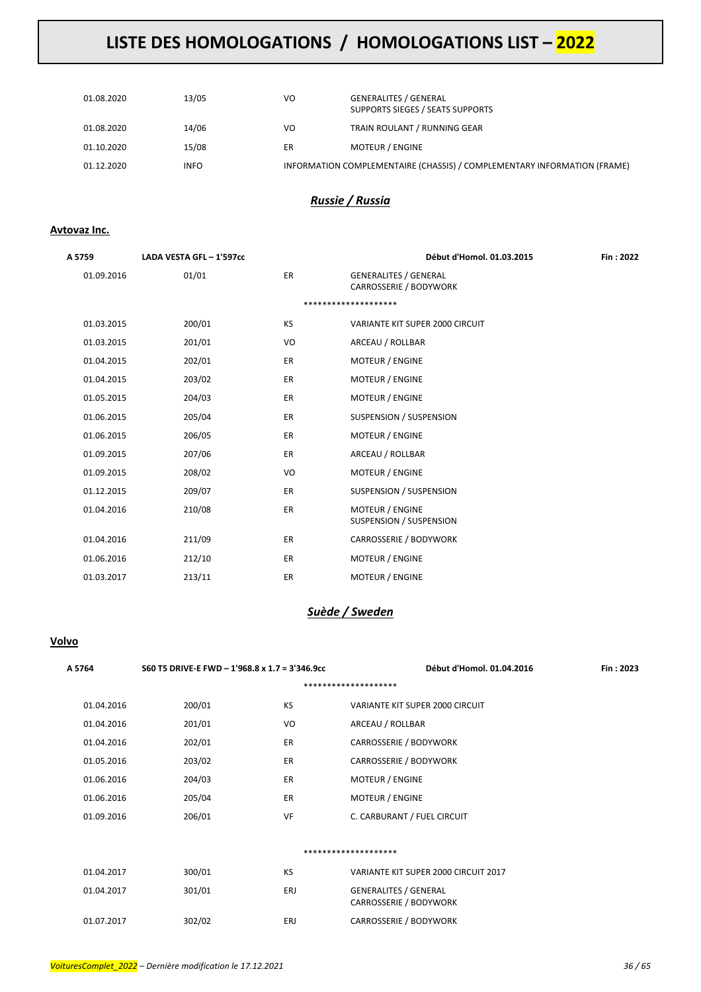| 01.08.2020 | 13/05       | VO | <b>GENERALITES / GENERAL</b><br>SUPPORTS SIEGES / SEATS SUPPORTS         |
|------------|-------------|----|--------------------------------------------------------------------------|
| 01.08.2020 | 14/06       | VO | TRAIN ROULANT / RUNNING GEAR                                             |
| 01.10.2020 | 15/08       | ER | <b>MOTEUR / ENGINE</b>                                                   |
| 01.12.2020 | <b>INFO</b> |    | INFORMATION COMPLEMENTAIRE (CHASSIS) / COMPLEMENTARY INFORMATION (FRAME) |

### *Russie / Russia*

### **Avtovaz Inc.**

| A 5759     | LADA VESTA GFL - 1'597cc |           | Début d'Homol. 01.03.2015                              | Fin: 2022 |
|------------|--------------------------|-----------|--------------------------------------------------------|-----------|
| 01.09.2016 | 01/01                    | ER        | <b>GENERALITES / GENERAL</b><br>CARROSSERIE / BODYWORK |           |
|            |                          |           | ********************                                   |           |
| 01.03.2015 | 200/01                   | <b>KS</b> | VARIANTE KIT SUPER 2000 CIRCUIT                        |           |
| 01.03.2015 | 201/01                   | VO        | ARCEAU / ROLLBAR                                       |           |
| 01.04.2015 | 202/01                   | <b>ER</b> | <b>MOTEUR / ENGINE</b>                                 |           |
| 01.04.2015 | 203/02                   | <b>ER</b> | MOTEUR / ENGINE                                        |           |
| 01.05.2015 | 204/03                   | <b>ER</b> | <b>MOTEUR / ENGINE</b>                                 |           |
| 01.06.2015 | 205/04                   | ER        | <b>SUSPENSION / SUSPENSION</b>                         |           |
| 01.06.2015 | 206/05                   | <b>ER</b> | MOTEUR / ENGINE                                        |           |
| 01.09.2015 | 207/06                   | <b>ER</b> | ARCEAU / ROLLBAR                                       |           |
| 01.09.2015 | 208/02                   | VO        | <b>MOTEUR / ENGINE</b>                                 |           |
| 01.12.2015 | 209/07                   | <b>ER</b> | SUSPENSION / SUSPENSION                                |           |
| 01.04.2016 | 210/08                   | ER        | <b>MOTEUR / ENGINE</b><br>SUSPENSION / SUSPENSION      |           |
| 01.04.2016 | 211/09                   | <b>ER</b> | CARROSSERIE / BODYWORK                                 |           |
| 01.06.2016 | 212/10                   | ER        | MOTEUR / ENGINE                                        |           |
| 01.03.2017 | 213/11                   | ER        | <b>MOTEUR / ENGINE</b>                                 |           |

### *Suède / Sweden*

### **Volvo**

| A 5764     | S60 T5 DRIVE-E FWD - 1'968.8 x 1.7 = 3'346.9cc |           | Début d'Homol. 01.04.2016                              | Fin: 2023 |  |  |
|------------|------------------------------------------------|-----------|--------------------------------------------------------|-----------|--|--|
|            | ********************                           |           |                                                        |           |  |  |
| 01.04.2016 | 200/01                                         | KS        | VARIANTE KIT SUPER 2000 CIRCUIT                        |           |  |  |
| 01.04.2016 | 201/01                                         | VO        | ARCEAU / ROLLBAR                                       |           |  |  |
| 01.04.2016 | 202/01                                         | <b>ER</b> | CARROSSERIE / BODYWORK                                 |           |  |  |
| 01.05.2016 | 203/02                                         | ER        | CARROSSERIE / BODYWORK                                 |           |  |  |
| 01.06.2016 | 204/03                                         | ER        | <b>MOTEUR / ENGINE</b>                                 |           |  |  |
| 01.06.2016 | 205/04                                         | ER        | <b>MOTEUR / ENGINE</b>                                 |           |  |  |
| 01.09.2016 | 206/01                                         | VF        | C. CARBURANT / FUEL CIRCUIT                            |           |  |  |
|            |                                                |           |                                                        |           |  |  |
|            |                                                |           | ********************                                   |           |  |  |
| 01.04.2017 | 300/01                                         | KS        | VARIANTE KIT SUPER 2000 CIRCUIT 2017                   |           |  |  |
| 01.04.2017 | 301/01                                         | ERJ       | <b>GENERALITES / GENERAL</b><br>CARROSSERIE / BODYWORK |           |  |  |
| 01.07.2017 | 302/02                                         | ERJ       | CARROSSERIE / BODYWORK                                 |           |  |  |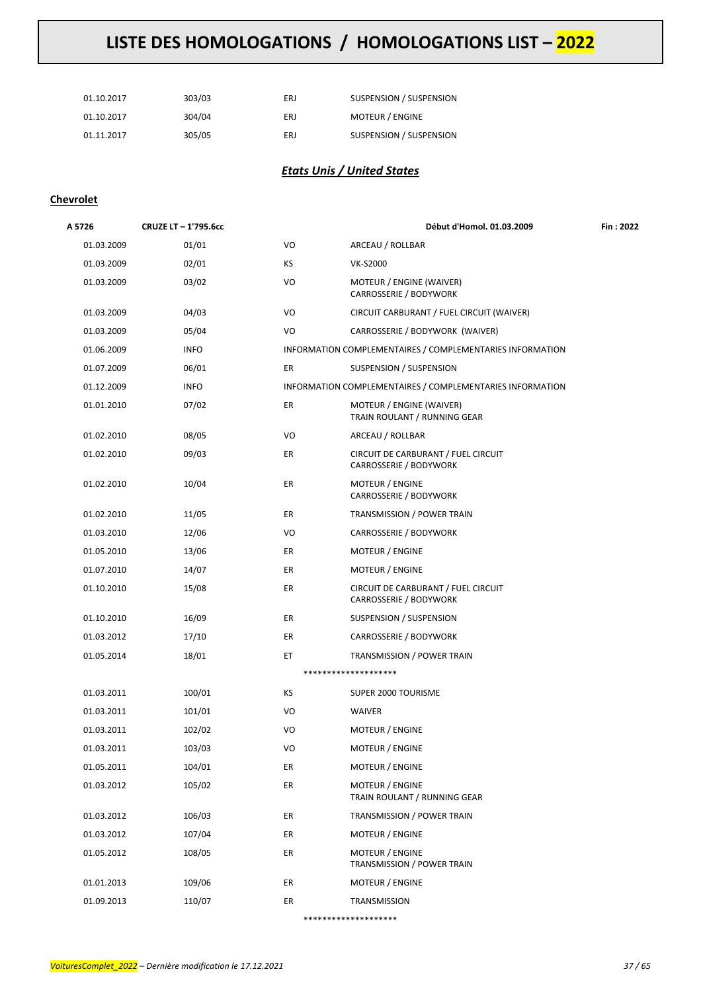| 01.10.2017 | 303/03 | ERJ | SUSPENSION / SUSPENSION |
|------------|--------|-----|-------------------------|
| 01.10.2017 | 304/04 | ERJ | <b>MOTEUR / ENGINE</b>  |
| 01.11.2017 | 305/05 | ERJ | SUSPENSION / SUSPENSION |

### *Etats Unis / United States*

### **Chevrolet**

| A 5726     | CRUZE LT - 1'795.6cc |           | Début d'Homol. 01.03.2009                                     | Fin : 2022 |
|------------|----------------------|-----------|---------------------------------------------------------------|------------|
| 01.03.2009 | 01/01                | VO        | ARCEAU / ROLLBAR                                              |            |
| 01.03.2009 | 02/01                | <b>KS</b> | <b>VK-S2000</b>                                               |            |
| 01.03.2009 | 03/02                | VO        | MOTEUR / ENGINE (WAIVER)<br>CARROSSERIE / BODYWORK            |            |
| 01.03.2009 | 04/03                | VO        | CIRCUIT CARBURANT / FUEL CIRCUIT (WAIVER)                     |            |
| 01.03.2009 | 05/04                | VO        | CARROSSERIE / BODYWORK (WAIVER)                               |            |
| 01.06.2009 | <b>INFO</b>          |           | INFORMATION COMPLEMENTAIRES / COMPLEMENTARIES INFORMATION     |            |
| 01.07.2009 | 06/01                | ER        | SUSPENSION / SUSPENSION                                       |            |
| 01.12.2009 | <b>INFO</b>          |           | INFORMATION COMPLEMENTAIRES / COMPLEMENTARIES INFORMATION     |            |
| 01.01.2010 | 07/02                | ER        | MOTEUR / ENGINE (WAIVER)<br>TRAIN ROULANT / RUNNING GEAR      |            |
| 01.02.2010 | 08/05                | VO        | ARCEAU / ROLLBAR                                              |            |
| 01.02.2010 | 09/03                | ER        | CIRCUIT DE CARBURANT / FUEL CIRCUIT<br>CARROSSERIE / BODYWORK |            |
| 01.02.2010 | 10/04                | ER        | <b>MOTEUR / ENGINE</b><br>CARROSSERIE / BODYWORK              |            |
| 01.02.2010 | 11/05                | ER        | TRANSMISSION / POWER TRAIN                                    |            |
| 01.03.2010 | 12/06                | VO        | CARROSSERIE / BODYWORK                                        |            |
| 01.05.2010 | 13/06                | ER        | MOTEUR / ENGINE                                               |            |
| 01.07.2010 | 14/07                | ER        | MOTEUR / ENGINE                                               |            |
| 01.10.2010 | 15/08                | ER        | CIRCUIT DE CARBURANT / FUEL CIRCUIT<br>CARROSSERIE / BODYWORK |            |
| 01.10.2010 | 16/09                | ER        | SUSPENSION / SUSPENSION                                       |            |
| 01.03.2012 | 17/10                | ER        | CARROSSERIE / BODYWORK                                        |            |
| 01.05.2014 | 18/01                | ET        | TRANSMISSION / POWER TRAIN                                    |            |
|            |                      |           | ********************                                          |            |
| 01.03.2011 | 100/01               | ΚS        | SUPER 2000 TOURISME                                           |            |
| 01.03.2011 | 101/01               | VO        | WAIVER                                                        |            |
| 01.03.2011 | 102/02               | VO        | MOTEUR / ENGINE                                               |            |
| 01.03.2011 | 103/03               | VO        | MOTEUR / ENGINE                                               |            |
| 01.05.2011 | 104/01               | ER        | MOTEUR / ENGINE                                               |            |
| 01.03.2012 | 105/02               | ER        | MOTEUR / ENGINE<br>TRAIN ROULANT / RUNNING GEAR               |            |
| 01.03.2012 | 106/03               | ER        | TRANSMISSION / POWER TRAIN                                    |            |
| 01.03.2012 | 107/04               | ER        | MOTEUR / ENGINE                                               |            |
| 01.05.2012 | 108/05               | ER        | MOTEUR / ENGINE<br>TRANSMISSION / POWER TRAIN                 |            |
| 01.01.2013 | 109/06               | ER        | MOTEUR / ENGINE                                               |            |
| 01.09.2013 | 110/07               | ER        | TRANSMISSION                                                  |            |
|            |                      |           | ********************                                          |            |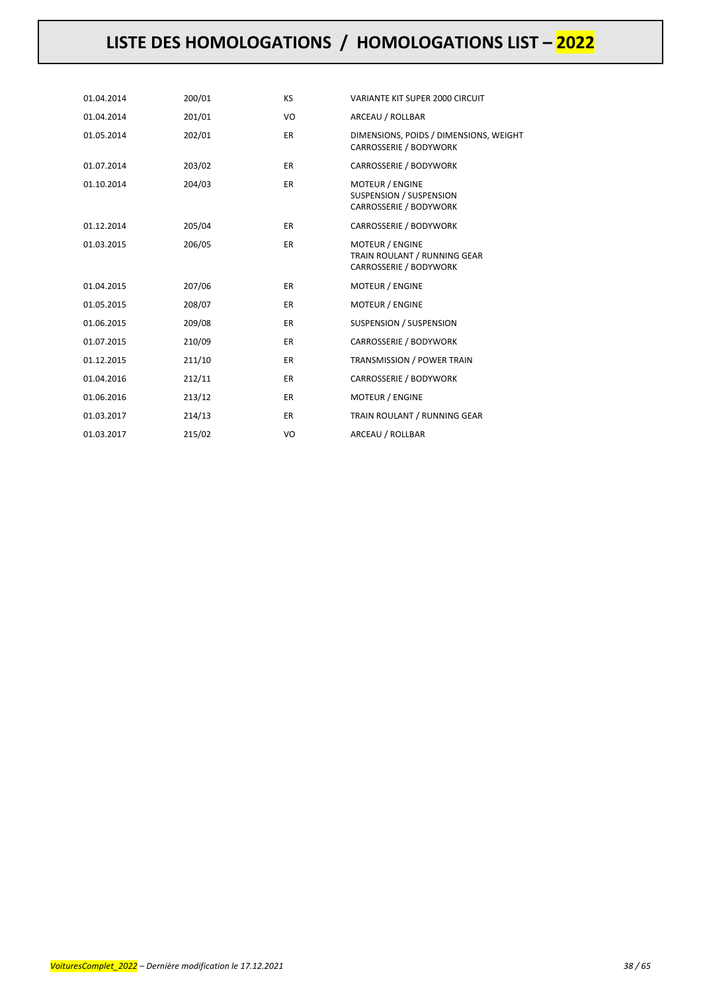| 01.04.2014 | 200/01 | <b>KS</b> | VARIANTE KIT SUPER 2000 CIRCUIT                                                  |
|------------|--------|-----------|----------------------------------------------------------------------------------|
| 01.04.2014 | 201/01 | VO        | ARCEAU / ROLLBAR                                                                 |
| 01.05.2014 | 202/01 | ER.       | DIMENSIONS, POIDS / DIMENSIONS, WEIGHT<br>CARROSSERIE / BODYWORK                 |
| 01.07.2014 | 203/02 | ER.       | CARROSSERIE / BODYWORK                                                           |
| 01.10.2014 | 204/03 | ER.       | <b>MOTEUR / ENGINE</b><br>SUSPENSION / SUSPENSION<br>CARROSSERIE / BODYWORK      |
| 01.12.2014 | 205/04 | ER.       | CARROSSERIE / BODYWORK                                                           |
| 01.03.2015 | 206/05 | <b>ER</b> | <b>MOTEUR / ENGINE</b><br>TRAIN ROULANT / RUNNING GEAR<br>CARROSSERIE / BODYWORK |
| 01.04.2015 | 207/06 | <b>ER</b> | <b>MOTEUR / ENGINE</b>                                                           |
| 01.05.2015 | 208/07 | <b>ER</b> | <b>MOTEUR / ENGINE</b>                                                           |
| 01.06.2015 | 209/08 | <b>ER</b> | SUSPENSION / SUSPENSION                                                          |
| 01.07.2015 | 210/09 | <b>ER</b> | CARROSSERIE / BODYWORK                                                           |
| 01.12.2015 | 211/10 | <b>ER</b> | <b>TRANSMISSION / POWER TRAIN</b>                                                |
| 01.04.2016 | 212/11 | ER.       | CARROSSERIE / BODYWORK                                                           |
| 01.06.2016 | 213/12 | <b>ER</b> | <b>MOTEUR / ENGINE</b>                                                           |
| 01.03.2017 | 214/13 | <b>ER</b> | TRAIN ROULANT / RUNNING GEAR                                                     |
| 01.03.2017 | 215/02 | VO        | ARCEAU / ROLLBAR                                                                 |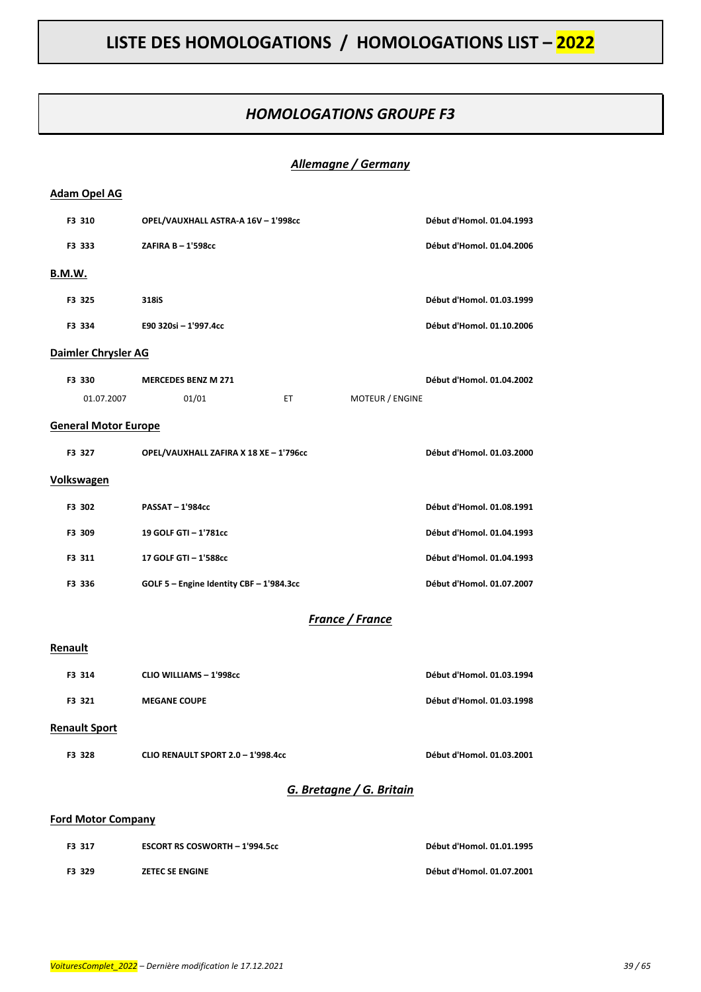### *HOMOLOGATIONS GROUPE F3*

### *Allemagne / Germany*

| <b>Adam Opel AG</b>         |                                          |                           |
|-----------------------------|------------------------------------------|---------------------------|
| F3 310                      | OPEL/VAUXHALL ASTRA-A 16V - 1'998cc      | Début d'Homol. 01.04.1993 |
| F3 333                      | ZAFIRA B - 1'598cc                       | Début d'Homol. 01.04.2006 |
| B.M.W.                      |                                          |                           |
| F3 325                      | 318iS                                    | Début d'Homol. 01.03.1999 |
| F3 334                      | E90 320si - 1'997.4cc                    | Début d'Homol. 01.10.2006 |
| Daimler Chrysler AG         |                                          |                           |
| F3 330                      | <b>MERCEDES BENZ M 271</b>               | Début d'Homol. 01.04.2002 |
| 01.07.2007                  | 01/01<br>ET.<br>MOTEUR / ENGINE          |                           |
| <b>General Motor Europe</b> |                                          |                           |
| F3 327                      | OPEL/VAUXHALL ZAFIRA X 18 XE - 1'796cc   | Début d'Homol. 01.03.2000 |
| <b>Volkswagen</b>           |                                          |                           |
| F3 302                      | <b>PASSAT-1'984cc</b>                    | Début d'Homol. 01.08.1991 |
| F3 309                      | 19 GOLF GTI - 1'781cc                    | Début d'Homol. 01.04.1993 |
| F3 311                      | 17 GOLF GTI - 1'588cc                    | Début d'Homol. 01.04.1993 |
| F3 336                      | GOLF 5 - Engine Identity CBF - 1'984.3cc | Début d'Homol. 01.07.2007 |
|                             | France / France                          |                           |
| Renault                     |                                          |                           |
| F3 314                      | <b>CLIO WILLIAMS - 1'998cc</b>           | Début d'Homol. 01.03.1994 |
| F3 321                      | <b>MEGANE COUPE</b>                      | Début d'Homol. 01.03.1998 |
| <b>Renault Sport</b>        |                                          |                           |
| F3 328                      | CLIO RENAULT SPORT 2.0 - 1'998.4cc       | Début d'Homol. 01.03.2001 |
|                             | G. Bretagne / G. Britain                 |                           |
| <b>Ford Motor Company</b>   |                                          |                           |
| F3 317                      | <b>ESCORT RS COSWORTH - 1'994.5cc</b>    | Début d'Homol. 01.01.1995 |

**F3 329 ZETEC SE ENGINE Début d'Homol. 01.07.2001**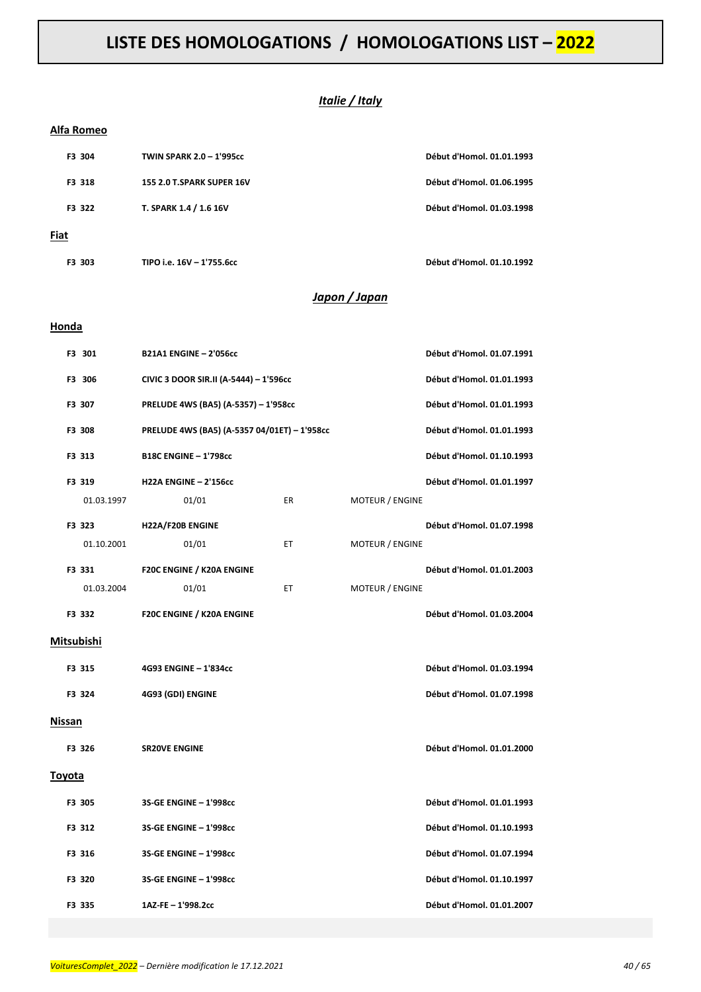### *Italie / Italy*

#### **Alfa Romeo**

| F3 304 | <b>TWIN SPARK 2.0 - 1'995cc</b>  | Début d'Homol. 01.01.1993 |
|--------|----------------------------------|---------------------------|
| F3 318 | <b>155 2.0 T.SPARK SUPER 16V</b> | Début d'Homol. 01.06.1995 |
| F3 322 | T. SPARK 1.4 / 1.6 16V           | Début d'Homol. 01.03.1998 |
| Fiat   |                                  |                           |
| F3 303 | TIPO i.e. 16V - 1'755.6cc        | Début d'Homol. 01.10.1992 |

### *Japon / Japan*

#### **Honda**

| F3 301     | <b>B21A1 ENGINE - 2'056cc</b>                |                           |                        | Début d'Homol. 01.07.1991 |
|------------|----------------------------------------------|---------------------------|------------------------|---------------------------|
| F3 306     | CIVIC 3 DOOR SIR.II (A-5444) - 1'596cc       | Début d'Homol. 01.01.1993 |                        |                           |
| F3 307     | PRELUDE 4WS (BA5) (A-5357) - 1'958cc         | Début d'Homol. 01.01.1993 |                        |                           |
| F3 308     | PRELUDE 4WS (BA5) (A-5357 04/01ET) - 1'958cc |                           |                        | Début d'Homol. 01.01.1993 |
| F3 313     | <b>B18C ENGINE - 1'798cc</b>                 |                           |                        | Début d'Homol. 01.10.1993 |
| F3 319     | <b>H22A ENGINE - 2'156cc</b>                 |                           |                        | Début d'Homol. 01.01.1997 |
| 01.03.1997 | 01/01                                        | <b>ER</b>                 | <b>MOTEUR / ENGINE</b> |                           |
| F3 323     | H22A/F20B ENGINE                             |                           |                        | Début d'Homol. 01.07.1998 |
| 01.10.2001 | 01/01                                        | ET                        | MOTEUR / ENGINE        |                           |
| F3 331     | F20C ENGINE / K20A ENGINE                    |                           |                        | Début d'Homol. 01.01.2003 |
| 01.03.2004 | 01/01                                        | ET                        | <b>MOTEUR / ENGINE</b> |                           |
| F3 332     | F20C ENGINE / K20A ENGINE                    |                           |                        | Début d'Homol. 01.03.2004 |
| Mitsubishi |                                              |                           |                        |                           |
| F3 315     | 4G93 ENGINE - 1'834cc                        |                           |                        | Début d'Homol. 01.03.1994 |
| F3 324     | 4G93 (GDI) ENGINE                            |                           |                        | Début d'Homol. 01.07.1998 |
| Nissan     |                                              |                           |                        |                           |
| F3 326     | <b>SR20VE ENGINE</b>                         |                           |                        | Début d'Homol. 01.01.2000 |
| Toyota     |                                              |                           |                        |                           |
| F3 305     | 3S-GE ENGINE - 1'998cc                       |                           |                        | Début d'Homol. 01.01.1993 |
| F3 312     | 3S-GE ENGINE - 1'998cc                       |                           |                        | Début d'Homol. 01.10.1993 |
| F3 316     | 3S-GE ENGINE - 1'998cc                       |                           |                        | Début d'Homol. 01.07.1994 |
| F3 320     | 3S-GE ENGINE - 1'998cc                       |                           |                        | Début d'Homol. 01.10.1997 |
| F3 335     | 1AZ-FE-1'998.2cc                             |                           |                        | Début d'Homol. 01.01.2007 |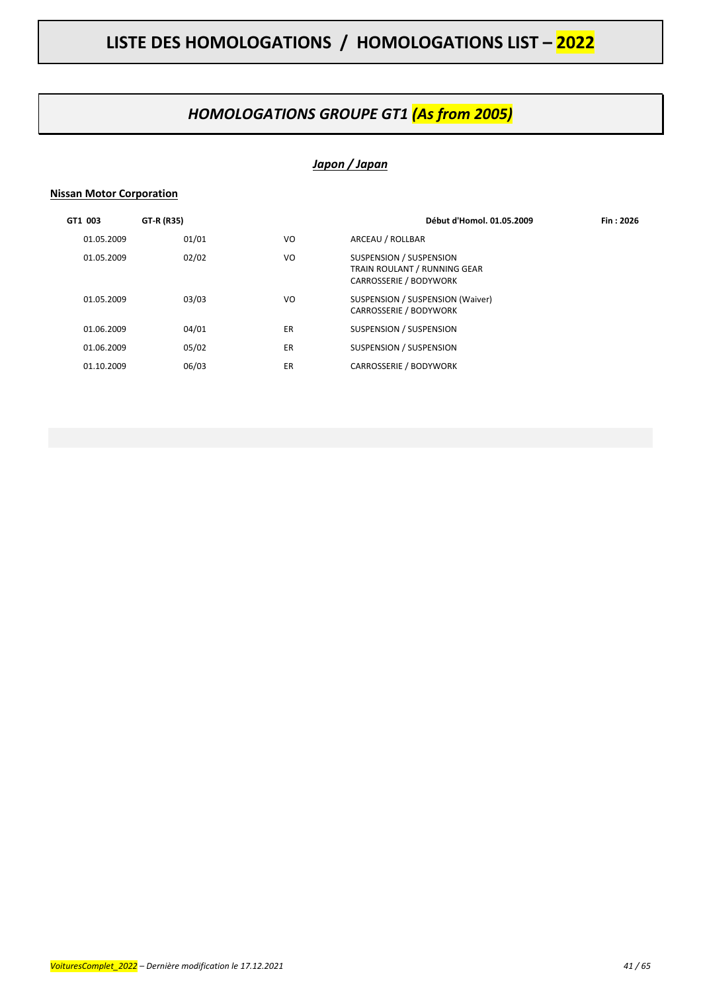### *HOMOLOGATIONS GROUPE GT1 (As from 2005)*

### *Japon / Japan*

### **Nissan Motor Corporation**

| GT1 003    | GT-R (R35) |     | Début d'Homol. 01.05.2009                                                         | Fin: 2026 |
|------------|------------|-----|-----------------------------------------------------------------------------------|-----------|
| 01.05.2009 | 01/01      | VO  | ARCEAU / ROLLBAR                                                                  |           |
| 01.05.2009 | 02/02      | VO  | SUSPENSION / SUSPENSION<br>TRAIN ROULANT / RUNNING GEAR<br>CARROSSERIE / BODYWORK |           |
| 01.05.2009 | 03/03      | VO. | SUSPENSION / SUSPENSION (Waiver)<br><b>CARROSSERIE / BODYWORK</b>                 |           |
| 01.06.2009 | 04/01      | ER  | SUSPENSION / SUSPENSION                                                           |           |
| 01.06.2009 | 05/02      | ER  | SUSPENSION / SUSPENSION                                                           |           |
| 01.10.2009 | 06/03      | ER  | <b>CARROSSERIE / BODYWORK</b>                                                     |           |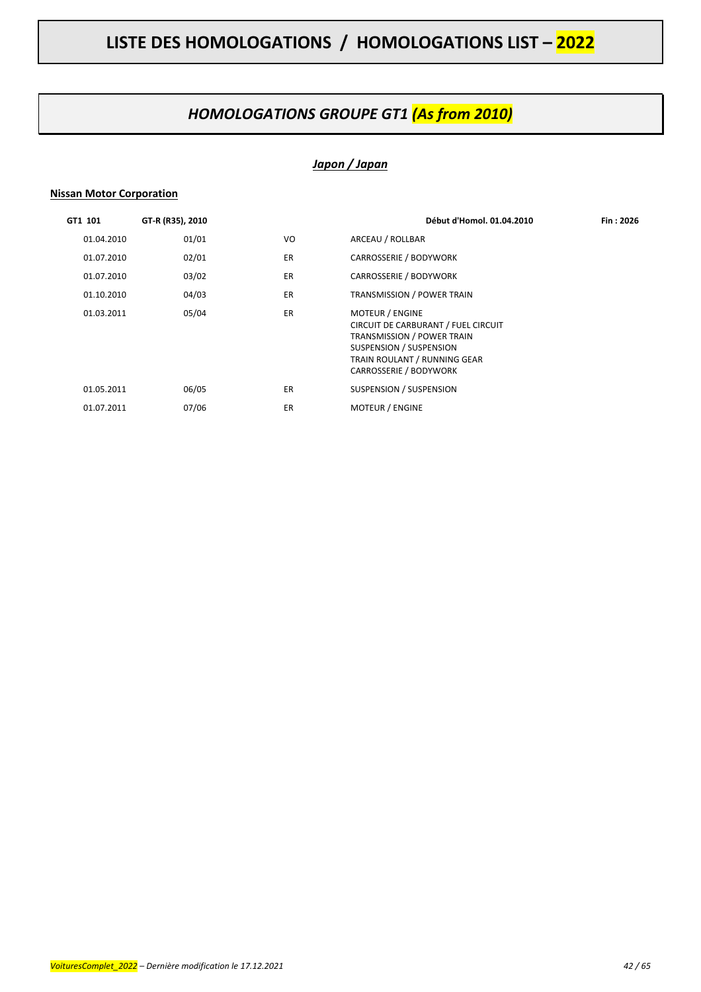### *HOMOLOGATIONS GROUPE GT1 (As from 2010)*

### *Japon / Japan*

### **Nissan Motor Corporation**

| GT1 101    | GT-R (R35), 2010 |           | Début d'Homol. 01.04.2010                                                                                                                                                               | Fin: 2026 |
|------------|------------------|-----------|-----------------------------------------------------------------------------------------------------------------------------------------------------------------------------------------|-----------|
| 01.04.2010 | 01/01            | VO.       | ARCEAU / ROLLBAR                                                                                                                                                                        |           |
| 01.07.2010 | 02/01            | <b>ER</b> | CARROSSERIE / BODYWORK                                                                                                                                                                  |           |
| 01.07.2010 | 03/02            | <b>ER</b> | <b>CARROSSERIE / BODYWORK</b>                                                                                                                                                           |           |
| 01.10.2010 | 04/03            | <b>ER</b> | <b>TRANSMISSION / POWER TRAIN</b>                                                                                                                                                       |           |
| 01.03.2011 | 05/04            | <b>ER</b> | <b>MOTEUR / ENGINE</b><br>CIRCUIT DE CARBURANT / FUEL CIRCUIT<br>TRANSMISSION / POWER TRAIN<br>SUSPENSION / SUSPENSION<br>TRAIN ROULANT / RUNNING GEAR<br><b>CARROSSERIE / BODYWORK</b> |           |
| 01.05.2011 | 06/05            | <b>ER</b> | SUSPENSION / SUSPENSION                                                                                                                                                                 |           |
| 01.07.2011 | 07/06            | <b>ER</b> | <b>MOTEUR / ENGINE</b>                                                                                                                                                                  |           |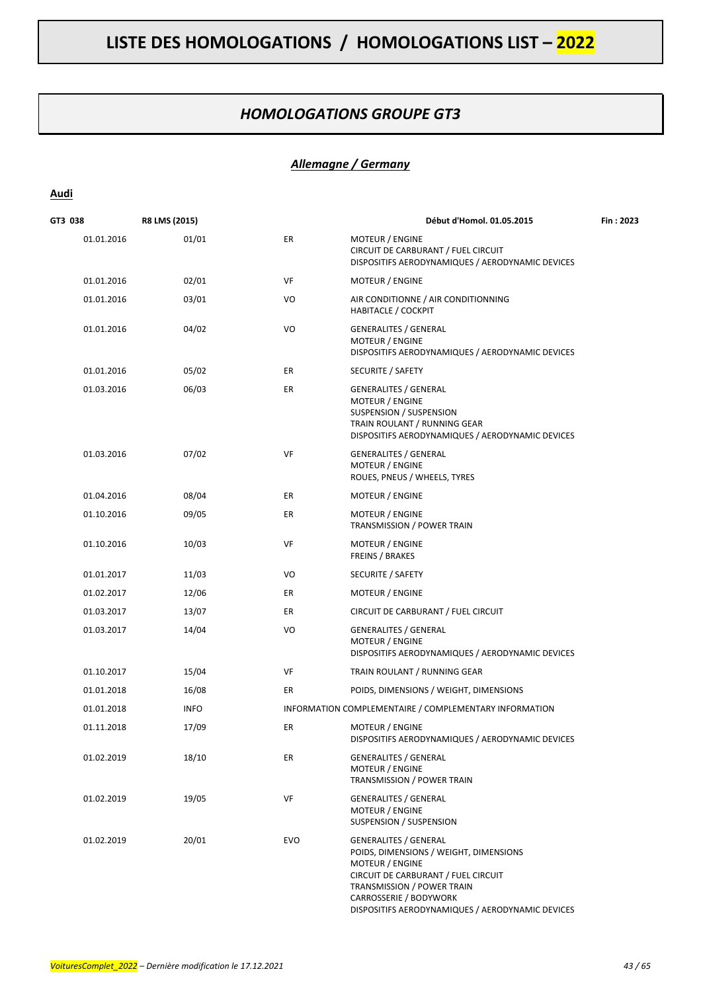### *HOMOLOGATIONS GROUPE GT3*

### *Allemagne / Germany*

### **Audi**

| GT3 038    | R8 LMS (2015) |            | Début d'Homol. 01.05.2015                                                                                                                                                                                                                           | Fin: 2023 |
|------------|---------------|------------|-----------------------------------------------------------------------------------------------------------------------------------------------------------------------------------------------------------------------------------------------------|-----------|
| 01.01.2016 | 01/01         | ER         | <b>MOTEUR / ENGINE</b><br>CIRCUIT DE CARBURANT / FUEL CIRCUIT<br>DISPOSITIFS AERODYNAMIQUES / AERODYNAMIC DEVICES                                                                                                                                   |           |
| 01.01.2016 | 02/01         | VF         | <b>MOTEUR / ENGINE</b>                                                                                                                                                                                                                              |           |
| 01.01.2016 | 03/01         | VO         | AIR CONDITIONNE / AIR CONDITIONNING<br><b>HABITACLE / COCKPIT</b>                                                                                                                                                                                   |           |
| 01.01.2016 | 04/02         | VO         | <b>GENERALITES / GENERAL</b><br><b>MOTEUR / ENGINE</b><br>DISPOSITIFS AERODYNAMIQUES / AERODYNAMIC DEVICES                                                                                                                                          |           |
| 01.01.2016 | 05/02         | ER         | SECURITE / SAFETY                                                                                                                                                                                                                                   |           |
| 01.03.2016 | 06/03         | ER         | <b>GENERALITES / GENERAL</b><br><b>MOTEUR / ENGINE</b><br>SUSPENSION / SUSPENSION<br>TRAIN ROULANT / RUNNING GEAR<br>DISPOSITIFS AERODYNAMIQUES / AERODYNAMIC DEVICES                                                                               |           |
| 01.03.2016 | 07/02         | VF         | <b>GENERALITES / GENERAL</b><br>MOTEUR / ENGINE<br>ROUES, PNEUS / WHEELS, TYRES                                                                                                                                                                     |           |
| 01.04.2016 | 08/04         | ER         | <b>MOTEUR / ENGINE</b>                                                                                                                                                                                                                              |           |
| 01.10.2016 | 09/05         | ER         | MOTEUR / ENGINE<br>TRANSMISSION / POWER TRAIN                                                                                                                                                                                                       |           |
| 01.10.2016 | 10/03         | VF         | MOTEUR / ENGINE<br>FREINS / BRAKES                                                                                                                                                                                                                  |           |
| 01.01.2017 | 11/03         | VO         | SECURITE / SAFETY                                                                                                                                                                                                                                   |           |
| 01.02.2017 | 12/06         | ER         | MOTEUR / ENGINE                                                                                                                                                                                                                                     |           |
| 01.03.2017 | 13/07         | ER         | CIRCUIT DE CARBURANT / FUEL CIRCUIT                                                                                                                                                                                                                 |           |
| 01.03.2017 | 14/04         | VO         | <b>GENERALITES / GENERAL</b><br>MOTEUR / ENGINE<br>DISPOSITIFS AERODYNAMIQUES / AERODYNAMIC DEVICES                                                                                                                                                 |           |
| 01.10.2017 | 15/04         | VF         | TRAIN ROULANT / RUNNING GEAR                                                                                                                                                                                                                        |           |
| 01.01.2018 | 16/08         | ER         | POIDS, DIMENSIONS / WEIGHT, DIMENSIONS                                                                                                                                                                                                              |           |
| 01.01.2018 | <b>INFO</b>   |            | INFORMATION COMPLEMENTAIRE / COMPLEMENTARY INFORMATION                                                                                                                                                                                              |           |
| 01.11.2018 | 17/09         | ER         | MOTEUR / ENGINE<br>DISPOSITIFS AERODYNAMIQUES / AERODYNAMIC DEVICES                                                                                                                                                                                 |           |
| 01.02.2019 | 18/10         | ER         | <b>GENERALITES / GENERAL</b><br>MOTEUR / ENGINE<br>TRANSMISSION / POWER TRAIN                                                                                                                                                                       |           |
| 01.02.2019 | 19/05         | VF         | <b>GENERALITES / GENERAL</b><br>MOTEUR / ENGINE<br>SUSPENSION / SUSPENSION                                                                                                                                                                          |           |
| 01.02.2019 | 20/01         | <b>EVO</b> | <b>GENERALITES / GENERAL</b><br>POIDS, DIMENSIONS / WEIGHT, DIMENSIONS<br><b>MOTEUR / ENGINE</b><br>CIRCUIT DE CARBURANT / FUEL CIRCUIT<br>TRANSMISSION / POWER TRAIN<br>CARROSSERIE / BODYWORK<br>DISPOSITIFS AERODYNAMIQUES / AERODYNAMIC DEVICES |           |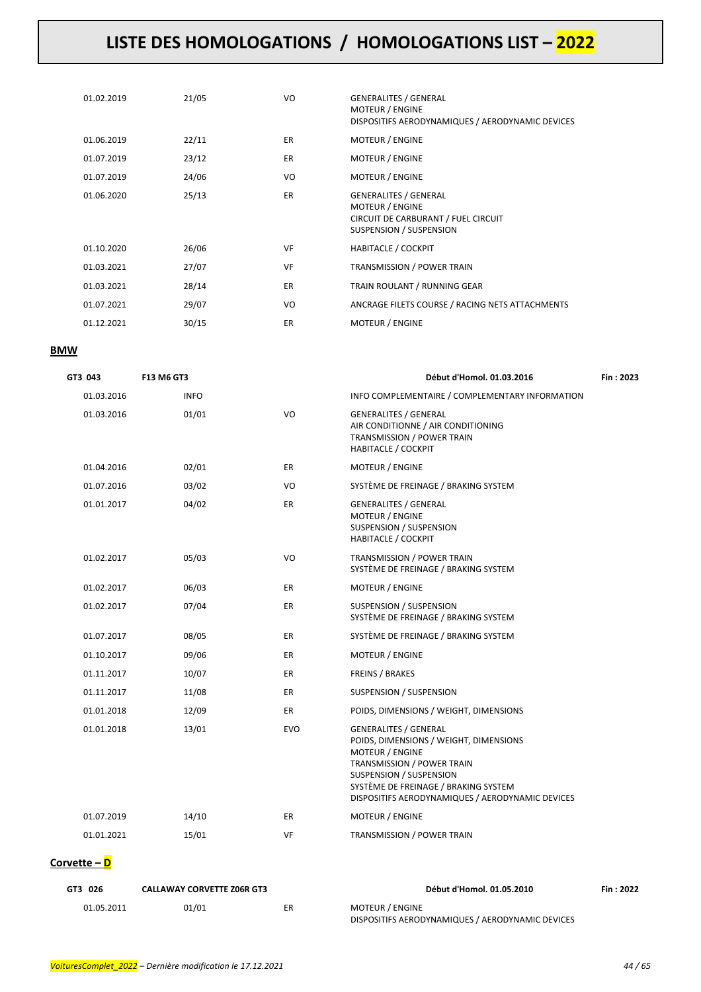| 01.02.2019 | 21/05 | VO        | <b>GENERALITES / GENERAL</b><br><b>MOTEUR / ENGINE</b><br>DISPOSITIFS AERODYNAMIQUES / AERODYNAMIC DEVICES        |
|------------|-------|-----------|-------------------------------------------------------------------------------------------------------------------|
| 01.06.2019 | 22/11 | <b>ER</b> | <b>MOTEUR / ENGINE</b>                                                                                            |
| 01.07.2019 | 23/12 | <b>ER</b> | <b>MOTEUR / ENGINE</b>                                                                                            |
| 01.07.2019 | 24/06 | VO        | <b>MOTEUR / ENGINE</b>                                                                                            |
| 01.06.2020 | 25/13 | <b>ER</b> | <b>GENERALITES / GENERAL</b><br>MOTEUR / ENGINE<br>CIRCUIT DE CARBURANT / FUEL CIRCUIT<br>SUSPENSION / SUSPENSION |
| 01.10.2020 | 26/06 | VF        | <b>HABITACLE / COCKPIT</b>                                                                                        |
| 01.03.2021 | 27/07 | VF        | <b>TRANSMISSION / POWER TRAIN</b>                                                                                 |
| 01.03.2021 | 28/14 | <b>ER</b> | TRAIN ROULANT / RUNNING GEAR                                                                                      |
| 01.07.2021 | 29/07 | VO        | ANCRAGE FILETS COURSE / RACING NETS ATTACHMENTS                                                                   |
| 01.12.2021 | 30/15 | <b>ER</b> | <b>MOTEUR / ENGINE</b>                                                                                            |
|            |       |           |                                                                                                                   |

#### **BMW**

| GT3 043      | F13 M6 GT3  |            | Début d'Homol. 01.03.2016                                                                                                                                                                                                                             | Fin: 2023 |
|--------------|-------------|------------|-------------------------------------------------------------------------------------------------------------------------------------------------------------------------------------------------------------------------------------------------------|-----------|
| 01.03.2016   | <b>INFO</b> |            | INFO COMPLEMENTAIRE / COMPLEMENTARY INFORMATION                                                                                                                                                                                                       |           |
| 01.03.2016   | 01/01       | VO         | <b>GENERALITES / GENERAL</b><br>AIR CONDITIONNE / AIR CONDITIONING<br>TRANSMISSION / POWER TRAIN<br><b>HABITACLE / COCKPIT</b>                                                                                                                        |           |
| 01.04.2016   | 02/01       | ER         | <b>MOTEUR / ENGINE</b>                                                                                                                                                                                                                                |           |
| 01.07.2016   | 03/02       | VO         | SYSTÈME DE FREINAGE / BRAKING SYSTEM                                                                                                                                                                                                                  |           |
| 01.01.2017   | 04/02       | ER         | <b>GENERALITES / GENERAL</b><br><b>MOTEUR / ENGINE</b><br>SUSPENSION / SUSPENSION<br><b>HABITACLE / COCKPIT</b>                                                                                                                                       |           |
| 01.02.2017   | 05/03       | VO         | TRANSMISSION / POWER TRAIN<br>SYSTÈME DE FREINAGE / BRAKING SYSTEM                                                                                                                                                                                    |           |
| 01.02.2017   | 06/03       | ER         | MOTEUR / ENGINE                                                                                                                                                                                                                                       |           |
| 01.02.2017   | 07/04       | ER         | SUSPENSION / SUSPENSION<br>SYSTÈME DE FREINAGE / BRAKING SYSTEM                                                                                                                                                                                       |           |
| 01.07.2017   | 08/05       | ER         | SYSTÈME DE FREINAGE / BRAKING SYSTEM                                                                                                                                                                                                                  |           |
| 01.10.2017   | 09/06       | ER         | MOTEUR / ENGINE                                                                                                                                                                                                                                       |           |
| 01.11.2017   | 10/07       | ER         | <b>FREINS / BRAKES</b>                                                                                                                                                                                                                                |           |
| 01.11.2017   | 11/08       | ER         | SUSPENSION / SUSPENSION                                                                                                                                                                                                                               |           |
| 01.01.2018   | 12/09       | ER         | POIDS, DIMENSIONS / WEIGHT, DIMENSIONS                                                                                                                                                                                                                |           |
| 01.01.2018   | 13/01       | <b>EVO</b> | <b>GENERALITES / GENERAL</b><br>POIDS, DIMENSIONS / WEIGHT, DIMENSIONS<br><b>MOTEUR / ENGINE</b><br>TRANSMISSION / POWER TRAIN<br>SUSPENSION / SUSPENSION<br>SYSTÈME DE FREINAGE / BRAKING SYSTEM<br>DISPOSITIFS AERODYNAMIQUES / AERODYNAMIC DEVICES |           |
| 01.07.2019   | 14/10       | ER         | MOTEUR / ENGINE                                                                                                                                                                                                                                       |           |
| 01.01.2021   | 15/01       | VF         | TRANSMISSION / POWER TRAIN                                                                                                                                                                                                                            |           |
| Corvette - D |             |            |                                                                                                                                                                                                                                                       |           |

| GT3 026    | <b>CALLAWAY CORVETTE Z06R GT3</b> |    | Début d'Homol. 01.05.2010                        | Fin: 2022 |
|------------|-----------------------------------|----|--------------------------------------------------|-----------|
| 01.05.2011 | 01/01                             | ER | MOTEUR / ENGINE                                  |           |
|            |                                   |    | DISPOSITIFS AERODYNAMIQUES / AERODYNAMIC DEVICES |           |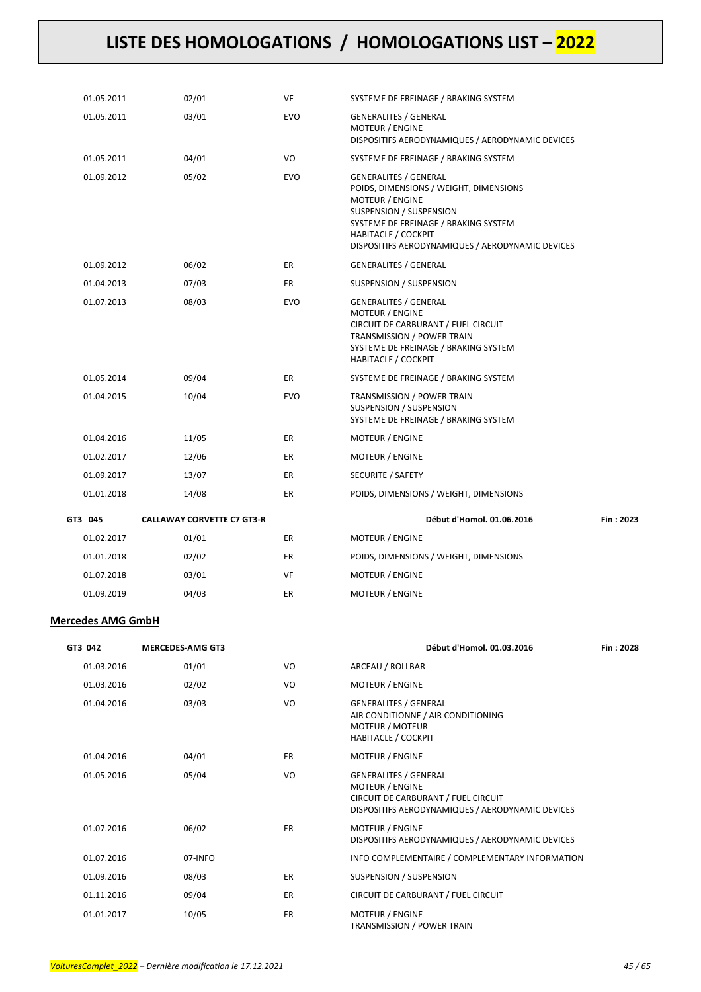| 01.05.2011 | 02/01                             | VF         | SYSTEME DE FREINAGE / BRAKING SYSTEM                                                                                                                                                                                                           |           |
|------------|-----------------------------------|------------|------------------------------------------------------------------------------------------------------------------------------------------------------------------------------------------------------------------------------------------------|-----------|
| 01.05.2011 | 03/01                             | EVO        | <b>GENERALITES / GENERAL</b><br>MOTEUR / ENGINE<br>DISPOSITIFS AERODYNAMIQUES / AERODYNAMIC DEVICES                                                                                                                                            |           |
| 01.05.2011 | 04/01                             | VO         | SYSTEME DE FREINAGE / BRAKING SYSTEM                                                                                                                                                                                                           |           |
| 01.09.2012 | 05/02                             | <b>EVO</b> | GENERALITES / GENERAL<br>POIDS, DIMENSIONS / WEIGHT, DIMENSIONS<br><b>MOTEUR / ENGINE</b><br>SUSPENSION / SUSPENSION<br>SYSTEME DE FREINAGE / BRAKING SYSTEM<br><b>HABITACLE / COCKPIT</b><br>DISPOSITIFS AERODYNAMIQUES / AERODYNAMIC DEVICES |           |
| 01.09.2012 | 06/02                             | ER.        | <b>GENERALITES / GENERAL</b>                                                                                                                                                                                                                   |           |
| 01.04.2013 | 07/03                             | ER.        | SUSPENSION / SUSPENSION                                                                                                                                                                                                                        |           |
| 01.07.2013 | 08/03                             | <b>EVO</b> | <b>GENERALITES / GENERAL</b><br>MOTEUR / ENGINE<br>CIRCUIT DE CARBURANT / FUEL CIRCUIT<br>TRANSMISSION / POWER TRAIN<br>SYSTEME DE FREINAGE / BRAKING SYSTEM<br><b>HABITACLE / COCKPIT</b>                                                     |           |
| 01.05.2014 | 09/04                             | ER         | SYSTEME DE FREINAGE / BRAKING SYSTEM                                                                                                                                                                                                           |           |
| 01.04.2015 | 10/04                             | EVO        | TRANSMISSION / POWER TRAIN<br>SUSPENSION / SUSPENSION<br>SYSTEME DE FREINAGE / BRAKING SYSTEM                                                                                                                                                  |           |
| 01.04.2016 | 11/05                             | ER         | MOTEUR / ENGINE                                                                                                                                                                                                                                |           |
| 01.02.2017 | 12/06                             | ER.        | MOTEUR / ENGINE                                                                                                                                                                                                                                |           |
| 01.09.2017 | 13/07                             | ER         | SECURITE / SAFETY                                                                                                                                                                                                                              |           |
| 01.01.2018 | 14/08                             | ER         | POIDS, DIMENSIONS / WEIGHT, DIMENSIONS                                                                                                                                                                                                         |           |
| GT3 045    | <b>CALLAWAY CORVETTE C7 GT3-R</b> |            | Début d'Homol. 01.06.2016                                                                                                                                                                                                                      | Fin: 2023 |
| 01.02.2017 | 01/01                             | ER         | MOTEUR / ENGINE                                                                                                                                                                                                                                |           |
| 01.01.2018 | 02/02                             | ER         | POIDS, DIMENSIONS / WEIGHT, DIMENSIONS                                                                                                                                                                                                         |           |
| 01.07.2018 | 03/01                             | VF         | MOTEUR / ENGINE                                                                                                                                                                                                                                |           |
| 01.09.2019 | 04/03                             | ER         | <b>MOTEUR / ENGINE</b>                                                                                                                                                                                                                         |           |

#### **Mercedes AMG GmbH**

| Début d'Homol. 01.                                                                                                                 |           | <b>MERCEDES-AMG GT3</b> | GT3 042    |
|------------------------------------------------------------------------------------------------------------------------------------|-----------|-------------------------|------------|
| ARCEAU / ROLLBAR                                                                                                                   | VO        | 01/01                   | 01.03.2016 |
| <b>MOTEUR / ENGINE</b>                                                                                                             | VO        | 02/02                   | 01.03.2016 |
| <b>GENERALITES / GENERAL</b><br>AIR CONDITIONNE / AIR CONDITIONING<br><b>MOTEUR / MOTEUR</b><br><b>HABITACLE / COCKPIT</b>         | VO        | 03/03                   | 01.04.2016 |
| <b>MOTEUR / ENGINE</b>                                                                                                             | ER.       | 04/01                   | 01.04.2016 |
| <b>GENERALITES / GENERAL</b><br><b>MOTEUR / ENGINE</b><br>CIRCUIT DE CARBURANT / FUEL CIRCUIT<br>DISPOSITIFS AERODYNAMIQUES / AERO | VO        | 05/04                   | 01.05.2016 |
| <b>MOTEUR / ENGINE</b><br>DISPOSITIFS AERODYNAMIQUES / AERO                                                                        | ER        | 06/02                   | 01.07.2016 |
| INFO COMPLEMENTAIRE / COMPLEMEN                                                                                                    |           | 07-INFO                 | 01.07.2016 |
| SUSPENSION / SUSPENSION                                                                                                            | ER.       | 08/03                   | 01.09.2016 |
| CIRCUIT DE CARBURANT / FUEL CIRCUIT                                                                                                | ER.       | 09/04                   | 01.11.2016 |
| <b>MOTEUR / ENGINE</b>                                                                                                             | <b>ER</b> | 10/05                   | 01.01.2017 |

| GT3 042    | <b>MERCEDES-AMG GT3</b> |           | Début d'Homol. 01.03.2016                                                                                                                         | Fin: 2028 |
|------------|-------------------------|-----------|---------------------------------------------------------------------------------------------------------------------------------------------------|-----------|
| 01.03.2016 | 01/01                   | VO        | ARCEAU / ROLLBAR                                                                                                                                  |           |
| 01.03.2016 | 02/02                   | VO        | <b>MOTEUR / ENGINE</b>                                                                                                                            |           |
| 01.04.2016 | 03/03                   | VO        | <b>GENERALITES / GENERAL</b><br>AIR CONDITIONNE / AIR CONDITIONING<br><b>MOTEUR / MOTEUR</b><br><b>HABITACLE / COCKPIT</b>                        |           |
| 01.04.2016 | 04/01                   | ER        | <b>MOTEUR / ENGINE</b>                                                                                                                            |           |
| 01.05.2016 | 05/04                   | VO        | <b>GENERALITES / GENERAL</b><br><b>MOTEUR / ENGINE</b><br>CIRCUIT DE CARBURANT / FUEL CIRCUIT<br>DISPOSITIFS AERODYNAMIQUES / AERODYNAMIC DEVICES |           |
| 01.07.2016 | 06/02                   | <b>ER</b> | <b>MOTEUR / ENGINE</b><br>DISPOSITIFS AERODYNAMIQUES / AERODYNAMIC DEVICES                                                                        |           |
| 01.07.2016 | 07-INFO                 |           | INFO COMPLEMENTAIRE / COMPLEMENTARY INFORMATION                                                                                                   |           |
| 01.09.2016 | 08/03                   | <b>ER</b> | SUSPENSION / SUSPENSION                                                                                                                           |           |
| 01.11.2016 | 09/04                   | ER        | CIRCUIT DE CARBURANT / FUEL CIRCUIT                                                                                                               |           |
| 01.01.2017 | 10/05                   | ER        | <b>MOTEUR / ENGINE</b>                                                                                                                            |           |

TRANSMISSION / POWER TRAIN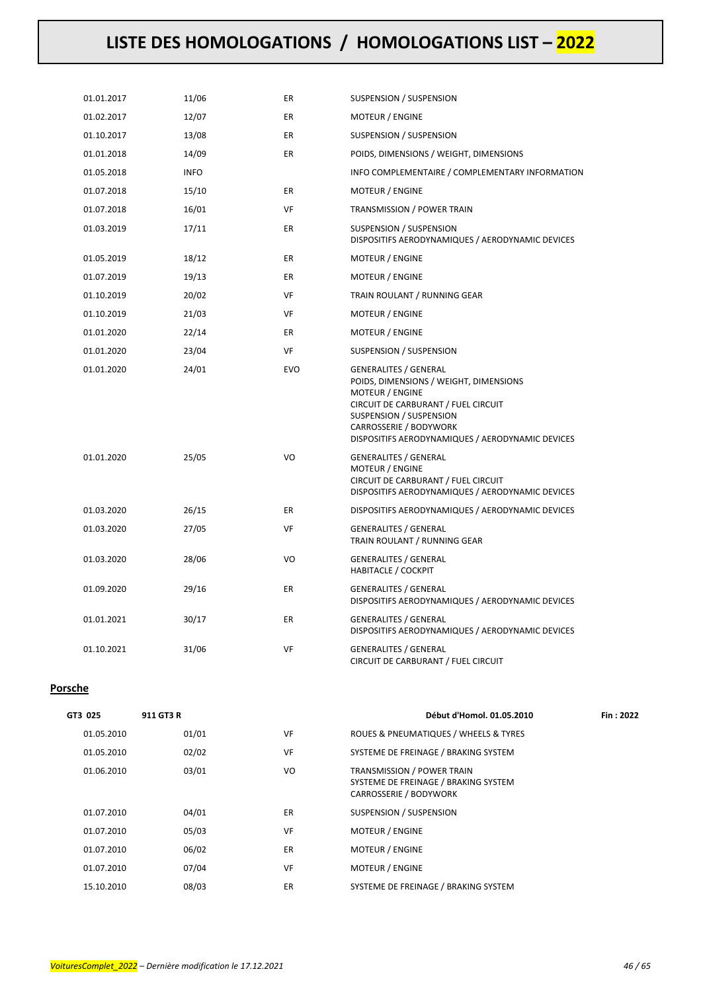| 01.01.2017 | 11/06       | ER         | SUSPENSION / SUSPENSION                                                                                                                                                                                                                   |
|------------|-------------|------------|-------------------------------------------------------------------------------------------------------------------------------------------------------------------------------------------------------------------------------------------|
| 01.02.2017 | 12/07       | ER         | MOTEUR / ENGINE                                                                                                                                                                                                                           |
| 01.10.2017 | 13/08       | ER         | SUSPENSION / SUSPENSION                                                                                                                                                                                                                   |
| 01.01.2018 | 14/09       | ER         | POIDS, DIMENSIONS / WEIGHT, DIMENSIONS                                                                                                                                                                                                    |
| 01.05.2018 | <b>INFO</b> |            | INFO COMPLEMENTAIRE / COMPLEMENTARY INFORMATION                                                                                                                                                                                           |
| 01.07.2018 | 15/10       | <b>ER</b>  | MOTEUR / ENGINE                                                                                                                                                                                                                           |
| 01.07.2018 | 16/01       | VF         | TRANSMISSION / POWER TRAIN                                                                                                                                                                                                                |
| 01.03.2019 | 17/11       | ER         | SUSPENSION / SUSPENSION<br>DISPOSITIFS AERODYNAMIQUES / AERODYNAMIC DEVICES                                                                                                                                                               |
| 01.05.2019 | 18/12       | ER         | MOTEUR / ENGINE                                                                                                                                                                                                                           |
| 01.07.2019 | 19/13       | ER         | MOTEUR / ENGINE                                                                                                                                                                                                                           |
| 01.10.2019 | 20/02       | VF         | TRAIN ROULANT / RUNNING GEAR                                                                                                                                                                                                              |
| 01.10.2019 | 21/03       | VF         | MOTEUR / ENGINE                                                                                                                                                                                                                           |
| 01.01.2020 | 22/14       | ER         | MOTEUR / ENGINE                                                                                                                                                                                                                           |
| 01.01.2020 | 23/04       | VF         | SUSPENSION / SUSPENSION                                                                                                                                                                                                                   |
| 01.01.2020 | 24/01       | <b>EVO</b> | <b>GENERALITES / GENERAL</b><br>POIDS, DIMENSIONS / WEIGHT, DIMENSIONS<br>MOTEUR / ENGINE<br>CIRCUIT DE CARBURANT / FUEL CIRCUIT<br>SUSPENSION / SUSPENSION<br>CARROSSERIE / BODYWORK<br>DISPOSITIFS AERODYNAMIQUES / AERODYNAMIC DEVICES |
| 01.01.2020 | 25/05       | VO         | <b>GENERALITES / GENERAL</b><br>MOTEUR / ENGINE<br>CIRCUIT DE CARBURANT / FUEL CIRCUIT<br>DISPOSITIFS AERODYNAMIQUES / AERODYNAMIC DEVICES                                                                                                |
| 01.03.2020 | 26/15       | ER         | DISPOSITIFS AERODYNAMIQUES / AERODYNAMIC DEVICES                                                                                                                                                                                          |
| 01.03.2020 | 27/05       | VF         | <b>GENERALITES / GENERAL</b><br>TRAIN ROULANT / RUNNING GEAR                                                                                                                                                                              |
| 01.03.2020 | 28/06       | VO         | <b>GENERALITES / GENERAL</b><br><b>HABITACLE / COCKPIT</b>                                                                                                                                                                                |
| 01.09.2020 | 29/16       | ER         | <b>GENERALITES / GENERAL</b><br>DISPOSITIFS AERODYNAMIQUES / AERODYNAMIC DEVICES                                                                                                                                                          |
| 01.01.2021 | 30/17       | ER         | <b>GENERALITES / GENERAL</b><br>DISPOSITIFS AERODYNAMIQUES / AERODYNAMIC DEVICES                                                                                                                                                          |
| 01.10.2021 | 31/06       | VF         | <b>GENERALITES / GENERAL</b><br>CIRCUIT DE CARBURANT / FUEL CIRCUIT                                                                                                                                                                       |

#### **Porsche**

| GT3 025    | 911 GT3 R |    | Début d'Homol. 01.05.2010                                                                           | Fin: 2022 |
|------------|-----------|----|-----------------------------------------------------------------------------------------------------|-----------|
| 01.05.2010 | 01/01     | VF | ROUES & PNEUMATIQUES / WHEELS & TYRES                                                               |           |
| 01.05.2010 | 02/02     | VF | SYSTEME DE FREINAGE / BRAKING SYSTEM                                                                |           |
| 01.06.2010 | 03/01     | VO | <b>TRANSMISSION / POWER TRAIN</b><br>SYSTEME DE FREINAGE / BRAKING SYSTEM<br>CARROSSERIE / BODYWORK |           |
| 01.07.2010 | 04/01     | ER | SUSPENSION / SUSPENSION                                                                             |           |
| 01.07.2010 | 05/03     | VF | <b>MOTEUR / ENGINE</b>                                                                              |           |
| 01.07.2010 | 06/02     | ER | <b>MOTEUR / ENGINE</b>                                                                              |           |
| 01.07.2010 | 07/04     | VF | <b>MOTEUR / ENGINE</b>                                                                              |           |
| 15.10.2010 | 08/03     | ER | SYSTEME DE FREINAGE / BRAKING SYSTEM                                                                |           |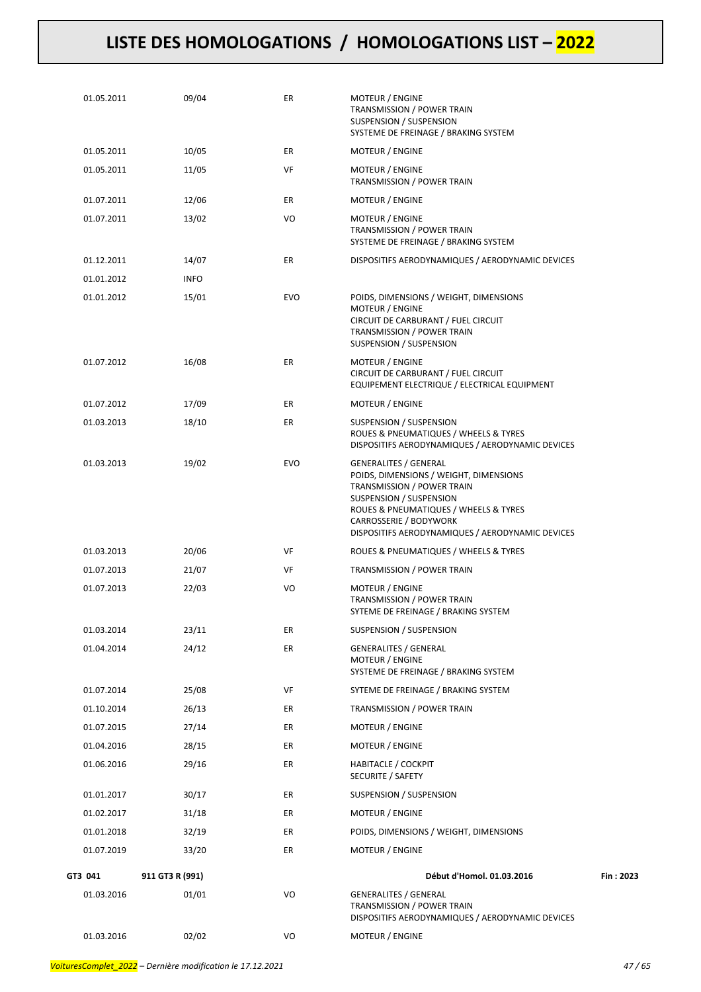| 01.05.2011 | 09/04           | ER         | MOTEUR / ENGINE<br><b>TRANSMISSION / POWER TRAIN</b><br>SUSPENSION / SUSPENSION<br>SYSTEME DE FREINAGE / BRAKING SYSTEM                                                                                                                                |           |
|------------|-----------------|------------|--------------------------------------------------------------------------------------------------------------------------------------------------------------------------------------------------------------------------------------------------------|-----------|
| 01.05.2011 | 10/05           | ER         | MOTEUR / ENGINE                                                                                                                                                                                                                                        |           |
| 01.05.2011 | 11/05           | VF         | MOTEUR / ENGINE<br>TRANSMISSION / POWER TRAIN                                                                                                                                                                                                          |           |
| 01.07.2011 | 12/06           | ER         | MOTEUR / ENGINE                                                                                                                                                                                                                                        |           |
| 01.07.2011 | 13/02           | VO         | <b>MOTEUR / ENGINE</b><br><b>TRANSMISSION / POWER TRAIN</b><br>SYSTEME DE FREINAGE / BRAKING SYSTEM                                                                                                                                                    |           |
| 01.12.2011 | 14/07           | ER         | DISPOSITIFS AERODYNAMIQUES / AERODYNAMIC DEVICES                                                                                                                                                                                                       |           |
| 01.01.2012 | <b>INFO</b>     |            |                                                                                                                                                                                                                                                        |           |
| 01.01.2012 | 15/01           | <b>EVO</b> | POIDS, DIMENSIONS / WEIGHT, DIMENSIONS<br>MOTEUR / ENGINE<br>CIRCUIT DE CARBURANT / FUEL CIRCUIT<br>TRANSMISSION / POWER TRAIN<br>SUSPENSION / SUSPENSION                                                                                              |           |
| 01.07.2012 | 16/08           | ER         | MOTEUR / ENGINE<br>CIRCUIT DE CARBURANT / FUEL CIRCUIT<br>EQUIPEMENT ELECTRIQUE / ELECTRICAL EQUIPMENT                                                                                                                                                 |           |
| 01.07.2012 | 17/09           | ER         | <b>MOTEUR / ENGINE</b>                                                                                                                                                                                                                                 |           |
| 01.03.2013 | 18/10           | ER         | SUSPENSION / SUSPENSION<br>ROUES & PNEUMATIQUES / WHEELS & TYRES<br>DISPOSITIFS AERODYNAMIQUES / AERODYNAMIC DEVICES                                                                                                                                   |           |
| 01.03.2013 | 19/02           | <b>EVO</b> | <b>GENERALITES / GENERAL</b><br>POIDS, DIMENSIONS / WEIGHT, DIMENSIONS<br>TRANSMISSION / POWER TRAIN<br>SUSPENSION / SUSPENSION<br>ROUES & PNEUMATIQUES / WHEELS & TYRES<br>CARROSSERIE / BODYWORK<br>DISPOSITIFS AERODYNAMIQUES / AERODYNAMIC DEVICES |           |
| 01.03.2013 | 20/06           | VF         | ROUES & PNEUMATIQUES / WHEELS & TYRES                                                                                                                                                                                                                  |           |
| 01.07.2013 | 21/07           | VF         | TRANSMISSION / POWER TRAIN                                                                                                                                                                                                                             |           |
| 01.07.2013 | 22/03           | VO         | MOTEUR / ENGINE<br>TRANSMISSION / POWER TRAIN<br>SYTEME DE FREINAGE / BRAKING SYSTEM                                                                                                                                                                   |           |
| 01.03.2014 | 23/11           | ER         | SUSPENSION / SUSPENSION                                                                                                                                                                                                                                |           |
| 01.04.2014 | 24/12           | ER         | <b>GENERALITES / GENERAL</b><br><b>MOTEUR / ENGINE</b><br>SYSTEME DE FREINAGE / BRAKING SYSTEM                                                                                                                                                         |           |
| 01.07.2014 | 25/08           | VF         | SYTEME DE FREINAGE / BRAKING SYSTEM                                                                                                                                                                                                                    |           |
| 01.10.2014 | 26/13           | ER         | TRANSMISSION / POWER TRAIN                                                                                                                                                                                                                             |           |
| 01.07.2015 | 27/14           | ER         | MOTEUR / ENGINE                                                                                                                                                                                                                                        |           |
| 01.04.2016 | 28/15           | ER         | MOTEUR / ENGINE                                                                                                                                                                                                                                        |           |
| 01.06.2016 | 29/16           | ER         | <b>HABITACLE / COCKPIT</b><br>SECURITE / SAFETY                                                                                                                                                                                                        |           |
| 01.01.2017 | 30/17           | ER         | SUSPENSION / SUSPENSION                                                                                                                                                                                                                                |           |
| 01.02.2017 | 31/18           | ER         | MOTEUR / ENGINE                                                                                                                                                                                                                                        |           |
| 01.01.2018 | 32/19           | ER         | POIDS, DIMENSIONS / WEIGHT, DIMENSIONS                                                                                                                                                                                                                 |           |
| 01.07.2019 | 33/20           | ER         | MOTEUR / ENGINE                                                                                                                                                                                                                                        |           |
| GT3 041    | 911 GT3 R (991) |            | Début d'Homol. 01.03.2016                                                                                                                                                                                                                              | Fin: 2023 |
| 01.03.2016 | 01/01           | VO         | GENERALITES / GENERAL<br>TRANSMISSION / POWER TRAIN<br>DISPOSITIFS AERODYNAMIQUES / AERODYNAMIC DEVICES                                                                                                                                                |           |
| 01.03.2016 | 02/02           | VO         | MOTEUR / ENGINE                                                                                                                                                                                                                                        |           |
|            |                 |            |                                                                                                                                                                                                                                                        |           |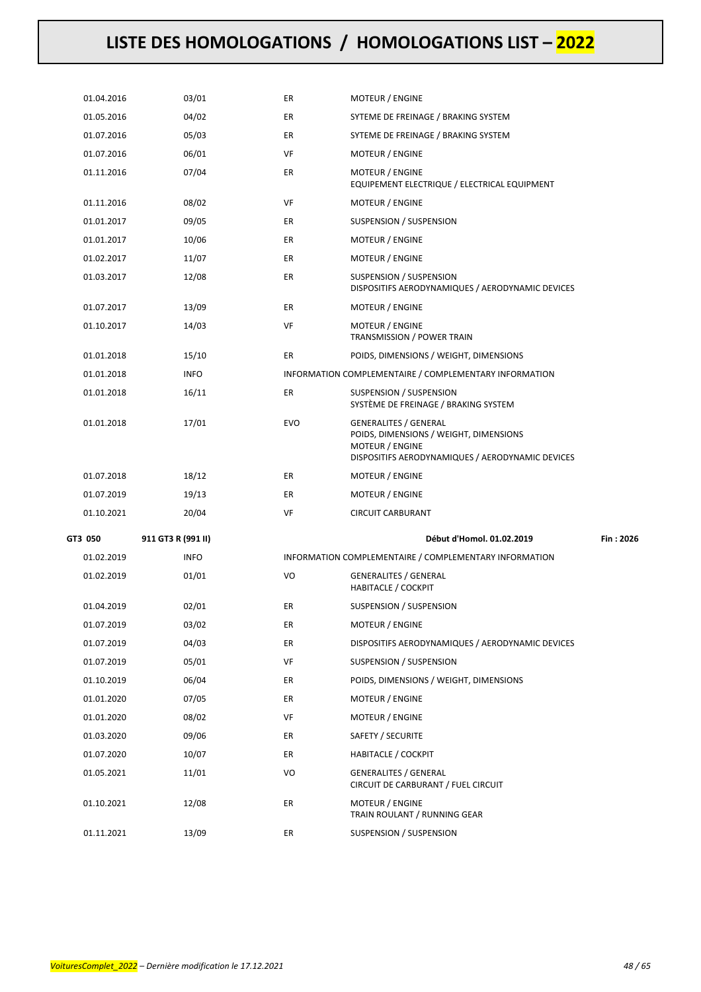| 01.04.2016                    | 03/01       | ER         | <b>MOTEUR / ENGINE</b>                                                                                                                        |  |
|-------------------------------|-------------|------------|-----------------------------------------------------------------------------------------------------------------------------------------------|--|
| 01.05.2016                    | 04/02       | ER         | SYTEME DE FREINAGE / BRAKING SYSTEM                                                                                                           |  |
| 01.07.2016                    | 05/03       | ER         | SYTEME DE FREINAGE / BRAKING SYSTEM                                                                                                           |  |
| 01.07.2016                    | 06/01       | VF         | MOTEUR / ENGINE                                                                                                                               |  |
| 01.11.2016                    | 07/04       | ER         | <b>MOTEUR / ENGINE</b><br>EQUIPEMENT ELECTRIQUE / ELECTRICAL EQUIPMENT                                                                        |  |
| 01.11.2016                    | 08/02       | VF         | MOTEUR / ENGINE                                                                                                                               |  |
| 01.01.2017                    | 09/05       | ER         | SUSPENSION / SUSPENSION                                                                                                                       |  |
| 01.01.2017                    | 10/06       | ER         | MOTEUR / ENGINE                                                                                                                               |  |
| 01.02.2017                    | 11/07       | ER         | MOTEUR / ENGINE                                                                                                                               |  |
| 01.03.2017                    | 12/08       | ER         | SUSPENSION / SUSPENSION<br>DISPOSITIFS AERODYNAMIQUES / AERODYNAMIC DEVICES                                                                   |  |
| 01.07.2017                    | 13/09       | ER         | <b>MOTEUR / ENGINE</b>                                                                                                                        |  |
| 01.10.2017                    | 14/03       | VF         | <b>MOTEUR / ENGINE</b><br>TRANSMISSION / POWER TRAIN                                                                                          |  |
| 01.01.2018                    | 15/10       | ER         | POIDS, DIMENSIONS / WEIGHT, DIMENSIONS                                                                                                        |  |
| 01.01.2018                    | <b>INFO</b> |            | INFORMATION COMPLEMENTAIRE / COMPLEMENTARY INFORMATION                                                                                        |  |
| 01.01.2018                    | 16/11       | ER         | SUSPENSION / SUSPENSION<br>SYSTÈME DE FREINAGE / BRAKING SYSTEM                                                                               |  |
| 01.01.2018                    | 17/01       | <b>EVO</b> | <b>GENERALITES / GENERAL</b><br>POIDS, DIMENSIONS / WEIGHT, DIMENSIONS<br>MOTEUR / ENGINE<br>DISPOSITIFS AERODYNAMIQUES / AERODYNAMIC DEVICES |  |
| 01.07.2018                    | 18/12       | ER         | <b>MOTEUR / ENGINE</b>                                                                                                                        |  |
| 01.07.2019                    | 19/13       | ER         | MOTEUR / ENGINE                                                                                                                               |  |
| 01.10.2021                    | 20/04       | VF         | <b>CIRCUIT CARBURANT</b>                                                                                                                      |  |
| 911 GT3 R (991 II)<br>GT3 050 |             |            | Début d'Homol. 01.02.2019<br>Fin: 2026                                                                                                        |  |
| 01.02.2019                    | <b>INFO</b> |            | INFORMATION COMPLEMENTAIRE / COMPLEMENTARY INFORMATION                                                                                        |  |
| 01.02.2019                    | 01/01       |            |                                                                                                                                               |  |
|                               |             | VO         | <b>GENERALITES / GENERAL</b><br><b>HABITACLE / COCKPIT</b>                                                                                    |  |
| 01.04.2019                    | 02/01       | ER         | SUSPENSION / SUSPENSION                                                                                                                       |  |
| 01.07.2019                    | 03/02       | ER         | <b>MOTEUR / ENGINE</b>                                                                                                                        |  |
| 01.07.2019                    | 04/03       | ER         | DISPOSITIFS AERODYNAMIQUES / AERODYNAMIC DEVICES                                                                                              |  |
| 01.07.2019                    | 05/01       | VF         | SUSPENSION / SUSPENSION                                                                                                                       |  |
| 01.10.2019                    | 06/04       | ER         | POIDS, DIMENSIONS / WEIGHT, DIMENSIONS                                                                                                        |  |
| 01.01.2020                    | 07/05       | ER         | MOTEUR / ENGINE                                                                                                                               |  |
| 01.01.2020                    | 08/02       | VF         | MOTEUR / ENGINE                                                                                                                               |  |
| 01.03.2020                    | 09/06       | ER         | SAFETY / SECURITE                                                                                                                             |  |
| 01.07.2020                    | 10/07       | ER         | <b>HABITACLE / COCKPIT</b>                                                                                                                    |  |
| 01.05.2021                    | 11/01       | VO         | <b>GENERALITES / GENERAL</b><br>CIRCUIT DE CARBURANT / FUEL CIRCUIT                                                                           |  |
| 01.10.2021                    | 12/08       | ER         | MOTEUR / ENGINE<br>TRAIN ROULANT / RUNNING GEAR                                                                                               |  |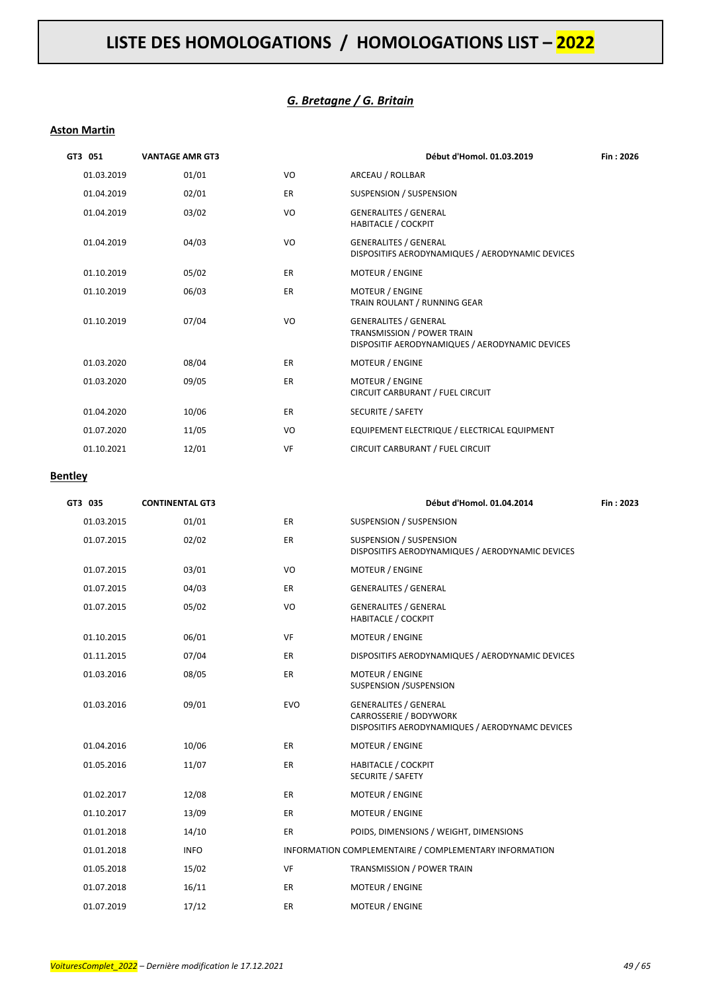### *G. Bretagne / G. Britain*

#### **Aston Martin**

| GT3 051    | <b>VANTAGE AMR GT3</b> |           | Début d'Homol. 01.03.2019                                                                                            | Fin: 2026 |
|------------|------------------------|-----------|----------------------------------------------------------------------------------------------------------------------|-----------|
| 01.03.2019 | 01/01                  | VO        | ARCEAU / ROLLBAR                                                                                                     |           |
| 01.04.2019 | 02/01                  | <b>ER</b> | SUSPENSION / SUSPENSION                                                                                              |           |
| 01.04.2019 | 03/02                  | VO        | <b>GENERALITES / GENERAL</b><br><b>HABITACLE / COCKPIT</b>                                                           |           |
| 01.04.2019 | 04/03                  | VO        | <b>GENERALITES / GENERAL</b><br>DISPOSITIFS AERODYNAMIQUES / AERODYNAMIC DEVICES                                     |           |
| 01.10.2019 | 05/02                  | <b>ER</b> | MOTEUR / ENGINE                                                                                                      |           |
| 01.10.2019 | 06/03                  | <b>ER</b> | <b>MOTEUR / ENGINE</b><br>TRAIN ROULANT / RUNNING GEAR                                                               |           |
| 01.10.2019 | 07/04                  | VO        | <b>GENERALITES / GENERAL</b><br><b>TRANSMISSION / POWER TRAIN</b><br>DISPOSITIF AERODYNAMIQUES / AERODYNAMIC DEVICES |           |
| 01.03.2020 | 08/04                  | <b>ER</b> | <b>MOTEUR / ENGINE</b>                                                                                               |           |
| 01.03.2020 | 09/05                  | ER        | MOTEUR / ENGINE<br>CIRCUIT CARBURANT / FUEL CIRCUIT                                                                  |           |
| 01.04.2020 | 10/06                  | ER        | SECURITE / SAFETY                                                                                                    |           |
| 01.07.2020 | 11/05                  | VO        | EQUIPEMENT ELECTRIQUE / ELECTRICAL EQUIPMENT                                                                         |           |
| 01.10.2021 | 12/01                  | VF        | CIRCUIT CARBURANT / FUEL CIRCUIT                                                                                     |           |

#### **Bentley**

| GT3 035    | <b>CONTINENTAL GT3</b> |            | Début d'Homol. 01.04.2014                                                                                 | Fin: 2023 |
|------------|------------------------|------------|-----------------------------------------------------------------------------------------------------------|-----------|
| 01.03.2015 | 01/01                  | ER         | SUSPENSION / SUSPENSION                                                                                   |           |
| 01.07.2015 | 02/02                  | ER         | SUSPENSION / SUSPENSION<br>DISPOSITIFS AERODYNAMIQUES / AERODYNAMIC DEVICES                               |           |
| 01.07.2015 | 03/01                  | VO         | MOTEUR / ENGINE                                                                                           |           |
| 01.07.2015 | 04/03                  | ER         | <b>GENERALITES / GENERAL</b>                                                                              |           |
| 01.07.2015 | 05/02                  | VO         | <b>GENERALITES / GENERAL</b><br><b>HABITACLE / COCKPIT</b>                                                |           |
| 01.10.2015 | 06/01                  | <b>VF</b>  | <b>MOTEUR / ENGINE</b>                                                                                    |           |
| 01.11.2015 | 07/04                  | ER         | DISPOSITIFS AERODYNAMIQUES / AERODYNAMIC DEVICES                                                          |           |
| 01.03.2016 | 08/05                  | ER         | <b>MOTEUR / ENGINE</b><br>SUSPENSION /SUSPENSION                                                          |           |
| 01.03.2016 | 09/01                  | <b>EVO</b> | <b>GENERALITES / GENERAL</b><br>CARROSSERIE / BODYWORK<br>DISPOSITIFS AERODYNAMIQUES / AERODYNAMC DEVICES |           |
| 01.04.2016 | 10/06                  | ER         | <b>MOTEUR / ENGINE</b>                                                                                    |           |
| 01.05.2016 | 11/07                  | ER         | <b>HABITACLE / COCKPIT</b><br><b>SECURITE / SAFETY</b>                                                    |           |
| 01.02.2017 | 12/08                  | ER         | MOTEUR / ENGINE                                                                                           |           |
| 01.10.2017 | 13/09                  | ER         | <b>MOTEUR / ENGINE</b>                                                                                    |           |
| 01.01.2018 | 14/10                  | <b>ER</b>  | POIDS, DIMENSIONS / WEIGHT, DIMENSIONS                                                                    |           |
| 01.01.2018 | <b>INFO</b>            |            | INFORMATION COMPLEMENTAIRE / COMPLEMENTARY INFORMATION                                                    |           |
| 01.05.2018 | 15/02                  | VF         | TRANSMISSION / POWER TRAIN                                                                                |           |
| 01.07.2018 | 16/11                  | <b>ER</b>  | MOTEUR / ENGINE                                                                                           |           |
| 01.07.2019 | 17/12                  | ER         | <b>MOTEUR / ENGINE</b>                                                                                    |           |
|            |                        |            |                                                                                                           |           |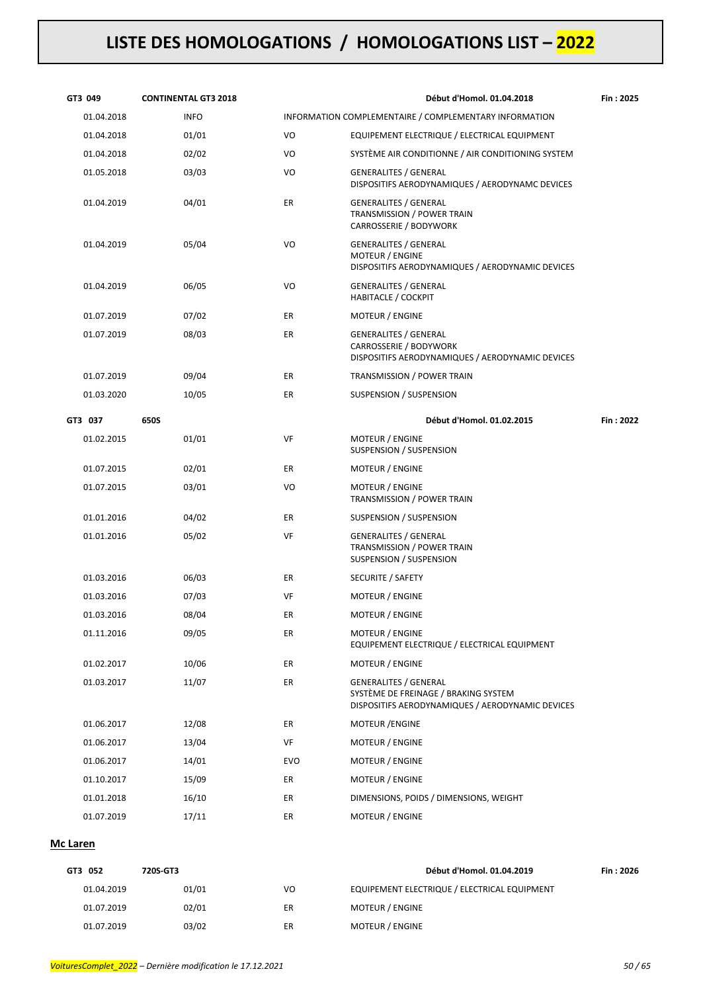| GT3 049    | <b>CONTINENTAL GT3 2018</b> |     | Début d'Homol. 01.04.2018                                                                                                | Fin: 2025 |
|------------|-----------------------------|-----|--------------------------------------------------------------------------------------------------------------------------|-----------|
| 01.04.2018 | <b>INFO</b>                 |     | INFORMATION COMPLEMENTAIRE / COMPLEMENTARY INFORMATION                                                                   |           |
| 01.04.2018 | 01/01                       | VO  | EQUIPEMENT ELECTRIQUE / ELECTRICAL EQUIPMENT                                                                             |           |
| 01.04.2018 | 02/02                       | VO  | SYSTÈME AIR CONDITIONNE / AIR CONDITIONING SYSTEM                                                                        |           |
| 01.05.2018 | 03/03                       | VO  | <b>GENERALITES / GENERAL</b><br>DISPOSITIFS AERODYNAMIQUES / AERODYNAMC DEVICES                                          |           |
| 01.04.2019 | 04/01                       | ER  | <b>GENERALITES / GENERAL</b><br>TRANSMISSION / POWER TRAIN<br>CARROSSERIE / BODYWORK                                     |           |
| 01.04.2019 | 05/04                       | VO  | <b>GENERALITES / GENERAL</b><br>MOTEUR / ENGINE<br>DISPOSITIFS AERODYNAMIQUES / AERODYNAMIC DEVICES                      |           |
| 01.04.2019 | 06/05                       | VO  | <b>GENERALITES / GENERAL</b><br><b>HABITACLE / COCKPIT</b>                                                               |           |
| 01.07.2019 | 07/02                       | ER  | MOTEUR / ENGINE                                                                                                          |           |
| 01.07.2019 | 08/03                       | ER  | <b>GENERALITES / GENERAL</b><br>CARROSSERIE / BODYWORK<br>DISPOSITIFS AERODYNAMIQUES / AERODYNAMIC DEVICES               |           |
| 01.07.2019 | 09/04                       | ER  | TRANSMISSION / POWER TRAIN                                                                                               |           |
| 01.03.2020 | 10/05                       | ER  | SUSPENSION / SUSPENSION                                                                                                  |           |
| GT3 037    | 650S                        |     | Début d'Homol. 01.02.2015                                                                                                | Fin: 2022 |
| 01.02.2015 | 01/01                       | VF  | MOTEUR / ENGINE<br>SUSPENSION / SUSPENSION                                                                               |           |
| 01.07.2015 | 02/01                       | ER  | MOTEUR / ENGINE                                                                                                          |           |
| 01.07.2015 | 03/01                       | VO  | MOTEUR / ENGINE<br>TRANSMISSION / POWER TRAIN                                                                            |           |
| 01.01.2016 | 04/02                       | ER  | SUSPENSION / SUSPENSION                                                                                                  |           |
| 01.01.2016 | 05/02                       | VF  | <b>GENERALITES / GENERAL</b><br>TRANSMISSION / POWER TRAIN<br>SUSPENSION / SUSPENSION                                    |           |
| 01.03.2016 | 06/03                       | ER  | SECURITE / SAFETY                                                                                                        |           |
| 01.03.2016 | 07/03                       | VF  | MOTEUR / ENGINE                                                                                                          |           |
| 01.03.2016 | 08/04                       | ER  | MOTEUR / ENGINE                                                                                                          |           |
| 01.11.2016 | 09/05                       | ER  | <b>MOTEUR / ENGINE</b><br>EQUIPEMENT ELECTRIQUE / ELECTRICAL EQUIPMENT                                                   |           |
| 01.02.2017 | 10/06                       | ER  | MOTEUR / ENGINE                                                                                                          |           |
| 01.03.2017 | 11/07                       | ER  | <b>GENERALITES / GENERAL</b><br>SYSTÈME DE FREINAGE / BRAKING SYSTEM<br>DISPOSITIFS AERODYNAMIQUES / AERODYNAMIC DEVICES |           |
| 01.06.2017 | 12/08                       | ER  | <b>MOTEUR /ENGINE</b>                                                                                                    |           |
| 01.06.2017 | 13/04                       | VF  | <b>MOTEUR / ENGINE</b>                                                                                                   |           |
| 01.06.2017 | 14/01                       | EVO | MOTEUR / ENGINE                                                                                                          |           |
| 01.10.2017 | 15/09                       | ER  | MOTEUR / ENGINE                                                                                                          |           |
| 01.01.2018 | 16/10                       | ER  | DIMENSIONS, POIDS / DIMENSIONS, WEIGHT                                                                                   |           |
| 01.07.2019 | 17/11                       | ER  | MOTEUR / ENGINE                                                                                                          |           |

### **Mc Laren**

| GT3 052    | 720S-GT3 |    | Début d'Homol, 01.04.2019                    | Fin: 2026 |
|------------|----------|----|----------------------------------------------|-----------|
| 01.04.2019 | 01/01    | VO | EQUIPEMENT ELECTRIQUE / ELECTRICAL EQUIPMENT |           |
| 01.07.2019 | 02/01    | ER | <b>MOTEUR / ENGINE</b>                       |           |
| 01.07.2019 | 03/02    | ER | <b>MOTEUR / ENGINE</b>                       |           |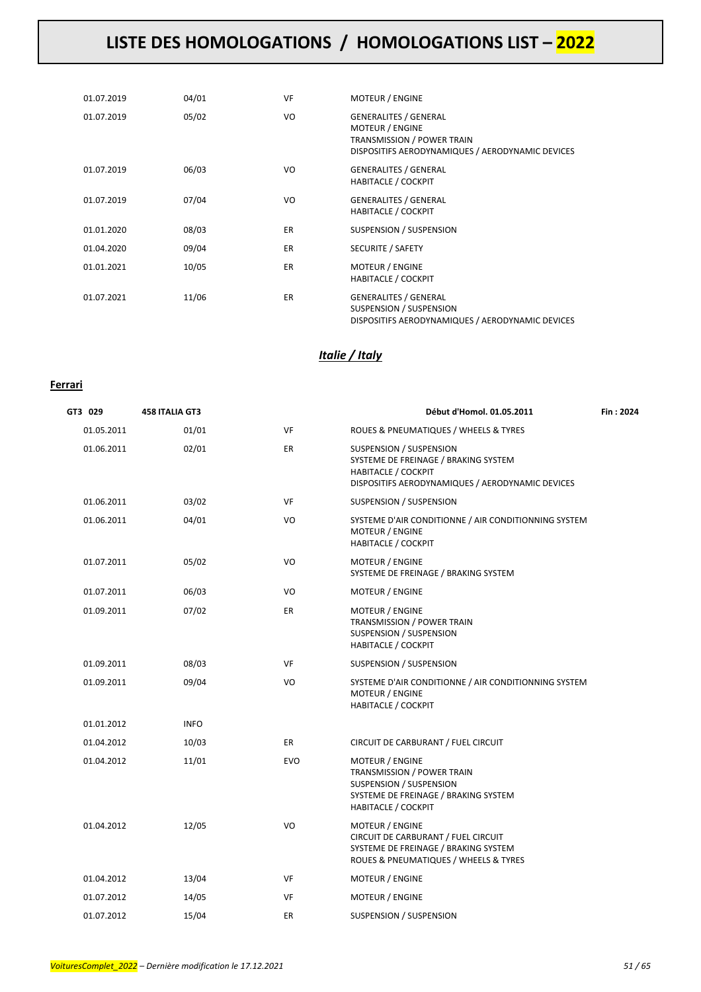| 01.07.2019 | 04/01 | VF        | <b>MOTEUR / ENGINE</b>                                                                                                                          |
|------------|-------|-----------|-------------------------------------------------------------------------------------------------------------------------------------------------|
| 01.07.2019 | 05/02 | VO        | <b>GENERALITES / GENERAL</b><br><b>MOTEUR / ENGINE</b><br><b>TRANSMISSION / POWER TRAIN</b><br>DISPOSITIFS AERODYNAMIQUES / AERODYNAMIC DEVICES |
| 01.07.2019 | 06/03 | VO.       | <b>GENERALITES / GENERAL</b><br><b>HABITACLE / COCKPIT</b>                                                                                      |
| 01.07.2019 | 07/04 | VO        | <b>GENERALITES / GENERAL</b><br><b>HABITACLE / COCKPIT</b>                                                                                      |
| 01.01.2020 | 08/03 | <b>ER</b> | SUSPENSION / SUSPENSION                                                                                                                         |
| 01.04.2020 | 09/04 | ER.       | SECURITE / SAFETY                                                                                                                               |
| 01.01.2021 | 10/05 | <b>ER</b> | <b>MOTEUR / ENGINE</b><br><b>HABITACLE / COCKPIT</b>                                                                                            |
| 01.07.2021 | 11/06 | ER.       | <b>GENERALITES / GENERAL</b><br>SUSPENSION / SUSPENSION<br>DISPOSITIFS AERODYNAMIQUES / AERODYNAMIC DEVICES                                     |

### *Italie / Italy*

### **Ferrari**

| GT3 029    | <b>458 ITALIA GT3</b> |            | Début d'Homol. 01.05.2011                                                                                                                             | Fin: 2024 |
|------------|-----------------------|------------|-------------------------------------------------------------------------------------------------------------------------------------------------------|-----------|
| 01.05.2011 | 01/01                 | VF         | ROUES & PNEUMATIQUES / WHEELS & TYRES                                                                                                                 |           |
| 01.06.2011 | 02/01                 | <b>ER</b>  | SUSPENSION / SUSPENSION<br>SYSTEME DE FREINAGE / BRAKING SYSTEM<br><b>HABITACLE / COCKPIT</b><br>DISPOSITIFS AERODYNAMIQUES / AERODYNAMIC DEVICES     |           |
| 01.06.2011 | 03/02                 | VF         | <b>SUSPENSION / SUSPENSION</b>                                                                                                                        |           |
| 01.06.2011 | 04/01                 | VO         | SYSTEME D'AIR CONDITIONNE / AIR CONDITIONNING SYSTEM<br><b>MOTEUR / ENGINE</b><br>HABITACLE / COCKPIT                                                 |           |
| 01.07.2011 | 05/02                 | VO         | <b>MOTEUR / ENGINE</b><br>SYSTEME DE FREINAGE / BRAKING SYSTEM                                                                                        |           |
| 01.07.2011 | 06/03                 | VO         | <b>MOTEUR / ENGINE</b>                                                                                                                                |           |
| 01.09.2011 | 07/02                 | ER         | <b>MOTEUR / ENGINE</b><br>TRANSMISSION / POWER TRAIN<br>SUSPENSION / SUSPENSION<br><b>HABITACLE / COCKPIT</b>                                         |           |
| 01.09.2011 | 08/03                 | VF         | SUSPENSION / SUSPENSION                                                                                                                               |           |
| 01.09.2011 | 09/04                 | VO         | SYSTEME D'AIR CONDITIONNE / AIR CONDITIONNING SYSTEM<br><b>MOTEUR / ENGINE</b><br><b>HABITACLE / COCKPIT</b>                                          |           |
| 01.01.2012 | <b>INFO</b>           |            |                                                                                                                                                       |           |
| 01.04.2012 | 10/03                 | ER.        | CIRCUIT DE CARBURANT / FUEL CIRCUIT                                                                                                                   |           |
| 01.04.2012 | 11/01                 | <b>EVO</b> | <b>MOTEUR / ENGINE</b><br>TRANSMISSION / POWER TRAIN<br>SUSPENSION / SUSPENSION<br>SYSTEME DE FREINAGE / BRAKING SYSTEM<br><b>HABITACLE / COCKPIT</b> |           |
| 01.04.2012 | 12/05                 | VO         | <b>MOTEUR / ENGINE</b><br>CIRCUIT DE CARBURANT / FUEL CIRCUIT<br>SYSTEME DE FREINAGE / BRAKING SYSTEM<br>ROUES & PNEUMATIQUES / WHEELS & TYRES        |           |
| 01.04.2012 | 13/04                 | VF         | <b>MOTEUR / ENGINE</b>                                                                                                                                |           |
| 01.07.2012 | 14/05                 | VF         | <b>MOTEUR / ENGINE</b>                                                                                                                                |           |
| 01.07.2012 | 15/04                 | ER         | SUSPENSION / SUSPENSION                                                                                                                               |           |
|            |                       |            |                                                                                                                                                       |           |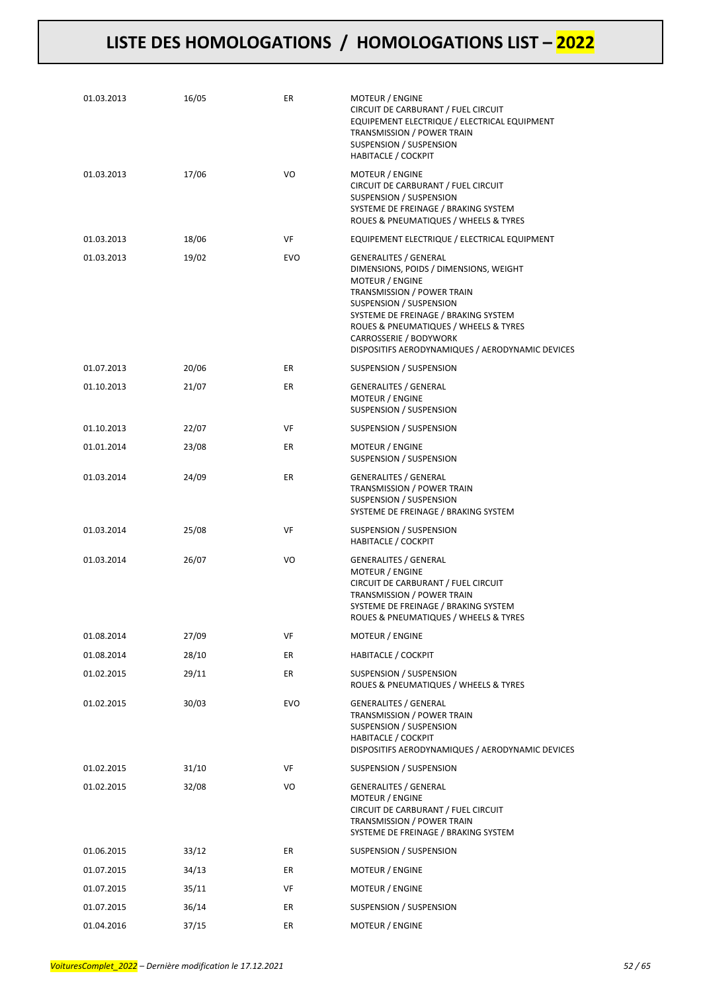| 01.03.2013 | 16/05 | ER         | MOTEUR / ENGINE<br>CIRCUIT DE CARBURANT / FUEL CIRCUIT<br>EQUIPEMENT ELECTRIQUE / ELECTRICAL EQUIPMENT<br>TRANSMISSION / POWER TRAIN<br><b>SUSPENSION / SUSPENSION</b><br><b>HABITACLE / COCKPIT</b>                                                                                                              |
|------------|-------|------------|-------------------------------------------------------------------------------------------------------------------------------------------------------------------------------------------------------------------------------------------------------------------------------------------------------------------|
| 01.03.2013 | 17/06 | VO         | MOTEUR / ENGINE<br>CIRCUIT DE CARBURANT / FUEL CIRCUIT<br>SUSPENSION / SUSPENSION<br>SYSTEME DE FREINAGE / BRAKING SYSTEM<br>ROUES & PNEUMATIQUES / WHEELS & TYRES                                                                                                                                                |
| 01.03.2013 | 18/06 | VF         | EQUIPEMENT ELECTRIQUE / ELECTRICAL EQUIPMENT                                                                                                                                                                                                                                                                      |
| 01.03.2013 | 19/02 | <b>EVO</b> | <b>GENERALITES / GENERAL</b><br>DIMENSIONS, POIDS / DIMENSIONS, WEIGHT<br>MOTEUR / ENGINE<br>TRANSMISSION / POWER TRAIN<br>SUSPENSION / SUSPENSION<br>SYSTEME DE FREINAGE / BRAKING SYSTEM<br>ROUES & PNEUMATIQUES / WHEELS & TYRES<br>CARROSSERIE / BODYWORK<br>DISPOSITIFS AERODYNAMIQUES / AERODYNAMIC DEVICES |
| 01.07.2013 | 20/06 | ER         | SUSPENSION / SUSPENSION                                                                                                                                                                                                                                                                                           |
| 01.10.2013 | 21/07 | ER         | <b>GENERALITES / GENERAL</b><br><b>MOTEUR / ENGINE</b><br>SUSPENSION / SUSPENSION                                                                                                                                                                                                                                 |
| 01.10.2013 | 22/07 | VF         | SUSPENSION / SUSPENSION                                                                                                                                                                                                                                                                                           |
| 01.01.2014 | 23/08 | ER         | MOTEUR / ENGINE<br>SUSPENSION / SUSPENSION                                                                                                                                                                                                                                                                        |
| 01.03.2014 | 24/09 | ER         | <b>GENERALITES / GENERAL</b><br>TRANSMISSION / POWER TRAIN<br>SUSPENSION / SUSPENSION<br>SYSTEME DE FREINAGE / BRAKING SYSTEM                                                                                                                                                                                     |
| 01.03.2014 | 25/08 | VF         | SUSPENSION / SUSPENSION<br><b>HABITACLE / COCKPIT</b>                                                                                                                                                                                                                                                             |
| 01.03.2014 | 26/07 | VO         | <b>GENERALITES / GENERAL</b><br><b>MOTEUR / ENGINE</b><br>CIRCUIT DE CARBURANT / FUEL CIRCUIT<br>TRANSMISSION / POWER TRAIN<br>SYSTEME DE FREINAGE / BRAKING SYSTEM<br>ROUES & PNEUMATIQUES / WHEELS & TYRES                                                                                                      |
| 01.08.2014 | 27/09 | VF         | MOTEUR / ENGINE                                                                                                                                                                                                                                                                                                   |
| 01.08.2014 | 28/10 | ER         | <b>HABITACLE / COCKPIT</b>                                                                                                                                                                                                                                                                                        |
| 01.02.2015 | 29/11 | ER         | SUSPENSION / SUSPENSION<br>ROUES & PNEUMATIQUES / WHEELS & TYRES                                                                                                                                                                                                                                                  |
| 01.02.2015 | 30/03 | <b>EVO</b> | <b>GENERALITES / GENERAL</b><br>TRANSMISSION / POWER TRAIN<br>SUSPENSION / SUSPENSION<br><b>HABITACLE / COCKPIT</b><br>DISPOSITIFS AERODYNAMIQUES / AERODYNAMIC DEVICES                                                                                                                                           |
| 01.02.2015 | 31/10 | VF         | SUSPENSION / SUSPENSION                                                                                                                                                                                                                                                                                           |
| 01.02.2015 | 32/08 | VO         | <b>GENERALITES / GENERAL</b><br>MOTEUR / ENGINE<br>CIRCUIT DE CARBURANT / FUEL CIRCUIT<br>TRANSMISSION / POWER TRAIN<br>SYSTEME DE FREINAGE / BRAKING SYSTEM                                                                                                                                                      |
| 01.06.2015 | 33/12 | ER         | SUSPENSION / SUSPENSION                                                                                                                                                                                                                                                                                           |
| 01.07.2015 | 34/13 | ER         | MOTEUR / ENGINE                                                                                                                                                                                                                                                                                                   |
| 01.07.2015 | 35/11 | VF         | MOTEUR / ENGINE                                                                                                                                                                                                                                                                                                   |
| 01.07.2015 | 36/14 | ER         | SUSPENSION / SUSPENSION                                                                                                                                                                                                                                                                                           |
| 01.04.2016 | 37/15 | ER         | MOTEUR / ENGINE                                                                                                                                                                                                                                                                                                   |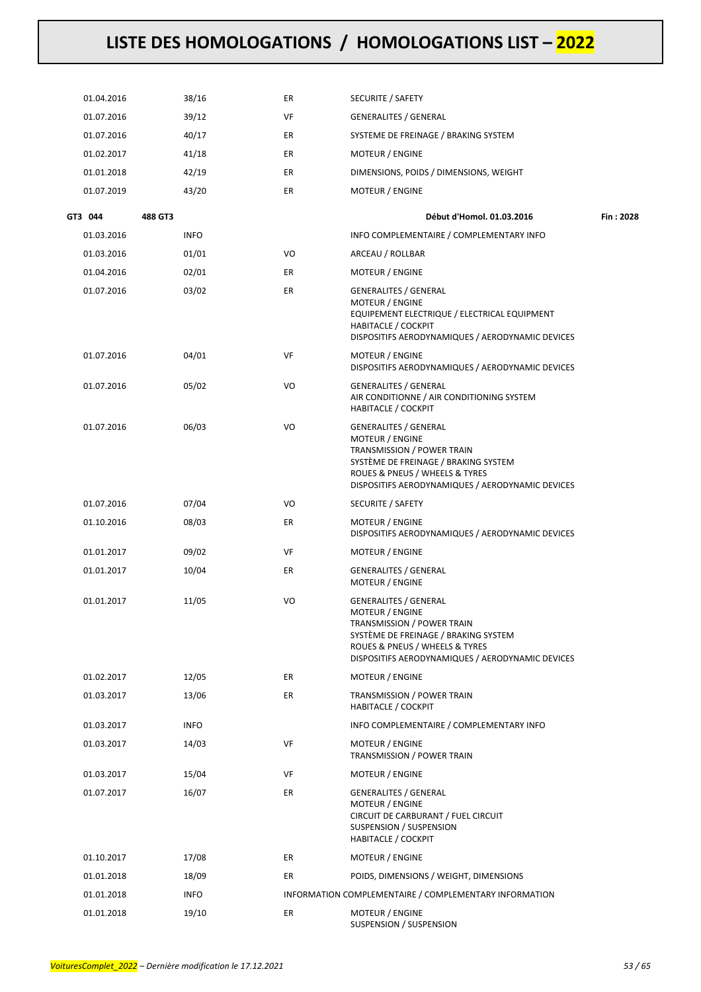| 01.04.2016 | 38/16       | ER | <b>SECURITE / SAFETY</b>                                                                                                                                                                                    |           |
|------------|-------------|----|-------------------------------------------------------------------------------------------------------------------------------------------------------------------------------------------------------------|-----------|
| 01.07.2016 | 39/12       | VF | <b>GENERALITES / GENERAL</b>                                                                                                                                                                                |           |
| 01.07.2016 | 40/17       | ER | SYSTEME DE FREINAGE / BRAKING SYSTEM                                                                                                                                                                        |           |
| 01.02.2017 | 41/18       | ER | <b>MOTEUR / ENGINE</b>                                                                                                                                                                                      |           |
| 01.01.2018 | 42/19       | ER | DIMENSIONS, POIDS / DIMENSIONS, WEIGHT                                                                                                                                                                      |           |
| 01.07.2019 | 43/20       | ER | <b>MOTEUR / ENGINE</b>                                                                                                                                                                                      |           |
| GT3 044    | 488 GT3     |    | Début d'Homol. 01.03.2016                                                                                                                                                                                   | Fin: 2028 |
| 01.03.2016 | <b>INFO</b> |    | INFO COMPLEMENTAIRE / COMPLEMENTARY INFO                                                                                                                                                                    |           |
| 01.03.2016 | 01/01       | VO | ARCEAU / ROLLBAR                                                                                                                                                                                            |           |
| 01.04.2016 | 02/01       | ER | <b>MOTEUR / ENGINE</b>                                                                                                                                                                                      |           |
| 01.07.2016 | 03/02       | ER | <b>GENERALITES / GENERAL</b><br>MOTEUR / ENGINE<br>EQUIPEMENT ELECTRIQUE / ELECTRICAL EQUIPMENT<br><b>HABITACLE / COCKPIT</b><br>DISPOSITIFS AERODYNAMIQUES / AERODYNAMIC DEVICES                           |           |
| 01.07.2016 | 04/01       | VF | MOTEUR / ENGINE<br>DISPOSITIFS AERODYNAMIQUES / AERODYNAMIC DEVICES                                                                                                                                         |           |
| 01.07.2016 | 05/02       | VO | <b>GENERALITES / GENERAL</b><br>AIR CONDITIONNE / AIR CONDITIONING SYSTEM<br><b>HABITACLE / COCKPIT</b>                                                                                                     |           |
| 01.07.2016 | 06/03       | VO | <b>GENERALITES / GENERAL</b><br>MOTEUR / ENGINE<br>TRANSMISSION / POWER TRAIN<br>SYSTÈME DE FREINAGE / BRAKING SYSTEM<br>ROUES & PNEUS / WHEELS & TYRES<br>DISPOSITIFS AERODYNAMIQUES / AERODYNAMIC DEVICES |           |
| 01.07.2016 | 07/04       | VO | SECURITE / SAFETY                                                                                                                                                                                           |           |
| 01.10.2016 | 08/03       | ER | MOTEUR / ENGINE<br>DISPOSITIFS AERODYNAMIQUES / AERODYNAMIC DEVICES                                                                                                                                         |           |
| 01.01.2017 | 09/02       | VF | MOTEUR / ENGINE                                                                                                                                                                                             |           |
| 01.01.2017 | 10/04       | ER | <b>GENERALITES / GENERAL</b><br>MOTEUR / ENGINE                                                                                                                                                             |           |
| 01.01.2017 | 11/05       | VO | <b>GENERALITES / GENERAL</b><br>MOTEUR / ENGINE<br>TRANSMISSION / POWER TRAIN<br>SYSTÈME DE FREINAGE / BRAKING SYSTEM<br>ROUES & PNEUS / WHEELS & TYRES<br>DISPOSITIFS AERODYNAMIQUES / AERODYNAMIC DEVICES |           |
| 01.02.2017 | 12/05       | ER | MOTEUR / ENGINE                                                                                                                                                                                             |           |
| 01.03.2017 | 13/06       | ER | TRANSMISSION / POWER TRAIN<br><b>HABITACLE / COCKPIT</b>                                                                                                                                                    |           |
| 01.03.2017 | <b>INFO</b> |    | INFO COMPLEMENTAIRE / COMPLEMENTARY INFO                                                                                                                                                                    |           |
| 01.03.2017 | 14/03       | VF | <b>MOTEUR / ENGINE</b><br>TRANSMISSION / POWER TRAIN                                                                                                                                                        |           |
| 01.03.2017 | 15/04       | VF | MOTEUR / ENGINE                                                                                                                                                                                             |           |
| 01.07.2017 | 16/07       | ER | <b>GENERALITES / GENERAL</b><br>MOTEUR / ENGINE<br>CIRCUIT DE CARBURANT / FUEL CIRCUIT<br>SUSPENSION / SUSPENSION<br><b>HABITACLE / COCKPIT</b>                                                             |           |
| 01.10.2017 | 17/08       | ER | <b>MOTEUR / ENGINE</b>                                                                                                                                                                                      |           |
| 01.01.2018 | 18/09       | ER | POIDS, DIMENSIONS / WEIGHT, DIMENSIONS                                                                                                                                                                      |           |
| 01.01.2018 | <b>INFO</b> |    | INFORMATION COMPLEMENTAIRE / COMPLEMENTARY INFORMATION                                                                                                                                                      |           |
| 01.01.2018 | 19/10       | ER | MOTEUR / ENGINE<br>SUSPENSION / SUSPENSION                                                                                                                                                                  |           |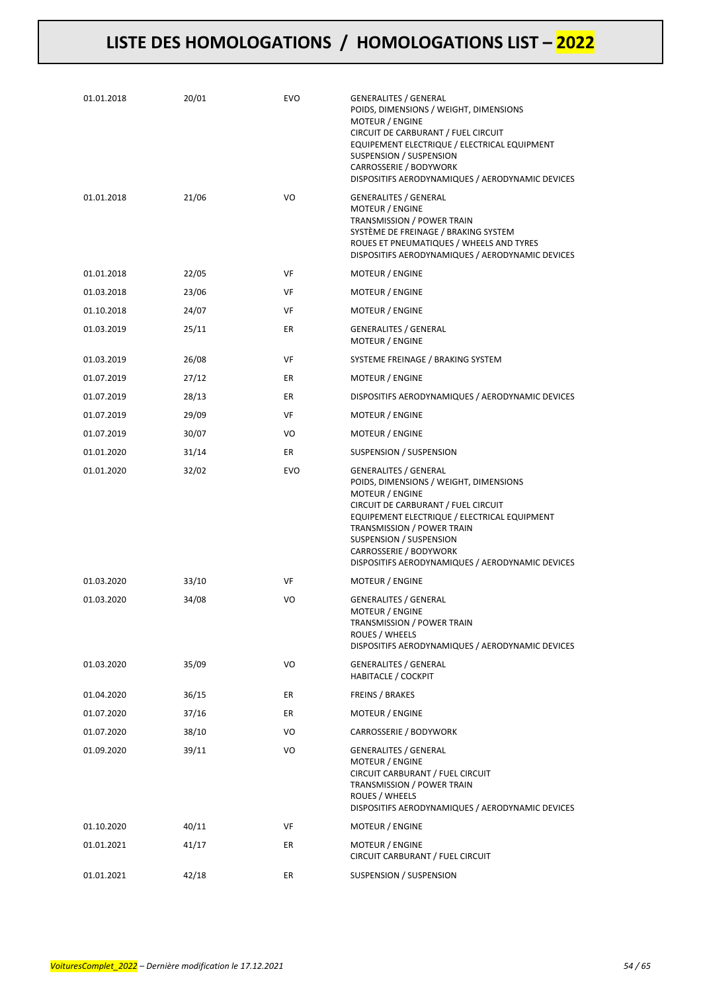| 01.01.2018 | 20/01 | <b>EVO</b> | <b>GENERALITES / GENERAL</b><br>POIDS, DIMENSIONS / WEIGHT, DIMENSIONS<br>MOTEUR / ENGINE<br>CIRCUIT DE CARBURANT / FUEL CIRCUIT<br>EQUIPEMENT ELECTRIQUE / ELECTRICAL EQUIPMENT<br><b>SUSPENSION / SUSPENSION</b><br>CARROSSERIE / BODYWORK<br>DISPOSITIFS AERODYNAMIQUES / AERODYNAMIC DEVICES                        |
|------------|-------|------------|-------------------------------------------------------------------------------------------------------------------------------------------------------------------------------------------------------------------------------------------------------------------------------------------------------------------------|
| 01.01.2018 | 21/06 | VO         | <b>GENERALITES / GENERAL</b><br><b>MOTEUR / ENGINE</b><br>TRANSMISSION / POWER TRAIN<br>SYSTÈME DE FREINAGE / BRAKING SYSTEM<br>ROUES ET PNEUMATIQUES / WHEELS AND TYRES<br>DISPOSITIFS AERODYNAMIQUES / AERODYNAMIC DEVICES                                                                                            |
| 01.01.2018 | 22/05 | VF         | MOTEUR / ENGINE                                                                                                                                                                                                                                                                                                         |
| 01.03.2018 | 23/06 | VF         | <b>MOTEUR / ENGINE</b>                                                                                                                                                                                                                                                                                                  |
| 01.10.2018 | 24/07 | VF         | <b>MOTEUR / ENGINE</b>                                                                                                                                                                                                                                                                                                  |
| 01.03.2019 | 25/11 | ER         | <b>GENERALITES / GENERAL</b><br><b>MOTEUR / ENGINE</b>                                                                                                                                                                                                                                                                  |
| 01.03.2019 | 26/08 | VF         | SYSTEME FREINAGE / BRAKING SYSTEM                                                                                                                                                                                                                                                                                       |
| 01.07.2019 | 27/12 | ER         | <b>MOTEUR / ENGINE</b>                                                                                                                                                                                                                                                                                                  |
| 01.07.2019 | 28/13 | ER         | DISPOSITIFS AERODYNAMIQUES / AERODYNAMIC DEVICES                                                                                                                                                                                                                                                                        |
| 01.07.2019 | 29/09 | VF         | <b>MOTEUR / ENGINE</b>                                                                                                                                                                                                                                                                                                  |
| 01.07.2019 | 30/07 | VO         | MOTEUR / ENGINE                                                                                                                                                                                                                                                                                                         |
| 01.01.2020 | 31/14 | ER         | SUSPENSION / SUSPENSION                                                                                                                                                                                                                                                                                                 |
| 01.01.2020 | 32/02 | EVO        | <b>GENERALITES / GENERAL</b><br>POIDS, DIMENSIONS / WEIGHT, DIMENSIONS<br>MOTEUR / ENGINE<br>CIRCUIT DE CARBURANT / FUEL CIRCUIT<br>EQUIPEMENT ELECTRIQUE / ELECTRICAL EQUIPMENT<br>TRANSMISSION / POWER TRAIN<br>SUSPENSION / SUSPENSION<br>CARROSSERIE / BODYWORK<br>DISPOSITIFS AERODYNAMIQUES / AERODYNAMIC DEVICES |
| 01.03.2020 | 33/10 | VF         | MOTEUR / ENGINE                                                                                                                                                                                                                                                                                                         |
| 01.03.2020 | 34/08 | VO         | <b>GENERALITES / GENERAL</b><br>MOTEUR / ENGINE<br>TRANSMISSION / POWER TRAIN<br>ROUES / WHEELS<br>DISPOSITIFS AERODYNAMIQUES / AERODYNAMIC DEVICES                                                                                                                                                                     |
| 01.03.2020 | 35/09 | VO         | <b>GENERALITES / GENERAL</b><br><b>HABITACLE / COCKPIT</b>                                                                                                                                                                                                                                                              |
| 01.04.2020 | 36/15 | ER         | <b>FREINS / BRAKES</b>                                                                                                                                                                                                                                                                                                  |
| 01.07.2020 | 37/16 | ER         | MOTEUR / ENGINE                                                                                                                                                                                                                                                                                                         |
| 01.07.2020 | 38/10 | VO         | CARROSSERIE / BODYWORK                                                                                                                                                                                                                                                                                                  |
| 01.09.2020 | 39/11 | VO         | <b>GENERALITES / GENERAL</b><br>MOTEUR / ENGINE<br>CIRCUIT CARBURANT / FUEL CIRCUIT<br>TRANSMISSION / POWER TRAIN<br>ROUES / WHEELS<br>DISPOSITIFS AERODYNAMIQUES / AERODYNAMIC DEVICES                                                                                                                                 |
| 01.10.2020 | 40/11 | VF         | MOTEUR / ENGINE                                                                                                                                                                                                                                                                                                         |
| 01.01.2021 | 41/17 | ER         | MOTEUR / ENGINE<br>CIRCUIT CARBURANT / FUEL CIRCUIT                                                                                                                                                                                                                                                                     |
| 01.01.2021 | 42/18 | ER         | SUSPENSION / SUSPENSION                                                                                                                                                                                                                                                                                                 |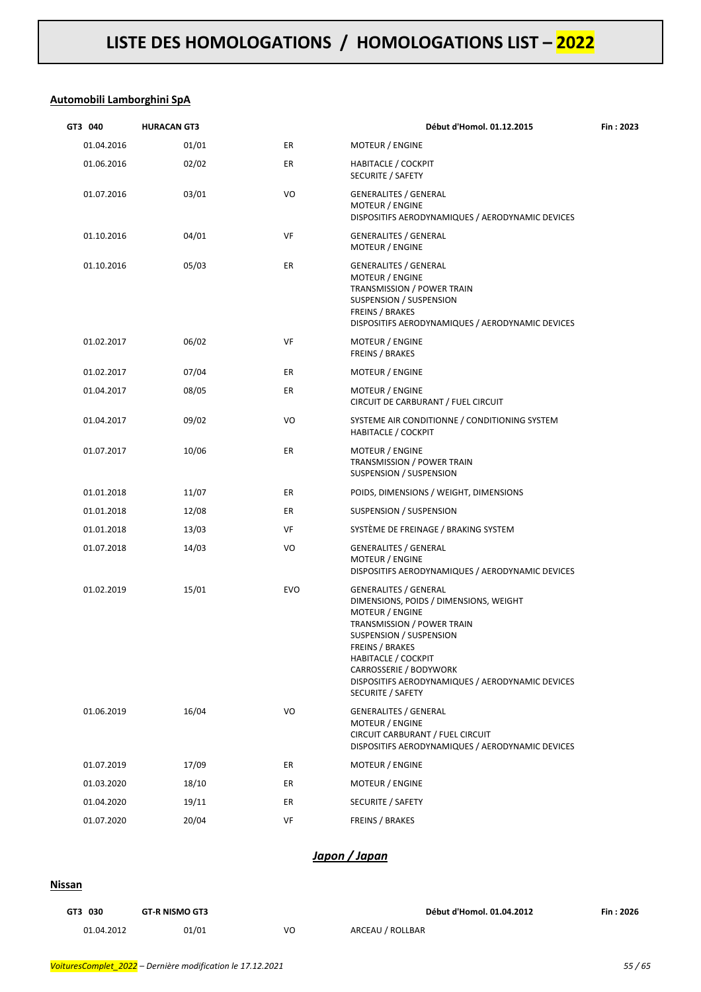### **Automobili Lamborghini SpA**

| GT3 040    | <b>HURACAN GT3</b> |            | Début d'Homol. 01.12.2015                                                                                                                                                                                                                                                                                     | Fin: 2023 |
|------------|--------------------|------------|---------------------------------------------------------------------------------------------------------------------------------------------------------------------------------------------------------------------------------------------------------------------------------------------------------------|-----------|
| 01.04.2016 | 01/01              | ER         | <b>MOTEUR / ENGINE</b>                                                                                                                                                                                                                                                                                        |           |
| 01.06.2016 | 02/02              | ER         | <b>HABITACLE / COCKPIT</b><br>SECURITE / SAFETY                                                                                                                                                                                                                                                               |           |
| 01.07.2016 | 03/01              | VO         | <b>GENERALITES / GENERAL</b><br><b>MOTEUR / ENGINE</b><br>DISPOSITIFS AERODYNAMIQUES / AERODYNAMIC DEVICES                                                                                                                                                                                                    |           |
| 01.10.2016 | 04/01              | VF         | <b>GENERALITES / GENERAL</b><br><b>MOTEUR / ENGINE</b>                                                                                                                                                                                                                                                        |           |
| 01.10.2016 | 05/03              | ER         | <b>GENERALITES / GENERAL</b><br><b>MOTEUR / ENGINE</b><br>TRANSMISSION / POWER TRAIN<br>SUSPENSION / SUSPENSION<br>FREINS / BRAKES<br>DISPOSITIFS AERODYNAMIQUES / AERODYNAMIC DEVICES                                                                                                                        |           |
| 01.02.2017 | 06/02              | VF         | <b>MOTEUR / ENGINE</b><br><b>FREINS / BRAKES</b>                                                                                                                                                                                                                                                              |           |
| 01.02.2017 | 07/04              | ER         | <b>MOTEUR / ENGINE</b>                                                                                                                                                                                                                                                                                        |           |
| 01.04.2017 | 08/05              | ER         | <b>MOTEUR / ENGINE</b><br>CIRCUIT DE CARBURANT / FUEL CIRCUIT                                                                                                                                                                                                                                                 |           |
| 01.04.2017 | 09/02              | VO         | SYSTEME AIR CONDITIONNE / CONDITIONING SYSTEM<br><b>HABITACLE / COCKPIT</b>                                                                                                                                                                                                                                   |           |
| 01.07.2017 | 10/06              | ER         | MOTEUR / ENGINE<br>TRANSMISSION / POWER TRAIN<br>SUSPENSION / SUSPENSION                                                                                                                                                                                                                                      |           |
| 01.01.2018 | 11/07              | ER         | POIDS, DIMENSIONS / WEIGHT, DIMENSIONS                                                                                                                                                                                                                                                                        |           |
| 01.01.2018 | 12/08              | ER         | SUSPENSION / SUSPENSION                                                                                                                                                                                                                                                                                       |           |
| 01.01.2018 | 13/03              | VF         | SYSTÈME DE FREINAGE / BRAKING SYSTEM                                                                                                                                                                                                                                                                          |           |
| 01.07.2018 | 14/03              | VO         | <b>GENERALITES / GENERAL</b><br><b>MOTEUR / ENGINE</b><br>DISPOSITIFS AERODYNAMIQUES / AERODYNAMIC DEVICES                                                                                                                                                                                                    |           |
| 01.02.2019 | 15/01              | <b>EVO</b> | <b>GENERALITES / GENERAL</b><br>DIMENSIONS, POIDS / DIMENSIONS, WEIGHT<br>MOTEUR / ENGINE<br>TRANSMISSION / POWER TRAIN<br><b>SUSPENSION / SUSPENSION</b><br>FREINS / BRAKES<br><b>HABITACLE / COCKPIT</b><br>CARROSSERIE / BODYWORK<br>DISPOSITIFS AERODYNAMIQUES / AERODYNAMIC DEVICES<br>SECURITE / SAFETY |           |
| 01.06.2019 | 16/04              | VO         | <b>GENERALITES / GENERAL</b><br><b>MOTEUR / ENGINE</b><br>CIRCUIT CARBURANT / FUEL CIRCUIT<br>DISPOSITIFS AERODYNAMIQUES / AERODYNAMIC DEVICES                                                                                                                                                                |           |
| 01.07.2019 | 17/09              | ER         | <b>MOTEUR / ENGINE</b>                                                                                                                                                                                                                                                                                        |           |
| 01.03.2020 | 18/10              | ER         | MOTEUR / ENGINE                                                                                                                                                                                                                                                                                               |           |
| 01.04.2020 | 19/11              | ER         | SECURITE / SAFETY                                                                                                                                                                                                                                                                                             |           |
| 01.07.2020 | 20/04              | VF         | FREINS / BRAKES                                                                                                                                                                                                                                                                                               |           |

### *Japon / Japan*

#### **Nissan**

| GT3 030    | <b>GT-R NISMO GT3</b> |    | Début d'Homol. 01.04.2012 | Fin: 2026 |
|------------|-----------------------|----|---------------------------|-----------|
| 01.04.2012 | 01/01                 | VO | ARCEAU / ROLLBAR          |           |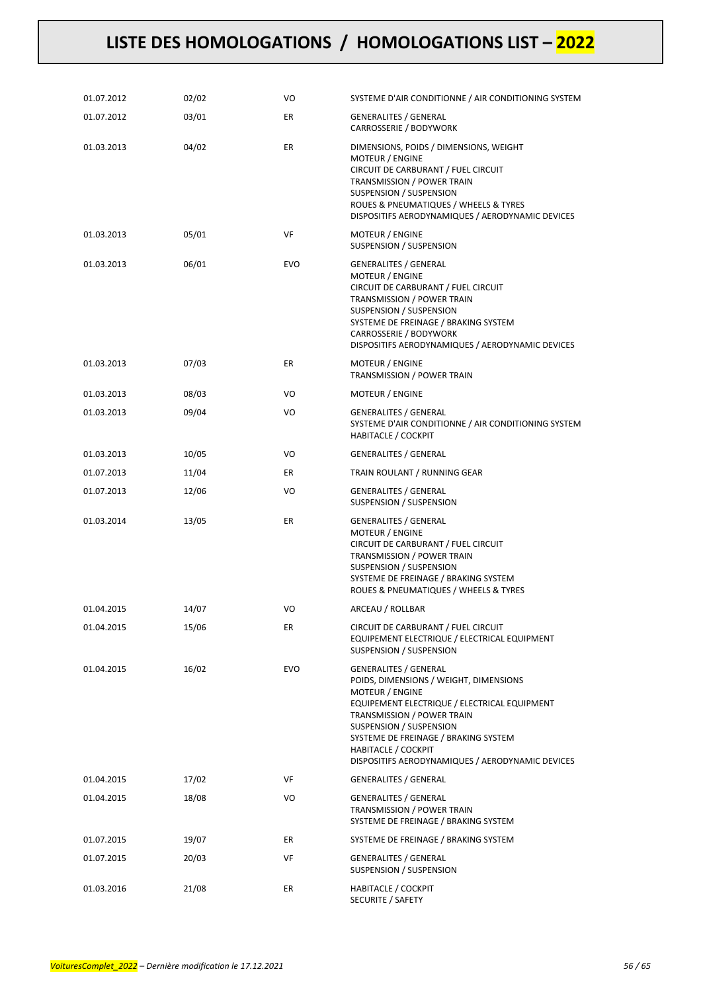| 01.07.2012 | 02/02 | VO         | SYSTEME D'AIR CONDITIONNE / AIR CONDITIONING SYSTEM                                                                                                                                                                                                                                                                          |
|------------|-------|------------|------------------------------------------------------------------------------------------------------------------------------------------------------------------------------------------------------------------------------------------------------------------------------------------------------------------------------|
| 01.07.2012 | 03/01 | ER         | <b>GENERALITES / GENERAL</b><br>CARROSSERIE / BODYWORK                                                                                                                                                                                                                                                                       |
| 01.03.2013 | 04/02 | ER         | DIMENSIONS, POIDS / DIMENSIONS, WEIGHT<br>MOTEUR / ENGINE<br>CIRCUIT DE CARBURANT / FUEL CIRCUIT<br>TRANSMISSION / POWER TRAIN<br>SUSPENSION / SUSPENSION<br>ROUES & PNEUMATIQUES / WHEELS & TYRES<br>DISPOSITIFS AERODYNAMIQUES / AERODYNAMIC DEVICES                                                                       |
| 01.03.2013 | 05/01 | VF         | MOTEUR / ENGINE<br>SUSPENSION / SUSPENSION                                                                                                                                                                                                                                                                                   |
| 01.03.2013 | 06/01 | <b>EVO</b> | <b>GENERALITES / GENERAL</b><br><b>MOTEUR / ENGINE</b><br>CIRCUIT DE CARBURANT / FUEL CIRCUIT<br>TRANSMISSION / POWER TRAIN<br>SUSPENSION / SUSPENSION<br>SYSTEME DE FREINAGE / BRAKING SYSTEM<br>CARROSSERIE / BODYWORK<br>DISPOSITIFS AERODYNAMIQUES / AERODYNAMIC DEVICES                                                 |
| 01.03.2013 | 07/03 | ER         | <b>MOTEUR / ENGINE</b><br>TRANSMISSION / POWER TRAIN                                                                                                                                                                                                                                                                         |
| 01.03.2013 | 08/03 | VO         | MOTEUR / ENGINE                                                                                                                                                                                                                                                                                                              |
| 01.03.2013 | 09/04 | VO         | <b>GENERALITES / GENERAL</b><br>SYSTEME D'AIR CONDITIONNE / AIR CONDITIONING SYSTEM<br><b>HABITACLE / COCKPIT</b>                                                                                                                                                                                                            |
| 01.03.2013 | 10/05 | VO         | <b>GENERALITES / GENERAL</b>                                                                                                                                                                                                                                                                                                 |
| 01.07.2013 | 11/04 | ER         | TRAIN ROULANT / RUNNING GEAR                                                                                                                                                                                                                                                                                                 |
| 01.07.2013 | 12/06 | VO         | <b>GENERALITES / GENERAL</b><br>SUSPENSION / SUSPENSION                                                                                                                                                                                                                                                                      |
| 01.03.2014 | 13/05 | ER         | <b>GENERALITES / GENERAL</b><br>MOTEUR / ENGINE<br>CIRCUIT DE CARBURANT / FUEL CIRCUIT<br>TRANSMISSION / POWER TRAIN<br>SUSPENSION / SUSPENSION<br>SYSTEME DE FREINAGE / BRAKING SYSTEM<br>ROUES & PNEUMATIQUES / WHEELS & TYRES                                                                                             |
| 01.04.2015 | 14/07 | VO         | ARCEAU / ROLLBAR                                                                                                                                                                                                                                                                                                             |
| 01.04.2015 | 15/06 | ER         | CIRCUIT DE CARBURANT / FUEL CIRCUIT<br>EQUIPEMENT ELECTRIQUE / ELECTRICAL EQUIPMENT<br>SUSPENSION / SUSPENSION                                                                                                                                                                                                               |
| 01.04.2015 | 16/02 | EVO        | <b>GENERALITES / GENERAL</b><br>POIDS, DIMENSIONS / WEIGHT, DIMENSIONS<br>MOTEUR / ENGINE<br>EQUIPEMENT ELECTRIQUE / ELECTRICAL EQUIPMENT<br>TRANSMISSION / POWER TRAIN<br>SUSPENSION / SUSPENSION<br>SYSTEME DE FREINAGE / BRAKING SYSTEM<br><b>HABITACLE / COCKPIT</b><br>DISPOSITIFS AERODYNAMIQUES / AERODYNAMIC DEVICES |
| 01.04.2015 | 17/02 | VF         | GENERALITES / GENERAL                                                                                                                                                                                                                                                                                                        |
| 01.04.2015 | 18/08 | VO         | <b>GENERALITES / GENERAL</b><br>TRANSMISSION / POWER TRAIN<br>SYSTEME DE FREINAGE / BRAKING SYSTEM                                                                                                                                                                                                                           |
| 01.07.2015 | 19/07 | ER         | SYSTEME DE FREINAGE / BRAKING SYSTEM                                                                                                                                                                                                                                                                                         |
| 01.07.2015 | 20/03 | VF         | <b>GENERALITES / GENERAL</b><br>SUSPENSION / SUSPENSION                                                                                                                                                                                                                                                                      |
| 01.03.2016 | 21/08 | ER         | <b>HABITACLE / COCKPIT</b><br>SECURITE / SAFETY                                                                                                                                                                                                                                                                              |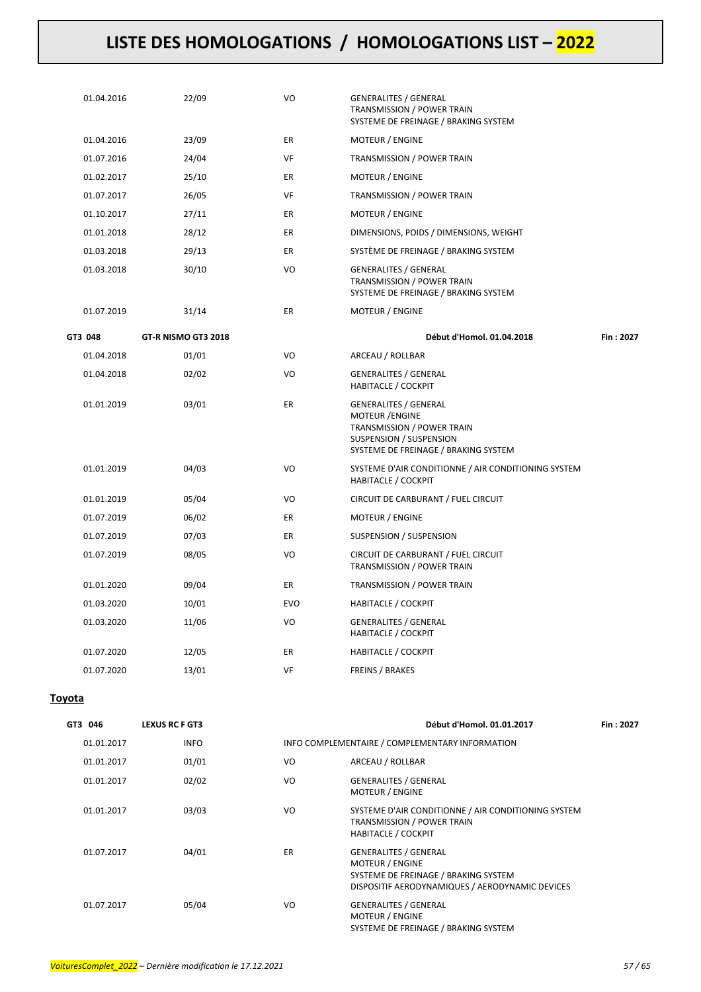| 01.04.2016 | 22/09               | VO         | <b>GENERALITES / GENERAL</b><br>TRANSMISSION / POWER TRAIN<br>SYSTEME DE FREINAGE / BRAKING SYSTEM                                                      |           |
|------------|---------------------|------------|---------------------------------------------------------------------------------------------------------------------------------------------------------|-----------|
| 01.04.2016 | 23/09               | ER         | MOTEUR / ENGINE                                                                                                                                         |           |
| 01.07.2016 | 24/04               | VF         | TRANSMISSION / POWER TRAIN                                                                                                                              |           |
| 01.02.2017 | 25/10               | ER.        | MOTEUR / ENGINE                                                                                                                                         |           |
| 01.07.2017 | 26/05               | VF         | TRANSMISSION / POWER TRAIN                                                                                                                              |           |
| 01.10.2017 | 27/11               | ER         | MOTEUR / ENGINE                                                                                                                                         |           |
| 01.01.2018 | 28/12               | ER         | DIMENSIONS, POIDS / DIMENSIONS, WEIGHT                                                                                                                  |           |
| 01.03.2018 | 29/13               | ER         | SYSTÈME DE FREINAGE / BRAKING SYSTEM                                                                                                                    |           |
| 01.03.2018 | 30/10               | VO         | <b>GENERALITES / GENERAL</b><br><b>TRANSMISSION / POWER TRAIN</b><br>SYSTEME DE FREINAGE / BRAKING SYSTEM                                               |           |
| 01.07.2019 | 31/14               | ER         | <b>MOTEUR / ENGINE</b>                                                                                                                                  |           |
| GT3 048    | GT-R NISMO GT3 2018 |            | Début d'Homol. 01.04.2018                                                                                                                               | Fin: 2027 |
| 01.04.2018 | 01/01               | VO         | ARCEAU / ROLLBAR                                                                                                                                        |           |
| 01.04.2018 | 02/02               | VO         | <b>GENERALITES / GENERAL</b><br><b>HABITACLE / COCKPIT</b>                                                                                              |           |
| 01.01.2019 | 03/01               | ER         | <b>GENERALITES / GENERAL</b><br><b>MOTEUR / ENGINE</b><br>TRANSMISSION / POWER TRAIN<br>SUSPENSION / SUSPENSION<br>SYSTEME DE FREINAGE / BRAKING SYSTEM |           |
| 01.01.2019 | 04/03               | VO         | SYSTEME D'AIR CONDITIONNE / AIR CONDITIONING SYSTEM<br>HABITACLE / COCKPIT                                                                              |           |
| 01.01.2019 | 05/04               | VO         | CIRCUIT DE CARBURANT / FUEL CIRCUIT                                                                                                                     |           |
| 01.07.2019 | 06/02               | ER         | MOTEUR / ENGINE                                                                                                                                         |           |
| 01.07.2019 | 07/03               | ER         | SUSPENSION / SUSPENSION                                                                                                                                 |           |
| 01.07.2019 | 08/05               | VO         | CIRCUIT DE CARBURANT / FUEL CIRCUIT<br>TRANSMISSION / POWER TRAIN                                                                                       |           |
| 01.01.2020 | 09/04               | <b>ER</b>  | TRANSMISSION / POWER TRAIN                                                                                                                              |           |
| 01.03.2020 | 10/01               | <b>EVO</b> | <b>HABITACLE / COCKPIT</b>                                                                                                                              |           |
| 01.03.2020 | 11/06               | VO         | <b>GENERALITES / GENERAL</b><br><b>HABITACLE / COCKPIT</b>                                                                                              |           |
| 01.07.2020 | 12/05               | ER         | <b>HABITACLE / COCKPIT</b>                                                                                                                              |           |
| 01.07.2020 | 13/01               | VF         | <b>FREINS / BRAKES</b>                                                                                                                                  |           |
|            |                     |            |                                                                                                                                                         |           |

### **Toyota**

| GT3 046    | <b>LEXUS RC F GT3</b> |    | Début d'Homol. 01.01.2017                                                                                                                         | Fin: 2027 |
|------------|-----------------------|----|---------------------------------------------------------------------------------------------------------------------------------------------------|-----------|
| 01.01.2017 | <b>INFO</b>           |    | INFO COMPLEMENTAIRE / COMPLEMENTARY INFORMATION                                                                                                   |           |
| 01.01.2017 | 01/01                 | VO | ARCEAU / ROLLBAR                                                                                                                                  |           |
| 01.01.2017 | 02/02                 | VO | <b>GENERALITES / GENERAL</b><br><b>MOTEUR / ENGINE</b>                                                                                            |           |
| 01.01.2017 | 03/03                 | VO | SYSTEME D'AIR CONDITIONNE / AIR CONDITIONING SYSTEM<br><b>TRANSMISSION / POWER TRAIN</b><br><b>HABITACLE / COCKPIT</b>                            |           |
| 01.07.2017 | 04/01                 | ER | <b>GENERALITES / GENERAL</b><br><b>MOTEUR / ENGINE</b><br>SYSTEME DE FREINAGE / BRAKING SYSTEM<br>DISPOSITIF AERODYNAMIQUES / AERODYNAMIC DEVICES |           |
| 01.07.2017 | 05/04                 | VO | <b>GENERALITES / GENERAL</b><br><b>MOTEUR / ENGINE</b><br>SYSTEME DE FREINAGE / BRAKING SYSTEM                                                    |           |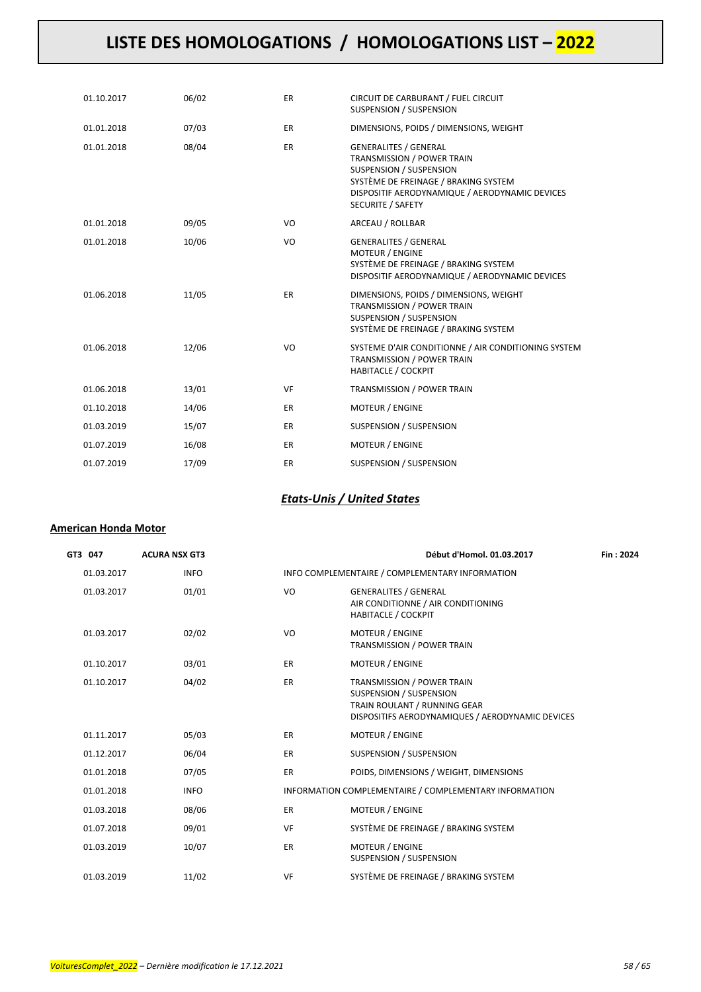| 01.10.2017 | 06/02 | <b>ER</b> | CIRCUIT DE CARBURANT / FUEL CIRCUIT<br><b>SUSPENSION / SUSPENSION</b>                                                                                                                                              |
|------------|-------|-----------|--------------------------------------------------------------------------------------------------------------------------------------------------------------------------------------------------------------------|
| 01.01.2018 | 07/03 | <b>ER</b> | DIMENSIONS, POIDS / DIMENSIONS, WEIGHT                                                                                                                                                                             |
| 01.01.2018 | 08/04 | <b>ER</b> | <b>GENERALITES / GENERAL</b><br>TRANSMISSION / POWER TRAIN<br><b>SUSPENSION / SUSPENSION</b><br>SYSTÈME DE FREINAGE / BRAKING SYSTEM<br>DISPOSITIF AERODYNAMIQUE / AERODYNAMIC DEVICES<br><b>SECURITE / SAFETY</b> |
| 01.01.2018 | 09/05 | VO        | ARCEAU / ROLLBAR                                                                                                                                                                                                   |
| 01.01.2018 | 10/06 | VO        | <b>GENERALITES / GENERAL</b><br><b>MOTEUR / ENGINE</b><br>SYSTÈME DE FREINAGE / BRAKING SYSTEM<br>DISPOSITIF AERODYNAMIQUE / AERODYNAMIC DEVICES                                                                   |
| 01.06.2018 | 11/05 | <b>ER</b> | DIMENSIONS, POIDS / DIMENSIONS, WEIGHT<br>TRANSMISSION / POWER TRAIN<br><b>SUSPENSION / SUSPENSION</b><br>SYSTÈME DE FREINAGE / BRAKING SYSTEM                                                                     |
| 01.06.2018 | 12/06 | VO        | SYSTEME D'AIR CONDITIONNE / AIR CONDITIONING SYSTEM<br>TRANSMISSION / POWER TRAIN<br><b>HABITACLE / COCKPIT</b>                                                                                                    |
| 01.06.2018 | 13/01 | VF        | TRANSMISSION / POWER TRAIN                                                                                                                                                                                         |
| 01.10.2018 | 14/06 | ER        | <b>MOTEUR / ENGINE</b>                                                                                                                                                                                             |
| 01.03.2019 | 15/07 | <b>ER</b> | SUSPENSION / SUSPENSION                                                                                                                                                                                            |
| 01.07.2019 | 16/08 | <b>ER</b> | <b>MOTEUR / ENGINE</b>                                                                                                                                                                                             |
| 01.07.2019 | 17/09 | <b>ER</b> | SUSPENSION / SUSPENSION                                                                                                                                                                                            |

### *Etats-Unis / United States*

### **American Honda Motor**

| GT3 047    | <b>ACURA NSX GT3</b> |           | Début d'Homol. 01.03.2017                                                                                                                 | Fin: 2024 |
|------------|----------------------|-----------|-------------------------------------------------------------------------------------------------------------------------------------------|-----------|
| 01.03.2017 | <b>INFO</b>          |           | INFO COMPLEMENTAIRE / COMPLEMENTARY INFORMATION                                                                                           |           |
| 01.03.2017 | 01/01                | VO        | <b>GENERALITES / GENERAL</b><br>AIR CONDITIONNE / AIR CONDITIONING<br><b>HABITACLE / COCKPIT</b>                                          |           |
| 01.03.2017 | 02/02                | VO        | <b>MOTEUR / ENGINE</b><br>TRANSMISSION / POWER TRAIN                                                                                      |           |
| 01.10.2017 | 03/01                | <b>ER</b> | <b>MOTEUR / ENGINE</b>                                                                                                                    |           |
| 01.10.2017 | 04/02                | <b>ER</b> | TRANSMISSION / POWER TRAIN<br>SUSPENSION / SUSPENSION<br>TRAIN ROULANT / RUNNING GEAR<br>DISPOSITIFS AERODYNAMIQUES / AERODYNAMIC DEVICES |           |
| 01.11.2017 | 05/03                | <b>ER</b> | <b>MOTEUR / ENGINE</b>                                                                                                                    |           |
| 01.12.2017 | 06/04                | <b>ER</b> | SUSPENSION / SUSPENSION                                                                                                                   |           |
| 01.01.2018 | 07/05                | <b>ER</b> | POIDS, DIMENSIONS / WEIGHT, DIMENSIONS                                                                                                    |           |
| 01.01.2018 | <b>INFO</b>          |           | INFORMATION COMPLEMENTAIRE / COMPLEMENTARY INFORMATION                                                                                    |           |
| 01.03.2018 | 08/06                | <b>ER</b> | <b>MOTEUR / ENGINE</b>                                                                                                                    |           |
| 01.07.2018 | 09/01                | <b>VF</b> | SYSTÈME DE FREINAGE / BRAKING SYSTEM                                                                                                      |           |
| 01.03.2019 | 10/07                | <b>ER</b> | MOTEUR / ENGINE<br>SUSPENSION / SUSPENSION                                                                                                |           |
| 01.03.2019 | 11/02                | VF        | SYSTÈME DE FREINAGE / BRAKING SYSTEM                                                                                                      |           |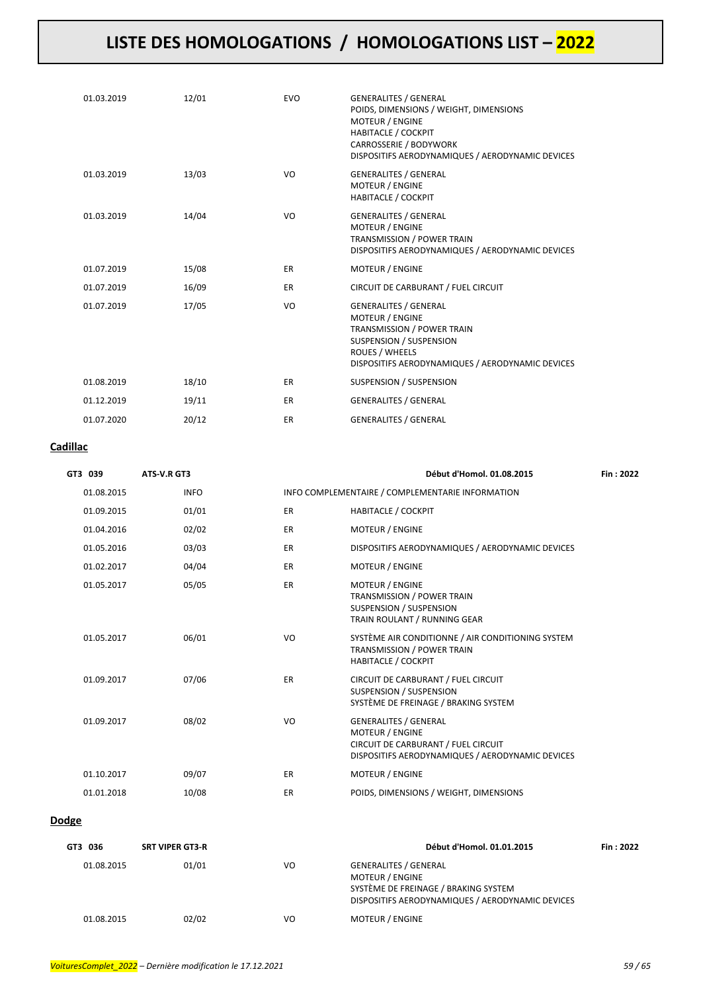| 01.03.2019 | 12/01 | <b>EVO</b> | <b>GENERALITES / GENERAL</b><br>POIDS, DIMENSIONS / WEIGHT, DIMENSIONS<br><b>MOTEUR / ENGINE</b><br><b>HABITACLE / COCKPIT</b><br>CARROSSERIE / BODYWORK<br>DISPOSITIFS AERODYNAMIQUES / AERODYNAMIC DEVICES |
|------------|-------|------------|--------------------------------------------------------------------------------------------------------------------------------------------------------------------------------------------------------------|
| 01.03.2019 | 13/03 | VO         | <b>GENERALITES / GENERAL</b><br><b>MOTEUR / ENGINE</b><br><b>HABITACLE / COCKPIT</b>                                                                                                                         |
| 01.03.2019 | 14/04 | VO         | <b>GENERALITES / GENERAL</b><br><b>MOTEUR / ENGINE</b><br>TRANSMISSION / POWER TRAIN<br>DISPOSITIFS AERODYNAMIQUES / AERODYNAMIC DEVICES                                                                     |
| 01.07.2019 | 15/08 | <b>ER</b>  | <b>MOTEUR / ENGINE</b>                                                                                                                                                                                       |
| 01.07.2019 | 16/09 | ER.        | CIRCUIT DE CARBURANT / FUEL CIRCUIT                                                                                                                                                                          |
| 01.07.2019 | 17/05 | VO         | <b>GENERALITES / GENERAL</b><br><b>MOTEUR / ENGINE</b><br>TRANSMISSION / POWER TRAIN<br>SUSPENSION / SUSPENSION<br>ROUES / WHEELS<br>DISPOSITIFS AERODYNAMIQUES / AERODYNAMIC DEVICES                        |
| 01.08.2019 | 18/10 | <b>ER</b>  | SUSPENSION / SUSPENSION                                                                                                                                                                                      |
| 01.12.2019 | 19/11 | <b>ER</b>  | <b>GENERALITES / GENERAL</b>                                                                                                                                                                                 |
| 01.07.2020 | 20/12 | ER         | <b>GENERALITES / GENERAL</b>                                                                                                                                                                                 |

#### **Cadillac**

| GT3 039    | ATS V.R GT3 |    | Début d'Homol. 01.08.2015                                                                                                                         | Fin: 2022 |
|------------|-------------|----|---------------------------------------------------------------------------------------------------------------------------------------------------|-----------|
| 01.08.2015 | <b>INFO</b> |    | INFO COMPLEMENTAIRE / COMPLEMENTARIE INFORMATION                                                                                                  |           |
| 01.09.2015 | 01/01       | ER | <b>HABITACLE / COCKPIT</b>                                                                                                                        |           |
| 01.04.2016 | 02/02       | ER | <b>MOTEUR / ENGINE</b>                                                                                                                            |           |
| 01.05.2016 | 03/03       | ER | DISPOSITIFS AERODYNAMIQUES / AERODYNAMIC DEVICES                                                                                                  |           |
| 01.02.2017 | 04/04       | ER | <b>MOTEUR / ENGINE</b>                                                                                                                            |           |
| 01.05.2017 | 05/05       | ER | <b>MOTEUR / ENGINE</b><br>TRANSMISSION / POWER TRAIN<br>SUSPENSION / SUSPENSION<br>TRAIN ROULANT / RUNNING GEAR                                   |           |
| 01.05.2017 | 06/01       | VO | SYSTÈME AIR CONDITIONNE / AIR CONDITIONING SYSTEM<br>TRANSMISSION / POWER TRAIN<br><b>HABITACLE / COCKPIT</b>                                     |           |
| 01.09.2017 | 07/06       | ER | CIRCUIT DE CARBURANT / FUEL CIRCUIT<br>SUSPENSION / SUSPENSION<br>SYSTÈME DE FREINAGE / BRAKING SYSTEM                                            |           |
| 01.09.2017 | 08/02       | VO | <b>GENERALITES / GENERAL</b><br><b>MOTEUR / ENGINE</b><br>CIRCUIT DE CARBURANT / FUEL CIRCUIT<br>DISPOSITIFS AERODYNAMIQUES / AERODYNAMIC DEVICES |           |
| 01.10.2017 | 09/07       | ER | <b>MOTEUR / ENGINE</b>                                                                                                                            |           |
| 01.01.2018 | 10/08       | ER | POIDS, DIMENSIONS / WEIGHT, DIMENSIONS                                                                                                            |           |
|            |             |    |                                                                                                                                                   |           |

### **Dodge**

| GT3 036    | <b>SRT VIPER GT3-R</b> |    | Début d'Homol. 01.01.2015                                                                                                                          | Fin: 2022 |
|------------|------------------------|----|----------------------------------------------------------------------------------------------------------------------------------------------------|-----------|
| 01.08.2015 | 01/01                  | VO | <b>GENERALITES / GENERAL</b><br><b>MOTEUR / ENGINE</b><br>SYSTÈME DE FREINAGE / BRAKING SYSTEM<br>DISPOSITIFS AERODYNAMIQUES / AERODYNAMIC DEVICES |           |
| 01.08.2015 | 02/02                  | VO | <b>MOTEUR / ENGINE</b>                                                                                                                             |           |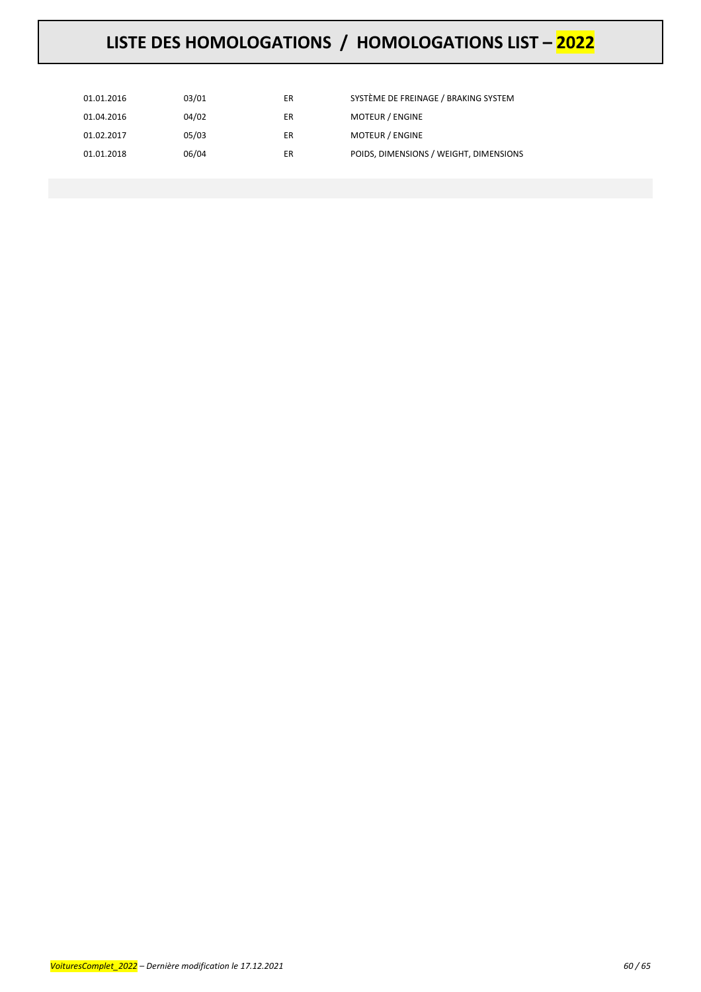| 01.01.2016 | 03/01 | ER | SYSTÈME DE FREINAGE / BRAKING SYSTEM   |
|------------|-------|----|----------------------------------------|
| 01.04.2016 | 04/02 | ER | <b>MOTEUR / ENGINE</b>                 |
| 01.02.2017 | 05/03 | ER | <b>MOTEUR / ENGINE</b>                 |
| 01.01.2018 | 06/04 | ER | POIDS, DIMENSIONS / WEIGHT, DIMENSIONS |
|            |       |    |                                        |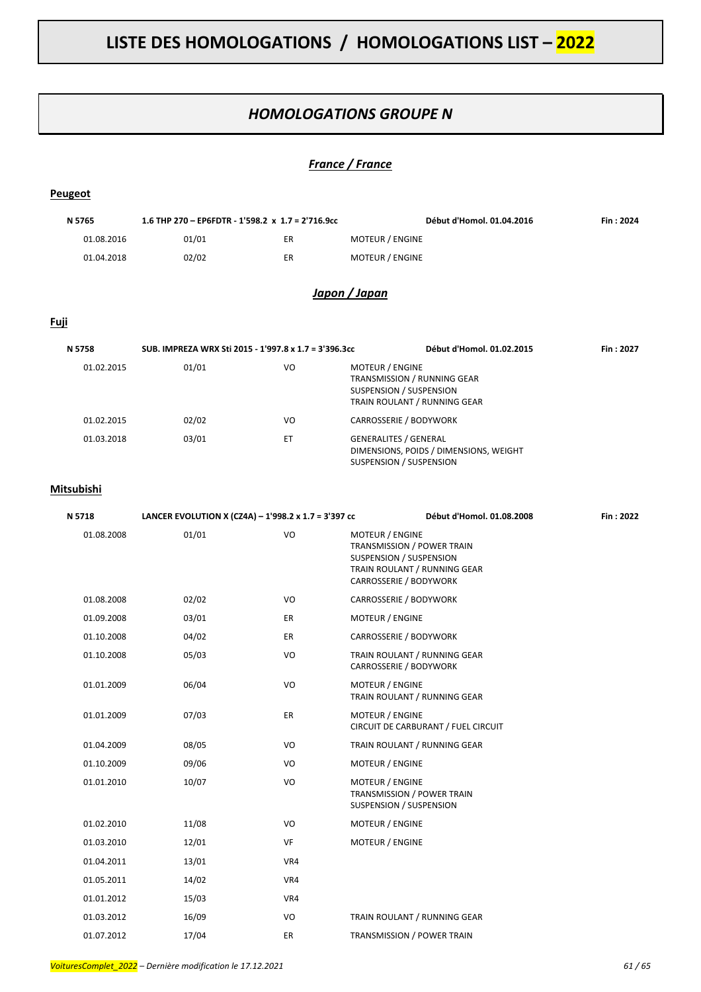### *HOMOLOGATIONS GROUPE N*

### *France / France*

| Peugeot     |                                                       |     |                                                                                                                                           |           |
|-------------|-------------------------------------------------------|-----|-------------------------------------------------------------------------------------------------------------------------------------------|-----------|
| N 5765      | 1.6 THP 270 - EP6FDTR - 1'598.2 x 1.7 = 2'716.9cc     |     | Début d'Homol. 01.04.2016                                                                                                                 | Fin: 2024 |
| 01.08.2016  | 01/01                                                 | ER  | MOTEUR / ENGINE                                                                                                                           |           |
| 01.04.2018  | 02/02                                                 | ER  | <b>MOTEUR / ENGINE</b>                                                                                                                    |           |
|             |                                                       |     | Japon / Japan                                                                                                                             |           |
| <u>Fuji</u> |                                                       |     |                                                                                                                                           |           |
| N 5758      | SUB. IMPREZA WRX Sti 2015 - 1'997.8 x 1.7 = 3'396.3cc |     | Début d'Homol. 01.02.2015                                                                                                                 | Fin: 2027 |
| 01.02.2015  | 01/01                                                 | VO  | MOTEUR / ENGINE<br>TRANSMISSION / RUNNING GEAR<br>SUSPENSION / SUSPENSION<br>TRAIN ROULANT / RUNNING GEAR                                 |           |
| 01.02.2015  | 02/02                                                 | VO  | CARROSSERIE / BODYWORK                                                                                                                    |           |
| 01.03.2018  | 03/01                                                 | ET  | <b>GENERALITES / GENERAL</b><br>DIMENSIONS, POIDS / DIMENSIONS, WEIGHT<br>SUSPENSION / SUSPENSION                                         |           |
| Mitsubishi  |                                                       |     |                                                                                                                                           |           |
| N 5718      | LANCER EVOLUTION X (CZ4A) - 1'998.2 x 1.7 = 3'397 cc  |     | Début d'Homol. 01.08.2008                                                                                                                 | Fin: 2022 |
| 01.08.2008  | 01/01                                                 | VO  | <b>MOTEUR / ENGINE</b><br>TRANSMISSION / POWER TRAIN<br>SUSPENSION / SUSPENSION<br>TRAIN ROULANT / RUNNING GEAR<br>CARROSSERIE / BODYWORK |           |
| 01.08.2008  | 02/02                                                 | VO  | CARROSSERIE / BODYWORK                                                                                                                    |           |
| 01.09.2008  | 03/01                                                 | ER  | MOTEUR / ENGINE                                                                                                                           |           |
| 01.10.2008  | 04/02                                                 | ER  | CARROSSERIE / BODYWORK                                                                                                                    |           |
| 01.10.2008  | 05/03                                                 | VO  | TRAIN ROULANT / RUNNING GEAR<br>CARROSSERIE / BODYWORK                                                                                    |           |
| 01.01.2009  | 06/04                                                 | VO  | MOTEUR / ENGINE<br>TRAIN ROULANT / RUNNING GEAR                                                                                           |           |
| 01.01.2009  | 07/03                                                 | ER  | MOTEUR / ENGINE<br>CIRCUIT DE CARBURANT / FUEL CIRCUIT                                                                                    |           |
| 01.04.2009  | 08/05                                                 | VO  | TRAIN ROULANT / RUNNING GEAR                                                                                                              |           |
| 01.10.2009  | 09/06                                                 | VO  | MOTEUR / ENGINE                                                                                                                           |           |
| 01.01.2010  | 10/07                                                 | VO  | MOTEUR / ENGINE<br>TRANSMISSION / POWER TRAIN<br><b>SUSPENSION / SUSPENSION</b>                                                           |           |
| 01.02.2010  | 11/08                                                 | VO  | MOTEUR / ENGINE                                                                                                                           |           |
| 01.03.2010  | 12/01                                                 | VF  | MOTEUR / ENGINE                                                                                                                           |           |
| 01.04.2011  | 13/01                                                 | VR4 |                                                                                                                                           |           |
| 01.05.2011  | 14/02                                                 | VR4 |                                                                                                                                           |           |
| 01.01.2012  | 15/03                                                 | VR4 |                                                                                                                                           |           |
| 01.03.2012  | 16/09                                                 | VO  | TRAIN ROULANT / RUNNING GEAR                                                                                                              |           |

01.07.2012 17/04 ER TRANSMISSION / POWER TRAIN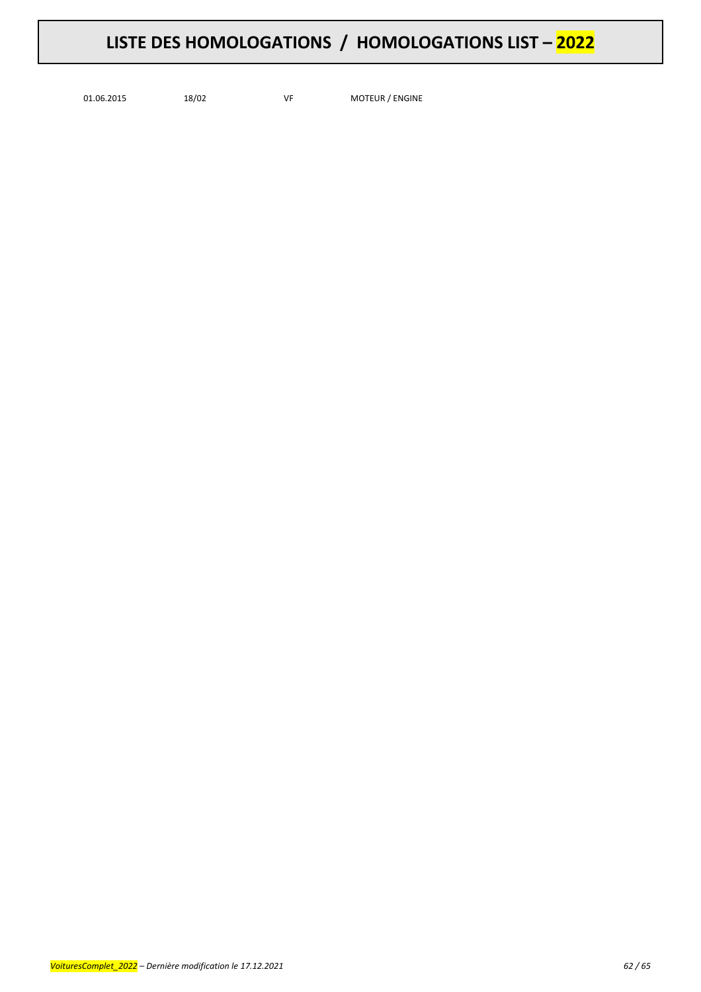01.06.2015 18/02 VF MOTEUR / ENGINE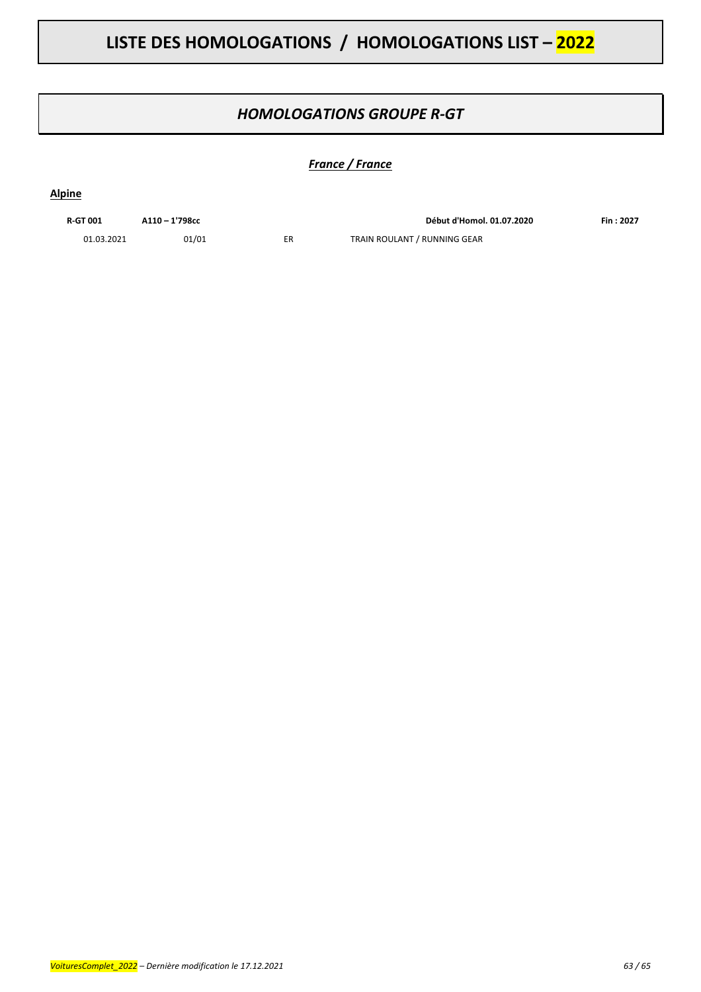### *HOMOLOGATIONS GROUPE R-GT*

### *France / France*

#### **Alpine**

| <b>R-GT 001</b> | A110-1'798cc |
|-----------------|--------------|
| 01.03.2021      | 01/01        |

**R-GT 001 A110 – 1'798cc Début d'Homol. 01.07.2020 Fin : 2027** ER TRAIN ROULANT / RUNNING GEAR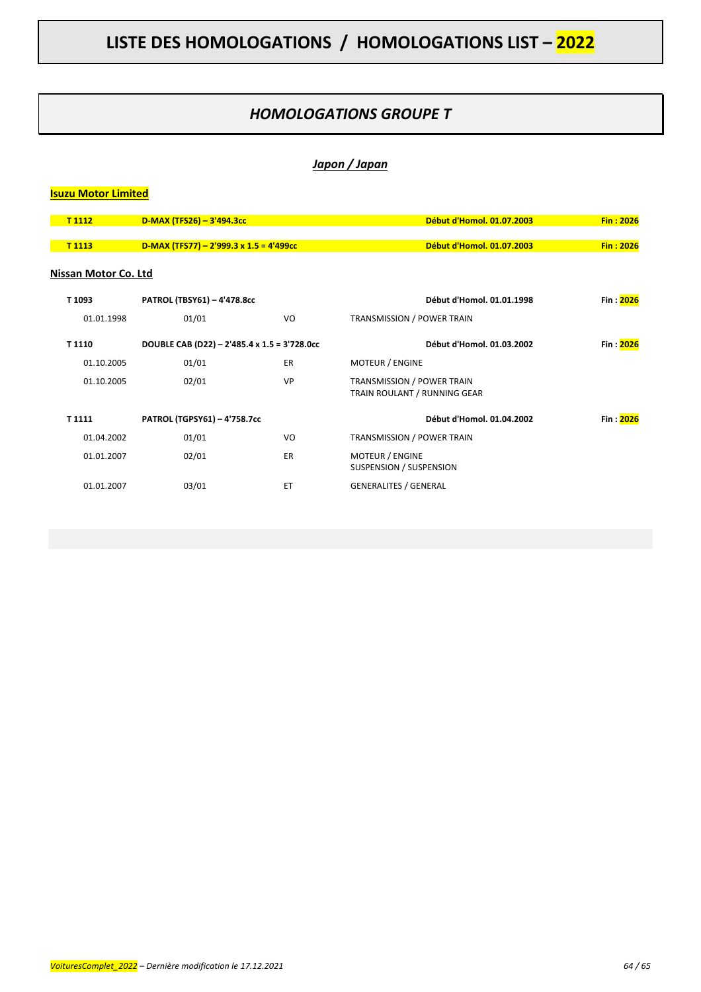### *HOMOLOGATIONS GROUPE T*

### *Japon / Japan*

### **Isuzu Motor Limited**

| T 1112               | $D-MAX (TFS26) - 3'494.3cc$                    |           | Début d'Homol. 01.07.2003                                         | Fin: 2026  |
|----------------------|------------------------------------------------|-----------|-------------------------------------------------------------------|------------|
| T <sub>1113</sub>    | $D-MAX (TFS77) - 2'999.3 \times 1.5 = 4'499cc$ |           | Début d'Homol. 01.07.2003                                         | Fin: 2026  |
| Nissan Motor Co. Ltd |                                                |           |                                                                   |            |
| T 1093               | PATROL (TBSY61) - 4'478.8cc                    |           | Début d'Homol. 01.01.1998                                         | Fin : 2026 |
| 01.01.1998           | 01/01                                          | VO        | <b>TRANSMISSION / POWER TRAIN</b>                                 |            |
| T 1110               | DOUBLE CAB (D22) - 2'485.4 x 1.5 = 3'728.0cc   |           | Début d'Homol. 01.03.2002                                         | Fin: 2026  |
| 01.10.2005           | 01/01                                          | <b>ER</b> | <b>MOTEUR / ENGINE</b>                                            |            |
| 01.10.2005           | 02/01                                          | VP        | <b>TRANSMISSION / POWER TRAIN</b><br>TRAIN ROULANT / RUNNING GEAR |            |
| T 1111               | PATROL (TGPSY61) - 4'758.7cc                   |           | Début d'Homol. 01.04.2002                                         | Fin: 2026  |
| 01.04.2002           | 01/01                                          | VO        | TRANSMISSION / POWER TRAIN                                        |            |
| 01.01.2007           | 02/01                                          | <b>ER</b> | MOTEUR / ENGINE<br>SUSPENSION / SUSPENSION                        |            |
| 01.01.2007           | 03/01                                          | ET        | <b>GENERALITES / GENERAL</b>                                      |            |